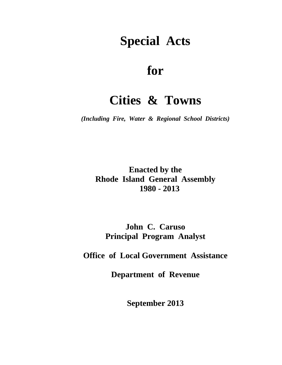# **Special Acts**

## **for**

## **Cities & Towns**

*(Including Fire, Water & Regional School Districts)* 

**Enacted by the Rhode Island General Assembly 1980 - 2013** 

**John C. Caruso Principal Program Analyst** 

**Office of Local Government Assistance** 

**Department of Revenue** 

**September 2013**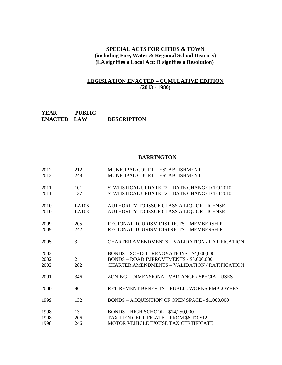#### **SPECIAL ACTS FOR CITIES & TOWN (including Fire, Water & Regional School Districts) (LA signifies a Local Act; R signifies a Resolution)**

#### **LEGISLATION ENACTED – CUMULATIVE EDITION (2013 - 1980)**

#### **YEAR PUBLIC ENACTED LAW DESCRIPTION**

#### **BARRINGTON**

| 2012 | 212            | MUNICIPAL COURT - ESTABLISHMENT                       |
|------|----------------|-------------------------------------------------------|
| 2012 | 248            | MUNICIPAL COURT - ESTABLISHMENT                       |
| 2011 | 101            | STATISTICAL UPDATE #2 - DATE CHANGED TO 2010          |
| 2011 | 137            | STATISTICAL UPDATE #2 - DATE CHANGED TO 2010          |
| 2010 | LA106          | AUTHORITY TO ISSUE CLASS A LIQUOR LICENSE             |
| 2010 | <b>LA108</b>   | AUTHORITY TO ISSUE CLASS A LIQUOR LICENSE             |
| 2009 | 205            | REGIONAL TOURISM DISTRICTS - MEMBERSHIP               |
| 2009 | 242            | REGIONAL TOURISM DISTRICTS - MEMBERSHIP               |
| 2005 | 3              | <b>CHARTER AMENDMENTS - VALIDATION / RATIFICATION</b> |
| 2002 | 1              | BONDS - SCHOOL RENOVATIONS - \$4,000,000              |
| 2002 | $\overline{2}$ | BONDS - ROAD IMPROVEMENTS - \$5,000,000               |
| 2002 | 282            | <b>CHARTER AMENDMENTS - VALIDATION / RATIFICATION</b> |
| 2001 | 346            | ZONING – DIMENSIONAL VARIANCE / SPECIAL USES          |
| 2000 | 96             | RETIREMENT BENEFITS - PUBLIC WORKS EMPLOYEES          |
| 1999 | 132            | BONDS - ACQUISITION OF OPEN SPACE - \$1,000,000       |
| 1998 | 13             | <b>BONDS - HIGH SCHOOL - \$14,250,000</b>             |
| 1998 | 206            | TAX LIEN CERTIFICATE - FROM \$6 TO \$12               |
| 1998 | 246            | MOTOR VEHICLE EXCISE TAX CERTIFICATE                  |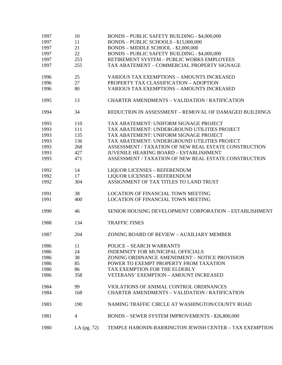| 1997 | 10            | <b>BONDS - PUBLIC SAFETY BUILDING - \$4,000,000</b>     |
|------|---------------|---------------------------------------------------------|
| 1997 | 11            | BONDS - PUBLIC SCHOOLS - \$15,000,000                   |
| 1997 | 21            | BONDS - MIDDLE SCHOOL - \$2,000,000                     |
| 1997 | 22            | BONDS - PUBLIC SAFETY BUILDING - \$4,000,000            |
| 1997 | 253           | RETIREMENT SYSTEM - PUBLIC WORKS EMPLOYEES              |
| 1997 | 255           | TAX ABATEMENT - COMMERCIAL PROPERTY SIGNAGE             |
| 1996 | 25            | <b>VARIOUS TAX EXEMPTIONS - AMOUNTS INCREASED</b>       |
| 1996 | 27            | PROPERTY TAX CLASSIFICATION - ADOPTION                  |
| 1996 | 80            | <b>VARIOUS TAX EXEMPTIONS - AMOUNTS INCREASED</b>       |
| 1995 | 13            | <b>CHARTER AMENDMENTS - VALIDATION / RATIFICATION</b>   |
| 1994 | 34            | REDUCTION IN ASSESSMENT – REMOVAL OF DAMAGED BUILDINGS  |
| 1993 | 110           | TAX ABATEMENT: UNIFORM SIGNAGE PROJECT                  |
| 1993 | 111           | TAX ABATEMENT: UNDERGROUND UTILITIES PROJECT            |
| 1993 | 135           | TAX ABATEMENT: UNIFORM SIGNAGE PROJECT                  |
| 1993 | 136           | TAX ABATEMENT: UNDERGROUND UTILITIES PROJECT            |
| 1993 | 268           | ASSESSMENT / TAXATION OF NEW REAL ESTATE CONSTRUCTION   |
| 1993 | 427           | <b>JUVENILE HEARING BOARD - ESTABLISHMENT</b>           |
| 1993 | 471           | ASSESSMENT / TAXATION OF NEW REAL ESTATE CONSTRUCTION   |
| 1992 | 14            | <b>LIQUOR LICENSES - REFERENDUM</b>                     |
| 1992 | 17            | <b>LIQUOR LICENSES - REFERENDUM</b>                     |
| 1992 | 304           | ASSIGNMENT OF TAX TITLES TO LAND TRUST                  |
| 1991 | 38            | <b>LOCATION OF FINANCIAL TOWN MEETING</b>               |
| 1991 | 400           | <b>LOCATION OF FINANCIAL TOWN MEETING</b>               |
| 1990 | 46            | SENIOR HOUSING DEVELOPMENT CORPORATION - ESTABLISHMENT  |
| 1988 | 134           | <b>TRAFFIC FINES</b>                                    |
| 1987 | 204           | ZONING BOARD OF REVIEW - AUXILIARY MEMBER               |
| 1986 | 11            | <b>POLICE – SEARCH WARRANTS</b>                         |
| 1986 | 24            | <b>INDEMNITY FOR MUNICIPAL OFFICIALS</b>                |
| 1986 | 38            | ZONING ORDINANCE AMENDMENT - NOTICE PROVISION           |
| 1986 | 85            | POWER TO EXEMPT PROPERTY FROM TAXATION                  |
| 1986 | 86            | TAX EXEMPTION FOR THE ELDERLY                           |
| 1986 | 358           | <b>VETERANS' EXEMPTION - AMOUNT INCREASED</b>           |
| 1984 | 99            | VIOLATIONS OF ANIMAL CONTROL ORDINANCES                 |
| 1984 | 168           | <b>CHARTER AMENDMENTS - VALIDATION / RATIFICATION</b>   |
| 1983 | 190           | NAMING TRAFFIC CIRCLE AT WASHINGTON/COUNTY ROAD         |
| 1981 | 4             | BONDS - SEWER SYSTEM IMPROVEMENTS - \$26,800,000        |
| 1980 | LA $(pg. 72)$ | TEMPLE HABONIN-BARRINGTON JEWISH CENTER - TAX EXEMPTION |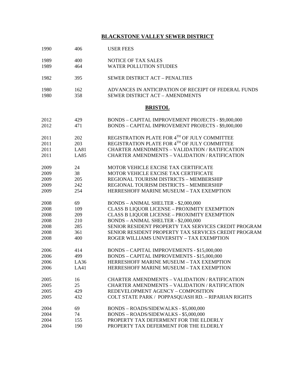## **BLACKSTONE VALLEY SEWER DISTRICT**

| 1990 | 406         | <b>USER FEES</b>                                      |
|------|-------------|-------------------------------------------------------|
| 1989 | 400         | NOTICE OF TAX SALES                                   |
| 1989 | 464         | <b>WATER POLLUTION STUDIES</b>                        |
| 1982 | 395         | <b>SEWER DISTRICT ACT - PENALTIES</b>                 |
| 1980 | 162         | ADVANCES IN ANTICIPATION OF RECEIPT OF FEDERAL FUNDS  |
| 1980 | 358         | <b>SEWER DISTRICT ACT - AMENDMENTS</b>                |
|      |             | <b>BRISTOL</b>                                        |
| 2012 | 429         | BONDS - CAPITAL IMPROVEMENT PROJECTS - \$9,000,000    |
| 2012 | 471         | BONDS - CAPITAL IMPROVEMENT PROJECTS - \$9,000,000    |
| 2011 | 202         | REGISTRATION PLATE FOR 4TH OF JULY COMMITTEE          |
| 2011 | 203         | REGISTRATION PLATE FOR 4TH OF JULY COMMITTEE          |
| 2011 | <b>LA81</b> | <b>CHARTER AMENDMENTS - VALIDATION / RATIFICATION</b> |
| 2011 | <b>LA85</b> | <b>CHARTER AMENDMENTS - VALIDATION / RATIFICATION</b> |
| 2009 | 24          | MOTOR VEHICLE EXCISE TAX CERTIFICATE                  |
| 2009 | 38          | MOTOR VEHICLE EXCISE TAX CERTIFICATE                  |
| 2009 | 205         | REGIONAL TOURISM DISTRICTS - MEMBERSHIP               |
| 2009 | 242         | REGIONAL TOURISM DISTRICTS - MEMBERSHIP               |
| 2009 | 254         | HERRESHOFF MARINE MUSEUM - TAX EXEMPTION              |
| 2008 | 69          | BONDS - ANIMAL SHELTER - \$2,000,000                  |
| 2008 | 109         | <b>CLASS B LIQUOR LICENSE - PROXIMITY EXEMPTION</b>   |
| 2008 | 209         | <b>CLASS B LIQUOR LICENSE - PROXIMITY EXEMPTION</b>   |
| 2008 | 210         | BONDS - ANIMAL SHELTER - \$2,000,000                  |
| 2008 | 285         | SENIOR RESIDENT PROPERTY TAX SERVICES CREDIT PROGRAM  |
| 2008 | 361         | SENIOR RESIDENT PROPERTY TAX SERVICES CREDIT PROGRAM  |
| 2008 | 400         | ROGER WILLIAMS UNIVERSITY - TAX EXEMPTION             |
| 2006 | 414         | BONDS - CAPITAL IMPROVEMENTS - \$15,000,000           |
| 2006 | 499         | <b>BONDS - CAPITAL IMPROVEMENTS - \$15,000,000</b>    |
| 2006 | LA36        | HERRESHOFF MARINE MUSEUM - TAX EXEMPTION              |
| 2006 | LA41        | HERRESHOFF MARINE MUSEUM - TAX EXEMPTION              |
| 2005 | 16          | <b>CHARTER AMENDMENTS - VALIDATION / RATIFICATION</b> |
| 2005 | 25          | <b>CHARTER AMENDMENTS - VALIDATION / RATIFICATION</b> |
| 2005 | 429         | REDEVELOPMENT AGENCY - COMPOSITION                    |
| 2005 | 432         | COLT STATE PARK / POPPASQUASH RD. - RIPARIAN RIGHTS   |
| 2004 | 69          | BONDS - ROADS/SIDEWALKS - \$5,000,000                 |
| 2004 | 74          | BONDS - ROADS/SIDEWALKS - \$5,000,000                 |
| 2004 | 155         | PROPERTY TAX DEFERMENT FOR THE ELDERLY                |
| 2004 | 190         | PROPERTY TAX DEFERMENT FOR THE ELDERLY                |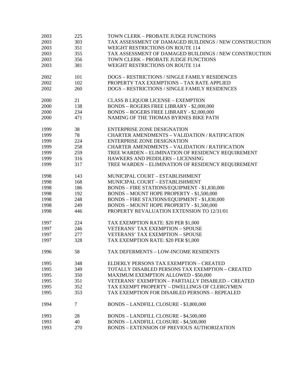| 2003 | 225 | TOWN CLERK - PROBATE JUDGE FUNCTIONS                   |
|------|-----|--------------------------------------------------------|
| 2003 | 303 | TAX ASSESSMENT OF DAMAGED BUILDINGS / NEW CONSTRUCTION |
| 2003 | 351 | WEIGHT RESTRICTIONS ON ROUTE 114                       |
| 2003 | 355 | TAX ASSESSMENT OF DAMAGED BUILDINGS / NEW CONSTRUCTION |
| 2003 | 356 | TOWN CLERK - PROBATE JUDGE FUNCTIONS                   |
| 2003 | 381 | WEIGHT RESTRICTIONS ON ROUTE 114                       |
|      |     |                                                        |
| 2002 | 101 | DOGS - RESTRICTIONS / SINGLE FAMILY RESIDENCES         |
| 2002 | 102 | PROPERTY TAX EXEMPTIONS - TAX RATE APPLIED             |
| 2002 | 260 | DOGS - RESTRICTIONS / SINGLE FAMILY RESIDENCES         |
|      |     |                                                        |
| 2000 | 21  | <b>CLASS B LIQUOR LICENSE - EXEMPTION</b>              |
| 2000 | 138 | <b>BONDS - ROGERS FREE LIBRARY - \$2,000,000</b>       |
| 2000 | 234 | <b>BONDS - ROGERS FREE LIBRARY - \$2,000,000</b>       |
| 2000 | 471 | NAMING OF THE THOMAS BYRNES BIKE PATH                  |
|      |     |                                                        |
| 1999 | 38  | <b>ENTERPRISE ZONE DESIGNATION</b>                     |
| 1999 | 78  | <b>CHARTER AMENDMENTS - VALIDATION / RATIFICATION</b>  |
| 1999 | 224 | <b>ENTERPRISE ZONE DESIGNATION</b>                     |
| 1999 | 258 | <b>CHARTER AMENDMENTS - VALIDATION / RATIFICATION</b>  |
| 1999 | 259 | TREE WARDEN - ELIMINATION OF RESIDENCY REQUIREMENT     |
| 1999 | 316 | HAWKERS AND PEDDLERS - LICENSING                       |
| 1999 | 317 | TREE WARDEN - ELIMINATION OF RESIDENCY REQUIREMENT     |
|      |     |                                                        |
| 1998 | 143 | MUNICIPAL COURT - ESTABLISHMENT                        |
| 1998 | 168 | MUNICIPAL COURT - ESTABLISHMENT                        |
| 1998 | 186 | BONDS - FIRE STATIONS/EQUIPMENT - \$1,830,000          |
| 1998 | 192 | BONDS - MOUNT HOPE PROPERTY - \$1,500,000              |
| 1998 | 248 | BONDS - FIRE STATIONS/EQUIPMENT - \$1,830,000          |
| 1998 | 249 | BONDS - MOUNT HOPE PROPERTY - \$1,500,000              |
| 1998 | 446 | PROPERTY REVALUATION EXTENSION TO 12/31/01             |
|      |     |                                                        |
| 1997 | 224 | TAX EXEMPTION RATE: \$20 PER \$1,000                   |
| 1997 | 246 | <b>VETERANS' TAX EXEMPTION - SPOUSE</b>                |
| 1997 | 277 | <b>VETERANS' TAX EXEMPTION - SPOUSE</b>                |
| 1997 | 328 | TAX EXEMPTION RATE: \$20 PER \$1,000                   |
|      |     |                                                        |
| 1996 | 58  | <b>TAX DEFERMENTS - LOW-INCOME RESIDENTS</b>           |
|      |     |                                                        |
| 1995 | 348 | ELDERLY PERSONS TAX EXEMPTION - CREATED                |
| 1995 | 349 | TOTALLY DISABLED PERSONS TAX EXEMPTION - CREATED       |
| 1995 | 350 | <b>MAXIMUM EXEMPTION ALLOWED - \$50,000</b>            |
| 1995 | 351 | VETERANS' EXEMPTION - PARTIALLY DISABLED - CREATED     |
| 1995 | 352 | TAX EXEMPT PROPERTY - DWELLINGS OF CLERGYMEN           |
| 1995 | 353 | TAX EXEMPTION FOR DISABLED PERSONS - REPEALED          |
|      |     |                                                        |
| 1994 | 7   | BONDS - LANDFILL CLOSURE - \$3,800,000                 |
|      |     |                                                        |
| 1993 | 28  | BONDS - LANDFILL CLOSURE - \$4,500,000                 |
| 1993 | 40  | BONDS - LANDFILL CLOSURE - \$4,500,000                 |
| 1993 | 270 | <b>BONDS - EXTENSION OF PREVIOUS AUTHORIZATION</b>     |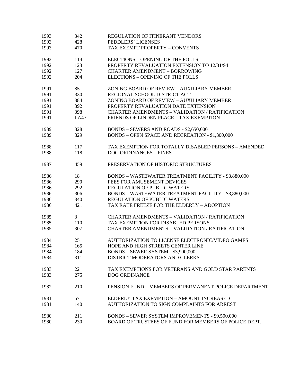| 1993 | 342  | REGULATION OF ITINERANT VENDORS                            |
|------|------|------------------------------------------------------------|
| 1993 | 428  | PEDDLERS' LICENSES                                         |
| 1993 | 470  | TAX EXEMPT PROPERTY - CONVENTS                             |
| 1992 | 114  | ELECTIONS - OPENING OF THE POLLS                           |
| 1992 | 123  | PROPERTY REVALUATION EXTENSION TO 12/31/94                 |
| 1992 | 127  | <b>CHARTER AMENDMENT - BORROWING</b>                       |
| 1992 | 204  | ELECTIONS - OPENING OF THE POLLS                           |
| 1991 | 85   | ZONING BOARD OF REVIEW - AUXILIARY MEMBER                  |
| 1991 | 330  | REGIONAL SCHOOL DISTRICT ACT                               |
| 1991 | 384  | ZONING BOARD OF REVIEW - AUXILIARY MEMBER                  |
| 1991 | 392  | PROPERTY REVALUATION DATE EXTENSION                        |
| 1991 | 398  | <b>CHARTER AMENDMENTS - VALIDATION / RATIFICATION</b>      |
| 1991 | LA47 | FRIENDS OF LINDEN PLACE - TAX EXEMPTION                    |
| 1989 | 328  | BONDS - SEWERS AND ROADS - \$2,650,000                     |
| 1989 | 329  | BONDS - OPEN SPACE AND RECREATION - \$1,300,000            |
| 1988 | 117  | TAX EXEMPTION FOR TOTALLY DISABLED PERSONS - AMENDED       |
| 1988 | 118  | <b>DOG ORDINANCES - FINES</b>                              |
| 1987 | 459  | PRESERVATION OF HISTORIC STRUCTURES                        |
| 1986 | 18   | <b>BONDS - WASTEWATER TREATMENT FACILITY - \$8,880,000</b> |
| 1986 | 290  | FEES FOR AMUSEMENT DEVICES                                 |
| 1986 | 292  | REGULATION OF PUBLIC WATERS                                |
| 1986 | 306  | <b>BONDS - WASTEWATER TREATMENT FACILITY - \$8,880,000</b> |
| 1986 | 340  | <b>REGULATION OF PUBLIC WATERS</b>                         |
| 1986 | 421  | TAX RATE FREEZE FOR THE ELDERLY - ADOPTION                 |
| 1985 | 3    | <b>CHARTER AMENDMENTS - VALIDATION / RATIFICATION</b>      |
| 1985 | 110  | TAX EXEMPTION FOR DISABLED PERSONS                         |
| 1985 | 307  | <b>CHARTER AMENDMENTS - VALIDATION / RATIFICATION</b>      |
| 1984 | 25   | AUTHORIZATION TO LICENSE ELECTRONIC/VIDEO GAMES            |
| 1984 | 165  | HOPE AND HIGH STREETS CENTER LINE                          |
| 1984 | 184  | BONDS - SEWER SYSTEM - \$3,900,000                         |
| 1984 | 311  | DISTRICT MODERATORS AND CLERKS                             |
| 1983 | 22   | TAX EXEMPTIONS FOR VETERANS AND GOLD STAR PARENTS          |
| 1983 | 275  | <b>DOG ORDINANCE</b>                                       |
| 1982 | 210  | PENSION FUND - MEMBERS OF PERMANENT POLICE DEPARTMENT      |
| 1981 | 57   | ELDERLY TAX EXEMPTION - AMOUNT INCREASED                   |
| 1981 | 140  | AUTHORIZATION TO SIGN COMPLAINTS FOR ARREST                |
| 1980 | 211  | BONDS - SEWER SYSTEM IMPROVEMENTS - \$9,500,000            |
| 1980 | 230  | BOARD OF TRUSTEES OF FUND FOR MEMBERS OF POLICE DEPT.      |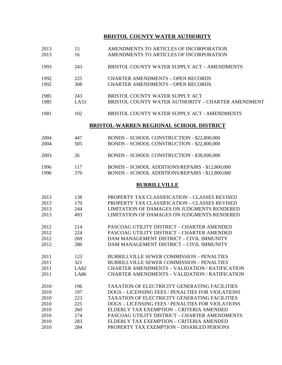## **BRISTOL COUNTY WATER AUTHORITY**

| 2013<br>2013 | 15<br>16    | AMENDMENTS TO ARTICLES OF INCORPORATION<br>AMENDMENTS TO ARTICLES OF INCORPORATION    |
|--------------|-------------|---------------------------------------------------------------------------------------|
| 1993         | 243         | BRISTOL COUNTY WATER SUPPLY ACT - AMENDMENTS                                          |
| 1992<br>1992 | 225<br>308  | <b>CHARTER AMENDMENTS - OPEN RECORDS</b><br><b>CHARTER AMENDMENTS - OPEN RECORDS</b>  |
| 1985<br>1985 | 243<br>LA53 | BRISTOL COUNTY WATER SUPPLY ACT<br>BRISTOL COUNTY WATER AUTHORITY - CHARTER AMENDMENT |
| 1981         | 102         | BRISTOL COUNTY WATER SUPPLY ACT - AMENDMENTS                                          |
|              |             | <b>BRISTOL-WARREN REGIONAL SCHOOL DISTRICT</b>                                        |
|              |             |                                                                                       |
| 2004         | 447         | BONDS - SCHOOL CONSTRUCTION - \$22,800,000                                            |
| 2004         | 505         | BONDS - SCHOOL CONSTRUCTION - \$22,800,000                                            |
| 2003         | 26          | BONDS - SCHOOL CONSTRUCTION - \$38,000,000                                            |
| 1996         | 117         | BONDS - SCHOOL ADDITIONS/REPAIRS - \$12,800,000                                       |
| 1996         | 370         | BONDS - SCHOOL ADDITIONS/REPAIRS - \$12,800,000                                       |
|              |             |                                                                                       |
|              |             | <b>BURRILLVILLE</b>                                                                   |
| 2013         | 138         | PROPERTY TAX CLASSIFICATION - CLASSES REVISED                                         |
|              |             | PROPERTY TAX CLASSIFICATION - CLASSES REVISED                                         |
| 2013         | 170         |                                                                                       |
| 2013         | 244         | LIMITATION OF DAMAGES ON JUDGMENTS RENDERED                                           |
| 2013         | 493         | LIMITATION OF DAMAGES ON JUDGMENTS RENDERED                                           |
| 2012         | 214         | PASCOAG UTILITY DISTRICT - CHARTER AMENDED                                            |
| 2012         | 224         | PASCOAG UTILITY DISTRICT - CHARTER AMENDED                                            |
| 2012         | 269         | DAM MANAGEMENT DISTRICT - CIVIL IMMUNITY                                              |
| 2012         | 280         | DAM MANAGEMENT DISTRICT - CIVIL IMMUNITY                                              |
|              |             |                                                                                       |
| 2011         | 123         | <b>BURRILLVILLE SEWER COMMISSION - PENALTIES</b>                                      |
| 2011         | 321         | <b>BURRILLVILLE SEWER COMMISSION - PENALTIES</b>                                      |
| 2011         | LAS2        | <b>CHARTER AMENDMENTS - VALIDATION / RATIFICATION</b>                                 |
| 2011         | <b>LA86</b> | <b>CHARTER AMENDMENTS - VALIDATION / RATIFICATION</b>                                 |
|              |             |                                                                                       |
| 2010         | 196         | <b>TAXATION OF ELECTRICITY GENERATING FACILITIES</b>                                  |
| 2010         | 197         | DOGS - LICENSING FEES / PENALTIES FOR VIOLATIONS                                      |
| 2010         | 223         | <b>TAXATION OF ELECTRICITY GENERATING FACILITIES</b>                                  |
| 2010         | 225         | DOGS - LICENSING FEES / PENALTIES FOR VIOLATIONS                                      |
| 2010         | 260         | ELDERLY TAX EXEMPTION - CRITERIA AMENDED                                              |
| 2010         | 274         | PASCOAG UTILITY DISTRICT - CHARTER AMENDMENTS                                         |
| 2010         | 283         | ELDERLY TAX EXEMPTION - CRITERIA AMENDED                                              |
| 2010         | 284         | PROPERTY TAX EXEMPTION - DISABLED PERSONS                                             |
|              |             |                                                                                       |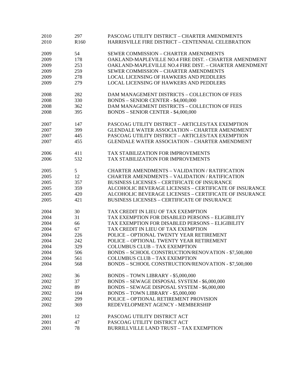| 2010         | 297              | PASCOAG UTILITY DISTRICT - CHARTER AMENDMENTS                 |
|--------------|------------------|---------------------------------------------------------------|
| 2010         | R <sub>160</sub> | HARRISVILLE FIRE DISTRICT - CENTENNIAL CELEBRATION            |
|              |                  |                                                               |
| 2009         | 54               | SEWER COMMISSION - CHARTER AMENDMENTS                         |
| 2009         | 178              | OAKLAND-MAPLEVILLE NO.4 FIRE DIST. - CHARTER AMENDMENT        |
| 2009         | 253              | OAKLAND-MAPLEVILLE NO.4 FIRE DIST. - CHARTER AMENDMENT        |
| 2009         | 259              | SEWER COMMISSION - CHARTER AMENDMENTS                         |
| 2009         | 278              | LOCAL LICENSING OF HAWKERS AND PEDDLERS                       |
| 2009         | 279              | <b>LOCAL LICENSING OF HAWKERS AND PEDDLERS</b>                |
| 2008         | 282              | DAM MANAGEMENT DISTRICTS - COLLECTION OF FEES                 |
| 2008         | 330              | <b>BONDS - SENIOR CENTER - \$4,000,000</b>                    |
| 2008         | 362              | DAM MANAGEMENT DISTRICTS - COLLECTION OF FEES                 |
| 2008         | 395              | <b>BONDS - SENIOR CENTER - \$4,000,000</b>                    |
| 2007         | 147              | PASCOAG UTILITY DISTRICT - ARTICLES/TAX EXEMPTION             |
| 2007         | 399              | <b>GLENDALE WATER ASSOCIATION - CHARTER AMENDMENT</b>         |
| 2007         | 445              | PASCOAG UTILITY DISTRICT - ARTICLES/TAX EXEMPTION             |
| 2007         | 455              | <b>GLENDALE WATER ASSOCIATION - CHARTER AMENDMENT</b>         |
|              |                  |                                                               |
| 2006         | 411              | TAX STABILIZATION FOR IMPROVEMENTS                            |
| 2006         | 532              | TAX STABILIZATION FOR IMPROVEMENTS                            |
| 2005         | 5                | <b>CHARTER AMENDMENTS - VALIDATION / RATIFICATION</b>         |
| 2005         | 12               | <b>CHARTER AMENDMENTS - VALIDATION / RATIFICATION</b>         |
| 2005         | 357              | <b>BUSINESS LICENSES - CERTIFICATE OF INSURANCE</b>           |
| 2005         | 359              | <b>ALCOHOLIC BEVERAGE LICENSES - CERTIFICATE OF INSURANCE</b> |
| 2005         | 420              | ALCOHOLIC BEVERAGE LICENSES - CERTIFICATE OF INSURANCE        |
| 2005         | 421              | <b>BUSINESS LICENSES - CERTIFICATE OF INSURANCE</b>           |
| 2004         | 30               | TAX CREDIT IN LIEU OF TAX EXEMPTION                           |
| 2004         | 31               | TAX EXEMPTION FOR DISABLED PERSONS - ELIGIBILITY              |
| 2004         | 66               | TAX EXEMPTION FOR DISABLED PERSONS - ELIGIBILITY              |
| 2004         | 67               | TAX CREDIT IN LIEU OF TAX EXEMPTION                           |
| 2004         | 226              | POLICE - OPTIONAL TWENTY YEAR RETIREMENT                      |
| 2004         | 242              | POLICE - OPTIONAL TWENTY YEAR RETIREMENT                      |
| 2004         | 329              | <b>COLUMBUS CLUB - TAX EXEMPTION</b>                          |
| 2004         | 506              | BONDS - SCHOOL CONSTRUCTION/RENOVATION - \$7,500,000          |
| 2004         | 561              | <b>COLUMBUS CLUB - TAX EXEMPTION</b>                          |
| 2004         | 568              | BONDS - SCHOOL CONSTRUCTION/RENOVATION - \$7,500,000          |
| 2002         | 36               | BONDS - TOWN LIBRARY - \$5,000,000                            |
| 2002         | 37               | BONDS - SEWAGE DISPOSAL SYSTEM - \$6,000,000                  |
| 2002         | 89               | BONDS - SEWAGE DISPOSAL SYSTEM - \$6,000,000                  |
| 2002         | 104              | BONDS - TOWN LIBRARY - \$5,000,000                            |
|              | 299              | POLICE - OPTIONAL RETIREMENT PROVISION                        |
| 2002<br>2002 | 369              | REDEVELOPMENT AGENCY - MEMBERSHIP                             |
|              |                  |                                                               |
| 2001         | 12               | PASCOAG UTILITY DISTRICT ACT                                  |
| 2001         | 47               | PASCOAG UTILITY DISTRICT ACT                                  |
| 2001         | 78               | BURRILLVILLE LAND TRUST - TAX EXEMPTION                       |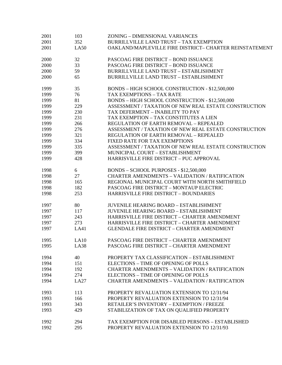| 2001 | 103  | ZONING - DIMENSIONAL VARIANCES                          |
|------|------|---------------------------------------------------------|
| 2001 | 352  | <b>BURRILLVILLE LAND TRUST - TAX EXEMPTION</b>          |
| 2001 | LA50 | OAKLAND/MAPLEVILLE FIRE DISTRICT- CHARTER REINSTATEMENT |
| 2000 | 32   | PASCOAG FIRE DISTRICT - BOND ISSUANCE                   |
| 2000 | 33   | PASCOAG FIRE DISTRICT - BOND ISSUANCE                   |
| 2000 | 59   | BURRILLVILLE LAND TRUST - ESTABLISHMENT                 |
| 2000 | 65   | BURRILLVILLE LAND TRUST - ESTABLISHMENT                 |
| 1999 | 35   | BONDS - HIGH SCHOOL CONSTRUCTION - \$12,500,000         |
| 1999 | 76   | <b>TAX EXEMPTIONS - TAX RATE</b>                        |
| 1999 | 81   | BONDS - HIGH SCHOOL CONSTRUCTION - \$12,500,000         |
| 1999 | 229  | ASSESSMENT / TAXATION OF NEW REAL ESTATE CONSTRUCTION   |
| 1999 | 230  | TAX DEFERMENT - INABILITY TO PAY                        |
| 1999 | 231  | TAX EXEMPTION - TAX CONSTITUTES A LIEN                  |
| 1999 | 266  | REGULATION OF EARTH REMOVAL - REPEALED                  |
| 1999 | 276  | ASSESSMENT / TAXATION OF NEW REAL ESTATE CONSTRUCTION   |
| 1999 | 321  | <b>REGULATION OF EARTH REMOVAL - REPEALED</b>           |
| 1999 | 334  | FIXED RATE FOR TAX EXEMPTIONS                           |
| 1999 | 335  | ASSESSMENT / TAXATION OF NEW REAL ESTATE CONSTRUCTION   |
| 1999 | 399  | MUNICIPAL COURT - ESTABLISHMENT                         |
| 1999 | 428  | HARRISVILLE FIRE DISTRICT - PUC APPROVAL                |
| 1998 | 6    | BONDS - SCHOOL PURPOSES - \$12,500,000                  |
| 1998 | 27   | <b>CHARTER AMENDMENTS - VALIDATION / RATIFICATION</b>   |
| 1998 | 165  | REGIONAL MUNICIPAL COURT WITH NORTH SMITHFIELD          |
| 1998 | 182  | PASCOAG FIRE DISTRICT - MONTAUP ELECTRIC                |
| 1998 | 253  | HARRISVILLE FIRE DISTRICT - BOUNDARIES                  |
| 1997 | 80   | <b>JUVENILE HEARING BOARD - ESTABLISHMENT</b>           |
| 1997 | 117  | <b>JUVENILE HEARING BOARD - ESTABLISHMENT</b>           |
| 1997 | 243  | HARRISVILLE FIRE DISTRICT - CHARTER AMENDMENT           |
| 1997 | 273  | HARRISVILLE FIRE DISTRICT - CHARTER AMENDMENT           |
| 1997 | LA41 | <b>GLENDALE FIRE DISTRICT - CHARTER AMENDMENT</b>       |
| 1995 | LA10 | PASCOAG FIRE DISTRICT - CHARTER AMENDMENT               |
| 1995 | LA38 | PASCOAG FIRE DISTRICT - CHARTER AMENDMENT               |
| 1994 | 40   | PROPERTY TAX CLASSIFICATION - ESTABLISHMENT             |
| 1994 | 151  | ELECTIONS - TIME OF OPENING OF POLLS                    |
| 1994 | 192  | <b>CHARTER AMENDMENTS - VALIDATION / RATIFICATION</b>   |
| 1994 | 274  | ELECTIONS - TIME OF OPENING OF POLLS                    |
| 1994 | LA27 | CHARTER AMENDMENTS - VALIDATION / RATIFICATION          |
| 1993 | 113  | PROPERTY REVALUATION EXTENSION TO 12/31/94              |
| 1993 | 166  | PROPERTY REVALUATION EXTENSION TO 12/31/94              |
| 1993 | 343  | RETAILER'S INVENTORY - EXEMPTION / FREEZE               |
| 1993 | 429  | STABILIZATION OF TAX ON QUALIFIED PROPERTY              |
| 1992 | 294  | TAX EXEMPTION FOR DISABLED PERSONS - ESTABLISHED        |
| 1992 | 295  | PROPERTY REVALUATION EXTENSION TO 12/31/93              |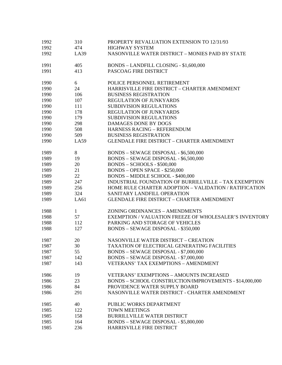| 1992 | 310          | PROPERTY REVALUATION EXTENSION TO 12/31/93              |
|------|--------------|---------------------------------------------------------|
| 1992 | 474          | <b>HIGHWAY SYSTEM</b>                                   |
| 1992 | LA39         | NASONVILLE WATER DISTRICT - MONIES PAID BY STATE        |
| 1991 | 405          | BONDS - LANDFILL CLOSING - \$1,600,000                  |
| 1991 | 413          | PASCOAG FIRE DISTRICT                                   |
| 1990 | 6            | POLICE PERSONNEL RETIREMENT                             |
| 1990 | 24           | HARRISVILLE FIRE DISTRICT - CHARTER AMENDMENT           |
| 1990 | 106          | <b>BUSINESS REGISTRATION</b>                            |
| 1990 | 107          | REGULATION OF JUNKYARDS                                 |
| 1990 | 111          | SUBDIVISION REGULATIONS                                 |
| 1990 | 178          | <b>REGULATION OF JUNKYARDS</b>                          |
| 1990 | 179          | <b>SUBDIVISION REGULATIONS</b>                          |
| 1990 | 298          | <b>DAMAGES DONE BY DOGS</b>                             |
| 1990 | 508          | <b>HARNESS RACING - REFERENDUM</b>                      |
| 1990 | 509          | <b>BUSINESS REGISTRATION</b>                            |
| 1990 | LA59         | <b>GLENDALE FIRE DISTRICT - CHARTER AMENDMENT</b>       |
| 1989 | 8            | BONDS - SEWAGE DISPOSAL - \$6,500,000                   |
| 1989 | 19           | BONDS - SEWAGE DISPOSAL - \$6,500,000                   |
| 1989 | 20           | BONDS - SCHOOLS - \$500,000                             |
| 1989 | 21           | <b>BONDS - OPEN SPACE - \$250,000</b>                   |
| 1989 | 22           | BONDS - MIDDLE SCHOOL - \$400,000                       |
| 1989 | 247          | INDUSTRIAL FOUNDATION OF BURRILLVILLE - TAX EXEMPTION   |
| 1989 | 256          | HOME RULE CHARTER ADOPTION - VALIDATION / RATIFICATION  |
| 1989 | 324          | SANITARY LANDFILL OPERATION                             |
| 1989 | LA61         | <b>GLENDALE FIRE DISTRICT - CHARTER AMENDMENT</b>       |
| 1988 | $\mathbf{1}$ | ZONING ORDINANCES - AMENDMENTS                          |
| 1988 | 57           | EXEMPTION / VALUATION FREEZE OF WHOLESALER'S INVENTORY  |
| 1988 | 112          | PARKING AND STORAGE OF VEHICLES                         |
| 1988 | 127          | BONDS - SEWAGE DISPOSAL - \$350,000                     |
| 1987 | 20           | <b>NASONVILLE WATER DISTRICT - CREATION</b>             |
| 1987 | 30           | TAXATION OF ELECTRICAL GENERATING FACILITIES            |
| 1987 | 55           | BONDS - SEWAGE DISPOSAL - \$7,000,000                   |
| 1987 | 142          | BONDS - SEWAGE DISPOSAL - \$7,000,000                   |
| 1987 | 143          | <b>VETERANS' TAX EXEMPTIONS - AMENDMENT</b>             |
| 1986 | 19           | <b>VETERANS' EXEMPTIONS - AMOUNTS INCREASED</b>         |
| 1986 | 23           | BONDS - SCHOOL CONSTRUCTION/IMPROVEMENTS - \$14,000,000 |
| 1986 | 84           | PROVIDENCE WATER SUPPLY BOARD                           |
| 1986 | 291          | NASONVILLE WATER DISTRICT - CHARTER AMENDMENT           |
| 1985 | 40           | PUBLIC WORKS DEPARTMENT                                 |
| 1985 | 122          | <b>TOWN MEETINGS</b>                                    |
| 1985 | 158          | <b>BURRILLVILLE WATER DISTRICT</b>                      |
| 1985 | 164          | BONDS - SEWAGE DISPOSAL - \$5,800,000                   |
| 1985 | 236          | HARRISVILLE FIRE DISTRICT                               |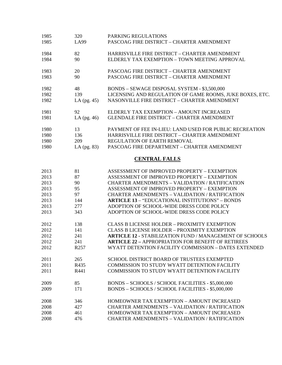| 1985 | 320              | PARKING REGULATIONS                                            |
|------|------------------|----------------------------------------------------------------|
| 1985 | LA99             | PASCOAG FIRE DISTRICT - CHARTER AMENDMENT                      |
| 1984 | 82               | HARRISVILLE FIRE DISTRICT - CHARTER AMENDMENT                  |
|      |                  |                                                                |
| 1984 | 90               | ELDERLY TAX EXEMPTION - TOWN MEETING APPROVAL                  |
| 1983 | 20               | PASCOAG FIRE DISTRICT - CHARTER AMENDMENT                      |
| 1983 | 90               | PASCOAG FIRE DISTRICT - CHARTER AMENDMENT                      |
| 1982 | 48               | BONDS - SEWAGE DISPOSAL SYSTEM - \$3,500,000                   |
| 1982 | 139              | LICENSING AND REGULATION OF GAME ROOMS, JUKE BOXES, ETC.       |
| 1982 | LA $(pg. 45)$    | NASONVILLE FIRE DISTRICT - CHARTER AMENDMENT                   |
| 1981 | 92               | ELDERLY TAX EXEMPTION - AMOUNT INCREASED                       |
| 1981 | LA $(pg. 46)$    | <b>GLENDALE FIRE DISTRICT - CHARTER AMENDMENT</b>              |
| 1980 | 13               | PAYMENT OF FEE IN-LIEU: LAND USED FOR PUBLIC RECREATION        |
| 1980 | 136              | HARRISVILLE FIRE DISTRICT - CHARTER AMENDMENT                  |
|      | 209              | REGULATION OF EARTH REMOVAL                                    |
| 1980 |                  |                                                                |
| 1980 | LA $(pg. 83)$    | PASCOAG FIRE DEPARTMENT - CHARTER AMENDMENT                    |
|      |                  | <b>CENTRAL FALLS</b>                                           |
| 2013 | 81               | ASSESSMENT OF IMPROVED PROPERTY - EXEMPTION                    |
| 2013 | 87               | ASSESSMENT OF IMPROVED PROPERTY - EXEMPTION                    |
| 2013 | 90               | <b>CHARTER AMENDMENTS - VALIDATION / RATIFICATION</b>          |
| 2013 | 95               | ASSESSMENT OF IMPROVED PROPERTY - EXEMPTION                    |
| 2013 | 97               | <b>CHARTER AMENDMENTS - VALIDATION / RATIFICATION</b>          |
| 2013 | 144              | <b>ARTICLE 13 - "EDUCATIONAL INSTITUTIONS" - BONDS</b>         |
| 2013 | 277              | ADOPTION OF SCHOOL-WIDE DRESS CODE POLICY                      |
| 2013 | 343              | ADOPTION OF SCHOOL-WIDE DRESS CODE POLICY                      |
| 2012 | 138              | <b>CLASS B LICENSE HOLDER - PROXIMITY EXEMPTION</b>            |
| 2012 | 141              | <b>CLASS B LICENSE HOLDER - PROXIMITY EXEMPTION</b>            |
| 2012 | 241              | <b>ARTICLE 12 - STABILIZATION FUND / MANAGEMENT OF SCHOOLS</b> |
| 2012 | 241              | <b>ARTICLE 22 - APPROPRIATION FOR BENEFIT OF RETIREES</b>      |
| 2012 | R <sub>257</sub> | WYATT DETENTION FACILITY COMMISSION - DATES EXTENDED           |
|      |                  |                                                                |
| 2011 | 265              | <b>SCHOOL DISTRICT BOARD OF TRUSTEES EXEMPTED</b>              |
| 2011 | R435             | COMMISSION TO STUDY WYATT DETENTION FACILITY                   |
| 2011 | R441             | COMMISSION TO STUDY WYATT DETENTION FACILITY                   |
| 2009 | 85               | BONDS - SCHOOLS / SCHOOL FACILITIES - \$5,000,000              |
| 2009 | 171              | BONDS - SCHOOLS / SCHOOL FACILITIES - \$5,000,000              |
|      |                  |                                                                |
| 2008 | 346              | HOMEOWNER TAX EXEMPTION - AMOUNT INCREASED                     |
| 2008 | 427              | <b>CHARTER AMENDMENTS - VALIDATION / RATIFICATION</b>          |
| 2008 | 461              | HOMEOWNER TAX EXEMPTION - AMOUNT INCREASED                     |

2008 476 CHARTER AMENDMENTS – VALIDATION / RATIFICATION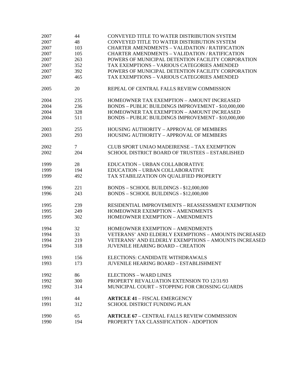| 2007 | 44             | CONVEYED TITLE TO WATER DISTRIBUTION SYSTEM           |
|------|----------------|-------------------------------------------------------|
| 2007 | 48             | CONVEYED TITLE TO WATER DISTRIBUTION SYSTEM           |
| 2007 | 103            | <b>CHARTER AMENDMENTS - VALIDATION / RATIFICATION</b> |
| 2007 | 105            | <b>CHARTER AMENDMENTS - VALIDATION / RATIFICATION</b> |
| 2007 | 263            | POWERS OF MUNICIPAL DETENTION FACILITY CORPORATION    |
| 2007 | 352            | TAX EXEMPTIONS - VARIOUS CATEGORIES AMENDED           |
| 2007 | 392            | POWERS OF MUNICIPAL DETENTION FACILITY CORPORATION    |
| 2007 | 465            | TAX EXEMPTIONS - VARIOUS CATEGORIES AMENDED           |
| 2005 | 20             | REPEAL OF CENTRAL FALLS REVIEW COMMISSION             |
| 2004 | 235            | HOMEOWNER TAX EXEMPTION - AMOUNT INCREASED            |
| 2004 | 236            | BONDS - PUBLIC BUILDINGS IMPROVEMENT - \$10,000,000   |
| 2004 | 328            | HOMEOWNER TAX EXEMPTION - AMOUNT INCREASED            |
| 2004 | 511            | BONDS - PUBLIC BUILDINGS IMPROVEMENT - \$10,000,000   |
| 2003 | 255            | HOUSING AUTHORITY - APPROVAL OF MEMBERS               |
| 2003 | 293            | <b>HOUSING AUTHORITY - APPROVAL OF MEMBERS</b>        |
| 2002 | $\overline{7}$ | <b>CLUB SPORT UNIAO MADEIRENSE - TAX EXEMPTION</b>    |
| 2002 | 204            | SCHOOL DISTRICT BOARD OF TRUSTEES - ESTABLISHED       |
| 1999 | 28             | <b>EDUCATION - URBAN COLLABORATIVE</b>                |
| 1999 | 194            | EDUCATION - URBAN COLLABORATIVE                       |
| 1999 | 492            | TAX STABILIZATION ON QUALIFIED PROPERTY               |
| 1996 | 221            | BONDS - SCHOOL BUILDINGS - \$12,000,000               |
| 1996 | 243            | BONDS - SCHOOL BUILDINGS - \$12,000,000               |
| 1995 | 239            | RESIDENTIAL IMPROVEMENTS - REASSESSMENT EXEMPTION     |
| 1995 | 249            | HOMEOWNER EXEMPTION - AMENDMENTS                      |
| 1995 | 302            | HOMEOWNER EXEMPTION - AMENDMENTS                      |
| 1994 | 32             | HOMEOWNER EXEMPTION - AMENDMENTS                      |
| 1994 | 33             | VETERANS' AND ELDERLY EXEMPTIONS - AMOUNTS INCREASED  |
| 1994 | 219            | VETERANS' AND ELDERLY EXEMPTIONS - AMOUNTS INCREASED  |
| 1994 | 318            | <b>JUVENILE HEARING BOARD - CREATION</b>              |
| 1993 | 156            | ELECTIONS: CANDIDATE WITHDRAWALS                      |
| 1993 | 173            | <b>JUVENILE HEARING BOARD - ESTABLISHMENT</b>         |
| 1992 | 86             | <b>ELECTIONS - WARD LINES</b>                         |
| 1992 | 300            | PROPERTY REVALUATION EXTENSION TO 12/31/93            |
| 1992 | 314            | MUNICIPAL COURT - STOPPING FOR CROSSING GUARDS        |
| 1991 | 44             | <b>ARTICLE 41 - FISCAL EMERGENCY</b>                  |
| 1991 | 312            | <b>SCHOOL DISTRICT FUNDING PLAN</b>                   |
| 1990 | 65             | <b>ARTICLE 67 - CENTRAL FALLS REVIEW COMMISSION</b>   |
| 1990 | 194            | PROPERTY TAX CLASSIFICATION - ADOPTION                |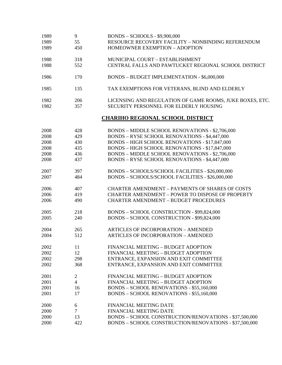| 1989 | 9              | <b>BONDS - SCHOOLS - \$9,900,000</b>                                                                    |
|------|----------------|---------------------------------------------------------------------------------------------------------|
| 1989 | 55             | RESOURCE RECOVERY FACILITY - NONBINDING REFERENDUM                                                      |
| 1989 | 450            | HOMEOWNER EXEMPTION - ADOPTION                                                                          |
|      |                |                                                                                                         |
| 1988 | 318            | MUNICIPAL COURT - ESTABLISHMENT                                                                         |
| 1988 | 552            | CENTRAL FALLS AND PAWTUCKET REGIONAL SCHOOL DISTRICT                                                    |
|      |                |                                                                                                         |
| 1986 | 170            | BONDS - BUDGET IMPLEMENTATION - \$6,000,000                                                             |
|      |                |                                                                                                         |
| 1985 | 135            | TAX EXEMPTIONS FOR VETERANS, BLIND AND ELDERLY                                                          |
| 1982 | 206            |                                                                                                         |
| 1982 | 357            | LICENSING AND REGULATION OF GAME ROOMS, JUKE BOXES, ETC.<br>SECURITY PERSONNEL FOR ELDERLY HOUSING      |
|      |                |                                                                                                         |
|      |                | <b>CHARIHO REGIONAL SCHOOL DISTRICT</b>                                                                 |
|      |                |                                                                                                         |
| 2008 | 428            | BONDS - MIDDLE SCHOOL RENOVATIONS - \$2,706,000<br><b>BONDS - RYSE SCHOOL RENOVATIONS - \$4,447,000</b> |
| 2008 | 429            |                                                                                                         |
| 2008 | 430            | BONDS - HIGH SCHOOL RENOVATIONS - \$17,847,000                                                          |
| 2008 | 435            | BONDS - HIGH SCHOOL RENOVATIONS - \$17,847,000                                                          |
| 2008 | 436            | BONDS - MIDDLE SCHOOL RENOVATIONS - \$2,706,000                                                         |
| 2008 | 437            | <b>BONDS - RYSE SCHOOL RENOVATIONS - \$4,447,000</b>                                                    |
| 2007 | 397            | BONDS - SCHOOLS/SCHOOL FACILITIES - \$26,000,000                                                        |
| 2007 | 484            | BONDS - SCHOOLS/SCHOOL FACILITIES - \$26,000,000                                                        |
|      |                |                                                                                                         |
| 2006 | 407            | <b>CHARTER AMENDMENT - PAYMENTS OF SHARES OF COSTS</b>                                                  |
| 2006 | 419            | <b>CHARTER AMENDMENT - POWER TO DISPOSE OF PROPERTY</b>                                                 |
| 2006 | 490            | <b>CHARTER AMENDMENT - BUDGET PROCEDURES</b>                                                            |
| 2005 | 218            | BONDS - SCHOOL CONSTRUCTION - \$99,824,000                                                              |
| 2005 | 240            | BONDS - SCHOOL CONSTRUCTION - \$99,824,000                                                              |
|      |                |                                                                                                         |
| 2004 | 265            | <b>ARTICLES OF INCORPORATION - AMENDED</b>                                                              |
| 2004 | 512            | <b>ARTICLES OF INCORPORATION - AMENDED</b>                                                              |
| 2002 | 11             | FINANCIAL MEETING - BUDGET ADOPTION                                                                     |
| 2002 | 12             | FINANCIAL MEETING - BUDGET ADOPTION                                                                     |
| 2002 | 298            | ENTRANCE, EXPANSION AND EXIT COMMITTEE                                                                  |
| 2002 | 368            | ENTRANCE, EXPANSION AND EXIT COMMITTEE                                                                  |
|      |                |                                                                                                         |
| 2001 | $\overline{c}$ | FINANCIAL MEETING - BUDGET ADOPTION                                                                     |
| 2001 | $\overline{4}$ | FINANCIAL MEETING - BUDGET ADOPTION                                                                     |
| 2001 | 16             | BONDS - SCHOOL RENOVATIONS - \$55,160,000                                                               |
| 2001 | 17             | <b>BONDS - SCHOOL RENOVATIONS - \$55,160,000</b>                                                        |
|      |                |                                                                                                         |
| 2000 | 6              | <b>FINANCIAL MEETING DATE</b>                                                                           |
| 2000 | $\overline{7}$ | <b>FINANCIAL MEETING DATE</b>                                                                           |
| 2000 | 13             | BONDS - SCHOOL CONSTRUCTION/RENOVATIONS - \$37,500,000                                                  |
| 2000 | 422            | BONDS - SCHOOL CONSTRUCTION/RENOVATIONS - \$37,500,000                                                  |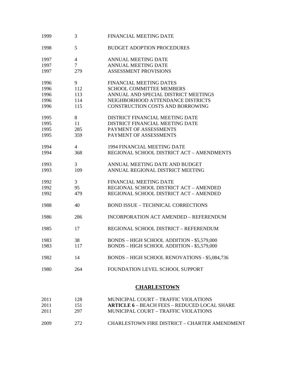| 1999 | 3              | <b>FINANCIAL MEETING DATE</b>                       |
|------|----------------|-----------------------------------------------------|
| 1998 | 5              | <b>BUDGET ADOPTION PROCEDURES</b>                   |
| 1997 | $\overline{4}$ | <b>ANNUAL MEETING DATE</b>                          |
| 1997 | $\overline{7}$ | <b>ANNUAL MEETING DATE</b>                          |
| 1997 | 279            | <b>ASSESSMENT PROVISIONS</b>                        |
|      |                |                                                     |
| 1996 | 9              | <b>FINANCIAL MEETING DATES</b>                      |
| 1996 | 112            | <b>SCHOOL COMMITTEE MEMBERS</b>                     |
| 1996 | 113            | ANNUAL AND SPECIAL DISTRICT MEETINGS                |
| 1996 | 114            | NEIGHBORHOOD ATTENDANCE DISTRICTS                   |
| 1996 | 115            | CONSTRUCTION COSTS AND BORROWING                    |
| 1995 | 8              | DISTRICT FINANCIAL MEETING DATE                     |
| 1995 | 11             | DISTRICT FINANCIAL MEETING DATE                     |
| 1995 | 285            | PAYMENT OF ASSESSMENTS                              |
| 1995 | 359            | PAYMENT OF ASSESSMENTS                              |
|      |                |                                                     |
| 1994 | $\overline{4}$ | <b>1994 FINANCIAL MEETING DATE</b>                  |
| 1994 | 368            | REGIONAL SCHOOL DISTRICT ACT - AMENDMENTS           |
|      |                |                                                     |
| 1993 | 3              | ANNUAL MEETING DATE AND BUDGET                      |
| 1993 | 109            | ANNUAL REGIONAL DISTRICT MEETING                    |
| 1992 | 3              | <b>FINANCIAL MEETING DATE</b>                       |
| 1992 | 95             | REGIONAL SCHOOL DISTRICT ACT - AMENDED              |
| 1992 | 479            | REGIONAL SCHOOL DISTRICT ACT - AMENDED              |
|      |                |                                                     |
| 1988 | 40             | <b>BOND ISSUE - TECHNICAL CORRECTIONS</b>           |
| 1986 | 286            | INCORPORATION ACT AMENDED - REFERENDUM              |
|      |                |                                                     |
| 1985 | 17             | REGIONAL SCHOOL DISTRICT - REFERENDUM               |
| 1983 | 38             | BONDS - HIGH SCHOOL ADDITION - \$5,579,000          |
| 1983 | 117            | BONDS - HIGH SCHOOL ADDITION - \$5,579,000          |
|      |                |                                                     |
| 1982 | 14             | BONDS - HIGH SCHOOL RENOVATIONS - \$5,084,736       |
| 1980 | 264            | FOUNDATION LEVEL SCHOOL SUPPORT                     |
|      |                |                                                     |
|      |                | <b>CHARLESTOWN</b>                                  |
| 2011 | 128            | MUNICIPAL COURT - TRAFFIC VIOLATIONS                |
| 2011 | 151            | <b>ARTICLE 6 - BEACH FEES - REDUCED LOCAL SHARE</b> |
| 2011 | 297            | MUNICIPAL COURT - TRAFFIC VIOLATIONS                |
|      |                |                                                     |

2009 272 CHARLESTOWN FIRE DISTRICT – CHARTER AMENDMENT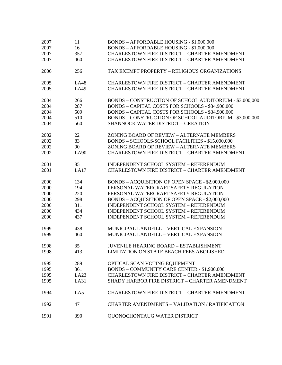| 2007 | 11          | BONDS - AFFORDABLE HOUSING - \$1,000,000                |
|------|-------------|---------------------------------------------------------|
| 2007 | 16          | BONDS - AFFORDABLE HOUSING - \$1,000,000                |
| 2007 | 357         | <b>CHARLESTOWN FIRE DISTRICT - CHARTER AMENDMENT</b>    |
| 2007 | 460         | <b>CHARLESTOWN FIRE DISTRICT - CHARTER AMENDMENT</b>    |
|      |             |                                                         |
| 2006 | 256         | TAX EXEMPT PROPERTY - RELIGIOUS ORGANIZATIONS           |
| 2005 | <b>LA48</b> | <b>CHARLESTOWN FIRE DISTRICT - CHARTER AMENDMENT</b>    |
| 2005 | LA49        | <b>CHARLESTOWN FIRE DISTRICT - CHARTER AMENDMENT</b>    |
|      |             |                                                         |
| 2004 | 266         | BONDS - CONSTRUCTION OF SCHOOL AUDITORIUM - \$3,000,000 |
| 2004 | 287         | BONDS - CAPITAL COSTS FOR SCHOOLS - \$34,900,000        |
| 2004 | 509         | BONDS - CAPITAL COSTS FOR SCHOOLS - \$34,900,000        |
| 2004 | 510         | BONDS - CONSTRUCTION OF SCHOOL AUDITORIUM - \$3,000,000 |
| 2004 | 560         | <b>SHANNOCK WATER DISTRICT - CREATION</b>               |
|      |             |                                                         |
| 2002 | 22          | ZONING BOARD OF REVIEW - ALTERNATE MEMBERS              |
| 2002 | 83          | BONDS - SCHOOLS/SCHOOL FACILITIES - \$15,000,000        |
| 2002 | 90          | ZONING BOARD OF REVIEW - ALTERNATE MEMBERS              |
| 2002 | <b>LA90</b> | <b>CHARLESTOWN FIRE DISTRICT - CHARTER AMENDMENT</b>    |
|      |             |                                                         |
| 2001 | 85          | INDEPENDENT SCHOOL SYSTEM - REFERENDUM                  |
| 2001 | LA17        | <b>CHARLESTOWN FIRE DISTRICT - CHARTER AMENDMENT</b>    |
|      |             |                                                         |
| 2000 | 134         | BONDS - ACQUISITION OF OPEN SPACE - \$2,000,000         |
| 2000 | 194         | PERSONAL WATERCRAFT SAFETY REGULATION                   |
| 2000 | 220         | PERSONAL WATERCRAFT SAFETY REGULATION                   |
| 2000 | 298         | BONDS - ACQUISITION OF OPEN SPACE - \$2,000,000         |
| 2000 | 311         | INDEPENDENT SCHOOL SYSTEM - REFERENDUM                  |
| 2000 | 434         | INDEPENDENT SCHOOL SYSTEM - REFERENDUM                  |
| 2000 | 437         | INDEPENDENT SCHOOL SYSTEM - REFERENDUM                  |
|      |             |                                                         |
| 1999 | 438         | MUNICIPAL LANDFILL - VERTICAL EXPANSION                 |
| 1999 | 460         | MUNICIPAL LANDFILL - VERTICAL EXPANSION                 |
|      |             |                                                         |
| 1998 | 35          | <b>JUVENILE HEARING BOARD - ESTABLISHMENT</b>           |
| 1998 | 413         | LIMITATION ON STATE BEACH FEES ABOLISHED                |
|      |             |                                                         |
| 1995 | 289         | OPTICAL SCAN VOTING EQUIPMENT                           |
| 1995 | 361         | <b>BONDS - COMMUNITY CARE CENTER - \$1,900,000</b>      |
| 1995 | LA23        | <b>CHARLESTOWN FIRE DISTRICT - CHARTER AMENDMENT</b>    |
| 1995 | LA31        | SHADY HARBOR FIRE DISTRICT - CHARTER AMENDMENT          |
|      |             |                                                         |
| 1994 | LA5         | <b>CHARLESTOWN FIRE DISTRICT - CHARTER AMENDMENT</b>    |
|      |             |                                                         |
| 1992 | 471         | <b>CHARTER AMENDMENTS - VALIDATION / RATIFICATION</b>   |
| 1991 | 390         | <b>QUONOCHONTAUG WATER DISTRICT</b>                     |
|      |             |                                                         |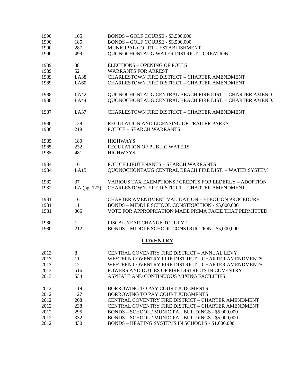| 1990 | 165          | BONDS - GOLF COURSE - \$3,500,000                              |
|------|--------------|----------------------------------------------------------------|
| 1990 | 185          | BONDS - GOLF COURSE - \$3,500,000                              |
| 1990 | 287          | MUNICIPAL COURT - ESTABLISHMENT                                |
| 1990 | 499          | <b>QUONOCHONTAUG WATER DISTRICT - CREATION</b>                 |
| 1989 | 38           | <b>ELECTIONS - OPENING OF POLLS</b>                            |
| 1989 | 52           | <b>WARRANTS FOR ARREST</b>                                     |
| 1989 | LA38         | CHARLESTOWN FIRE DISTRICT - CHARTER AMENDMENT                  |
| 1989 | LA60         | <b>CHARLESTOWN FIRE DISTRICT - CHARTER AMENDMENT</b>           |
| 1988 | LA42         | QUONOCHONTAUG CENTRAL BEACH FIRE DIST. - CHARTER AMEND.        |
| 1988 | <b>LA44</b>  | QUONOCHONTAUG CENTRAL BEACH FIRE DIST. - CHARTER AMEND.        |
| 1987 | LA37         | <b>CHARLESTOWN FIRE DISTRICT - CHARTER AMENDMENT</b>           |
| 1986 | 128          | REGULATION AND LICENSING OF TRAILER PARKS                      |
| 1986 | 219          | <b>POLICE - SEARCH WARRANTS</b>                                |
| 1985 | 180          | <b>HIGHWAYS</b>                                                |
| 1985 | 232          | <b>REGULATION OF PUBLIC WATERS</b>                             |
| 1985 | 481          | <b>HIGHWAYS</b>                                                |
| 1984 | 16           | POLICE LIEUTENANTS - SEARCH WARRANTS                           |
| 1984 | LA15         | QUONOCHONTAUG CENTRAL BEACH FIRE DIST. - WATER SYSTEM          |
| 1982 | 37           | <b>VARIOUS TAX EXEMPTIONS / CREDITS FOR ELDERLY - ADOPTION</b> |
| 1982 | LA (pg. 122) | <b>CHARLESTOWN FIRE DISTRICT - CHARTER AMENDMENT</b>           |
| 1981 | 16           | <b>CHARTER AMENDMENT VALIDATION - ELECTION PROCEDURE</b>       |
| 1981 | 111          | BONDS - MIDDLE SCHOOL CONSTRUCTION - \$5,000,000               |
| 1981 | 366          | VOTE FOR APPROPRIATION MADE PRIMA FACIE THAT PERMITTED         |
| 1980 | 1            | FISCAL YEAR CHANGE TO JULY 1                                   |
| 1980 | 212          | BONDS - MIDDLE SCHOOL CONSTRUCTION - \$5,000,000               |
|      |              | <b>COVENTRY</b>                                                |
| 2013 | 8            | CENTRAL COVENTRY FIRE DISTRICT - ANNUAL LEVY                   |
| 2013 | 11           | WESTERN COVENTRY FIRE DISTRICT - CHARTER AMENDMENTS            |
| 2013 | 12           | WESTERN COVENTRY FIRE DISTRICT - CHARTER AMENDMENTS            |
| 2013 | 516          | POWERS AND DUTIES OF FIRE DISTRICTS IN COVENTRY                |
| 2013 | 534          | ASPHALT AND CONTINUOUS MIXING FACILITIES                       |
| 2012 | 119          | BORROWING TO PAY COURT JUDGMENTS                               |
| 2012 | 127          | BORROWING TO PAY COURT JUDGMENTS                               |
| 2012 | 208          | CENTRAL COVENTRY FIRE DISTRICT - CHARTER AMENDMENT             |
| 2012 | 238          | CENTRAL COVENTRY FIRE DISTRICT - CHARTER AMENDMENT             |
| 2012 | 295          | BONDS - SCHOOL / MUNICIPAL BUILDINGS - \$5,000,000             |
| 2012 | 332          | BONDS - SCHOOL / MUNICIPAL BUILDINGS - \$5,000,000             |
| 2012 | 430          | BONDS - HEATING SYSTEMS IN SCHOOLS - \$1,600,000               |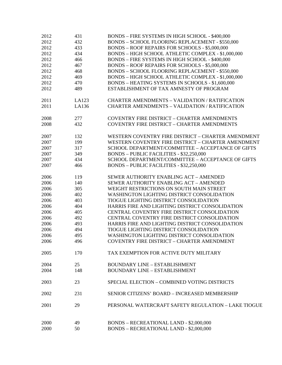| 2012 | 431   | BONDS - FIRE SYSTEMS IN HIGH SCHOOL - \$400,000        |
|------|-------|--------------------------------------------------------|
| 2012 | 432   | <b>BONDS - SCHOOL FLOORING REPLACEMENT - \$550,000</b> |
| 2012 | 433   | BONDS - ROOF REPAIRS FOR SCHOOLS - \$5,000,000         |
| 2012 | 434   | BONDS - HIGH SCHOOL ATHLETIC COMPLEX - \$1,000,000     |
| 2012 | 466   | BONDS - FIRE SYSTEMS IN HIGH SCHOOL - \$400,000        |
| 2012 | 467   | <b>BONDS - ROOF REPAIRS FOR SCHOOLS - \$5,000,000</b>  |
| 2012 | 468   | BONDS - SCHOOL FLOORING REPLACEMENT - \$550,000        |
| 2012 | 469   | BONDS - HIGH SCHOOL ATHLETIC COMPLEX - \$1,000,000     |
| 2012 | 470   | BONDS - HEATING SYSTEMS IN SCHOOLS - \$1,600,000       |
|      | 489   | ESTABLISHMENT OF TAX AMNESTY OF PROGRAM                |
| 2012 |       |                                                        |
| 2011 | LA123 | <b>CHARTER AMENDMENTS - VALIDATION / RATIFICATION</b>  |
| 2011 | LA136 | <b>CHARTER AMENDMENTS - VALIDATION / RATIFICATION</b>  |
| 2008 | 277   | <b>COVENTRY FIRE DISTRICT - CHARTER AMENDMENTS</b>     |
| 2008 | 432   | <b>COVENTRY FIRE DISTRICT - CHARTER AMENDMENTS</b>     |
| 2007 | 132   | WESTERN COVENTRY FIRE DISTRICT - CHARTER AMENDMENT     |
| 2007 | 199   | WESTERN COVENTRY FIRE DISTRICT - CHARTER AMENDMENT     |
| 2007 | 317   | SCHOOL DEPARTMENT/COMMITTEE - ACCEPTANCE OF GIFTS      |
|      |       |                                                        |
| 2007 | 349   | BONDS - PUBLIC FACILITIES - \$32,250,000               |
| 2007 | 434   | SCHOOL DEPARTMENT/COMMITTEE - ACCEPTANCE OF GIFTS      |
| 2007 | 466   | BONDS - PUBLIC FACILITIES - \$32,250,000               |
| 2006 | 119   | SEWER AUTHORITY ENABLING ACT - AMENDED                 |
| 2006 | 140   | SEWER AUTHORITY ENABLING ACT - AMENDED                 |
| 2006 | 305   | WEIGHT RESTRICTIONS ON SOUTH MAIN STREET               |
| 2006 | 402   | WASHINGTON LIGHTING DISTRICT CONSOLIDATION             |
| 2006 | 403   | TIOGUE LIGHTING DISTRICT CONSOLIDATION                 |
| 2006 | 404   | HARRIS FIRE AND LIGHTING DISTRICT CONSOLIDATION        |
| 2006 | 405   | CENTRAL COVENTRY FIRE DISTRICT CONSOLIDATION           |
| 2006 | 492   | CENTRAL COVENTRY FIRE DISTRICT CONSOLIDATION           |
| 2006 | 493   | HARRIS FIRE AND LIGHTING DISTRICT CONSOLIDATION        |
| 2006 | 494   | TIOGUE LIGHTING DISTRICT CONSOLIDATION                 |
| 2006 | 495   | WASHINGTON LIGHTING DISTRICT CONSOLIDATION             |
| 2006 | 496   | COVENTRY FIRE DISTRICT - CHARTER AMENDMENT             |
| 2005 | 170   | TAX EXEMPTION FOR ACTIVE DUTY MILITARY                 |
|      |       |                                                        |
| 2004 | 25    | <b>BOUNDARY LINE - ESTABLISHMENT</b>                   |
| 2004 | 148   | <b>BOUNDARY LINE - ESTABLISHMENT</b>                   |
| 2003 | 23    | SPECIAL ELECTION - COMBINED VOTING DISTRICTS           |
| 2002 | 231   | SENIOR CITIZENS' BOARD - INCREASED MEMBERSHIP          |
| 2001 | 29    | PERSONAL WATERCRAFT SAFETY REGULATION - LAKE TIOGUE    |
| 2000 | 49    | BONDS - RECREATIONAL LAND - \$2,000,000                |
| 2000 | 50    | <b>BONDS - RECREATIONAL LAND - \$2,000,000</b>         |
|      |       |                                                        |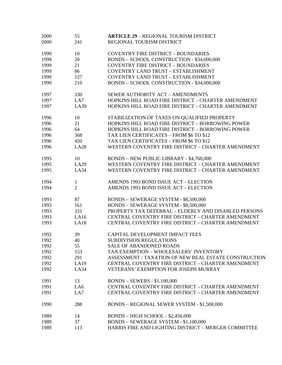| 2000 | 55             | <b>ARTICLE 29 - REGIONAL TOURISM DISTRICT</b>         |
|------|----------------|-------------------------------------------------------|
| 2000 | 241            | REGIONAL TOURISM DISTRICT                             |
|      |                |                                                       |
| 1999 | 10             | <b>COVENTRY FIRE DISTRICT - BOUNDARIES</b>            |
| 1999 | 20             | BONDS - SCHOOL CONSTRUCTION - \$34,000,000            |
| 1999 | 21             | <b>COVENTRY FIRE DISTRICT - BOUNDARIES</b>            |
| 1999 | 86             | COVENTRY LAND TRUST - ESTABLISHMENT                   |
| 1999 | 127            | COVENTRY LAND TRUST - ESTABLISHMENT                   |
| 1999 | 210            | BONDS - SCHOOL CONSTRUCTION - \$34,000,000            |
| 1997 | 330            | SEWER AUTHORITY ACT - AMENDMENTS                      |
| 1997 | LA7            | HOPKINS HILL ROAD FIRE DISTRICT - CHARTER AMENDMENT   |
| 1997 | LA39           | HOPKINS HILL ROAD FIRE DISTRICT - CHARTER AMENDMENT   |
| 1996 | 10             | STABILIZATION OF TAXES ON QUALIFIED PROPERTY          |
| 1996 | 21             | HOPKINS HILL ROAD FIRE DISTRICT - BORROWING POWER     |
| 1996 | 64             | HOPKINS HILL ROAD FIRE DISTRICT - BORROWING POWER     |
| 1996 | 368            | TAX LIEN CERTIFICATES - FROM \$6 TO \$12              |
| 1996 | 420            | TAX LIEN CERTIFICATES - FROM \$6 TO \$12              |
| 1996 | <b>LA28</b>    | WESTERN COVENTRY FIRE DISTRICT - CHARTER AMENDMENT    |
|      |                |                                                       |
| 1995 | 10             | <b>BONDS - NEW PUBLIC LIBRARY - \$4,760,000</b>       |
| 1995 | LA29           | WESTERN COVENTRY FIRE DISTRICT - CHARTER AMENDMENT    |
| 1995 | LA34           | WESTERN COVENTRY FIRE DISTRICT - CHARTER AMENDMENT    |
| 1994 | 1              | AMENDS 1993 BOND ISSUE ACT - ELECTION                 |
| 1994 | $\overline{2}$ | AMENDS 1993 BOND ISSUE ACT - ELECTION                 |
| 1993 | 87             | BONDS - SEWERAGE SYSTEM - \$8,500,000                 |
| 1993 | 161            | BONDS - SEWERAGE SYSTEM - \$8,500,000                 |
| 1993 | 331            | PROPERTY TAX DEFERRAL - ELDERLY AND DISABLED PERSONS  |
| 1993 | LA16           | CENTRAL COVENTRY FIRE DISTRICT - CHARTER AMENDMENT    |
| 1993 | LA18           | CENTRAL COVENTRY FIRE DISTRICT - CHARTER AMENDMENT    |
|      |                |                                                       |
| 1992 | 39             | CAPITAL DEVELOPMENT IMPACT FEES                       |
| 1992 | 40             | <b>SUBDIVISION REGULATIONS</b>                        |
| 1992 | 55             | SALE OF ABANDONED ROADS                               |
| 1992 | 153            | TAX EXEMPTION - WHOLESALERS' INVENTORY                |
| 1992 | 291            | ASSESSMENT / TAXATION OF NEW REAL ESTATE CONSTRUCTION |
| 1992 | LA19           | CENTRAL COVENTRY FIRE DISTRICT - CHARTER AMENDMENT    |
| 1992 | LA34           | VETERANS' EXEMPTION FOR JOSEPH MURRAY                 |
| 1991 | 13             | <b>BONDS - SEWERS - \$1,100,000</b>                   |
| 1991 | LA6            | CENTRAL COVENTRY FIRE DISTRICT - CHARTER AMENDMENT    |
| 1991 | LA7            | CENTRAL COVENTRY FIRE DISTRICT - CHARTER AMENDMENT    |
| 1990 | 288            | BONDS - REGIONAL SEWER SYSTEM - \$1,500,000           |
| 1989 | 14             | BONDS - HIGH SCHOOL - \$2,450,000                     |
| 1989 | 37             | BONDS - SEWERAGE SYSTEM - \$1,100,000                 |
| 1989 | 113            | HARRIS FIRE AND LIGHTING DISTRICT - MERGER COMMITTEE  |
|      |                |                                                       |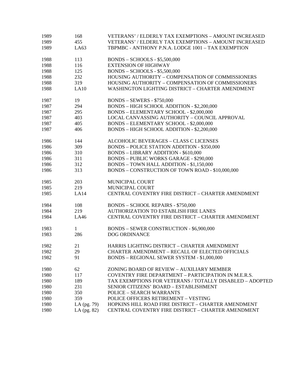| 1989 | 168           | VETERANS' / ELDERLY TAX EXEMPTIONS – AMOUNT INCREASED        |
|------|---------------|--------------------------------------------------------------|
| 1989 | 455           | <b>VETERANS' / ELDERLY TAX EXEMPTIONS - AMOUNT INCREASED</b> |
| 1989 | LA63          | TBPMBC - ANTHONY P.N.A. LODGE 1001 - TAX EXEMPTION           |
| 1988 | 113           | <b>BONDS - SCHOOLS - \$5,500,000</b>                         |
| 1988 | 116           | <b>EXTENSION OF HIGHWAY</b>                                  |
| 1988 | 125           | <b>BONDS - SCHOOLS - \$5,500,000</b>                         |
| 1988 | 232           | HOUSING AUTHORITY - COMPENSATION OF COMMISSIONERS            |
| 1988 | 319           | HOUSING AUTHORITY - COMPENSATION OF COMMISSIONERS            |
| 1988 | LA10          | WASHINGTON LIGHTING DISTRICT - CHARTER AMENDMENT             |
| 1987 | 19            | <b>BONDS - SEWERS - \$750,000</b>                            |
| 1987 | 294           | BONDS - HIGH SCHOOL ADDITION - \$2,200,000                   |
| 1987 | 295           | BONDS - ELEMENTARY SCHOOL - \$2,000,000                      |
| 1987 | 403           | LOCAL CANVASSING AUTHORITY - COUNCIL APPROVAL                |
| 1987 | 405           | BONDS - ELEMENTARY SCHOOL - \$2,000,000                      |
| 1987 | 406           | BONDS - HIGH SCHOOL ADDITION - \$2,200,000                   |
| 1986 | 144           | ALCOHOLIC BEVERAGES - CLASS C LICENSES                       |
| 1986 | 309           | <b>BONDS - POLICE STATION ADDITION - \$350,000</b>           |
| 1986 | 310           | <b>BONDS - LIBRARY ADDITION - \$610,000</b>                  |
| 1986 | 311           | <b>BONDS - PUBLIC WORKS GARAGE - \$290,000</b>               |
| 1986 | 312           | BONDS - TOWN HALL ADDITION - \$1,150,000                     |
| 1986 | 313           | BONDS - CONSTRUCTION OF TOWN ROAD - \$10,000,000             |
| 1985 | 203           | MUNICIPAL COURT                                              |
| 1985 | 219           | MUNICIPAL COURT                                              |
| 1985 | LA14          | CENTRAL COVENTRY FIRE DISTRICT - CHARTER AMENDMENT           |
| 1984 | 108           | <b>BONDS - SCHOOL REPAIRS - \$750,000</b>                    |
| 1984 | 219           | <b>AUTHORIZATION TO ESTABLISH FIRE LANES</b>                 |
| 1984 | LA46          | CENTRAL COVENTRY FIRE DISTRICT - CHARTER AMENDMENT           |
| 1983 | $\mathbf{1}$  | BONDS - SEWER CONSTRUCTION - \$6,900,000                     |
| 1983 | 286           | <b>DOG ORDINANCE</b>                                         |
| 1982 | 21            | HARRIS LIGHTING DISTRICT - CHARTER AMENDMENT                 |
| 1982 | 29            | <b>CHARTER AMENDMENT - RECALL OF ELECTED OFFICIALS</b>       |
| 1982 | 91            | BONDS - REGIONAL SEWER SYSTEM - \$1,000,000                  |
| 1980 | 62            | ZONING BOARD OF REVIEW - AUXILIARY MEMBER                    |
| 1980 | 117           | COVENTRY FIRE DEPARTMENT - PARTICIPATION IN M.E.R.S.         |
| 1980 | 189           | TAX EXEMPTIONS FOR VETERANS / TOTALLY DISABLED – ADOPTED     |
| 1980 | 231           | SENIOR CITIZENS' BOARD - ESTABLISHMENT                       |
| 1980 | 350           | <b>POLICE - SEARCH WARRANTS</b>                              |
| 1980 | 359           | POLICE OFFICERS RETIREMENT - VESTING                         |
| 1980 | LA (pg. 79)   | HOPKINS HILL ROAD FIRE DISTRICT - CHARTER AMENDMENT          |
| 1980 | LA $(pg. 82)$ | CENTRAL COVENTRY FIRE DISTRICT - CHARTER AMENDMENT           |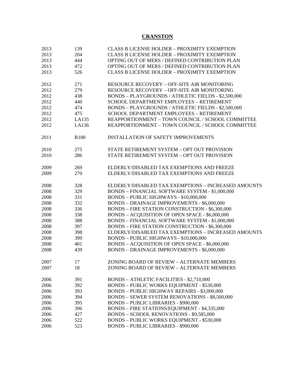## **CRANSTON**

| 2013 | 139              | <b>CLASS B LICENSE HOLDER - PROXIMITY EXEMPTION</b>    |
|------|------------------|--------------------------------------------------------|
| 2013 | 204              | <b>CLASS B LICENSE HOLDER - PROXIMITY EXEMPTION</b>    |
| 2013 | 444              | OPTING OUT OF MERS / DEFINED CONTRIBUTION PLAN         |
| 2013 | 472              | OPTING OUT OF MERS / DEFINED CONTRIBUTION PLAN         |
| 2013 | 526              | <b>CLASS B LICENSE HOLDER - PROXIMITY EXEMPTION</b>    |
|      |                  |                                                        |
| 2012 | 271              | <b>RESOURCE RECOVERY - OFF-SITE AIR MONITORING</b>     |
| 2012 | 279              | RESOURCE RECOVERY - OFF-SITE AIR MONITORING            |
| 2012 | 438              | BONDS - PLAYGROUNDS / ATHLETIC FIELDS - \$2,500,000    |
| 2012 | 440              | <b>SCHOOL DEPARTMENT EMPLOYEES - RETIREMENT</b>        |
| 2012 | 474              | BONDS - PLAYGROUNDS / ATHLETIC FIELDS - \$2,500,000    |
| 2012 | 475              | SCHOOL DEPARTMENT EMPLOYEES - RETIREMENT               |
| 2012 | LA135            | REAPPORTIONMENT - TOWN COUNCIL / SCHOOL COMMITTEE      |
| 2012 | LA136            | REAPPORTIONMENT - TOWN COUNCIL / SCHOOL COMMITTEE      |
|      |                  |                                                        |
|      |                  |                                                        |
| 2011 | R <sub>100</sub> | <b>INSTALLATION OF SAFETY IMPROVEMENTS</b>             |
|      |                  |                                                        |
| 2010 | 275              | STATE RETIREMENT SYSTEM - OPT OUT PROVISION            |
| 2010 | 286              | STATE RETIREMENT SYSTEM - OPT OUT PROVISION            |
|      |                  |                                                        |
| 2009 | 269              | ELDERLY/DISABLED TAX EXEMPTIONS AND FREEZE             |
| 2009 | 270              | ELDERLY/DISABLED TAX EXEMPTIONS AND FREEZE             |
|      |                  |                                                        |
| 2008 | 328              | ELDERLY/DISABLED TAX EXEMPTIONS - INCREASED AMOUNTS    |
| 2008 | 329              | BONDS - FINANCIAL SOFTWARE SYSTEM - \$1,000,000        |
| 2008 | 331              | BONDS - PUBLIC HIGHWAYS - \$10,000,000                 |
| 2008 | 332              | <b>BONDS - DRAINAGE IMPROVEMENTS - \$6,000,000</b>     |
| 2008 | 336              | <b>BONDS - FIRE STATION CONSTRUCTION - \$6,300,000</b> |
| 2008 | 338              | BONDS - ACQUISITION OF OPEN SPACE - \$6,000,000        |
| 2008 | 388              | BONDS - FINANCIAL SOFTWARE SYSTEM - \$1,000,000        |
| 2008 | 397              | BONDS - FIRE STATION CONSTRUCTION - \$6,300,000        |
| 2008 | 398              | ELDERLY/DISABLED TAX EXEMPTIONS - INCREASED AMOUNTS    |
| 2008 | 399              | BONDS - PUBLIC HIGHWAYS - \$10,000,000                 |
| 2008 | 401              | BONDS - ACQUISITION OF OPEN SPACE - \$6,000,000        |
| 2008 | 439              | <b>BONDS - DRAINAGE IMPROVEMENTS - \$6,000,000</b>     |
|      |                  |                                                        |
| 2007 | 17               | ZONING BOARD OF REVIEW - ALTERNATE MEMBERS             |
| 2007 | 18               | ZONING BOARD OF REVIEW - ALTERNATE MEMBERS             |
|      |                  |                                                        |
| 2006 | 391              | <b>BONDS - ATHLETIC FACILITIES - \$2,710,000</b>       |
| 2006 | 392              | <b>BONDS - PUBLIC WORKS EQUIPMENT - \$530,000</b>      |
| 2006 | 393              | BONDS - PUBLIC HIGHWAY REPAIRS - \$3,000,000           |
| 2006 | 394              | <b>BONDS - SEWER SYSTEM RENOVATIONS - \$8,500,000</b>  |
| 2006 | 395              | <b>BONDS - PUBLIC LIBRARIES - \$900,000</b>            |
| 2006 | 396              | BONDS - FIRE STATIONS/EQUIPMENT - \$4,335,000          |
| 2006 | 427              | BONDS - SCHOOL RENOVATIONS - \$9,585,000               |
| 2006 | 522              | <b>BONDS - PUBLIC WORKS EQUIPMENT - \$530,000</b>      |
| 2006 | 523              | <b>BONDS - PUBLIC LIBRARIES - \$900,000</b>            |
|      |                  |                                                        |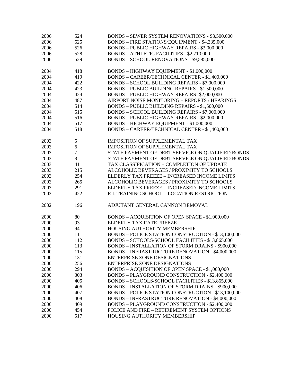| 2006 | 524    | <b>BONDS - SEWER SYSTEM RENOVATIONS - \$8,500,000</b>   |
|------|--------|---------------------------------------------------------|
| 2006 | 525    | BONDS - FIRE STATIONS/EQUIPMENT - \$4,335,000           |
| 2006 | 526    | <b>BONDS - PUBLIC HIGHWAY REPAIRS - \$3,000,000</b>     |
| 2006 | 528    | <b>BONDS - ATHLETIC FACILITIES - \$2,710,000</b>        |
| 2006 | 529    | BONDS - SCHOOL RENOVATIONS - \$9,585,000                |
|      |        |                                                         |
| 2004 | 418    | BONDS - HIGHWAY EQUIPMENT - \$1,000,000                 |
| 2004 | 419    | BONDS - CAREER/TECHNICAL CENTER - \$1,400,000           |
| 2004 | 422    | BONDS - SCHOOL BUILDING REPAIRS - \$7,000,000           |
| 2004 | 423    | <b>BONDS - PUBLIC BUILDING REPAIRS - \$1,500,000</b>    |
| 2004 | 424    | BONDS - PUBLIC HIGHWAY REPAIRS -\$2,000,000             |
| 2004 | 487    | AIRPORT NOISE MONITORING - REPORTS / HEARINGS           |
| 2004 | 514    | <b>BONDS - PUBLIC BUILDING REPAIRS - \$1,500,000</b>    |
| 2004 | 515    | <b>BONDS - SCHOOL BUILDING REPAIRS - \$7,000,000</b>    |
| 2004 | 516    | <b>BONDS - PUBLIC HIGHWAY REPAIRS - \$2,000,000</b>     |
| 2004 | 517    | BONDS - HIGHWAY EQUIPMENT - \$1,000,000                 |
| 2004 | 518    | BONDS - CAREER/TECHNICAL CENTER - \$1,400,000           |
|      |        |                                                         |
| 2003 | 5      | <b>IMPOSITION OF SUPPLEMENTAL TAX</b>                   |
| 2003 | 6      | IMPOSITION OF SUPPLEMENTAL TAX                          |
| 2003 | $\tau$ | STATE PAYMENT OF DEBT SERVICE ON QUALIFIED BONDS        |
| 2003 | $8\,$  | STATE PAYMENT OF DEBT SERVICE ON QUALIFIED BONDS        |
| 2003 | 41     | TAX CLASSIFICATION - COMPLETION OF UPDATE               |
| 2003 | 215    | ALCOHOLIC BEVERAGES / PROXIMITY TO SCHOOLS              |
| 2003 | 254    | ELDERLY TAX FREEZE - INCREASED INCOME LIMITS            |
| 2003 | 265    | ALCOHOLIC BEVERAGES / PROXIMITY TO SCHOOLS              |
| 2003 | 291    | ELDERLY TAX FREEZE - INCREASED INCOME LIMITS            |
| 2003 | 422    | R.I. TRAINING SCHOOL - LOCATION RESTRICTION             |
|      |        |                                                         |
| 2002 | 196    | ADJUTANT GENERAL CANNON REMOVAL                         |
|      |        |                                                         |
| 2000 | 80     | BONDS - ACQUISITION OF OPEN SPACE - \$1,000,000         |
| 2000 | 93     | ELDERLY TAX RATE FREEZE                                 |
| 2000 | 94     | HOUSING AUTHORITY MEMBERSHIP                            |
| 2000 | 111    | BONDS - POLICE STATION CONSTRUCTION - \$13,100,000      |
| 2000 | 112    | BONDS - SCHOOLS/SCHOOL FACILITIES - \$13,865,000        |
| 2000 | 113    | <b>BONDS - INSTALLATION OF STORM DRAINS - \$900,000</b> |
| 2000 | 115    | <b>BONDS - INFRASTRUCTURE RENOVATION - \$4,000,000</b>  |
| 2000 | 131    | <b>ENTERPRISE ZONE DESIGNATIONS</b>                     |
| 2000 | 256    | <b>ENTERPRISE ZONE DESIGNATIONS</b>                     |
| 2000 | 294    | BONDS - ACQUISITION OF OPEN SPACE - \$1,000,000         |
| 2000 | 303    | BONDS - PLAYGROUND CONSTRUCTION - \$2,400,000           |
| 2000 | 405    | BONDS - SCHOOLS/SCHOOL FACILITIES - \$13,865,000        |
| 2000 | 406    | <b>BONDS - INSTALLATION OF STORM DRAINS - \$900,000</b> |
| 2000 | 407    | BONDS - POLICE STATION CONSTRUCTION - \$13,100,000      |
| 2000 | 408    | <b>BONDS - INFRASTRUCTURE RENOVATION - \$4,000,000</b>  |
| 2000 | 409    | BONDS - PLAYGROUND CONSTRUCTION - \$2,400,000           |
| 2000 | 454    | POLICE AND FIRE - RETIREMENT SYSTEM OPTIONS             |
| 2000 | 517    | HOUSING AUTHORITY MEMBERSHIP                            |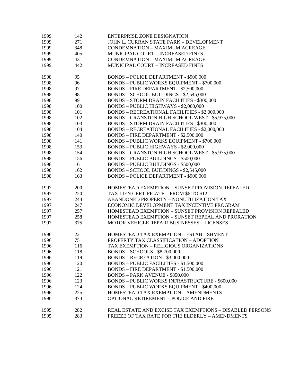| 1999 | 142 | <b>ENTERPRISE ZONE DESIGNATION</b>                       |
|------|-----|----------------------------------------------------------|
| 1999 | 271 | JOHN L. CURRAN STATE PARK - DEVELOPMENT                  |
| 1999 | 348 | <b>CONDEMNATION - MAXIMUM ACREAGE</b>                    |
| 1999 | 405 | MUNICIPAL COURT - INCREASED FINES                        |
| 1999 | 431 | <b>CONDEMNATION - MAXIMUM ACREAGE</b>                    |
| 1999 | 442 | MUNICIPAL COURT - INCREASED FINES                        |
|      |     |                                                          |
| 1998 | 95  | <b>BONDS - POLICE DEPARTMENT - \$900,000</b>             |
| 1998 | 96  | <b>BONDS - PUBLIC WORKS EQUIPMENT - \$700,000</b>        |
| 1998 | 97  | BONDS - FIRE DEPARTMENT - \$2,500,000                    |
| 1998 | 98  | BONDS - SCHOOL BUILDINGS - \$2,545,000                   |
| 1998 | 99  | <b>BONDS - STORM DRAIN FACILITIES - \$300,000</b>        |
| 1998 | 100 | BONDS - PUBLIC HIGHWAYS - \$2,000,000                    |
| 1998 | 101 | <b>BONDS - RECREATIONAL FACILITIES - \$2,000,000</b>     |
| 1998 | 102 | BONDS - CRANSTON HIGH SCHOOL WEST - \$5,975,000          |
| 1998 | 103 | <b>BONDS - STORM DRAIN FACILITIES - \$300,000</b>        |
| 1998 | 104 | <b>BONDS - RECREATIONAL FACILITIES - \$2,000,000</b>     |
| 1998 | 140 | BONDS - FIRE DEPARTMENT - \$2,500,000                    |
| 1998 | 141 | <b>BONDS - PUBLIC WORKS EQUIPMENT - \$700,000</b>        |
| 1998 | 153 | BONDS - PUBLIC HIGHWAYS - \$2,000,000                    |
| 1998 | 154 | BONDS - CRANSTON HIGH SCHOOL WEST - \$5,975,000          |
| 1998 | 156 | <b>BONDS - PUBLIC BUILDINGS - \$500,000</b>              |
| 1998 | 161 | <b>BONDS - PUBLIC BUILDINGS - \$500,000</b>              |
| 1998 | 162 | BONDS - SCHOOL BUILDINGS - \$2,545,000                   |
| 1998 | 163 | <b>BONDS - POLICE DEPARTMENT - \$900,000</b>             |
| 1997 | 200 | HOMESTEAD EXEMPTION - SUNSET PROVISION REPEALED          |
| 1997 | 220 | TAX LIEN CERTIFICATE - FROM \$6 TO \$12                  |
| 1997 | 244 | ABANDONED PROPERTY - NONUTILIZATION TAX                  |
| 1997 | 247 | ECONOMIC DEVELOPMENT TAX INCENTIVE PROGRAM               |
| 1997 | 257 | HOMESTEAD EXEMPTION - SUNSET PROVISION REPEALED          |
| 1997 | 258 | HOMESTEAD EXEMPTION - SUNSET REPEAL AND PRORATION        |
| 1997 | 375 | MOTOR VEHICLE REPAIR BUSINESSES - LICENSES               |
|      |     |                                                          |
| 1996 | 22  | HOMESTEAD TAX EXEMPTION - ESTABLISHMENT                  |
| 1996 | 75  | PROPERTY TAX CLASSIFICATION - ADOPTION                   |
| 1996 | 116 | TAX EXEMPTION – RELIGIOUS ORGANIZATIONS                  |
| 1996 | 118 | <b>BONDS - SCHOOLS - \$8,700,000</b>                     |
| 1996 | 119 | BONDS - RECREATION - \$3,000,000                         |
| 1996 | 120 | <b>BONDS - PUBLIC FACILITIES - \$1,500,000</b>           |
| 1996 | 121 | BONDS - FIRE DEPARTMENT - \$1,500,000                    |
| 1996 | 122 | <b>BONDS - PARK AVENUE - \$850,000</b>                   |
| 1996 | 123 | <b>BONDS - PUBLIC WORKS INFRASTRUCTURE - \$600,000</b>   |
| 1996 | 124 | <b>BONDS - PUBLIC WORKS EQUIPMENT - \$400,000</b>        |
| 1996 | 225 | HOMESTEAD TAX EXEMPTION - AMENDMENTS                     |
| 1996 | 374 | <b>OPTIONAL RETIREMENT - POLICE AND FIRE</b>             |
| 1995 | 282 | REAL ESTATE AND EXCISE TAX EXEMPTIONS - DISABLED PERSONS |
| 1995 | 283 | FREEZE OF TAX RATE FOR THE ELDERLY - AMENDMENTS          |
|      |     |                                                          |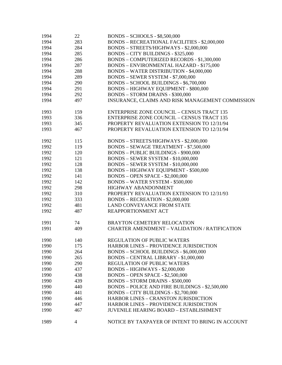| 1994 | 22  | <b>BONDS - SCHOOLS - \$8,500,000</b>                 |
|------|-----|------------------------------------------------------|
| 1994 | 283 | <b>BONDS - RECREATIONAL FACILITIES - \$2,000,000</b> |
| 1994 | 284 | BONDS - STREETS/HIGHWAYS - \$2,000,000               |
| 1994 | 285 | <b>BONDS - CITY BUILDINGS - \$325,000</b>            |
| 1994 | 286 | BONDS - COMPUTERIZED RECORDS - \$1,300,000           |
| 1994 | 287 | <b>BONDS - ENVIRONMENTAL HAZARD - \$175,000</b>      |
| 1994 | 288 | <b>BONDS - WATER DISTRIBUTION - \$4,000,000</b>      |
| 1994 | 289 | BONDS - SEWER SYSTEM - \$7,000,000                   |
| 1994 | 290 | BONDS - SCHOOL BUILDINGS - \$6,700,000               |
| 1994 | 291 | <b>BONDS - HIGHWAY EQUIPMENT - \$800,000</b>         |
| 1994 | 292 | <b>BONDS - STORM DRAINS - \$300,000</b>              |
| 1994 | 497 | INSURANCE, CLAIMS AND RISK MANAGEMENT COMMISSION     |
|      |     |                                                      |
| 1993 | 159 | <b>ENTERPRISE ZONE COUNCIL - CENSUS TRACT 135</b>    |
| 1993 | 336 | <b>ENTERPRISE ZONE COUNCIL - CENSUS TRACT 135</b>    |
| 1993 | 345 | PROPERTY REVALUATION EXTENSION TO 12/31/94           |
| 1993 | 467 | PROPERTY REVALUATION EXTENSION TO 12/31/94           |
| 1992 | 115 | BONDS - STREETS/HIGHWAYS - \$2,000,000               |
| 1992 | 119 | BONDS - SEWAGE TREATMENT - \$7,500,000               |
| 1992 | 120 | <b>BONDS - PUBLIC BUILDINGS - \$900,000</b>          |
| 1992 | 121 | <b>BONDS - SEWER SYSTEM - \$10,000,000</b>           |
| 1992 | 128 | <b>BONDS - SEWER SYSTEM - \$10,000,000</b>           |
| 1992 | 138 | <b>BONDS - HIGHWAY EQUIPMENT - \$500,000</b>         |
| 1992 | 141 | <b>BONDS - OPEN SPACE - \$2,000,000</b>              |
| 1992 | 142 | <b>BONDS - WATER SYSTEM - \$500,000</b>              |
| 1992 | 298 | HIGHWAY ABANDONMENT                                  |
| 1992 | 310 | PROPERTY REVALUATION EXTENSION TO 12/31/93           |
| 1992 | 333 | BONDS - RECREATION - \$2,000,000                     |
| 1992 | 481 | <b>LAND CONVEYANCE FROM STATE</b>                    |
| 1992 | 487 | REAPPORTIONMENT ACT                                  |
| 1991 | 74  | <b>BRAYTON CEMETERY RELOCATION</b>                   |
| 1991 | 409 | <b>CHARTER AMENDMENT - VALIDATION / RATIFICATION</b> |
|      |     |                                                      |
| 1990 | 140 | REGULATION OF PUBLIC WATERS                          |
| 1990 | 175 | <b>HARBOR LINES - PROVIDENCE JURISDICTION</b>        |
| 1990 | 264 | BONDS - SCHOOL BUILDINGS - \$6,000,000               |
| 1990 | 265 | BONDS - CENTRAL LIBRARY - \$1,000,000                |
| 1990 | 290 | <b>REGULATION OF PUBLIC WATERS</b>                   |
| 1990 | 437 | <b>BONDS - HIGHWAYS - \$2,000,000</b>                |
| 1990 | 438 | <b>BONDS - OPEN SPACE - \$2,500,000</b>              |
| 1990 | 439 | <b>BONDS - STORM DRAINS - \$500,000</b>              |
| 1990 | 440 | BONDS - POLICE AND FIRE BUILDINGS - \$2,500,000      |
| 1990 | 441 | BONDS - CITY BUILDINGS - \$2,700,000                 |
| 1990 | 446 | <b>HARBOR LINES - CRANSTON JURISDICTION</b>          |
| 1990 | 447 | <b>HARBOR LINES - PROVIDENCE JURISDICTION</b>        |
| 1990 | 467 | <b>JUVENILE HEARING BOARD - ESTABLISHMENT</b>        |
| 1989 | 4   | NOTICE BY TAXPAYER OF INTENT TO BRING IN ACCOUNT     |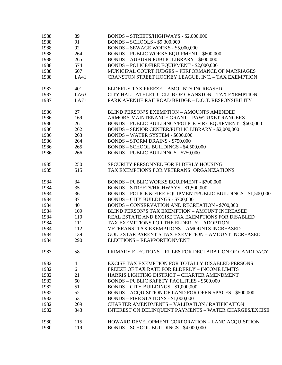| 1988 | 89             | BONDS - STREETS/HIGHWAYS - \$2,000,000                         |
|------|----------------|----------------------------------------------------------------|
| 1988 | 91             | <b>BONDS - SCHOOLS - \$9,300,000</b>                           |
| 1988 | 92             | BONDS - SEWAGE WORKS - \$5,000,000                             |
| 1988 | 264            | <b>BONDS - PUBLIC WORKS EQUIPMENT - \$600,000</b>              |
| 1988 | 265            | <b>BONDS - AUBURN PUBLIC LIBRARY - \$600,000</b>               |
| 1988 | 574            | BONDS - POLICE/FIRE EQUIPMENT - \$2,000,000                    |
| 1988 | 607            | MUNICIPAL COURT JUDGES - PERFORMANCE OF MARRIAGES              |
| 1988 | LA41           | CRANSTON STREET HOCKEY LEAGUE, INC. - TAX EXEMPTION            |
| 1987 | 401            | ELDERLY TAX FREEZE - AMOUNTS INCREASED                         |
| 1987 | LA63           | CITY HALL ATHLETIC CLUB OF CRANSTON - TAX EXEMPTION            |
| 1987 | LA71           | PARK AVENUE RAILROAD BRIDGE - D.O.T. RESPONSIBILITY            |
| 1986 | 27             | BLIND PERSON'S EXEMPTION - AMOUNTS AMENDED                     |
| 1986 | 169            | ARMORY MAINTENANCE GRANT - PAWTUXET RANGERS                    |
| 1986 | 261            | BONDS - PUBLIC BUILDINGS/POLICE-FIRE EQUIPMENT - \$600,000     |
| 1986 | 262            | BONDS - SENIOR CENTER/PUBLIC LIBRARY - \$2,000,000             |
| 1986 | 263            | <b>BONDS - WATER SYSTEM - \$600,000</b>                        |
| 1986 | 264            | <b>BONDS - STORM DRAINS - \$750,000</b>                        |
| 1986 | 265            | BONDS - SCHOOL BUILDINGS - \$4,500,000                         |
| 1986 | 266            | <b>BONDS - PUBLIC BUILDINGS - \$750,000</b>                    |
| 1985 | 250            | SECURITY PERSONNEL FOR ELDERLY HOUSING                         |
| 1985 | 515            | TAX EXEMPTIONS FOR VETERANS' ORGANIZATIONS                     |
| 1984 | 34             | <b>BONDS - PUBLIC WORKS EQUIPMENT - \$700,000</b>              |
| 1984 | 35             | BONDS - STREETS/HIGHWAYS - \$1,500,000                         |
| 1984 | 36             | BONDS - POLICE & FIRE EQUIPMENT/PUBLIC BUILDINGS - \$1,500,000 |
| 1984 | 37             | <b>BONDS - CITY BUILDINGS - \$700,000</b>                      |
| 1984 | 40             | <b>BONDS - CONSERVATION AND RECREATION - \$700,000</b>         |
| 1984 | 109            | BLIND PERSON'S TAX EXEMPTION - AMOUNT INCREASED                |
| 1984 | 110            | REAL ESTATE AND EXCISE TAX EXEMPTIONS FOR DISABLED             |
| 1984 | 111            | TAX EXEMPTIONS FOR THE ELDERLY - ADOPTION                      |
| 1984 | 112            | VETERANS' TAX EXEMPTIONS - AMOUNTS INCREASED                   |
| 1984 | 139            | <b>GOLD STAR PARENT'S TAX EXEMPTION - AMOUNT INCREASED</b>     |
| 1984 | 290            | ELECTIONS - REAPPORTIONMENT                                    |
| 1983 | 58             | PRIMARY ELECTIONS - RULES FOR DECLARATION OF CANDIDACY         |
| 1982 | $\overline{4}$ | EXCISE TAX EXEMPTION FOR TOTALLY DISABLED PERSONS              |
| 1982 | 6              | FREEZE OF TAX RATE FOR ELDERLY - INCOME LIMITS                 |
| 1982 | 21             | HARRIS LIGHTING DISTRICT - CHARTER AMENDMENT                   |
| 1982 | 50             | <b>BONDS - PUBLIC SAFETY FACILITIES - \$500,000</b>            |
| 1982 | 51             | BONDS - CITY BUILDINGS - \$1,000,000                           |
| 1982 | 52             | BONDS - ACQUISITION OF LAND FOR OPEN SPACES - \$500,000        |
| 1982 | 53             | BONDS - FIRE STATIONS - \$1,000,000                            |
| 1982 | 209            | <b>CHARTER AMENDMENTS - VALIDATION / RATIFICATION</b>          |
| 1982 | 343            | <b>INTEREST ON DELINQUENT PAYMENTS - WATER CHARGES/EXCISE</b>  |
| 1980 | 115            | HOWARD DEVELOPMENT CORPORATION - LAND ACQUISITION              |
| 1980 | 119            | BONDS - SCHOOL BUILDINGS - \$4,000,000                         |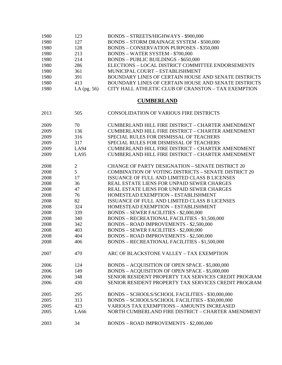| 1980 | 123            | BONDS - STREETS/HIGHWAYS - \$900,000                        |
|------|----------------|-------------------------------------------------------------|
| 1980 | 127            | <b>BONDS - STORM DRAINAGE SYSTEM - \$500,000</b>            |
| 1980 | 128            | <b>BONDS - CONSERVATION PURPOSES - \$350,000</b>            |
| 1980 | 213            | <b>BONDS - WATER SYSTEM - \$700,000</b>                     |
| 1980 | 214            | <b>BONDS - PUBLIC BUILDINGS - \$650,000</b>                 |
| 1980 | 286            | ELECTIONS - LOCAL DISTRICT COMMITTEE ENDORSEMENTS           |
| 1980 | 361            | MUNICIPAL COURT - ESTABLISHMENT                             |
| 1980 | 391            | BOUNDARY LINES OF CERTAIN HOUSE AND SENATE DISTRICTS        |
| 1980 | 413            | BOUNDARY LINES OF CERTAIN HOUSE AND SENATE DISTRICTS        |
| 1980 | LA (pg. 56)    | CITY HALL ATHLETIC CLUB OF CRANSTON - TAX EXEMPTION         |
|      |                | <b>CUMBERLAND</b>                                           |
| 2013 | 505            | <b>CONSOLIDATION OF VARIOUS FIRE DISTRICTS</b>              |
| 2009 | 70             | CUMBERLAND HILL FIRE DISTRICT - CHARTER AMENDMENT           |
| 2009 | 136            | CUMBERLAND HILL FIRE DISTRICT - CHARTER AMENDMENT           |
| 2009 | 316            | SPECIAL RULES FOR DISMISSAL OF TEACHERS                     |
| 2009 | 317            | SPECIAL RULES FOR DISMISSAL OF TEACHERS                     |
| 2009 | LA94           | CUMBERLAND HILL FIRE DISTRICT - CHARTER AMENDMENT           |
| 2009 | <b>LA95</b>    | CUMBERLAND HILL FIRE DISTRICT - CHARTER AMENDMENT           |
| 2008 | $\mathfrak{2}$ | <b>CHANGE OF PARTY DESIGNATION - SENATE DISTRICT 20</b>     |
| 2008 | 5              | <b>COMBINATION OF VOTING DISTRICTS - SENATE DISTRICT 20</b> |
| 2008 | 17             | ISSUANCE OF FULL AND LIMITED CLASS B LICENSES               |
| 2008 | 36             | REAL ESTATE LIENS FOR UNPAID SEWER CHARGES                  |
| 2008 | 47             | REAL ESTATE LIENS FOR UNPAID SEWER CHARGES                  |
| 2008 | 76             | HOMESTEAD EXEMPTION - ESTABLISHMENT                         |
| 2008 | 82             | ISSUANCE OF FULL AND LIMITED CLASS B LICENSES               |
| 2008 | 324            | HOMESTEAD EXEMPTION - ESTABLISHMENT                         |
| 2008 | 339            | <b>BONDS - SEWER FACILITIES - \$2,000,000</b>               |
| 2008 | 340            | <b>BONDS - RECREATIONAL FACILITIES - \$1,500,000</b>        |
| 2008 | 342            | <b>BONDS - ROAD IMPROVEMENTS - \$2,500,000</b>              |
| 2008 | 403            | <b>BONDS - SEWER FACILITIES - \$2,000,000</b>               |
| 2008 | 404            | <b>BONDS - ROAD IMPROVEMENTS - \$2,500,000</b>              |
| 2008 | 406            | <b>BONDS - RECREATIONAL FACILITIES - \$1,500,000</b>        |
| 2007 | 470            | ARC OF BLACKSTONE VALLEY - TAX EXEMPTION                    |
| 2006 | 124            | BONDS - ACQUISITION OF OPEN SPACE - \$5,000,000             |
| 2006 | 149            | BONDS - ACQUISITION OF OPEN SPACE - \$5,000,000             |
| 2006 | 348            | SENIOR RESIDENT PROPERTY TAX SERVICES CREDIT PROGRAM        |
| 2006 | 430            | SENIOR RESIDENT PROPERTY TAX SERVICES CREDIT PROGRAM        |
| 2005 | 295            | BONDS - SCHOOLS/SCHOOL FACILITIES - \$30,000,000            |
| 2005 | 313            | BONDS - SCHOOLS/SCHOOL FACILITIES - \$30,000,000            |
| 2005 | 423            | <b>VARIOUS TAX EXEMPTIONS - AMOUNTS INCREASED</b>           |
| 2005 | LA66           | NORTH CUMBERLAND FIRE DISTRICT - CHARTER AMENDMENT          |
| 2003 | 34             | <b>BONDS - ROAD IMPROVEMENTS - \$2,000,000</b>              |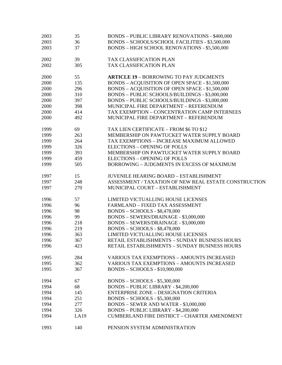| 2003 | 35   | <b>BONDS - PUBLIC LIBRARY RENOVATIONS - \$400,000</b> |
|------|------|-------------------------------------------------------|
| 2003 | 36   | BONDS - SCHOOLS/SCHOOL FACILITIES - \$3,500,000       |
| 2003 | 37   | <b>BONDS - HIGH SCHOOL RENOVATIONS - \$5,500,000</b>  |
| 2002 | 39   | TAX CLASSIFICATION PLAN                               |
| 2002 | 305  | TAX CLASSIFICATION PLAN                               |
| 2000 | 55   | <b>ARTICLE 19 - BORROWING TO PAY JUDGMENTS</b>        |
| 2000 | 135  | BONDS - ACQUISITION OF OPEN SPACE - \$1,500,000       |
| 2000 | 296  | BONDS - ACQUISITION OF OPEN SPACE - \$1,500,000       |
| 2000 | 310  | BONDS - PUBLIC SCHOOLS/BUILDINGS - \$3,000,000        |
| 2000 | 397  | BONDS - PUBLIC SCHOOLS/BUILDINGS - \$3,000,000        |
| 2000 | 398  | MUNICIPAL FIRE DEPARTMENT - REFERENDUM                |
| 2000 | 414  | TAX EXEMPTION - CONCENTRATION CAMP INTERNEES          |
| 2000 | 492  | MUNICIPAL FIRE DEPARTMENT - REFERENDUM                |
| 1999 | 69   | TAX LIEN CERTIFICATE - FROM \$6 TO \$12               |
| 1999 | 263  | MEMBERSHIP ON PAWTUCKET WATER SUPPLY BOARD            |
| 1999 | 264  | TAX EXEMPTIONS - INCREASE MAXIMUM ALLOWED             |
| 1999 | 326  | <b>ELECTIONS - OPENING OF POLLS</b>                   |
| 1999 | 393  | MEMBERSHIP ON PAWTUCKET WATER SUPPLY BOARD            |
| 1999 | 459  | <b>ELECTIONS - OPENING OF POLLS</b>                   |
| 1999 | 505  | <b>BORROWING - JUDGMENTS IN EXCESS OF MAXIMUM</b>     |
| 1997 | 15   | <b>JUVENILE HEARING BOARD - ESTABLISHMENT</b>         |
| 1997 | 248  | ASSESSMENT / TAXATION OF NEW REAL ESTATE CONSTRUCTION |
| 1997 | 270  | MUNICIPAL COURT - ESTABLISHMENT                       |
| 1996 | 57   | LIMITED VICTUALLING HOUSE LICENSES                    |
| 1996 | 96   | FARMLAND - FIXED TAX ASSESSMENT                       |
| 1996 | 98   | <b>BONDS - SCHOOLS - \$8,478,000</b>                  |
| 1996 | 99   | BONDS - SEWERS/DRAINAGE - \$3,000,000                 |
| 1996 | 218  | BONDS - SEWERS/DRAINAGE - \$3,000,000                 |
| 1996 | 219  | <b>BONDS - SCHOOLS - \$8,478,000</b>                  |
| 1996 | 363  | LIMITED VICTUALLING HOUSE LICENSES                    |
| 1996 | 367  | RETAIL ESTABLISHMENTS - SUNDAY BUSINESS HOURS         |
| 1996 | 423  | RETAIL ESTABLISHMENTS - SUNDAY BUSINESS HOURS         |
| 1995 | 284  | <b>VARIOUS TAX EXEMPTIONS - AMOUNTS INCREASED</b>     |
| 1995 | 362  | <b>VARIOUS TAX EXEMPTIONS - AMOUNTS INCREASED</b>     |
| 1995 | 367  | <b>BONDS - SCHOOLS - \$10,900,000</b>                 |
| 1994 | 67   | <b>BONDS - SCHOOLS - \$5,300,000</b>                  |
| 1994 | 68   | BONDS - PUBLIC LIBRARY - \$4,200,000                  |
| 1994 | 145  | <b>ENTERPRISE ZONE - DESIGNATION CRITERIA</b>         |
| 1994 | 251  | <b>BONDS - SCHOOLS - \$5,300,000</b>                  |
| 1994 | 277  | BONDS - SEWER AND WATER - \$3,000,000                 |
| 1994 | 326  | BONDS - PUBLIC LIBRARY - \$4,200,000                  |
| 1994 | LA19 | <b>CUMBERLAND FIRE DISTRICT - CHARTER AMENDMENT</b>   |
| 1993 | 140  | PENSION SYSTEM ADMINISTRATION                         |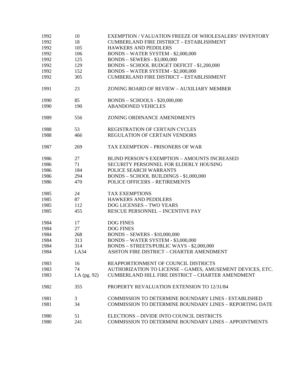| 1992 | 10            | EXEMPTION / VALUATION FREEZE OF WHOLESALERS' INVENTORY         |
|------|---------------|----------------------------------------------------------------|
| 1992 | 18            | <b>CUMBERLAND FIRE DISTRICT - ESTABLISHMENT</b>                |
| 1992 | 105           | HAWKERS AND PEDDLERS                                           |
| 1992 | 106           | <b>BONDS - WATER SYSTEM - \$2,000,000</b>                      |
| 1992 | 125           | <b>BONDS - SEWERS - \$3,000,000</b>                            |
| 1992 | 129           | BONDS - SCHOOL BUDGET DEFICIT - \$1,200,000                    |
| 1992 | 152           | <b>BONDS - WATER SYSTEM - \$2,000,000</b>                      |
| 1992 | 305           | <b>CUMBERLAND FIRE DISTRICT - ESTABLISHMENT</b>                |
| 1991 | 23            | ZONING BOARD OF REVIEW - AUXILIARY MEMBER                      |
| 1990 | 85            | <b>BONDS - SCHOOLS - \$20,000,000</b>                          |
| 1990 | 190           | <b>ABANDONED VEHICLES</b>                                      |
| 1989 | 556           | ZONING ORDINANCE AMENDMENTS                                    |
| 1988 | 53            | REGISTRATION OF CERTAIN CYCLES                                 |
| 1988 | 466           | <b>REGULATION OF CERTAIN VENDORS</b>                           |
| 1987 | 269           | TAX EXEMPTION - PRISONERS OF WAR                               |
| 1986 | 27            | BLIND PERSON'S EXEMPTION - AMOUNTS INCREASED                   |
| 1986 | 71            | SECURITY PERSONNEL FOR ELDERLY HOUSING                         |
| 1986 | 184           | POLICE SEARCH WARRANTS                                         |
| 1986 | 294           | BONDS - SCHOOL BUILDINGS - \$1,000,000                         |
| 1986 | 470           | <b>POLICE OFFICERS - RETIREMENTS</b>                           |
| 1985 | 24            | <b>TAX EXEMPTIONS</b>                                          |
| 1985 | 87            | <b>HAWKERS AND PEDDLERS</b>                                    |
| 1985 | 112           | DOG LICENSES - TWO YEARS                                       |
| 1985 | 455           | <b>RESCUE PERSONNEL - INCENTIVE PAY</b>                        |
| 1984 | 17            | <b>DOG FINES</b>                                               |
| 1984 | 27            | <b>DOG FINES</b>                                               |
| 1984 | 268           | <b>BONDS - SEWERS - \$10,000,000</b>                           |
| 1984 | 313           | BONDS - WATER SYSTEM - \$3,000,000                             |
| 1984 | 314           | BONDS - STREETS/PUBLIC WAYS - \$2,000,000                      |
| 1984 | LA34          | ASHTON FIRE DISTRICT - CHARTER AMENDMENT                       |
| 1983 | 16            | REAPPORTIONMENT OF COUNCIL DISTRICTS                           |
| 1983 | 74            | AUTHORIZATION TO LICENSE - GAMES, AMUSEMENT DEVICES, ETC.      |
| 1983 | LA $(pg. 92)$ | CUMBERLAND HILL FIRE DISTRICT - CHARTER AMENDMENT              |
| 1982 | 355           | PROPERTY REVALUATION EXTENSION TO 12/31/84                     |
| 1981 | 3             | <b>COMMISSION TO DETERMINE BOUNDARY LINES - ESTABLISHED</b>    |
| 1981 | 34            | <b>COMMISSION TO DETERMINE BOUNDARY LINES - REPORTING DATE</b> |
| 1980 | 51            | ELECTIONS - DIVIDE INTO COUNCIL DISTRICTS                      |
| 1980 | 241           | <b>COMMISSION TO DETERMINE BOUNDARY LINES - APPOINTMENTS</b>   |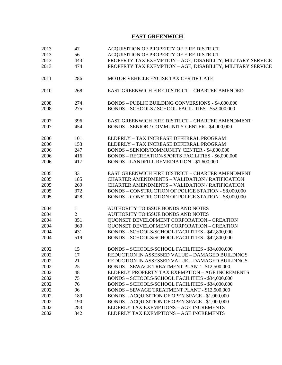## **EAST GREENWICH**

| 2013 | 47             | ACQUISITION OF PROPERTY OF FIRE DISTRICT                   |
|------|----------------|------------------------------------------------------------|
| 2013 | 56             | ACQUISITION OF PROPERTY OF FIRE DISTRICT                   |
| 2013 | 443            | PROPERTY TAX EXEMPTION - AGE, DISABILITY, MILITARY SERVICE |
| 2013 | 474            | PROPERTY TAX EXEMPTION - AGE, DISABILITY, MILITARY SERVICE |
| 2011 | 286            | MOTOR VEHICLE EXCISE TAX CERTIFICATE                       |
| 2010 | 268            | <b>EAST GREENWICH FIRE DISTRICT - CHARTER AMENDED</b>      |
| 2008 | 274            | BONDS - PUBLIC BUILDING CONVERSIONS - \$4,000,000          |
| 2008 | 275            | BONDS - SCHOOLS / SCHOOL FACILITIES - \$52,000,000         |
| 2007 | 396            | EAST GREENWICH FIRE DISTRICT - CHARTER AMENDMENT           |
| 2007 | 454            | BONDS - SENIOR / COMMUNITY CENTER - \$4,000,000            |
| 2006 | 101            | ELDERLY - TAX INCREASE DEFERRAL PROGRAM                    |
| 2006 | 153            | ELDERLY - TAX INCREASE DEFERRAL PROGRAM                    |
| 2006 | 247            | BONDS - SENIOR/COMMUNITY CENTER - \$4,000,000              |
| 2006 | 416            | BONDS - RECREATION/SPORTS FACILITIES - \$6,000,000         |
| 2006 | 417            | <b>BONDS - LANDFILL REMEDIATION - \$1,600,000</b>          |
| 2005 | 33             | EAST GREENWICH FIRE DISTRICT - CHARTER AMENDMENT           |
| 2005 | 185            | <b>CHARTER AMENDMENTS - VALIDATION / RATIFICATION</b>      |
| 2005 | 269            | CHARTER AMENDMENTS - VALIDATION / RATIFICATION             |
| 2005 | 372            | BONDS - CONSTRUCTION OF POLICE STATION - \$8,000,000       |
| 2005 | 428            | BONDS - CONSTRUCTION OF POLICE STATION - \$8,000,000       |
| 2004 | $\mathbf{1}$   | AUTHORITY TO ISSUE BONDS AND NOTES                         |
| 2004 | $\overline{2}$ | AUTHORITY TO ISSUE BONDS AND NOTES                         |
| 2004 | 351            | <b>QUONSET DEVELOPMENT CORPORATION - CREATION</b>          |
| 2004 | 360            | <b>QUONSET DEVELOPMENT CORPORATION - CREATION</b>          |
| 2004 | 431            | BONDS - SCHOOLS/SCHOOL FACILITIES - \$42,800,000           |
| 2004 | 519            | BONDS - SCHOOLS/SCHOOL FACILITIES - \$42,800,000           |
| 2002 | 15             | BONDS - SCHOOLS/SCHOOL FACILITIES - \$34,000,000           |
| 2002 | 17             | REDUCTION IN ASSESSED VALUE - DAMAGED BUILDINGS            |
| 2002 | 21             | REDUCTION IN ASSESSED VALUE - DAMAGED BUILDINGS            |
| 2002 | 25             | BONDS - SEWAGE TREATMENT PLANT - \$12,500,000              |
| 2002 | 48             | ELDERLY PROPERTY TAX EXEMPTION - AGE INCREMENTS            |
| 2002 | 75             | BONDS - SCHOOLS/SCHOOL FACILITIES - \$34,000,000           |
| 2002 | 76             | BONDS - SCHOOLS/SCHOOL FACILITIES - \$34,000,000           |
| 2002 | 96             | <b>BONDS - SEWAGE TREATMENT PLANT - \$12,500,000</b>       |
| 2002 | 189            | BONDS - ACQUISITION OF OPEN SPACE - \$1,000,000            |
| 2002 | 190            | BONDS - ACQUISITION OF OPEN SPACE - \$1,000,000            |
| 2002 | 283            | ELDERLY TAX EXEMPTIONS - AGE INCREMENTS                    |
|      |                |                                                            |
| 2002 | 342            | ELDERLY TAX EXEMPTIONS - AGE INCREMENTS                    |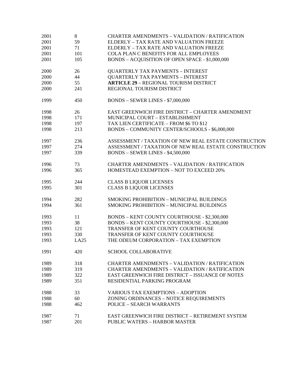| 2001 | 8    | <b>CHARTER AMENDMENTS - VALIDATION / RATIFICATION</b>   |
|------|------|---------------------------------------------------------|
| 2001 | 59   | ELDERLY - TAX RATE AND VALUATION FREEZE                 |
| 2001 | 71   | ELDERLY - TAX RATE AND VALUATION FREEZE                 |
| 2001 | 101  | COLA PLAN C BENEFITS FOR ALL EMPLOYEES                  |
| 2001 | 105  | BONDS - ACQUISITION OF OPEN SPACE - \$1,000,000         |
| 2000 | 26   | <b>QUARTERLY TAX PAYMENTS - INTEREST</b>                |
| 2000 | 44   | <b>QUARTERLY TAX PAYMENTS - INTEREST</b>                |
| 2000 | 55   | <b>ARTICLE 29 - REGIONAL TOURISM DISTRICT</b>           |
| 2000 | 241  | REGIONAL TOURISM DISTRICT                               |
| 1999 | 450  | <b>BONDS - SEWER LINES - \$7,000,000</b>                |
| 1998 | 26   | EAST GREENWICH FIRE DISTRICT - CHARTER AMENDMENT        |
| 1998 | 171  | MUNICIPAL COURT - ESTABLISHMENT                         |
| 1998 | 197  | TAX LIEN CERTIFICATE - FROM \$6 TO \$12                 |
| 1998 | 213  | BONDS - COMMUNITY CENTER/SCHOOLS - \$6,000,000          |
| 1997 | 236  | ASSESSMENT / TAXATION OF NEW REAL ESTATE CONSTRUCTION   |
| 1997 | 274  | ASSESSMENT / TAXATION OF NEW REAL ESTATE CONSTRUCTION   |
| 1997 | 339  | <b>BONDS - SEWER LINES - \$4,500,000</b>                |
| 1996 | 73   | <b>CHARTER AMENDMENTS - VALIDATION / RATIFICATION</b>   |
| 1996 | 365  | HOMESTEAD EXEMPTION - NOT TO EXCEED 20%                 |
| 1995 | 244  | <b>CLASS B LIQUOR LICENSES</b>                          |
| 1995 | 301  | <b>CLASS B LIQUOR LICENSES</b>                          |
| 1994 | 282  | <b>SMOKING PROHIBITION - MUNICIPAL BUILDINGS</b>        |
| 1994 | 361  | SMOKING PROHIBITION - MUNICIPAL BUILDINGS               |
| 1993 | 11   | <b>BONDS - KENT COUNTY COURTHOUSE - \$2,300,000</b>     |
| 1993 | 38   | <b>BONDS - KENT COUNTY COURTHOUSE - \$2,300,000</b>     |
| 1993 | 121  | TRANSFER OF KENT COUNTY COURTHOUSE                      |
| 1993 | 330  | TRANSFER OF KENT COUNTY COURTHOUSE                      |
| 1993 | LA25 | THE ODEUM CORPORATION - TAX EXEMPTION                   |
| 1991 | 420  | <b>SCHOOL COLLABORATIVE</b>                             |
| 1989 | 318  | <b>CHARTER AMENDMENTS - VALIDATION / RATIFICATION</b>   |
| 1989 | 319  | <b>CHARTER AMENDMENTS - VALIDATION / RATIFICATION</b>   |
| 1989 | 322  | <b>EAST GREENWICH FIRE DISTRICT - ISSUANCE OF NOTES</b> |
| 1989 | 351  | RESIDENTIAL PARKING PROGRAM                             |
| 1988 | 33   | <b>VARIOUS TAX EXEMPTIONS - ADOPTION</b>                |
| 1988 | 60   | ZONING ORDINANCES - NOTICE REQUIREMENTS                 |
| 1988 | 462  | <b>POLICE - SEARCH WARRANTS</b>                         |
| 1987 | 71   | EAST GREENWICH FIRE DISTRICT - RETIREMENT SYSTEM        |
| 1987 | 201  | <b>PUBLIC WATERS - HARBOR MASTER</b>                    |
|      |      |                                                         |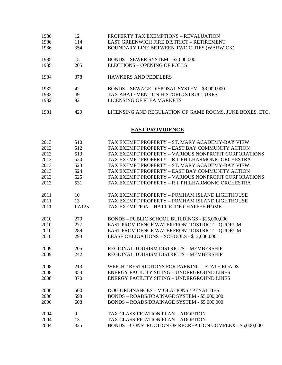| 1986 | 12  | PROPERTY TAX EXEMPTIONS - REVALUATION                    |
|------|-----|----------------------------------------------------------|
| 1986 | 114 | <b>EAST GREENWICH FIRE DISTRICT - RETIREMENT</b>         |
| 1986 | 354 | BOUNDARY LINE BETWEEN TWO CITIES (WARWICK)               |
| 1985 | 15  | $BONDS - SEWER SYSTEM - $2,000,000$                      |
| 1985 | 205 | <b>ELECTIONS - OPENING OF POLLS</b>                      |
| 1984 | 378 | <b>HAWKERS AND PEDDLERS</b>                              |
| 1982 | 42  | BONDS - SEWAGE DISPOSAL SYSTEM - \$3,000,000             |
| 1982 | 49  | TAX ABATEMENT ON HISTORIC STRUCTURES                     |
| 1982 | 92  | LICENSING OF FLEA MARKETS                                |
| 1981 | 429 | LICENSING AND REGULATION OF GAME ROOMS, JUKE BOXES, ETC. |

## **EAST PROVIDENCE**

| 2013 | 510   | TAX EXEMPT PROPERTY - ST. MARY ACADEMY-BAY VIEW          |
|------|-------|----------------------------------------------------------|
| 2013 | 512   | TAX EXEMPT PROPERTY - EAST BAY COMMUNITY ACTION          |
| 2013 | 513   | TAX EXEMPT PROPERTY – VARIOUS NONPROFIT CORPORATIONS     |
| 2013 | 520   | TAX EXEMPT PROPERTY - R.I. PHILHARMONIC ORCHESTRA        |
| 2013 | 523   | TAX EXEMPT PROPERTY - ST. MARY ACADEMY-BAY VIEW          |
| 2013 | 524   | TAX EXEMPT PROPERTY – EAST BAY COMMUNITY ACTION          |
| 2013 | 525   | TAX EXEMPT PROPERTY - VARIOUS NONPROFIT CORPORATIONS     |
| 2013 | 531   | TAX EXEMPT PROPERTY - R.I. PHILHARMONIC ORCHESTRA        |
|      |       |                                                          |
| 2011 | 10    | TAX EXEMPT PROPERTY – POMHAM ISLAND LIGHTHOUSE           |
| 2011 | 13    | TAX EXEMPT PROPERTY - POMHAM ISLAND LIGHTHOUSE           |
| 2011 | LA125 | TAX EXEMPTION - HATTIE IDE CHAFFEE HOME                  |
|      |       |                                                          |
| 2010 | 270   | BONDS - PUBLIC SCHOOL BUILDINGS - \$15,000,000           |
| 2010 | 277   | EAST PROVIDENCE WATERFRONT DISTRICT - QUORUM             |
| 2010 | 289   | EAST PROVIDENCE WATERFRONT DISTRICT - QUORUM             |
| 2010 | 294   | LEASE OBLIGATIONS - SCHOOLS - \$12,000,000               |
|      |       |                                                          |
| 2009 | 205   | REGIONAL TOURISM DISTRICTS - MEMBERSHIP                  |
| 2009 | 242   | REGIONAL TOURISM DISTRICTS - MEMBERSHIP                  |
|      |       |                                                          |
| 2008 | 213   | WEIGHT RESTRICTIONS FOR PARKING - STATE ROADS            |
| 2008 | 353   | <b>ENERGY FACILITY SITING - UNDERGROUND LINES</b>        |
| 2008 | 370   | <b>ENERGY FACILITY SITING - UNDERGROUND LINES</b>        |
|      |       |                                                          |
| 2006 | 500   | DOG ORDINANCES - VIOLATIONS / PENALTIES                  |
| 2006 | 598   | BONDS - ROADS/DRAINAGE SYSTEM - \$5,000,000              |
| 2006 | 608   | BONDS - ROADS/DRAINAGE SYSTEM - \$5,000,000              |
|      |       |                                                          |
| 2004 | 9     | TAX CLASSIFICATION PLAN - ADOPTION                       |
| 2004 | 13    | TAX CLASSIFICATION PLAN - ADOPTION                       |
| 2004 | 325   | BONDS - CONSTRUCTION OF RECREATION COMPLEX - \$5,000,000 |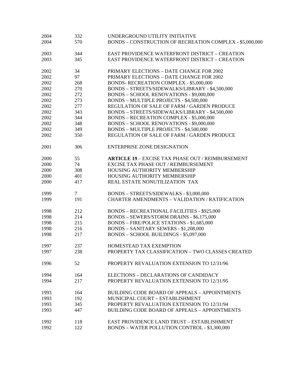| 2004<br>2004 | 332<br>570      | UNDERGROUND UTILITY INITIATIVE<br>BONDS - CONSTRUCTION OF RECREATION COMPLEX - \$5,000,000 |
|--------------|-----------------|--------------------------------------------------------------------------------------------|
|              |                 |                                                                                            |
| 2003         | 344             | <b>EAST PROVIDENCE WATERFRONT DISTRICT - CREATION</b>                                      |
| 2003         | 345             | <b>EAST PROVIDENCE WATERFRONT DISTRICT - CREATION</b>                                      |
| 2002         | 34              | PRIMARY ELECTIONS - DATE CHANGE FOR 2002                                                   |
| 2002         | 97              | PRIMARY ELECTIONS - DATE CHANGE FOR 2002                                                   |
| 2002         | 268             | BONDS- RECREATION COMPLEX - \$5,000,000                                                    |
| 2002         | 270             | BONDS - STREETS/SIDEWALKS/LIBRARY - \$4,500,000                                            |
| 2002         | 272             | BONDS - SCHOOL RENOVATIONS - \$9,000,000                                                   |
| 2002         | 273             | BONDS - MULTIPLE PROJECTS - \$4,500,000                                                    |
| 2002         | 277             | REGULATION OF SALE OF FARM / GARDEN PRODUCE                                                |
| 2002         | 343             | BONDS - STREETS/SIDEWALKS/LIBRARY - \$4,500,000                                            |
| 2002         | 344             | <b>BONDS - RECREATION COMPLEX - \$5,000,000</b>                                            |
| 2002         | 348             | BONDS - SCHOOL RENOVATIONS - \$9,000,000                                                   |
| 2002         | 349             | <b>BONDS - MULTIPLE PROJECTS - \$4,500,000</b>                                             |
| 2002         | 350             | REGULATION OF SALE OF FARM / GARDEN PRODUCE                                                |
|              |                 |                                                                                            |
| 2001         | 306             | <b>ENTERPRISE ZONE DESIGNATION</b>                                                         |
| 2000         | 55              | <b>ARTICLE 19 - EXCISE TAX PHASE OUT / REIMBURSEMENT</b>                                   |
| 2000         | 74              | EXCISE TAX PHASE OUT / REIMBURSEMENT                                                       |
| 2000         | 308             | HOUSING AUTHORITY MEMBERSHIP                                                               |
| 2000         | 401             | HOUSING AUTHORITY MEMBERSHIP                                                               |
| 2000         | 417             | REAL ESTATE NONUTILIZATION TAX                                                             |
|              |                 |                                                                                            |
| 1999         | $7\overline{ }$ | BONDS - STREETS/SIDEWALKS - \$3,000,000                                                    |
| 1999         | 191             | <b>CHARTER AMENDMENTS - VALIDATION / RATIFICATION</b>                                      |
|              |                 |                                                                                            |
| 1998         | 212             | <b>BONDS - RECREATIONAL FACILITIES - \$925,000</b>                                         |
| 1998         | 214             | BONDS - SEWERS/STORM DRAINS - \$6,175,000                                                  |
| 1998         | 215             | BONDS - FIRE/POLICE STATIONS - \$1,685,000                                                 |
| 1998         | 216             | <b>BONDS - SANITARY SEWERS - \$1,208,000</b>                                               |
| 1998         | 217             | BONDS - SCHOOL BUILDINGS - \$5,097,000                                                     |
|              |                 |                                                                                            |
| 1997         | 237             | HOMESTEAD TAX EXEMPTION                                                                    |
| 1997         | 238             | PROPERTY TAX CLASSIFICATION - TWO CLASSES CREATED                                          |
| 1996         | 52              | PROPERTY REVALUATION EXTENSION TO 12/31/96                                                 |
| 1994         | 164             | ELECTIONS – DECLARATIONS OF CANDIDACY                                                      |
| 1994         | 217             | PROPERTY REVALUATION EXTENSION TO 12/31/95                                                 |
|              |                 |                                                                                            |
| 1993         | 164             | <b>BUILDING CODE BOARD OF APPEALS - APPOINTMENTS</b>                                       |
| 1993         | 192             | MUNICIPAL COURT - ESTABLISHMENT                                                            |
| 1993         | 345             | PROPERTY REVALUATION EXTENSION TO 12/31/94                                                 |
| 1993         | 447             | <b>BUILDING CODE BOARD OF APPEALS - APPOINTMENTS</b>                                       |
|              |                 |                                                                                            |
| 1992         | 118             | EAST PROVIDENCE LAND TRUST - ESTABLISHMENT                                                 |
| 1992         | 122             | BONDS - WATER POLLUTION CONTROL - \$3,300,000                                              |
|              |                 |                                                                                            |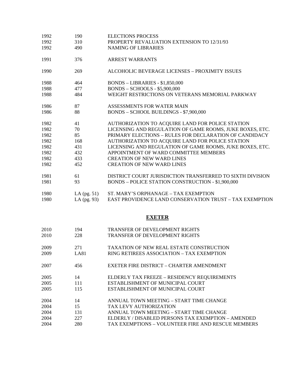| 1992 | 190           | <b>ELECTIONS PROCESS</b>                                       |
|------|---------------|----------------------------------------------------------------|
| 1992 | 310           | PROPERTY REVALUATION EXTENSION TO 12/31/93                     |
| 1992 | 490           | <b>NAMING OF LIBRARIES</b>                                     |
| 1991 | 376           | <b>ARREST WARRANTS</b>                                         |
| 1990 | 269           | ALCOHOLIC BEVERAGE LICENSES - PROXIMITY ISSUES                 |
| 1988 | 464           | <b>BONDS - LIBRARIES - \$1,850,000</b>                         |
| 1988 | 477           | <b>BONDS - SCHOOLS - \$5,900,000</b>                           |
| 1988 | 484           | WEIGHT RESTRICTIONS ON VETERANS MEMORIAL PARKWAY               |
| 1986 | 87            | ASSESSMENTS FOR WATER MAIN                                     |
| 1986 | 88            | BONDS - SCHOOL BUILDINGS - \$7,900,000                         |
| 1982 | 41            | AUTHORIZATION TO ACQUIRE LAND FOR POLICE STATION               |
| 1982 | 70            | LICENSING AND REGULATION OF GAME ROOMS, JUKE BOXES, ETC.       |
| 1982 | 85            | PRIMARY ELECTIONS - RULES FOR DECLARATION OF CANDIDACY         |
| 1982 | 168           | AUTHORIZATION TO ACQUIRE LAND FOR POLICE STATION               |
| 1982 | 431           | LICENSING AND REGULATION OF GAME ROOMS, JUKE BOXES, ETC.       |
| 1982 | 432           | APPOINTMENT OF WARD COMMITTEE MEMBERS                          |
| 1982 | 433           | <b>CREATION OF NEW WARD LINES</b>                              |
| 1982 | 452           | <b>CREATION OF NEW WARD LINES</b>                              |
| 1981 | 61            | DISTRICT COURT JURISDICTION TRANSFERRED TO SIXTH DIVISION      |
| 1981 | 93            | BONDS - POLICE STATION CONSTRUCTION - \$1,900,000              |
| 1980 | LA $(pg. 51)$ | ST. MARY'S ORPHANAGE - TAX EXEMPTION                           |
| 1980 | LA (pg. 93)   | <b>EAST PROVIDENCE LAND CONSERVATION TRUST - TAX EXEMPTION</b> |
|      |               |                                                                |
|      |               | <b>EXETER</b>                                                  |
| 2010 | 194           | <b>TRANSFER OF DEVELOPMENT RIGHTS</b>                          |
| 2010 | 228           | <b>TRANSFER OF DEVELOPMENT RIGHTS</b>                          |
| 2009 | 271           | <b>TAXATION OF NEW REAL ESTATE CONSTRUCTION</b>                |
| 2009 | <b>LA81</b>   | RING RETIREES ASSOCIATION - TAX EXEMPTION                      |
| 2007 | 456           | EXETER FIRE DISTRICT - CHARTER AMENDMENT                       |
| 2005 | 14            | ELDERLY TAX FREEZE - RESIDENCY REQUIREMENTS                    |
| 2005 | 111           | ESTABLISHMENT OF MUNICIPAL COURT                               |
| 2005 | 115           | ESTABLISHMENT OF MUNICIPAL COURT                               |
| 2004 | 14            | ANNUAL TOWN MEETING - START TIME CHANGE                        |
| 2004 | 15            | TAX LEVY AUTHORIZATION                                         |
| 2004 | 131           | ANNUAL TOWN MEETING - START TIME CHANGE                        |
| 2004 | 227           | ELDERLY / DISABLED PERSONS TAX EXEMPTION - AMENDED             |
| 2004 | 280           | TAX EXEMPTIONS - VOLUNTEER FIRE AND RESCUE MEMBERS             |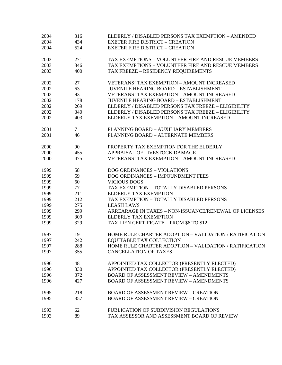| 2004 | 316    | ELDERLY / DISABLED PERSONS TAX EXEMPTION - AMENDED     |
|------|--------|--------------------------------------------------------|
| 2004 | 434    | <b>EXETER FIRE DISTRICT - CREATION</b>                 |
| 2004 | 524    | <b>EXETER FIRE DISTRICT - CREATION</b>                 |
| 2003 | 271    | TAX EXEMPTIONS - VOLUNTEER FIRE AND RESCUE MEMBERS     |
| 2003 | 346    | TAX EXEMPTIONS - VOLUNTEER FIRE AND RESCUE MEMBERS     |
| 2003 | 400    | TAX FREEZE - RESIDENCY REQUIREMENTS                    |
| 2002 | 27     | <b>VETERANS' TAX EXEMPTION - AMOUNT INCREASED</b>      |
| 2002 | 63     | <b>JUVENILE HEARING BOARD - ESTABLISHMENT</b>          |
| 2002 | 93     | <b>VETERANS' TAX EXEMPTION - AMOUNT INCREASED</b>      |
| 2002 | 178    | <b>JUVENILE HEARING BOARD - ESTABLISHMENT</b>          |
| 2002 | 269    | ELDERLY / DISABLED PERSONS TAX FREEZE - ELIGIBILITY    |
| 2002 | 340    | ELDERLY / DISABLED PERSONS TAX FREEZE - ELIGIBILITY    |
| 2002 | 403    | ELDERLY TAX EXEMPTION - AMOUNT INCREASED               |
| 2001 | $\tau$ | PLANNING BOARD - AUXILIARY MEMBERS                     |
| 2001 | 46     | PLANNING BOARD - ALTERNATE MEMBERS                     |
| 2000 | 90     | PROPERTY TAX EXEMPTION FOR THE ELDERLY                 |
| 2000 | 455    | APPRAISAL OF LIVESTOCK DAMAGE                          |
| 2000 | 475    | <b>VETERANS' TAX EXEMPTION - AMOUNT INCREASED</b>      |
| 1999 | 58     | DOG ORDINANCES - VIOLATIONS                            |
| 1999 | 59     | DOG ORDINANCES - IMPOUNDMENT FEES                      |
| 1999 | 60     | <b>VICIOUS DOGS</b>                                    |
| 1999 | 77     | TAX EXEMPTION - TOTALLY DISABLED PERSONS               |
| 1999 | 211    | <b>ELDERLY TAX EXEMPTION</b>                           |
| 1999 | 212    | TAX EXEMPTION - TOTALLY DISABLED PERSONS               |
| 1999 | 275    | <b>LEASH LAWS</b>                                      |
| 1999 | 299    | ARREARAGE IN TAXES - NON-ISSUANCE/RENEWAL OF LICENSES  |
| 1999 | 309    | <b>ELDERLY TAX EXEMPTION</b>                           |
| 1999 | 329    | TAX LIEN CERTIFICATE - FROM \$6 TO \$12                |
| 1997 | 191    | HOME RULE CHARTER ADOPTION - VALIDATION / RATIFICATION |
| 1997 | 242    | EQUITABLE TAX COLLECTION                               |
| 1997 | 288    | HOME RULE CHARTER ADOPTION - VALIDATION / RATIFICATION |
| 1997 | 355    | <b>CANCELLATION OF TAXES</b>                           |
| 1996 | 48     | APPOINTED TAX COLLECTOR (PRESENTLY ELECTED)            |
| 1996 | 330    | APPOINTED TAX COLLECTOR (PRESENTLY ELECTED)            |
| 1996 | 372    | <b>BOARD OF ASSESSMENT REVIEW - AMENDMENTS</b>         |
| 1996 | 427    | <b>BOARD OF ASSESSMENT REVIEW - AMENDMENTS</b>         |
| 1995 | 218    | <b>BOARD OF ASSESSMENT REVIEW - CREATION</b>           |
| 1995 | 357    | <b>BOARD OF ASSESSMENT REVIEW - CREATION</b>           |
| 1993 | 62     | PUBLICATION OF SUBDIVISION REGULATIONS                 |
| 1993 | 89     | TAX ASSESSOR AND ASSESSMENT BOARD OF REVIEW            |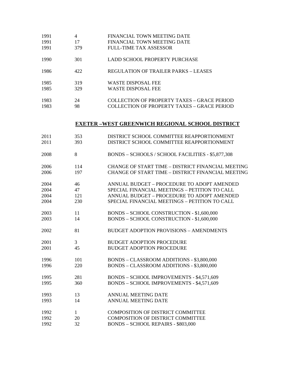| 1991 | 4   | FINANCIAL TOWN MEETING DATE                 |
|------|-----|---------------------------------------------|
| 1991 | 17  | FINANCIAL TOWN MEETING DATE                 |
| 1991 | 379 | FULL-TIME TAX ASSESSOR                      |
| 1990 | 301 | LADD SCHOOL PROPERTY PURCHASE               |
| 1986 | 422 | REGULATION OF TRAILER PARKS - LEASES        |
| 1985 | 319 | <b>WASTE DISPOSAL FEE</b>                   |
| 1985 | 329 | WASTE DISPOSAL FEE                          |
| 1983 | 24  | COLLECTION OF PROPERTY TAXES – GRACE PERIOD |
| 1983 | 98  | COLLECTION OF PROPERTY TAXES – GRACE PERIOD |

#### **EXETER –WEST GREENWICH REGIONAL SCHOOL DISTRICT**

| 2011 | 353 | DISTRICT SCHOOL COMMITTEE REAPPORTIONMENT         |
|------|-----|---------------------------------------------------|
| 2011 | 393 | DISTRICT SCHOOL COMMITTEE REAPPORTIONMENT         |
| 2008 | 8   | BONDS - SCHOOLS / SCHOOL FACILITIES - \$5,877,308 |
| 2006 | 114 | CHANGE OF START TIME - DISTRICT FINANCIAL MEETING |
| 2006 | 197 | CHANGE OF START TIME - DISTRICT FINANCIAL MEETING |
| 2004 | 46  | ANNUAL BUDGET - PROCEDURE TO ADOPT AMENDED        |
| 2004 | 47  | SPECIAL FINANCIAL MEETINGS - PETITION TO CALL     |
| 2004 | 121 | ANNUAL BUDGET - PROCEDURE TO ADOPT AMENDED        |
| 2004 | 230 | SPECIAL FINANCIAL MEETINGS - PETITION TO CALL     |
| 2003 | 11  | BONDS - SCHOOL CONSTRUCTION - \$1,600,000         |
| 2003 | 14  | BONDS - SCHOOL CONSTRUCTION - \$1,600,000         |
| 2002 | 81  | <b>BUDGET ADOPTION PROVISIONS - AMENDMENTS</b>    |
| 2001 | 3   | <b>BUDGET ADOPTION PROCEDURE</b>                  |
| 2001 | 45  | <b>BUDGET ADOPTION PROCEDURE</b>                  |
| 1996 | 101 | BONDS - CLASSROOM ADDITIONS - \$3,800,000         |
| 1996 | 220 | BONDS - CLASSROOM ADDITIONS - \$3,800,000         |
| 1995 | 281 | BONDS - SCHOOL IMPROVEMENTS - \$4,571,609         |
| 1995 | 360 | BONDS - SCHOOL IMPROVEMENTS - \$4,571,609         |
| 1993 | 13  | <b>ANNUAL MEETING DATE</b>                        |
| 1993 | 14  | <b>ANNUAL MEETING DATE</b>                        |
| 1992 | 1   | <b>COMPOSITION OF DISTRICT COMMITTEE</b>          |
| 1992 | 20  | <b>COMPOSITION OF DISTRICT COMMITTEE</b>          |
| 1992 | 32  | <b>BONDS - SCHOOL REPAIRS - \$803,000</b>         |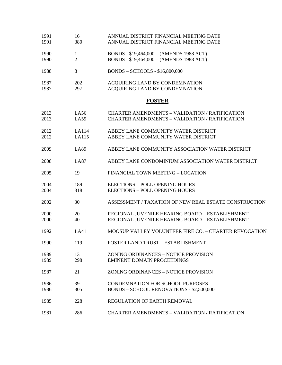| 1991<br>1991 | 16<br>380           | ANNUAL DISTRICT FINANCIAL MEETING DATE<br>ANNUAL DISTRICT FINANCIAL MEETING DATE                               |
|--------------|---------------------|----------------------------------------------------------------------------------------------------------------|
| 1990<br>1990 | 1<br>$\overline{c}$ | BONDS - \$19,464,000 - (AMENDS 1988 ACT)<br>BONDS - \$19,464,000 - (AMENDS 1988 ACT)                           |
| 1988         | 8                   | BONDS - SCHOOLS - \$16,800,000                                                                                 |
| 1987<br>1987 | 202<br>297          | ACQUIRING LAND BY CONDEMNATION<br>ACQUIRING LAND BY CONDEMNATION                                               |
|              |                     | <b>FOSTER</b>                                                                                                  |
| 2013<br>2013 | LA56<br>LA59        | <b>CHARTER AMENDMENTS - VALIDATION / RATIFICATION</b><br><b>CHARTER AMENDMENTS - VALIDATION / RATIFICATION</b> |
| 2012<br>2012 | LA114<br>LA115      | ABBEY LANE COMMUNITY WATER DISTRICT<br>ABBEY LANE COMMUNITY WATER DISTRICT                                     |
| 2009         | <b>LA89</b>         | ABBEY LANE COMMUNITY ASSOCIATION WATER DISTRICT                                                                |
| 2008         | <b>LA87</b>         | ABBEY LANE CONDOMINIUM ASSOCIATION WATER DISTRICT                                                              |
| 2005         | 19                  | FINANCIAL TOWN MEETING - LOCATION                                                                              |
| 2004<br>2004 | 189<br>318          | <b>ELECTIONS - POLL OPENING HOURS</b><br><b>ELECTIONS - POLL OPENING HOURS</b>                                 |
| 2002         | 30                  | ASSESSMENT / TAXATION OF NEW REAL ESTATE CONSTRUCTION                                                          |
| 2000<br>2000 | 20<br>40            | REGIONAL JUVENILE HEARING BOARD - ESTABLISHMENT<br>REGIONAL JUVENILE HEARING BOARD - ESTABLISHMENT             |
| 1992         | LA41                | MOOSUP VALLEY VOLUNTEER FIRE CO. - CHARTER REVOCATION                                                          |
| 1990         | 119                 | FOSTER LAND TRUST - ESTABLISHMENT                                                                              |
| 1989<br>1989 | 13<br>298           | ZONING ORDINANCES - NOTICE PROVISION<br><b>EMINENT DOMAIN PROCEEDINGS</b>                                      |
| 1987         | 21                  | ZONING ORDINANCES - NOTICE PROVISION                                                                           |
| 1986<br>1986 | 39<br>305           | <b>CONDEMNATION FOR SCHOOL PURPOSES</b><br><b>BONDS - SCHOOL RENOVATIONS - \$2,500,000</b>                     |
| 1985         | 228                 | REGULATION OF EARTH REMOVAL                                                                                    |
| 1981         | 286                 | <b>CHARTER AMENDMENTS - VALIDATION / RATIFICATION</b>                                                          |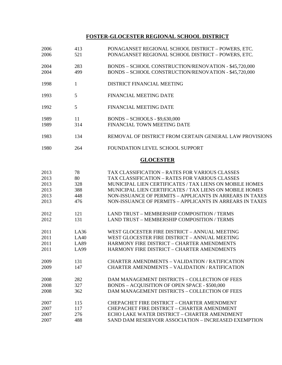## **FOSTER-GLOCESTER REGIONAL SCHOOL DISTRICT**

| 2006<br>2006 | 413<br>521   | PONAGANSET REGIONAL SCHOOL DISTRICT - POWERS, ETC.<br>PONAGANSET REGIONAL SCHOOL DISTRICT - POWERS, ETC. |
|--------------|--------------|----------------------------------------------------------------------------------------------------------|
| 2004         | 283          | BONDS - SCHOOL CONSTRUCTION/RENOVATION - \$45,720,000                                                    |
| 2004         | 499          | BONDS - SCHOOL CONSTRUCTION/RENOVATION - \$45,720,000                                                    |
| 1998         | $\mathbf{1}$ | DISTRICT FINANCIAL MEETING                                                                               |
| 1993         | 5            | FINANCIAL MEETING DATE                                                                                   |
| 1992         | 5            | FINANCIAL MEETING DATE                                                                                   |
| 1989         | 11           | <b>BONDS - SCHOOLS - \$9,630,000</b>                                                                     |
| 1989         | 314          | FINANCIAL TOWN MEETING DATE                                                                              |
| 1983         | 134          | REMOVAL OF DISTRICT FROM CERTAIN GENERAL LAW PROVISIONS                                                  |
| 1980         | 264          | FOUNDATION LEVEL SCHOOL SUPPORT                                                                          |
|              |              | <b>GLOCESTER</b>                                                                                         |
| 2013         | 78           | TAX CLASSIFICATION - RATES FOR VARIOUS CLASSES                                                           |
| 2013         | 80           | <b>TAX CLASSIFICATION - RATES FOR VARIOUS CLASSES</b>                                                    |
| 2013         | 328          | MUNICIPAL LIEN CERTIFICATES / TAX LIENS ON MOBILE HOMES                                                  |
| 2013         | 388          | MUNICIPAL LIEN CERTIFICATES / TAX LIENS ON MOBILE HOMES                                                  |
| 2013         | 448          | NON-ISSUANCE OF PERMITS - APPLICANTS IN ARREARS IN TAXES                                                 |
| 2013         | 476          | NON-ISSUANCE OF PERMITS - APPLICANTS IN ARREARS IN TAXES                                                 |
| 2012         | 121          | LAND TRUST - MEMBERSHIP COMPOSITION / TERMS                                                              |
| 2012         | 131          | LAND TRUST - MEMBERSHIP COMPOSITION / TERMS                                                              |
| 2011         | LA36         | WEST GLOCESTER FIRE DISTRICT - ANNUAL MEETING                                                            |
| 2011         | LA40         | WEST GLOCESTER FIRE DISTRICT - ANNUAL MEETING                                                            |
| 2011         | LA89         | HARMONY FIRE DISTRICT - CHARTER AMENDMENTS                                                               |
| 2011         | <b>LA99</b>  | HARMONY FIRE DISTRICT - CHARTER AMENDMENTS                                                               |
| 2009         | 131          | <b>CHARTER AMENDMENTS - VALIDATION / RATIFICATION</b>                                                    |
| 2009         | 147          | <b>CHARTER AMENDMENTS - VALIDATION / RATIFICATION</b>                                                    |
| 2008         | 282          | DAM MANAGEMENT DISTRICTS - COLLECTION OF FEES                                                            |
| 2008         | 327          | BONDS - ACQUISITION OF OPEN SPACE - \$500,000                                                            |
| 2008         | 362          | DAM MANAGEMENT DISTRICTS - COLLECTION OF FEES                                                            |
| 2007         | 115          | CHEPACHET FIRE DISTRICT - CHARTER AMENDMENT                                                              |
| 2007         | 117          | <b>CHEPACHET FIRE DISTRICT - CHARTER AMENDMENT</b>                                                       |
| 2007         | 276          | ECHO LAKE WATER DISTRICT - CHARTER AMENDMENT                                                             |
| 2007         | 488          | SAND DAM RESERVOIR ASSOCIATION - INCREASED EXEMPTION                                                     |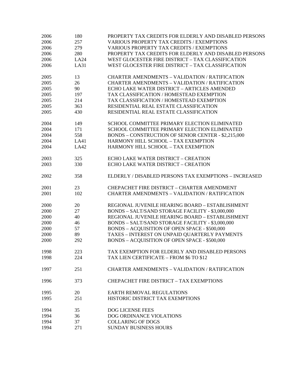| 2006 | 180  | PROPERTY TAX CREDITS FOR ELDERLY AND DISABLED PERSONS |
|------|------|-------------------------------------------------------|
| 2006 | 257  | <b>VARIOUS PROPERTY TAX CREDITS / EXEMPTIONS</b>      |
| 2006 | 279  | <b>VARIOUS PROPERTY TAX CREDITS / EXEMPTIONS</b>      |
| 2006 | 280  | PROPERTY TAX CREDITS FOR ELDERLY AND DISABLED PERSONS |
| 2006 | LA24 | WEST GLOCESTER FIRE DISTRICT - TAX CLASSIFICATION     |
| 2006 | LA31 | WEST GLOCESTER FIRE DISTRICT - TAX CLASSIFICATION     |
| 2005 | 13   | <b>CHARTER AMENDMENTS - VALIDATION / RATIFICATION</b> |
| 2005 | 26   | <b>CHARTER AMENDMENTS - VALIDATION / RATIFICATION</b> |
| 2005 | 90   | ECHO LAKE WATER DISTRICT - ARTICLES AMENDED           |
| 2005 | 197  | TAX CLASSIFICATION / HOMESTEAD EXEMPTION              |
| 2005 | 214  | TAX CLASSIFICATION / HOMESTEAD EXEMPTION              |
| 2005 | 363  | RESIDENTIAL REAL ESTATE CLASSIFICATION                |
| 2005 | 430  | RESIDENTIAL REAL ESTATE CLASSIFICATION                |
| 2004 | 149  | SCHOOL COMMITTEE PRIMARY ELECTION ELIMINATED          |
| 2004 | 171  | SCHOOL COMMITTEE PRIMARY ELECTION ELIMINATED          |
| 2004 | 558  | BONDS - CONSTRUCTION OF SENIOR CENTER - \$2,215,000   |
| 2004 | LA41 | HARMONY HILL SCHOOL - TAX EXEMPTION                   |
| 2004 | LA42 | HARMONY HILL SCHOOL - TAX EXEMPTION                   |
|      |      |                                                       |
| 2003 | 325  | <b>ECHO LAKE WATER DISTRICT - CREATION</b>            |
| 2003 | 330  | <b>ECHO LAKE WATER DISTRICT - CREATION</b>            |
| 2002 | 358  | ELDERLY / DISABLED PERSONS TAX EXEMPTIONS - INCREASED |
| 2001 | 23   | <b>CHEPACHET FIRE DISTRICT - CHARTER AMENDMENT</b>    |
| 2001 | 102  | <b>CHARTER AMENDMENTS - VALIDATION / RATIFICATION</b> |
| 2000 | 20   | REGIONAL JUVENILE HEARING BOARD - ESTABLISHMENT       |
| 2000 | 27   | BONDS - SALT/SAND STORAGE FACILITY - \$3,000,000      |
| 2000 | 40   | REGIONAL JUVENILE HEARING BOARD - ESTABLISHMENT       |
| 2000 | 46   | BONDS - SALT/SAND STORAGE FACILITY - \$3,000,000      |
| 2000 | 57   | <b>BONDS - ACQUISITION OF OPEN SPACE - \$500,000</b>  |
| 2000 | 89   | TAXES - INTEREST ON UNPAID QUARTERLY PAYMENTS         |
| 2000 | 292  | BONDS - ACQUISITION OF OPEN SPACE - \$500,000         |
| 1998 | 223  | TAX EXEMPTION FOR ELDERLY AND DISABLED PERSONS        |
| 1998 | 224  | TAX LIEN CERTIFICATE - FROM \$6 TO \$12               |
| 1997 | 251  | <b>CHARTER AMENDMENTS - VALIDATION / RATIFICATION</b> |
| 1996 | 373  | <b>CHEPACHET FIRE DISTRICT - TAX EXEMPTIONS</b>       |
| 1995 | 20   | EARTH REMOVAL REGULATIONS                             |
| 1995 | 251  | HISTORIC DISTRICT TAX EXEMPTIONS                      |
| 1994 | 35   | <b>DOG LICENSE FEES</b>                               |
| 1994 | 36   | DOG ORDINANCE VIOLATIONS                              |
| 1994 | 37   | <b>COLLARING OF DOGS</b>                              |
| 1994 | 271  | <b>SUNDAY BUSINESS HOURS</b>                          |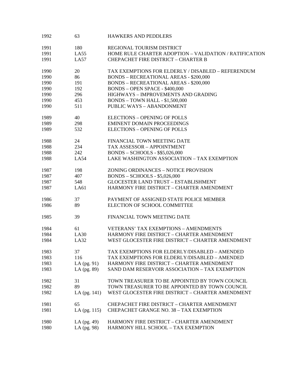| 1992 | 63             | <b>HAWKERS AND PEDDLERS</b>                            |
|------|----------------|--------------------------------------------------------|
| 1991 | 180            | REGIONAL TOURISM DISTRICT                              |
| 1991 | LA55           | HOME RULE CHARTER ADOPTION - VALIDATION / RATIFICATION |
| 1991 | LA57           | <b>CHEPACHET FIRE DISTRICT - CHARTER B</b>             |
| 1990 | 20             | TAX EXEMPTIONS FOR ELDERLY / DISABLED - REFERENDUM     |
| 1990 | 86             | <b>BONDS - RECREATIONAL AREAS - \$200,000</b>          |
| 1990 | 191            | <b>BONDS - RECREATIONAL AREAS - \$200,000</b>          |
| 1990 | 192            | <b>BONDS - OPEN SPACE - \$400,000</b>                  |
| 1990 | 296            | HIGHWAYS - IMPROVEMENTS AND GRADING                    |
| 1990 | 453            | <b>BONDS - TOWN HALL - \$1,500,000</b>                 |
| 1990 | 511            | PUBLIC WAYS - ABANDONMENT                              |
| 1989 | 40             | <b>ELECTIONS - OPENING OF POLLS</b>                    |
| 1989 | 298            | <b>EMINENT DOMAIN PROCEEDINGS</b>                      |
| 1989 | 532            | <b>ELECTIONS - OPENING OF POLLS</b>                    |
| 1988 | 24             | FINANCIAL TOWN MEETING DATE                            |
| 1988 | 234            | TAX ASSESSOR - APPOINTMENT                             |
| 1988 | 242            | BONDS - SCHOOLS - \$\$5,026,000                        |
| 1988 | LA54           | LAKE WASHINGTON ASSOCIATION - TAX EXEMPTION            |
| 1987 | 198            | ZONING ORDINANCES - NOTICE PROVISION                   |
| 1987 | 407            | <b>BONDS - SCHOOLS - \$5,026,000</b>                   |
| 1987 | 548            | <b>GLOCESTER LAND TRUST - ESTABLISHMENT</b>            |
| 1987 | LA61           | HARMONY FIRE DISTRICT - CHARTER AMENDMENT              |
| 1986 | 37             | PAYMENT OF ASSIGNED STATE POLICE MEMBER                |
| 1986 | 89             | ELECTION OF SCHOOL COMMITTEE                           |
| 1985 | 39             | FINANCIAL TOWN MEETING DATE                            |
| 1984 | 61             | <b>VETERANS' TAX EXEMPTIONS - AMENDMENTS</b>           |
| 1984 | LA30           | HARMONY FIRE DISTRICT - CHARTER AMENDMENT              |
| 1984 | LA32           | WEST GLOCESTER FIRE DISTRICT - CHARTER AMENDMENT       |
| 1983 | 37             | TAX EXEMPTIONS FOR ELDERLY/DISABLED - AMENDED          |
| 1983 | 116            | TAX EXEMPTIONS FOR ELDERLY/DISABLED - AMENDED          |
| 1983 | LA $(pg. 91)$  | HARMONY FIRE DISTRICT - CHARTER AMENDMENT              |
| 1983 | LA (pg. 89)    | SAND DAM RESERVOIR ASSOCIATION - TAX EXEMPTION         |
| 1982 | 31             | TOWN TREASURER TO BE APPOINTED BY TOWN COUNCIL         |
| 1982 | 89             | TOWN TREASURER TO BE APPOINTED BY TOWN COUNCIL         |
| 1982 | LA (pg. 141)   | WEST GLOCESTER FIRE DISTRICT - CHARTER AMENDMENT       |
| 1981 | 65             | <b>CHEPACHET FIRE DISTRICT - CHARTER AMENDMENT</b>     |
| 1981 | LA $(pg. 115)$ | <b>CHEPACHET GRANGE NO. 38 - TAX EXEMPTION</b>         |
| 1980 | LA $(pg. 49)$  | HARMONY FIRE DISTRICT - CHARTER AMENDMENT              |
| 1980 | LA (pg. 98)    | HARMONY HILL SCHOOL - TAX EXEMPTION                    |
|      |                |                                                        |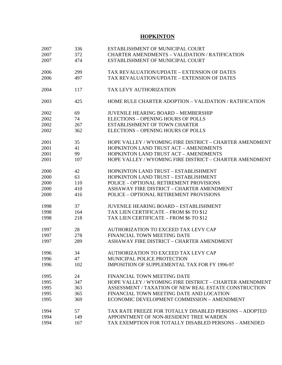## **HOPKINTON**

| 2007 | 336 | ESTABLISHMENT OF MUNICIPAL COURT                        |
|------|-----|---------------------------------------------------------|
| 2007 | 372 | <b>CHARTER AMENDMENTS - VALIDATION / RATIFICATION</b>   |
| 2007 | 474 | ESTABLISHMENT OF MUNICIPAL COURT                        |
|      |     |                                                         |
| 2006 | 299 | TAX REVALUATION/UPDATE - EXTENSION OF DATES             |
| 2006 | 497 | TAX REVALUATION/UPDATE - EXTENSION OF DATES             |
|      |     |                                                         |
| 2004 | 117 | TAX LEVY AUTHORIZATION                                  |
|      |     |                                                         |
| 2003 | 425 | HOME RULE CHARTER ADOPTION – VALIDATION / RATIFICATION  |
|      |     |                                                         |
| 2002 | 69  | <b>JUVENILE HEARING BOARD - MEMBERSHIP</b>              |
| 2002 | 74  | <b>ELECTIONS - OPENING HOURS OF POLLS</b>               |
| 2002 | 267 | ESTABLISHMENT OF TOWN CHARTER                           |
| 2002 | 362 | <b>ELECTIONS - OPENING HOURS OF POLLS</b>               |
|      |     |                                                         |
| 2001 | 35  | HOPE VALLEY / WYOMING FIRE DISTRICT - CHARTER AMENDMENT |
| 2001 | 41  | <b>HOPKINTON LAND TRUST ACT - AMENDMENTS</b>            |
| 2001 | 99  | <b>HOPKINTON LAND TRUST ACT - AMENDMENTS</b>            |
| 2001 | 107 | HOPE VALLEY / WYOMING FIRE DISTRICT - CHARTER AMENDMENT |
|      |     |                                                         |
| 2000 | 42  | HOPKINTON LAND TRUST - ESTABLISHMENT                    |
| 2000 | 63  | HOPKINTON LAND TRUST - ESTABLISHMENT                    |
| 2000 | 110 | POLICE - OPTIONAL RETIREMENT PROVISIONS                 |
| 2000 | 410 | ASHAWAY FIRE DISTRICT - CHARTER AMENDMENT               |
| 2000 | 416 | POLICE - OPTIONAL RETIREMENT PROVISIONS                 |
|      |     |                                                         |
| 1998 | 37  | <b>JUVENILE HEARING BOARD - ESTABLISHMENT</b>           |
| 1998 | 164 | TAX LIEN CERTIFICATE - FROM \$6 TO \$12                 |
| 1998 | 218 | TAX LIEN CERTIFICATE - FROM \$6 TO \$12                 |
|      |     |                                                         |
| 1997 | 28  | AUTHORIZATION TO EXCEED TAX LEVY CAP                    |
| 1997 | 278 | FINANCIAL TOWN MEETING DATE                             |
| 1997 | 289 | ASHAWAY FIRE DISTRICT - CHARTER AMENDMENT               |
|      |     |                                                         |
| 1996 | 34  | AUTHORIZATION TO EXCEED TAX LEVY CAP                    |
| 1996 | 47  | MUNICIPAL POLICE PROTECTION                             |
| 1996 | 102 | IMPOSITION OF SUPPLEMENTAL TAX FOR FY 1996-97           |
|      |     |                                                         |
| 1995 | 24  | FINANCIAL TOWN MEETING DATE                             |
| 1995 | 347 | HOPE VALLEY / WYOMING FIRE DISTRICT - CHARTER AMENDMENT |
| 1995 | 363 | ASSESSMENT / TAXATION OF NEW REAL ESTATE CONSTRUCTION   |
| 1995 | 365 | FINANCIAL TOWN MEETING DATE AND LOCATION                |
| 1995 | 369 | ECONOMIC DEVELOPMENT COMMISSION - AMENDMENT             |
|      |     |                                                         |
| 1994 | 57  | TAX RATE FREEZE FOR TOTALLY DISABLED PERSONS - ADOPTED  |
| 1994 | 149 | APPOINTMENT OF NON-RESIDENT TREE WARDEN                 |
| 1994 | 167 | TAX EXEMPTION FOR TOTALLY DISABLED PERSONS - AMENDED    |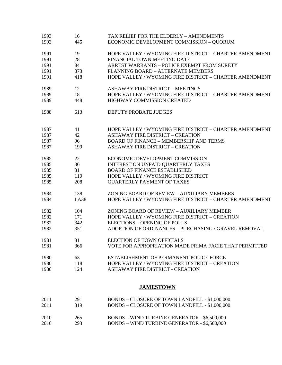| 1993 | 16          | TAX RELIEF FOR THE ELDERLY - AMENDMENTS                 |
|------|-------------|---------------------------------------------------------|
| 1993 | 445         | ECONOMIC DEVELOPMENT COMMISSION - QUORUM                |
| 1991 | 19          | HOPE VALLEY / WYOMING FIRE DISTRICT - CHARTER AMENDMENT |
| 1991 | 28          | FINANCIAL TOWN MEETING DATE                             |
| 1991 | 84          | ARREST WARRANTS - POLICE EXEMPT FROM SURETY             |
| 1991 | 373         | PLANNING BOARD - ALTERNATE MEMBERS                      |
| 1991 | 418         | HOPE VALLEY / WYOMING FIRE DISTRICT - CHARTER AMENDMENT |
| 1989 | 12          | <b>ASHAWAY FIRE DISTRICT - MEETINGS</b>                 |
| 1989 | 18          | HOPE VALLEY / WYOMING FIRE DISTRICT - CHARTER AMENDMENT |
| 1989 | 448         | HIGHWAY COMMISSION CREATED                              |
| 1988 | 613         | DEPUTY PROBATE JUDGES                                   |
| 1987 | 41          | HOPE VALLEY / WYOMING FIRE DISTRICT - CHARTER AMENDMENT |
| 1987 | 42          | <b>ASHAWAY FIRE DISTRICT - CREATION</b>                 |
| 1987 | 96          | <b>BOARD OF FINANCE - MEMBERSHIP AND TERMS</b>          |
| 1987 | 199         | <b>ASHAWAY FIRE DISTRICT - CREATION</b>                 |
| 1985 | 22          | ECONOMIC DEVELOPMENT COMMISSION                         |
| 1985 | 36          | INTEREST ON UNPAID QUARTERLY TAXES                      |
| 1985 | 81          | <b>BOARD OF FINANCE ESTABLISHED</b>                     |
| 1985 | 119         | HOPE VALLEY / WYOMING FIRE DISTRICT                     |
| 1985 | 208         | <b>QUARTERLY PAYMENT OF TAXES</b>                       |
| 1984 | 138         | ZONING BOARD OF REVIEW - AUXILIARY MEMBERS              |
| 1984 | <b>LA38</b> | HOPE VALLEY / WYOMING FIRE DISTRICT - CHARTER AMENDMENT |
| 1982 | 104         | ZONING BOARD OF REVIEW - AUXILIARY MEMBER               |
| 1982 | 171         | HOPE VALLEY / WYOMING FIRE DISTRICT - CREATION          |
| 1982 | 342         | <b>ELECTIONS - OPENING OF POLLS</b>                     |
| 1982 | 351         | ADOPTION OF ORDINANCES - PURCHASING / GRAVEL REMOVAL    |
| 1981 | 81          | <b>ELECTION OF TOWN OFFICIALS</b>                       |
| 1981 | 366         | VOTE FOR APPROPRIATION MADE PRIMA FACIE THAT PERMITTED  |
| 1980 | 63          | ESTABLISHMENT OF PERMANENT POLICE FORCE                 |
| 1980 | 118         | HOPE VALLEY / WYOMING FIRE DISTRICT - CREATION          |
| 1980 | 124         | ASHAWAY FIRE DISTRICT - CREATION                        |
|      |             | <b>JAMESTOWN</b>                                        |
| 2011 | 291         | BONDS - CLOSURE OF TOWN LANDFILL - \$1,000,000          |
| 2011 | 319         | BONDS - CLOSURE OF TOWN LANDFILL - \$1,000,000          |
| 2010 | 265         | BONDS - WIND TURBINE GENERATOR - \$6,500,000            |
| 2010 | 293         | <b>BONDS - WIND TURBINE GENERATOR - \$6,500,000</b>     |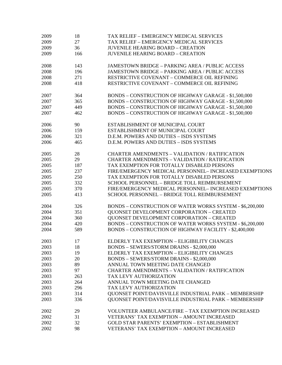| 2009 | 18  | TAX RELIEF - EMERGENCY MEDICAL SERVICES                   |
|------|-----|-----------------------------------------------------------|
| 2009 | 27  | TAX RELIEF - EMERGENCY MEDICAL SERVICES                   |
| 2009 | 36  | <b>JUVENILE HEARING BOARD - CREATION</b>                  |
| 2009 | 166 | <b>JUVENILE HEARING BOARD - CREATION</b>                  |
|      |     |                                                           |
| 2008 | 143 | <b>JAMESTOWN BRIDGE - PARKING AREA / PUBLIC ACCESS</b>    |
| 2008 | 196 | <b>JAMESTOWN BRIDGE - PARKING AREA / PUBLIC ACCESS</b>    |
| 2008 | 271 | RESTRICTIVE COVENANT - COMMERCE OIL REFINING              |
| 2008 | 418 | RESTRICTIVE COVENANT - COMMERCE OIL REFINING              |
| 2007 | 364 | BONDS - CONSTRUCTION OF HIGHWAY GARAGE - \$1,500,000      |
| 2007 | 365 | BONDS - CONSTRUCTION OF HIGHWAY GARAGE - \$1,500,000      |
| 2007 | 449 | BONDS - CONSTRUCTION OF HIGHWAY GARAGE - \$1,500,000      |
| 2007 | 462 | BONDS - CONSTRUCTION OF HIGHWAY GARAGE - \$1,500,000      |
|      |     |                                                           |
| 2006 | 90  | ESTABLISHMENT OF MUNICIPAL COURT                          |
| 2006 | 159 | ESTABLISHMENT OF MUNICIPAL COURT                          |
| 2006 | 321 | D.E.M. POWERS AND DUTIES - ISDS SYSTEMS                   |
| 2006 | 465 | D.E.M. POWERS AND DUTIES - ISDS SYSTEMS                   |
| 2005 | 28  | <b>CHARTER AMENDMENTS - VALIDATION / RATIFICATION</b>     |
| 2005 | 29  | CHARTER AMENDMENTS - VALIDATION / RATIFICATION            |
| 2005 | 187 | TAX EXEMPTION FOR TOTALLY DISABLED PERSONS                |
| 2005 | 237 | FIRE/EMERGENCY MEDICAL PERSONNEL- INCREASED EXEMPTIONS    |
| 2005 | 250 | TAX EXEMPTION FOR TOTALLY DISABLED PERSONS                |
| 2005 | 332 | SCHOOL PERSONNEL - BRIDGE TOLL REIMBURSEMENT              |
| 2005 | 370 | FIRE/EMERGENCY MEDICAL PERSONNEL- INCREASED EXEMPTIONS    |
| 2005 | 413 | SCHOOL PERSONNEL - BRIDGE TOLL REIMBURSEMENT              |
|      |     |                                                           |
| 2004 | 326 | BONDS - CONSTRUCTION OF WATER WORKS SYSTEM - \$6,200,000  |
| 2004 | 351 | <b>QUONSET DEVELOPMENT CORPORATION - CREATED</b>          |
| 2004 | 360 | <b>QUONSET DEVELOPMENT CORPORATION - CREATED</b>          |
| 2004 | 420 | BONDS - CONSTRUCTION OF WATER WORKS SYSTEM - \$6,200,000  |
| 2004 | 589 | BONDS - CONSTRUCTION OF HIGHWAY FACILITY - \$2,400,000    |
| 2003 | 17  | ELDERLY TAX EXEMPTION - ELIGIBILITY CHANGES               |
| 2003 | 18  | BONDS - SEWERS/STORM DRAINS - \$2,000,000                 |
| 2003 | 19  | ELDERLY TAX EXEMPTION - ELIGIBILITY CHANGES               |
| 2003 | 20  | BONDS - SEWERS/STORM DRAINS - \$2,000,000                 |
| 2003 | 89  | ANNUAL TOWN MEETING DATE CHANGED                          |
| 2003 | 97  | <b>CHARTER AMENDMENTS - VALIDATION / RATIFICATION</b>     |
| 2003 | 263 | TAX LEVY AUTHORIZATION                                    |
| 2003 | 264 | ANNUAL TOWN MEETING DATE CHANGED                          |
| 2003 | 296 | TAX LEVY AUTHORIZATION                                    |
| 2003 | 314 | QUONSET POINT/DAVISVILLE INDUSTRIAL PARK - MEMBERSHIP     |
| 2003 | 336 | QUONSET POINT/DAVISVILLE INDUSTRIAL PARK - MEMBERSHIP     |
|      |     |                                                           |
| 2002 | 29  | <b>VOLUNTEER AMBULANCE/FIRE - TAX EXEMPTION INCREASED</b> |
| 2002 | 31  | <b>VETERANS' TAX EXEMPTION - AMOUNT INCREASED</b>         |
| 2002 | 32  | GOLD STAR PARENTS' EXEMPTION - ESTABLISHMENT              |
| 2002 | 98  | VETERANS' TAX EXEMPTION - AMOUNT INCREASED                |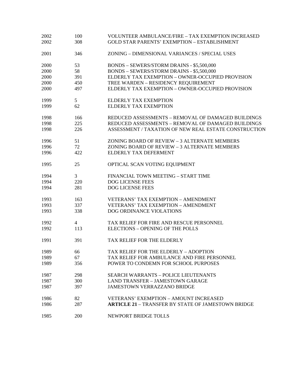| 2002 | 100             | <b>VOLUNTEER AMBULANCE/FIRE - TAX EXEMPTION INCREASED</b> |
|------|-----------------|-----------------------------------------------------------|
| 2002 | 308             | <b>GOLD STAR PARENTS' EXEMPTION - ESTABLISHMENT</b>       |
| 2001 | 346             | ZONING - DIMENSIONAL VARIANCES / SPECIAL USES             |
| 2000 | 53              | BONDS - SEWERS/STORM DRAINS - \$5,500,000                 |
| 2000 | 58              | BONDS - SEWERS/STORM DRAINS - \$5,500,000                 |
| 2000 | 391             | ELDERLY TAX EXEMPTION - OWNER-OCCUPIED PROVISION          |
| 2000 | 450             | TREE WARDEN - RESIDENCY REQUIREMENT                       |
| 2000 | 497             | ELDERLY TAX EXEMPTION - OWNER-OCCUPIED PROVISION          |
| 1999 | $5\overline{)}$ | <b>ELDERLY TAX EXEMPTION</b>                              |
| 1999 | 62              | <b>ELDERLY TAX EXEMPTION</b>                              |
| 1998 | 166             | REDUCED ASSESSMENTS - REMOVAL OF DAMAGED BUILDINGS        |
| 1998 | 225             | REDUCED ASSESSMENTS - REMOVAL OF DAMAGED BUILDINGS        |
| 1998 | 226             | ASSESSMENT / TAXATION OF NEW REAL ESTATE CONSTRUCTION     |
| 1996 | 51              | ZONING BOARD OF REVIEW - 3 ALTERNATE MEMBERS              |
| 1996 | 72              | ZONING BOARD OF REVIEW - 3 ALTERNATE MEMBERS              |
| 1996 | 422             | ELDERLY TAX DEFERMENT                                     |
| 1995 | 25              | OPTICAL SCAN VOTING EQUIPMENT                             |
| 1994 | 3               | FINANCIAL TOWN MEETING - START TIME                       |
| 1994 | 220             | DOG LICENSE FEES                                          |
| 1994 | 281             | <b>DOG LICENSE FEES</b>                                   |
| 1993 | 163             | <b>VETERANS' TAX EXEMPTION - AMENDMENT</b>                |
| 1993 | 337             | <b>VETERANS' TAX EXEMPTION - AMENDMENT</b>                |
| 1993 | 338             | DOG ORDINANCE VIOLATIONS                                  |
| 1992 | $\overline{4}$  | TAX RELIEF FOR FIRE AND RESCUE PERSONNEL                  |
| 1992 | 113             | ELECTIONS - OPENING OF THE POLLS                          |
| 1991 | 391             | TAX RELIEF FOR THE ELDERLY                                |
| 1989 | 66              | TAX RELIEF FOR THE ELDERLY - ADOPTION                     |
| 1989 | 67              | TAX RELIEF FOR AMBULANCE AND FIRE PERSONNEL               |
| 1989 | 356             | POWER TO CONDEMN FOR SCHOOL PURPOSES                      |
| 1987 | 298             | <b>SEARCH WARRANTS - POLICE LIEUTENANTS</b>               |
| 1987 | 300             | <b>LAND TRANSFER - JAMESTOWN GARAGE</b>                   |
| 1987 | 397             | <b>JAMESTOWN VERRAZZANO BRIDGE</b>                        |
| 1986 | 82              | <b>VETERANS' EXEMPTION - AMOUNT INCREASED</b>             |
| 1986 | 287             | <b>ARTICLE 21 - TRANSFER BY STATE OF JAMESTOWN BRIDGE</b> |
| 1985 | 200             | NEWPORT BRIDGE TOLLS                                      |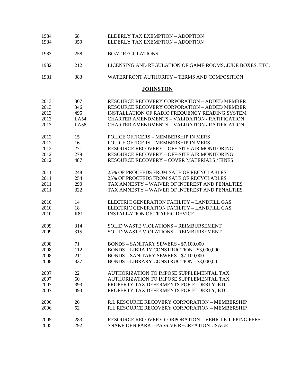| 1984 | 68          | ELDERLY TAX EXEMPTION - ADOPTION                         |
|------|-------------|----------------------------------------------------------|
| 1984 | 359         | ELDERLY TAX EXEMPTION - ADOPTION                         |
| 1983 | 258         | <b>BOAT REGULATIONS</b>                                  |
| 1982 | 212         | LICENSING AND REGULATION OF GAME ROOMS, JUKE BOXES, ETC. |
| 1981 | 383         | WATERFRONT AUTHORITY - TERMS AND COMPOSITION             |
|      |             | <b>JOHNSTON</b>                                          |
| 2013 | 307         | <b>RESOURCE RECOVERY CORPORATION - ADDED MEMBER</b>      |
| 2013 | 346         | <b>RESOURCE RECOVERY CORPORATION - ADDED MEMBER</b>      |
| 2013 | 495         | INSTALLATION OF RADIO FREQUENCY READING SYSTEM           |
| 2013 | <b>LA54</b> | <b>CHARTER AMENDMENTS - VALIDATION / RATIFICATION</b>    |
| 2013 | <b>LA58</b> | <b>CHARTER AMENDMENTS - VALIDATION / RATIFICATION</b>    |
| 2012 | 15          | POLICE OFFICERS - MEMBERSHIP IN MERS                     |
| 2012 | 16          | POLICE OFFICERS - MEMBERSHIP IN MERS                     |
| 2012 | 271         | RESOURCE RECOVERY - OFF-SITE AIR MONITORING              |
| 2012 | 279         | RESOURCE RECOVERY - OFF-SITE AIR MONITORING              |
| 2012 | 487         | <b>RESOURCE RECOVERY - COVER MATERIALS / FINES</b>       |
| 2011 | 248         | 25% OF PROCEEDS FROM SALE OF RECYCLABLES                 |
| 2011 | 254         | 25% OF PROCEEDS FROM SALE OF RECYCLABLES                 |
| 2011 | 290         | TAX AMNESTY - WAIVER OF INTEREST AND PENALTIES           |
| 2011 | 322         | TAX AMNESTY - WAIVER OF INTEREST AND PENALTIES           |
| 2010 | 14          | ELECTRIC GENERATION FACILITY - LANDFILL GAS              |
| 2010 | 18          | ELECTRIC GENERATION FACILITY - LANDFILL GAS              |
| 2010 | R81         | <b>INSTALLATION OF TRAFFIC DEVICE</b>                    |
| 2009 | 314         | <b>SOLID WASTE VIOLATIONS - REIMBURSEMENT</b>            |
| 2009 | 315         | <b>SOLID WASTE VIOLATIONS - REIMBURSEMENT</b>            |
| 2008 | 71          | <b>BONDS - SANITARY SEWERS - \$7,100,000</b>             |
| 2008 | 112         | BONDS - LIBRARY CONSTRUCTION - \$3,000,000               |
| 2008 | 211         | <b>BONDS - SANITARY SEWERS - \$7,100,000</b>             |
| 2008 | 337         | BONDS - LIBRARY CONSTRUCTION - \$3,000,00                |
| 2007 | 22          | AUTHORIZATION TO IMPOSE SUPPLEMENTAL TAX                 |
| 2007 | 60          | AUTHORIZATION TO IMPOSE SUPPLEMENTAL TAX                 |
| 2007 | 393         | PROPERTY TAX DEFERMENTS FOR ELDERLY, ETC.                |
| 2007 | 493         | PROPERTY TAX DEFERMENTS FOR ELDERLY, ETC.                |
| 2006 | 26          | R.I. RESOURCE RECOVERY CORPORATION - MEMBERSHIP          |
| 2006 | 52          | R.I. RESOURCE RECOVERY CORPORATION - MEMBERSHIP          |
| 2005 | 283         | RESOURCE RECOVERY CORPORATION - VEHICLE TIPPING FEES     |
| 2005 | 292         | SNAKE DEN PARK - PASSIVE RECREATION USAGE                |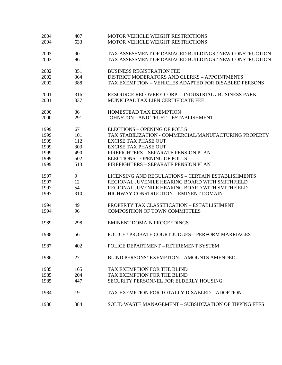| 2004 | 407 | <b>MOTOR VEHICLE WEIGHT RESTRICTIONS</b>                    |
|------|-----|-------------------------------------------------------------|
| 2004 | 533 | MOTOR VEHICLE WEIGHT RESTRICTIONS                           |
| 2003 | 90  | TAX ASSESSMENT OF DAMAGED BUILDINGS / NEW CONSTRUCTION      |
| 2003 | 96  | TAX ASSESSMENT OF DAMAGED BUILDINGS / NEW CONSTRUCTION      |
| 2002 | 351 | <b>BUSINESS REGISTRATION FEE</b>                            |
| 2002 | 364 | DISTRICT MODERATORS AND CLERKS - APPOINTMENTS               |
| 2002 | 388 | TAX EXEMPTION - VEHICLES ADAPTED FOR DISABLED PERSONS       |
| 2001 | 316 | <b>RESOURCE RECOVERY CORP. – INDUSTRIAL / BUSINESS PARK</b> |
| 2001 | 337 | MUNICIPAL TAX LIEN CERTIFICATE FEE                          |
| 2000 | 36  | HOMESTEAD TAX EXEMPTION                                     |
| 2000 | 291 | JOHNSTON LAND TRUST - ESTABLISHMENT                         |
| 1999 | 67  | <b>ELECTIONS - OPENING OF POLLS</b>                         |
| 1999 | 101 | TAX STABILIZATION - COMMERCIAL/MANUFACTURING PROPERTY       |
| 1999 | 112 | <b>EXCISE TAX PHASE OUT</b>                                 |
| 1999 | 303 | <b>EXCISE TAX PHASE OUT</b>                                 |
| 1999 | 490 | FIREFIGHTERS - SEPARATE PENSION PLAN                        |
| 1999 | 502 | <b>ELECTIONS - OPENING OF POLLS</b>                         |
| 1999 | 513 | FIREFIGHTERS - SEPARATE PENSION PLAN                        |
| 1997 | 9   | LICENSING AND REGULATIONS - CERTAIN ESTABLISHMENTS          |
| 1997 | 12  | REGIONAL JUVENILE HEARING BOARD WITH SMITHFIELD             |
| 1997 | 54  | REGIONAL JUVENILE HEARING BOARD WITH SMITHFIELD             |
| 1997 | 310 | HIGHWAY CONSTRUCTION - EMINENT DOMAIN                       |
| 1994 | 49  | PROPERTY TAX CLASSIFICATION - ESTABLISHMENT                 |
| 1994 | 96  | <b>COMPOSITION OF TOWN COMMITTEES</b>                       |
| 1989 | 298 | <b>EMINENT DOMAIN PROCEEDINGS</b>                           |
| 1988 | 561 | POLICE / PROBATE COURT JUDGES - PERFORM MARRIAGES           |
| 1987 | 402 | POLICE DEPARTMENT - RETIREMENT SYSTEM                       |
| 1986 | 27  | BLIND PERSONS' EXEMPTION - AMOUNTS AMENDED                  |
| 1985 | 165 | TAX EXEMPTION FOR THE BLIND                                 |
| 1985 | 204 | TAX EXEMPTION FOR THE BLIND                                 |
| 1985 | 447 | SECURITY PERSONNEL FOR ELDERLY HOUSING                      |
| 1984 | 19  | TAX EXEMPTION FOR TOTALLY DISABLED – ADOPTION               |
| 1980 | 384 | SOLID WASTE MANAGEMENT - SUBSIDIZATION OF TIPPING FEES      |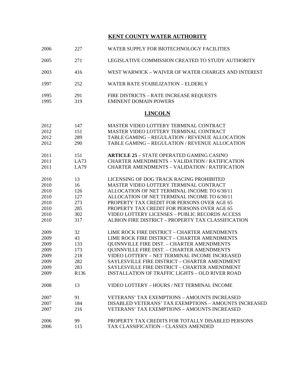## **KENT COUNTY WATER AUTHORITY**

| 2006 | 227  | WATER SUPPLY FOR BIOTECHNOLOGY FACILITIES              |
|------|------|--------------------------------------------------------|
| 2005 | 271  | LEGISLATIVE COMMISSION CREATED TO STUDY AUTHORITY      |
| 2003 | 416  | WEST WARWICK – WAIVER OF WATER CHARGES AND INTEREST    |
| 1997 | 252  | <b>WATER RATE STABILIZATION - ELDERLY</b>              |
| 1995 | 291  | FIRE DISTRICTS - RATE INCREASE REQUESTS                |
| 1995 | 319  | <b>EMINENT DOMAIN POWERS</b>                           |
|      |      | <b>LINCOLN</b>                                         |
| 2012 | 147  | MASTER VIDEO LOTTERY TERMINAL CONTRACT                 |
| 2012 | 151  | MASTER VIDEO LOTTERY TERMINAL CONTRACT                 |
| 2012 | 289  | TABLE GAMING - REGULATION / REVENUE ALLOCATION         |
| 2012 | 290  | TABLE GAMING - REGULATION / REVENUE ALLOCATION         |
| 2011 | 151  | <b>ARTICLE 25 - STATE OPERATED GAMING CASINO</b>       |
| 2011 | LA73 | <b>CHARTER AMENDMENTS - VALIDATION / RATIFICATION</b>  |
| 2011 | LA79 | <b>CHARTER AMENDMENTS - VALIDATION / RATIFICATION</b>  |
| 2010 | 13   | LICENSING OF DOG TRACK RACING PROHIBITED               |
| 2010 | 16   | MASTER VIDEO LOTTERY TERMINAL CONTRACT                 |
| 2010 | 126  | ALLOCATION OF NET TERMINAL INCOME TO 6/30/11           |
| 2010 | 127  | ALLOCATION OF NET TERMINAL INCOME TO 6/30/11           |
| 2010 | 273  | PROPERTY TAX CREDIT FOR PERSONS OVER AGE 65            |
| 2010 | 285  | PROPERTY TAX CREDIT FOR PERSONS OVER AGE 65            |
| 2010 | 302  | <b>VIDEO LOTTERY LICENSES - PUBLIC RECORDS ACCESS</b>  |
| 2010 | 317  | ALBION FIRE DISTRICT - PROPERTY TAX CLASSIFICATION     |
| 2009 | 32   | LIME ROCK FIRE DISTRICT - CHARTER AMENDMENTS           |
| 2009 | 43   | LIME ROCK FIRE DISTRICT - CHARTER AMENDMENTS           |
| 2009 | 133  | <b>QUINNVILLE FIRE DIST. - CHARTER AMENDMENTS</b>      |
| 2009 | 173  | <b>QUINNVILLE FIRE DIST. - CHARTER AMENDMENTS</b>      |
| 2009 | 218  | VIDEO LOTTERY - NET TERMINAL INCOME INCREASED          |
| 2009 | 282  | SAYLESVILLE FIRE DISTRICT - CHARTER AMENDMENT          |
| 2009 | 283  | SAYLESVILLE FIRE DISTRICT - CHARTER AMENDMENT          |
| 2009 | R136 | <b>INSTALLATION OF TRAFFIC LIGHTS - OLD RIVER ROAD</b> |
| 2008 | 13   | VIDEO LOTTERY - HOURS / NET TERMINAL INCOME            |
| 2007 | 91   | <b>VETERANS' TAX EXEMPTIONS - AMOUNTS INCREASED</b>    |
| 2007 | 184  | DISABLED VETERANS' TAX EXEMPTIONS - AMOUNTS INCREASED  |
| 2007 | 216  | <b>VETERANS' TAX EXEMPTIONS - AMOUNTS INCREASED</b>    |
| 2006 | 99   | PROPERTY TAX CREDITS FOR TOTALLY DISABLED PERSONS      |
| 2006 | 115  | TAX CLASSIFICATION - CLASSES AMENDED                   |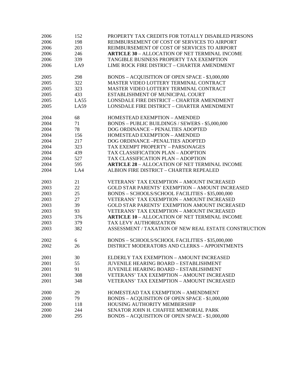| 2006 | 152         | PROPERTY TAX CREDITS FOR TOTALLY DISABLED PERSONS      |
|------|-------------|--------------------------------------------------------|
| 2006 | 198         | REIMBURSEMENT OF COST OF SERVICES TO AIRPORT           |
| 2006 | 203         | REIMBURSEMENT OF COST OF SERVICES TO AIRPORT           |
| 2006 | 246         | <b>ARTICLE 30 - ALLOCATION OF NET TERMINAL INCOME</b>  |
| 2006 | 339         | TANGIBLE BUSINESS PROPERTY TAX EXEMPTION               |
| 2006 | LA9         | LIME ROCK FIRE DISTRICT - CHARTER AMENDMENT            |
| 2005 | 298         | BONDS - ACQUISITION OF OPEN SPACE - \$3,000,000        |
| 2005 | 322         | MASTER VIDEO LOTTERY TERMINAL CONTRACT                 |
| 2005 | 323         | MASTER VIDEO LOTTERY TERMINAL CONTRACT                 |
| 2005 | 433         | ESTABLISHMENT OF MUNICIPAL COURT                       |
| 2005 | LA55        | LONSDALE FIRE DISTRICT - CHARTER AMENDMENT             |
| 2005 | <b>LA59</b> | LONSDALE FIRE DISTRICT - CHARTER AMENDMENT             |
| 2004 | 68          | HOMESTEAD EXEMPTION - AMENDED                          |
| 2004 | 71          | BONDS - PUBLIC BUILDINGS / SEWERS - \$5,000,000        |
| 2004 | 78          | DOG ORDINANCE - PENALTIES ADOPTED                      |
| 2004 | 156         | <b>HOMESTEAD EXEMPTION - AMENDED</b>                   |
| 2004 | 217         | DOG ORDINANCE - PENALTIES ADOPTED                      |
| 2004 | 323         | TAX EXEMPT PROPERTY - PARSONAGES                       |
| 2004 | 439         | <b>TAX CLASSIFICATION PLAN - ADOPTION</b>              |
| 2004 | 527         | TAX CLASSIFICATION PLAN - ADOPTION                     |
| 2004 | 595         | <b>ARTICLE 28 - ALLOCATION OF NET TERMINAL INCOME</b>  |
| 2004 | LA4         | ALBION FIRE DISTRICT - CHARTER REPEALED                |
| 2003 | 21          | <b>VETERANS' TAX EXEMPTION - AMOUNT INCREASED</b>      |
| 2003 | 22          | <b>GOLD STAR PARENTS' EXEMPTION - AMOUNT INCREASED</b> |
| 2003 | 25          | BONDS - SCHOOLS/SCHOOL FACILITIES - \$35,000,000       |
| 2003 | 27          | <b>VETERANS' TAX EXEMPTION - AMOUNT INCREASED</b>      |
| 2003 | 39          | <b>GOLD STAR PARENTS' EXEMPTION AMOUNT INCREASED</b>   |
| 2003 | 93          | VETERANS' TAX EXEMPTION - AMOUNT INCREASED             |
| 2003 | 376         | <b>ARTICLE 10 - ALLOCATION OF NET TERMINAL INCOME</b>  |
| 2003 | 379         | TAX LEVY AUTHORIZATION                                 |
| 2003 | 382         | ASSESSMENT / TAXATION OF NEW REAL ESTATE CONSTRUCTION  |
| 2002 | 6           | BONDS - SCHOOLS/SCHOOL FACILITIES - \$35,000,000       |
| 2002 | 26          | DISTRICT MODERATORS AND CLERKS - APPOINTMENTS          |
| 2001 | 30          | ELDERLY TAX EXEMPTION - AMOUNT INCREASED               |
| 2001 | 55          | <b>JUVENILE HEARING BOARD - ESTABLISHMENT</b>          |
| 2001 | 91          | <b>JUVENILE HEARING BOARD - ESTABLISHMENT</b>          |
| 2001 | 308         | VETERANS' TAX EXEMPTION - AMOUNT INCREASED             |
| 2001 | 348         | VETERANS' TAX EXEMPTION - AMOUNT INCREASED             |
| 2000 | 29          | HOMESTEAD TAX EXEMPTION - AMENDMENT                    |
| 2000 | 79          | BONDS - ACQUISITION OF OPEN SPACE - \$1,000,000        |
| 2000 | 118         | HOUSING AUTHORITY MEMBERSHIP                           |
| 2000 | 244         | SENATOR JOHN H. CHAFFEE MEMORIAL PARK                  |
| 2000 | 295         | BONDS - ACQUISITION OF OPEN SPACE - \$1,000,000        |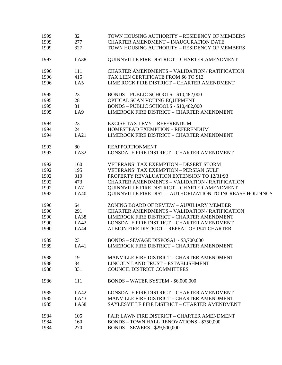| 1999 | 82          | TOWN HOUSING AUTHORITY - RESIDENCY OF MEMBERS                     |
|------|-------------|-------------------------------------------------------------------|
| 1999 | 277         | <b>CHARTER AMENDMENT - INAUGURATION DATE</b>                      |
| 1999 | 327         | TOWN HOUSING AUTHORITY - RESIDENCY OF MEMBERS                     |
| 1997 | <b>LA38</b> | <b>QUINNVILLE FIRE DISTRICT - CHARTER AMENDMENT</b>               |
| 1996 | 111         | <b>CHARTER AMENDMENTS - VALIDATION / RATIFICATION</b>             |
| 1996 | 415         | TAX LIEN CERTIFICATE FROM \$6 TO \$12                             |
| 1996 | LA5         | LIME ROCK FIRE DISTRICT - CHARTER AMENDMENT                       |
| 1995 | 23          | BONDS - PUBLIC SCHOOLS - \$10,482,000                             |
| 1995 | 28          | OPTICAL SCAN VOTING EQUIPMENT                                     |
| 1995 | 31          | BONDS - PUBLIC SCHOOLS - \$10,482,000                             |
| 1995 | LA9         | LIMEROCK FIRE DISTRICT - CHARTER AMENDMENT                        |
| 1994 | 23          | <b>EXCISE TAX LEVY - REFERENDUM</b>                               |
| 1994 | 24          | HOMESTEAD EXEMPTION - REFERENDUM                                  |
| 1994 | LA21        | <b>LIMEROCK FIRE DISTRICT - CHARTER AMENDMENT</b>                 |
| 1993 | 80          | <b>REAPPORTIONMENT</b>                                            |
| 1993 | <b>LA32</b> | LONSDALE FIRE DISTRICT - CHARTER AMENDMENT                        |
| 1992 | 160         | <b>VETERANS' TAX EXEMPTION - DESERT STORM</b>                     |
| 1992 | 195         | <b>VETERANS' TAX EXEMPTION - PERSIAN GULF</b>                     |
| 1992 | 310         | PROPERTY REVALUATION EXTENSION TO 12/31/93                        |
| 1992 | 473         | <b>CHARTER AMENDMENTS - VALIDATION / RATIFICATION</b>             |
| 1992 | LA7         | QUINNVILLE FIRE DISTRICT - CHARTER AMENDMENT                      |
| 1992 | <b>LA40</b> | <b>OUINNVILLE FIRE DIST. - AUTHORIZATION TO INCREASE HOLDINGS</b> |
| 1990 | 64          | ZONING BOARD OF REVIEW - AUXILIARY MEMBER                         |
| 1990 | 291         | <b>CHARTER AMENDMENTS - VALIDATION / RATIFICATION</b>             |
| 1990 | <b>LA38</b> | <b>LIMEROCK FIRE DISTRICT - CHARTER AMENDMENT</b>                 |
| 1990 | LA42        | LONSDALE FIRE DISTRICT - CHARTER AMENDMENT                        |
| 1990 | <b>LA44</b> | ALBION FIRE DISTRICT - REPEAL OF 1941 CHARTER                     |
| 1989 | 23          | BONDS - SEWAGE DISPOSAL - \$3,700,000                             |
| 1989 | LA41        | <b>LIMEROCK FIRE DISTRICT - CHARTER AMENDMENT</b>                 |
| 1988 | 19          | MANVILLE FIRE DISTRICT - CHARTER AMENDMENT                        |
| 1988 | 34          | LINCOLN LAND TRUST - ESTABLISHMENT                                |
| 1988 | 331         | COUNCIL DISTRICT COMMITTEES                                       |
| 1986 | 111         | BONDS - WATER SYSTEM - \$6,000,000                                |
| 1985 | LA42        | <b>LONSDALE FIRE DISTRICT - CHARTER AMENDMENT</b>                 |
| 1985 | LA43        | MANVILLE FIRE DISTRICT - CHARTER AMENDMENT                        |
| 1985 | <b>LA58</b> | SAYLESVILLE FIRE DISTRICT - CHARTER AMENDMENT                     |
| 1984 | 105         | FAIR LAWN FIRE DISTRICT - CHARTER AMENDMENT                       |
| 1984 | 160         | <b>BONDS - TOWN HALL RENOVATIONS - \$750,000</b>                  |
| 1984 | 270         | <b>BONDS - SEWERS - \$29,500,000</b>                              |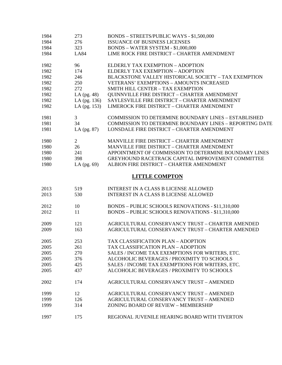| 1984 | 273            | BONDS - STREETS/PUBLIC WAYS - \$1,500,000                      |
|------|----------------|----------------------------------------------------------------|
| 1984 | 276            | ISSUANCE OF BUSINESS LICENSES                                  |
| 1984 | 323            | BONDS - WATER SYSTEM - \$1,000,000                             |
| 1984 | <b>LA84</b>    | LIME ROCK FIRE DISTRICT - CHARTER AMENDMENT                    |
| 1982 | 96             | ELDERLY TAX EXEMPTION - ADOPTION                               |
| 1982 | 174            | ELDERLY TAX EXEMPTION - ADOPTION                               |
| 1982 | 246            | BLACKSTONE VALLEY HISTORICAL SOCIETY - TAX EXEMPTION           |
| 1982 | 250            | <b>VETERANS' EXEMPTIONS - AMOUNTS INCREASED</b>                |
| 1982 | 272            | SMITH HILL CENTER - TAX EXEMPTION                              |
| 1982 | LA $(pg. 48)$  | QUINNVILLE FIRE DISTRICT - CHARTER AMENDMENT                   |
| 1982 | LA (pg. 136)   | SAYLESVILLE FIRE DISTRICT - CHARTER AMENDMENT                  |
| 1982 | LA (pg. 153)   | <b>LIMEROCK FIRE DISTRICT - CHARTER AMENDMENT</b>              |
| 1981 | 3              | <b>COMMISSION TO DETERMINE BOUNDARY LINES - ESTABLISHED</b>    |
| 1981 | 34             | <b>COMMISSION TO DETERMINE BOUNDARY LINES - REPORTING DATE</b> |
| 1981 | LA $(pg. 87)$  | <b>LONSDALE FIRE DISTRICT - CHARTER AMENDMENT</b>              |
| 1980 | $\overline{2}$ | MANVILLE FIRE DISTRICT - CHARTER AMENDMENT                     |
| 1980 | 26             | MANVILLE FIRE DISTRICT - CHARTER AMENDMENT                     |
| 1980 | 241            | APPOINTMENT OF COMMISSION TO DETERMINE BOUNDARY LINES          |
| 1980 | 398            | GREYHOUND RACETRACK CAPITAL IMPROVEMENT COMMITTEE              |
| 1980 | LA $(pg. 69)$  | ALBION FIRE DISTRICT - CHARTER AMENDMENT                       |
|      |                | <b>LITTLE COMPTON</b>                                          |
| 2013 | 519            | <b>INTEREST IN A CLASS B LICENSE ALLOWED</b>                   |
| 2013 | 530            | <b>INTEREST IN A CLASS B LICENSE ALLOWED</b>                   |
| 2012 | 10             | BONDS - PUBLIC SCHOOLS RENOVATIONS - \$11,310,000              |
| 2012 | 11             | BONDS - PUBLIC SCHOOLS RENOVATIONS - \$11,310,000              |
| 2009 | 121            | AGRICULTURAL CONSERVANCY TRUST - CHARTER AMENDED               |
| 2009 | 163            | AGRICULTURAL CONSERVANCY TRUST - CHARTER AMENDED               |
| 2005 | 253            | TAX CLASSIFICATION PLAN - ADOPTION                             |
| 2005 | 261            | TAX CLASSIFICATION PLAN - ADOPTION                             |
| 2005 | 270            | SALES / INCOME TAX EXEMPTIONS FOR WRITERS, ETC.                |
| 2005 | 376            | ALCOHOLIC BEVERAGES / PROXIMITY TO SCHOOLS                     |
| 2005 | 425            | SALES / INCOME TAX EXEMPTIONS FOR WRITERS, ETC.                |
| 2005 | 437            | ALCOHOLIC BEVERAGES / PROXIMITY TO SCHOOLS                     |
| 2002 | 174            | AGRICULTURAL CONSERVANCY TRUST - AMENDED                       |
| 1999 | 12             | AGRICULTURAL CONSERVANCY TRUST - AMENDED                       |
| 1999 | 126            | AGRICULTURAL CONSERVANCY TRUST - AMENDED                       |
| 1999 | 314            | ZONING BOARD OF REVIEW - MEMBERSHIP                            |
| 1997 | 175            | REGIONAL JUVENILE HEARING BOARD WITH TIVERTON                  |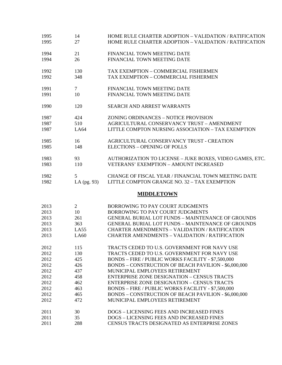| 1995 | 14             | HOME RULE CHARTER ADOPTION - VALIDATION / RATIFICATION      |
|------|----------------|-------------------------------------------------------------|
| 1995 | 27             | HOME RULE CHARTER ADOPTION - VALIDATION / RATIFICATION      |
| 1994 | 21             | FINANCIAL TOWN MEETING DATE                                 |
| 1994 | 26             | FINANCIAL TOWN MEETING DATE                                 |
| 1992 | 130            | TAX EXEMPTION - COMMERCIAL FISHERMEN                        |
| 1992 | 348            | TAX EXEMPTION - COMMERCIAL FISHERMEN                        |
| 1991 | $\tau$         | FINANCIAL TOWN MEETING DATE                                 |
| 1991 | 10             | FINANCIAL TOWN MEETING DATE                                 |
| 1990 | 120            | <b>SEARCH AND ARREST WARRANTS</b>                           |
| 1987 | 424            | ZONING ORDINANCES - NOTICE PROVISION                        |
| 1987 | 510            | AGRICULTURAL CONSERVANCY TRUST - AMENDMENT                  |
| 1987 | LA64           | LITTLE COMPTON NURSING ASSOCIATION - TAX EXEMPTION          |
| 1985 | 16             | AGRICULTURAL CONSERVANCY TRUST - CREATION                   |
| 1985 | 148            | <b>ELECTIONS - OPENING OF POLLS</b>                         |
| 1983 | 93             | AUTHORIZATION TO LICENSE - JUKE BOXES, VIDEO GAMES, ETC.    |
| 1983 | 110            | <b>VETERANS' EXEMPTION - AMOUNT INCREASED</b>               |
| 1982 | 5              | CHANGE OF FISCAL YEAR / FINANCIAL TOWN MEETING DATE         |
| 1982 | LA (pg. 93)    | LITTLE COMPTON GRANGE NO. 32 - TAX EXEMPTION                |
|      |                | <b>MIDDLETOWN</b>                                           |
| 2013 | $\overline{2}$ | BORROWING TO PAY COURT JUDGMENTS                            |
| 2013 | 10             | BORROWING TO PAY COURT JUDGMENTS                            |
| 2013 | 261            | <b>GENERAL BURIAL LOT FUNDS - MAINTENANCE OF GROUNDS</b>    |
| 2013 | 363            | <b>GENERAL BURIAL LOT FUNDS - MAINTENANCE OF GROUNDS</b>    |
| 2013 | LA55           | <b>CHARTER AMENDMENTS - VALIDATION / RATIFICATION</b>       |
| 2013 | LA60           | <b>CHARTER AMENDMENTS - VALIDATION / RATIFICATION</b>       |
| 2012 | 115            | TRACTS CEDED TO U.S. GOVERNMENT FOR NAVY USE                |
| 2012 | 130            | TRACTS CEDED TO U.S. GOVERNMENT FOR NAVY USE                |
| 2012 | 425            | BONDS - FIRE / PUBLIC WORKS FACILITY - \$7,500,000          |
| 2012 | 426            | BONDS - CONSTRUCTION OF BEACH PAVILION - \$6,000,000        |
| 2012 | 437            | MUNICIPAL EMPLOYEES RETIREMENT                              |
| 2012 | 458            | <b>ENTERPRISE ZONE DESIGNATION - CENSUS TRACTS</b>          |
| 2012 | 462            | <b>ENTERPRISE ZONE DESIGNATION - CENSUS TRACTS</b>          |
| 2012 | 463            | BONDS - FIRE / PUBLIC WORKS FACILITY - \$7,500,000          |
| 2012 | 465            | <b>BONDS - CONSTRUCTION OF BEACH PAVILION - \$6,000,000</b> |
| 2012 | 472            | MUNICIPAL EMPLOYEES RETIREMENT                              |
| 2011 | 30             | DOGS - LICENSING FEES AND INCREASED FINES                   |
| 2011 | 35             | DOGS - LICENSING FEES AND INCREASED FINES                   |
| 2011 | 288            | CENSUS TRACTS DESIGNATED AS ENTERPRISE ZONES                |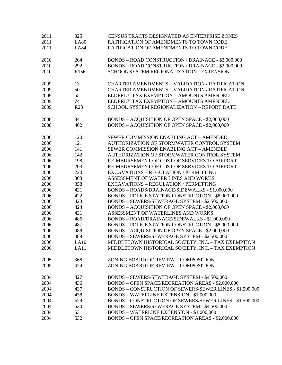| 2011         | 325              | CENSUS TRACTS DESIGNATED AS ENTERPRISE ZONES             |
|--------------|------------------|----------------------------------------------------------|
| 2011         | <b>LA80</b>      | RATIFICATION OF AMENDMENTS TO TOWN CODE                  |
| 2011         | <b>LA84</b>      | RATIFICATION OF AMENDMENTS TO TOWN CODE                  |
|              |                  |                                                          |
| 2010         | 264              | BONDS - ROAD CONSTRUCTION / DRAINAGE - \$2,000,000       |
| 2010         | 292              | BONDS - ROAD CONSTRUCTION / DRAINAGE - \$2,000,000       |
| 2010         | R <sub>156</sub> | SCHOOL SYSTEM REGIONALIZATION - EXTENSION                |
|              |                  |                                                          |
| 2009         | 13               | <b>CHARTER AMENDMENTS - VALIDATION / RATIFICATION</b>    |
| 2009         | 50               | <b>CHARTER AMENDMENTS - VALIDATION / RATIFICATION</b>    |
| 2009         | 55               | ELDERLY TAX EXEMPTION - AMOUNTS AMENDED                  |
| 2009         | 74               | ELDERLY TAX EXEMPTION - AMOUNTS AMENDED                  |
| 2009         | R <sub>23</sub>  | SCHOOL SYSTEM REGIONALIZATION - REPORT DATE              |
|              |                  |                                                          |
| 2008         | 341              | BONDS - ACQUISITION OF OPEN SPACE - \$2,000,000          |
| 2008         | 402              | BONDS - ACQUISITION OF OPEN SPACE - \$2,000,000          |
|              |                  |                                                          |
| 2006         | 120              | SEWER COMMISSION ENABLING ACT - AMENDED                  |
| 2006         | 121              | AUTHORIZATION OF STORMWATER CONTROL SYSTEM               |
| 2006         | 141              | SEWER COMMISSION ENABLING ACT - AMENDED                  |
| 2006         | 142              | AUTHORIZATION OF STORMWATER CONTROL SYSTEM               |
| 2006         | 198              | REIMBURSEMENT OF COST OF SERVICES TO AIRPORT             |
| 2006         | 203              | REIMBURSEMENT OF COST OF SERVICES TO AIRPORT             |
| 2006         | 220              | <b>EXCAVATIONS - REGULATION / PERMITTING</b>             |
| 2006         | 303              | ASSESSMENT OF WATER LINES AND WORKS                      |
| 2006         | 358              | <b>EXCAVATIONS - REGULATION / PERMITTING</b>             |
| 2006         | 421              | BONDS - ROADS/DRAINAGE/SIDEWALKS - \$1,000,000           |
| 2006         | 422              | BONDS - POLICE STATION CONSTRUCTION - \$8,000,000        |
| 2006         | 423              | BONDS - SEWERS/SEWERAGE SYSTEM - \$2,500,000             |
| 2006         | 424              | BONDS - ACQUISITION OF OPEN SPACE - \$2,000,000          |
| 2006         | 431              | ASSESSMENT OF WATERLINES AND WORKS                       |
| 2006         | 486              | BONDS - ROAD/DRAINAGE/SIDEWALKS - \$1,000,000            |
|              |                  | BONDS - POLICE STATION CONSTRUCTION - \$8,000,000        |
| 2006<br>2006 | 487              |                                                          |
|              | 488              | BONDS - ACQUISITION OF OPEN SPACE - \$2,000,000          |
| 2006         | 489              | BONDS - SEWERS/SEWERAGE SYSTEM - \$2,500,000             |
| 2006         | LA10             | MIDDLETOWN HISTORICAL SOCIETY, INC. - TAX EXEMPTION      |
| 2006         | LA11             | MIDDLETOWN HISTORICAL SOCIETY, INC. - TAX EXEMPTION      |
| 2005         | 368              | ZONING BOARD OF REVIEW - COMPOSITION                     |
| 2005         | 424              | ZONING BOARD OF REVIEW - COMPOSITION                     |
|              |                  |                                                          |
| 2004         | 427              | BONDS - SEWERS/SEWERAGE SYSTEM - \$4,500,000             |
| 2004         | 436              | <b>BONDS - OPEN SPACE/RECREATION AREAS - \$2,000,000</b> |
| 2004         | 437              | BONDS - CONSTRUCTION OF SEWERS/SEWER LINES - \$1,500,000 |
| 2004         | 438              | BONDS - WATERLINE EXTENSION - \$1,000,000                |
| 2004         | 529              | BONDS - CONSTRUCTION OF SEWERS/SEWER LINES - \$1,500,000 |
| 2004         | 530              | BONDS - SEWERS/SEWERAGE SYSTEM - \$4,500,000             |
| 2004         | 531              | BONDS - WATERLINE EXTENSION - \$1,000,000                |
| 2004         | 532              | BONDS - OPEN SPACE/RECREATION AREAS - \$2,000,000        |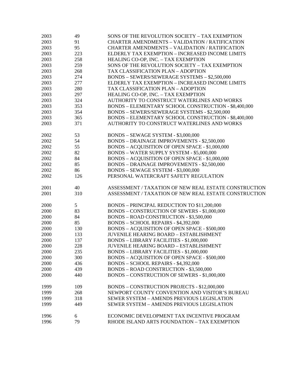| 2003 | 49  | SONS OF THE REVOLUTION SOCIETY - TAX EXEMPTION        |
|------|-----|-------------------------------------------------------|
| 2003 | 91  | <b>CHARTER AMENDMENTS - VALIDATION / RATIFICATION</b> |
| 2003 | 95  | <b>CHARTER AMENDMENTS - VALIDATION / RATIFICATION</b> |
| 2003 | 223 | ELDERLY TAX EXEMPTION - INCREASED INCOME LIMITS       |
| 2003 | 258 | HEALING CO-OP, INC. - TAX EXEMPTION                   |
| 2003 | 259 | SONS OF THE REVOLUTION SOCIETY - TAX EXEMPTION        |
| 2003 | 268 | TAX CLASSIFICATION PLAN - ADOPTION                    |
| 2003 | 274 | BONDS - SEWERS/SEWERAGE SYSTEMS - \$2,500,000         |
| 2003 | 277 | ELDERLY TAX EXEMPTION - INCREASED INCOME LIMITS       |
| 2003 | 280 | TAX CLASSIFICATION PLAN - ADOPTION                    |
| 2003 | 297 | HEALING CO-OP, INC. - TAX EXEMPTION                   |
| 2003 | 324 | AUTHORITY TO CONSTRUCT WATERLINES AND WORKS           |
| 2003 | 353 | BONDS - ELEMENTARY SCHOOL CONSTRUCTION - \$8,400,000  |
| 2003 | 354 | BONDS - SEWERS/SEWERAGE SYSTEMS - \$2,500,000         |
| 2003 | 365 | BONDS - ELEMENTARY SCHOOL CONSTRUCTION - \$8,400,000  |
| 2003 | 371 | AUTHORITY TO CONSTRUCT WATERLINES AND WORKS           |
|      |     |                                                       |
| 2002 | 53  | BONDS - SEWAGE SYSTEM - \$3,000,000                   |
| 2002 | 54  | <b>BONDS - DRAINAGE IMPROVEMENTS - \$2,500,000</b>    |
| 2002 | 55  | BONDS - ACQUISITION OF OPEN SPACE - \$1,000,000       |
| 2002 | 82  | BONDS - WATER SUPPLY SYSTEM - \$5,000,000             |
| 2002 | 84  | BONDS - ACQUISITION OF OPEN SPACE - \$1,000,000       |
| 2002 | 85  | <b>BONDS - DRAINAGE IMPROVEMENTS - \$2,500,000</b>    |
| 2002 | 86  | BONDS - SEWAGE SYSTEM - \$3,000,000                   |
| 2002 | 126 | PERSONAL WATERCRAFT SAFETY REGULATION                 |
|      |     |                                                       |
| 2001 | 40  | ASSESSMENT / TAXATION OF NEW REAL ESTATE CONSTRUCTION |
| 2001 | 310 | ASSESSMENT / TAXATION OF NEW REAL ESTATE CONSTRUCTION |
|      |     |                                                       |
| 2000 | 5   | BONDS - PRINCIPAL REDUCTION TO \$11,200,000           |
| 2000 | 83  | <b>BONDS - CONSTRUCTION OF SEWERS - \$1,000,000</b>   |
| 2000 | 84  | <b>BONDS - ROAD CONSTRUCTION - \$3,500,000</b>        |
| 2000 | 85  | BONDS - SCHOOL REPAIRS - \$4,392,000                  |
| 2000 | 130 | BONDS - ACQUISITION OF OPEN SPACE - \$500,000         |
| 2000 | 133 | <b>JUVENILE HEARING BOARD - ESTABLISHMENT</b>         |
| 2000 | 137 | <b>BONDS - LIBRARY FACILITIES - \$1,000,000</b>       |
| 2000 | 228 | <b>JUVENILE HEARING BOARD - ESTABLISHMENT</b>         |
| 2000 | 235 | <b>BONDS - LIBRARY FACILITIES - \$1,000,000</b>       |
| 2000 | 300 | <b>BONDS - ACQUISITION OF OPEN SPACE - \$500,000</b>  |
| 2000 | 436 | BONDS - SCHOOL REPAIRS - \$4,392,000                  |
| 2000 | 439 | <b>BONDS - ROAD CONSTRUCTION - \$3,500,000</b>        |
| 2000 | 440 | BONDS - CONSTRUCTION OF SEWERS - \$1,000,000          |
|      |     |                                                       |
| 1999 | 109 | BONDS - CONSTRUCTION PROJECTS - \$12,000,000          |
| 1999 | 268 | NEWPORT COUNTY CONVENTION AND VISITOR'S BUREAU        |
| 1999 | 318 | SEWER SYSTEM - AMENDS PREVIOUS LEGISLATION            |
| 1999 | 449 | SEWER SYSTEM - AMENDS PREVIOUS LEGISLATION            |
|      |     |                                                       |
| 1996 | 6   | ECONOMIC DEVELOPMENT TAX INCENTIVE PROGRAM            |
| 1996 | 79  | RHODE ISLAND ARTS FOUNDATION - TAX EXEMPTION          |
|      |     |                                                       |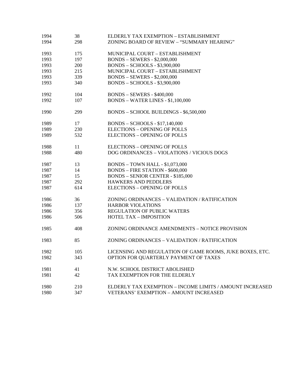| 1994 | 38  | ELDERLY TAX EXEMPTION - ESTABLISHMENT                    |
|------|-----|----------------------------------------------------------|
| 1994 | 298 | ZONING BOARD OF REVIEW - "SUMMARY HEARING"               |
| 1993 | 175 | MUNICIPAL COURT - ESTABLISHMENT                          |
| 1993 | 197 | <b>BONDS - SEWERS - \$2,000,000</b>                      |
| 1993 | 200 | <b>BONDS - SCHOOLS - \$3,900,000</b>                     |
| 1993 | 215 | MUNICIPAL COURT - ESTABLISHMENT                          |
| 1993 | 339 | <b>BONDS - SEWERS - \$2,000,000</b>                      |
| 1993 | 340 | <b>BONDS - SCHOOLS - \$3,900,000</b>                     |
| 1992 | 104 | <b>BONDS - SEWERS - \$400,000</b>                        |
| 1992 | 107 | BONDS - WATER LINES - \$1,100,000                        |
| 1990 | 299 | BONDS - SCHOOL BUILDINGS - \$6,500,000                   |
| 1989 | 17  | <b>BONDS - SCHOOLS - \$17,140,000</b>                    |
| 1989 | 230 | <b>ELECTIONS - OPENING OF POLLS</b>                      |
| 1989 | 532 | <b>ELECTIONS - OPENING OF POLLS</b>                      |
| 1988 | 11  | <b>ELECTIONS - OPENING OF POLLS</b>                      |
| 1988 | 480 | DOG ORDINANCES - VIOLATIONS / VICIOUS DOGS               |
| 1987 | 13  | <b>BONDS - TOWN HALL - \$1,073,000</b>                   |
| 1987 | 14  | <b>BONDS - FIRE STATION - \$600,000</b>                  |
| 1987 | 15  | <b>BONDS - SENIOR CENTER - \$185,000</b>                 |
| 1987 | 292 | <b>HAWKERS AND PEDDLERS</b>                              |
| 1987 | 614 | <b>ELECTIONS - OPENING OF POLLS</b>                      |
| 1986 | 36  | ZONING ORDINANCES - VALIDATION / RATIFICATION            |
| 1986 | 137 | <b>HARBOR VIOLATIONS</b>                                 |
| 1986 | 356 | <b>REGULATION OF PUBLIC WATERS</b>                       |
| 1986 | 506 | <b>HOTEL TAX - IMPOSITION</b>                            |
| 1985 | 408 | ZONING ORDINANCE AMENDMENTS - NOTICE PROVISION           |
| 1983 | 85  | ZONING ORDINANCES - VALIDATION / RATIFICATION            |
| 1982 | 105 | LICENSING AND REGULATION OF GAME ROOMS, JUKE BOXES, ETC. |
| 1982 | 343 | OPTION FOR QUARTERLY PAYMENT OF TAXES                    |
| 1981 | 41  | N.W. SCHOOL DISTRICT ABOLISHED                           |
| 1981 | 42  | TAX EXEMPTION FOR THE ELDERLY                            |
| 1980 | 210 | ELDERLY TAX EXEMPTION - INCOME LIMITS / AMOUNT INCREASED |
| 1980 | 347 | VETERANS' EXEMPTION - AMOUNT INCREASED                   |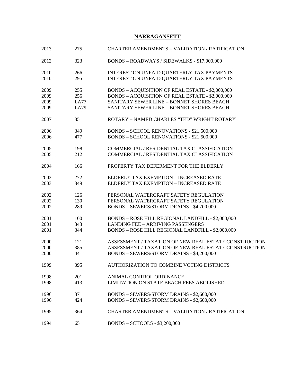## **NARRAGANSETT**

| 2013 | 275  | <b>CHARTER AMENDMENTS - VALIDATION / RATIFICATION</b> |
|------|------|-------------------------------------------------------|
| 2012 | 323  | BONDS - ROADWAYS / SIDEWALKS - \$17,000,000           |
| 2010 | 266  | INTEREST ON UNPAID QUARTERLY TAX PAYMENTS             |
| 2010 | 295  | INTEREST ON UNPAID QUARTERLY TAX PAYMENTS             |
|      |      |                                                       |
| 2009 | 255  | BONDS - ACQUISITION OF REAL ESTATE - \$2,000,000      |
| 2009 | 256  | BONDS - ACQUISITION OF REAL ESTATE - \$2,000,000      |
| 2009 | LA77 | SANITARY SEWER LINE - BONNET SHORES BEACH             |
| 2009 | LA79 | SANITARY SEWER LINE - BONNET SHORES BEACH             |
|      |      |                                                       |
| 2007 | 351  | ROTARY - NAMED CHARLES "TED" WRIGHT ROTARY            |
|      |      |                                                       |
| 2006 | 349  | BONDS – SCHOOL RENOVATIONS - \$21,500,000             |
| 2006 | 477  | <b>BONDS - SCHOOL RENOVATIONS - \$21,500,000</b>      |
|      |      |                                                       |
| 2005 | 198  | COMMERCIAL / RESIDENTIAL TAX CLASSIFICATION           |
| 2005 | 212  | COMMERCIAL / RESIDENTIAL TAX CLASSIFICATION           |
|      |      |                                                       |
| 2004 | 166  | PROPERTY TAX DEFERMENT FOR THE ELDERLY                |
|      |      |                                                       |
| 2003 | 272  | ELDERLY TAX EXEMPTION - INCREASED RATE                |
| 2003 | 349  | ELDERLY TAX EXEMPTION - INCREASED RATE                |
|      |      |                                                       |
| 2002 | 126  | PERSONAL WATERCRAFT SAFETY REGULATION                 |
| 2002 | 130  | PERSONAL WATERCRAFT SAFETY REGULATION                 |
| 2002 | 289  | BONDS - SEWERS/STORM DRAINS - \$4,700,000             |
|      |      |                                                       |
| 2001 | 100  | BONDS - ROSE HILL REGIONAL LANDFILL - \$2,000,000     |
| 2001 | 343  | <b>LANDING FEE - ARRIVING PASSENGERS</b>              |
| 2001 | 344  | BONDS - ROSE HILL REGIONAL LANDFILL - \$2,000,000     |
|      |      |                                                       |
| 2000 | 121  | ASSESSMENT / TAXATION OF NEW REAL ESTATE CONSTRUCTION |
| 2000 | 385  | ASSESSMENT / TAXATION OF NEW REAL ESTATE CONSTRUCTION |
| 2000 | 441  | BONDS - SEWERS/STORM DRAINS - \$4,200,000             |
|      |      |                                                       |
| 1999 | 395  | AUTHORIZATION TO COMBINE VOTING DISTRICTS             |
| 1998 | 201  | ANIMAL CONTROL ORDINANCE                              |
| 1998 | 413  | LIMITATION ON STATE BEACH FEES ABOLISHED              |
|      |      |                                                       |
| 1996 | 371  | BONDS - SEWERS/STORM DRAINS - \$2,600,000             |
| 1996 | 424  | BONDS - SEWERS/STORM DRAINS - \$2,600,000             |
|      |      |                                                       |
| 1995 | 364  | <b>CHARTER AMENDMENTS - VALIDATION / RATIFICATION</b> |
|      |      |                                                       |
| 1994 | 65   | <b>BONDS - SCHOOLS - \$3,200,000</b>                  |
|      |      |                                                       |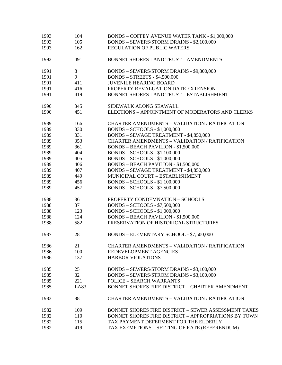| 1993 | 104         | <b>BONDS - COFFEY AVENUE WATER TANK - \$1,000,000</b>       |
|------|-------------|-------------------------------------------------------------|
| 1993 | 105         | BONDS - SEWERS/STORM DRAINS - \$2,100,000                   |
| 1993 | 162         | <b>REGULATION OF PUBLIC WATERS</b>                          |
| 1992 | 491         | <b>BONNET SHORES LAND TRUST - AMENDMENTS</b>                |
| 1991 | 8           | BONDS - SEWERS/STORM DRAINS - \$9,800,000                   |
| 1991 | 9           | <b>BONDS - STREETS - \$4,500,000</b>                        |
| 1991 | 411         | <b>JUVENILE HEARING BOARD</b>                               |
| 1991 | 416         | PROPERTY REVALUATION DATE EXTENSION                         |
| 1991 | 419         | <b>BONNET SHORES LAND TRUST - ESTABLISHMENT</b>             |
| 1990 | 345         | SIDEWALK ALONG SEAWALL                                      |
| 1990 | 451         | ELECTIONS - APPOINTMENT OF MODERATORS AND CLERKS            |
| 1989 | 166         | <b>CHARTER AMENDMENTS - VALIDATION / RATIFICATION</b>       |
| 1989 | 330         | <b>BONDS - SCHOOLS - \$1,000,000</b>                        |
| 1989 | 331         | <b>BONDS - SEWAGE TREATMENT - \$4,850,000</b>               |
| 1989 | 353         | CHARTER AMENDMENTS - VALIDATION / RATIFICATION              |
| 1989 | 361         | <b>BONDS - BEACH PAVILION - \$1,500,000</b>                 |
| 1989 | 404         | <b>BONDS - SCHOOLS - \$1,100,000</b>                        |
| 1989 | 405         | <b>BONDS - SCHOOLS - \$1,000,000</b>                        |
| 1989 | 406         | <b>BONDS - BEACH PAVILION - \$1,500,000</b>                 |
| 1989 | 407         | <b>BONDS - SEWAGE TREATMENT - \$4,850,000</b>               |
| 1989 | 449         | MUNICIPAL COURT - ESTABLISHMENT                             |
| 1989 | 456         | <b>BONDS - SCHOOLS - \$1,100,000</b>                        |
| 1989 | 457         | <b>BONDS - SCHOOLS - \$7,500,000</b>                        |
| 1988 | 36          | PROPERTY CONDEMNATION - SCHOOLS                             |
| 1988 | 37          | <b>BONDS - SCHOOLS - \$7,500,000</b>                        |
| 1988 | 123         | <b>BONDS - SCHOOLS - \$1,000,000</b>                        |
| 1988 | 124         | <b>BONDS - BEACH PAVILION - \$1,500,000</b>                 |
| 1988 | 582         | PRESERVATION OF HISTORICAL STRUCTURES                       |
| 1987 | 28          | BONDS - ELEMENTARY SCHOOL - \$7,500,000                     |
| 1986 | 21          | <b>CHARTER AMENDMENTS - VALIDATION / RATIFICATION</b>       |
| 1986 | 100         | REDEVELOPMENT AGENCIES                                      |
| 1986 | 137         | <b>HARBOR VIOLATIONS</b>                                    |
| 1985 | 25          | BONDS - SEWERS/STORM DRAINS - \$3,100,000                   |
| 1985 | 32          | BONDS - SEWERS/STROM DRAINS - \$3,100,000                   |
| 1985 | 221         | <b>POLICE - SEARCH WARRANTS</b>                             |
| 1985 | <b>LA83</b> | BONNET SHORES FIRE DISTRICT - CHARTER AMENDMENT             |
| 1983 | 88          | <b>CHARTER AMENDMENTS - VALIDATION / RATIFICATION</b>       |
| 1982 | 109         | BONNET SHORES FIRE DISTRICT - SEWER ASSESSMENT TAXES        |
| 1982 | 110         | <b>BONNET SHORES FIRE DISTRICT - APPROPRIATIONS BY TOWN</b> |
| 1982 | 115         | TAX PAYMENT DEFERMENT FOR THE ELDERLY                       |
| 1982 | 419         | TAX EXEMPTIONS - SETTING OF RATE (REFERENDUM)               |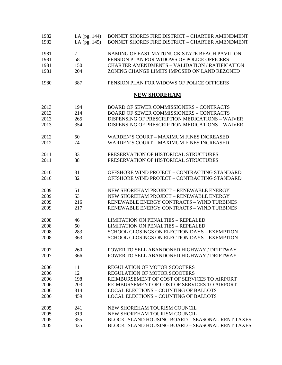| 1982<br>1982 | LA (pg. 144)<br>LA (pg. 145) | <b>BONNET SHORES FIRE DISTRICT - CHARTER AMENDMENT</b><br>BONNET SHORES FIRE DISTRICT - CHARTER AMENDMENT |
|--------------|------------------------------|-----------------------------------------------------------------------------------------------------------|
| 1981         | $\tau$                       | NAMING OF EAST MATUNUCK STATE BEACH PAVILION                                                              |
| 1981         | 58                           | PENSION PLAN FOR WIDOWS OF POLICE OFFICERS                                                                |
| 1981         | 150                          | <b>CHARTER AMENDMENTS - VALIDATION / RATIFICATION</b>                                                     |
| 1981         | 204                          | ZONING CHANGE LIMITS IMPOSED ON LAND REZONED                                                              |
| 1980         | 387                          | PENSION PLAN FOR WIDOWS OF POLICE OFFICERS                                                                |
|              |                              | <b>NEW SHOREHAM</b>                                                                                       |
| 2013         | 194                          | <b>BOARD OF SEWER COMMISSIONERS - CONTRACTS</b>                                                           |
| 2013         | 214                          | <b>BOARD OF SEWER COMMISSIONERS - CONTRACTS</b>                                                           |
| 2013         | 265                          | DISPENSING OF PRESCRIPTION MEDICATIONS - WAIVER                                                           |
| 2013         | 354                          | DISPENSING OF PRESCRIPTION MEDICATIONS - WAIVER                                                           |
| 2012         | 50                           | <b>WARDEN'S COURT - MAXIMUM FINES INCREASED</b>                                                           |
| 2012         | 74                           | <b>WARDEN'S COURT - MAXIMUM FINES INCREASED</b>                                                           |
| 2011         | 33                           | PRESERVATION OF HISTORICAL STRUCTURES                                                                     |
| 2011         | 38                           | PRESERVATION OF HISTORICAL STRUCTURES                                                                     |
| 2010         | 31                           | OFFSHORE WIND PROJECT - CONTRACTING STANDARD                                                              |
| 2010         | 32                           | OFFSHORE WIND PROJECT - CONTRACTING STANDARD                                                              |
| 2009         | 51                           | NEW SHOREHAM PROJECT - RENEWABLE ENERGY                                                                   |
| 2009         | 53                           | NEW SHOREHAM PROJECT - RENEWABLE ENERGY                                                                   |
| 2009         | 216                          | RENEWABLE ENERGY CONTRACTS - WIND TURBINES                                                                |
| 2009         | 217                          | RENEWABLE ENERGY CONTRACTS - WIND TURBINES                                                                |
| 2008         | 46                           | <b>LIMITATION ON PENALTIES - REPEALED</b>                                                                 |
| 2008         | 50                           | <b>LIMITATION ON PENALTIES - REPEALED</b>                                                                 |
| 2008         | 283                          | SCHOOL CLOSINGS ON ELECTION DAYS - EXEMPTION                                                              |
| 2008         | 363                          | SCHOOL CLOSINGS ON ELECTION DAYS - EXEMPTION                                                              |
| 2007         | 260                          | POWER TO SELL ABANDONED HIGHWAY / DRIFTWAY                                                                |
| 2007         | 366                          | POWER TO SELL ABANDONED HIGHWAY / DRIFTWAY                                                                |
| 2006         | 11                           | <b>REGULATION OF MOTOR SCOOTERS</b>                                                                       |
| 2006         | 12                           | REGULATION OF MOTOR SCOOTERS                                                                              |
| 2006         | 198                          | REIMBURSEMENT OF COST OF SERVICES TO AIRPORT                                                              |
| 2006         | 203                          | REIMBURSEMENT OF COST OF SERVICES TO AIRPORT                                                              |
| 2006         | 314                          | <b>LOCAL ELECTIONS - COUNTING OF BALLOTS</b>                                                              |
| 2006         | 459                          | <b>LOCAL ELECTIONS - COUNTING OF BALLOTS</b>                                                              |
| 2005         | 241                          | NEW SHOREHAM TOURISM COUNCIL                                                                              |
| 2005         | 319                          | NEW SHOREHAM TOURISM COUNCIL                                                                              |
| 2005         | 355                          | <b>BLOCK ISLAND HOUSING BOARD - SEASONAL RENT TAXES</b>                                                   |
| 2005         | 435                          | <b>BLOCK ISLAND HOUSING BOARD - SEASONAL RENT TAXES</b>                                                   |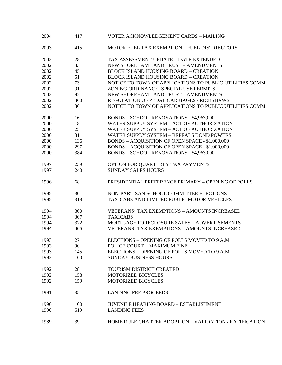| 2004 | 417 | VOTER ACKNOWLEDGEMENT CARDS - MAILING                    |
|------|-----|----------------------------------------------------------|
| 2003 | 415 | MOTOR FUEL TAX EXEMPTION - FUEL DISTRIBUTORS             |
| 2002 | 28  | TAX ASSESSMENT UPDATE - DATE EXTENDED                    |
| 2002 | 33  | NEW SHOREHAM LAND TRUST - AMENDMENTS                     |
| 2002 | 45  | <b>BLOCK ISLAND HOUSING BOARD - CREATION</b>             |
| 2002 | 51  | <b>BLOCK ISLAND HOUSING BOARD - CREATION</b>             |
| 2002 | 73  | NOTICE TO TOWN OF APPLICATIONS TO PUBLIC UTILITIES COMM. |
| 2002 | 91  | ZONING ORDINANCE- SPECIAL USE PERMITS                    |
| 2002 | 92  | NEW SHOREHAM LAND TRUST - AMENDMENTS                     |
| 2002 | 360 | REGULATION OF PEDAL CARRIAGES / RICKSHAWS                |
|      |     |                                                          |
| 2002 | 361 | NOTICE TO TOWN OF APPLICATIONS TO PUBLIC UTILITIES COMM. |
| 2000 | 16  | BONDS - SCHOOL RENOVATIONS - \$4,963,000                 |
| 2000 | 18  | WATER SUPPLY SYSTEM - ACT OF AUTHORIZATION               |
| 2000 | 25  | WATER SUPPLY SYSTEM - ACT OF AUTHORIZATION               |
| 2000 | 31  | <b>WATER SUPPLY SYSTEM - REPEALS BOND POWERS</b>         |
| 2000 | 136 | BONDS - ACQUISITION OF OPEN SPACE - \$1,000,000          |
| 2000 | 297 | BONDS - ACQUISITION OF OPEN SPACE - \$1,000,000          |
| 2000 | 384 | <b>BONDS - SCHOOL RENOVATIONS - \$4,963.000</b>          |
| 1997 | 239 | OPTION FOR QUARTERLY TAX PAYMENTS                        |
| 1997 | 240 | <b>SUNDAY SALES HOURS</b>                                |
|      |     |                                                          |
| 1996 | 68  | PRESIDENTIAL PREFERENCE PRIMARY - OPENING OF POLLS       |
| 1995 | 30  | NON-PARTISAN SCHOOL COMMITTEE ELECTIONS                  |
| 1995 | 318 | TAXICABS AND LIMITED PUBLIC MOTOR VEHICLES               |
| 1994 | 360 | VETERANS' TAX EXEMPTIONS - AMOUNTS INCREASED             |
| 1994 | 367 | <b>TAXICABS</b>                                          |
| 1994 | 372 | MORTGAGE FORECLOSURE SALES - ADVERTISEMENTS              |
| 1994 | 406 | <b>VETERANS' TAX EXEMPTIONS - AMOUNTS INCREASED</b>      |
| 1993 | 27  | ELECTIONS - OPENING OF POLLS MOVED TO 9 A.M.             |
| 1993 | 90  | POLICE COURT - MAXIMUM FINE                              |
| 1993 | 145 | ELECTIONS - OPENING OF POLLS MOVED TO 9 A.M.             |
| 1993 | 160 | <b>SUNDAY BUSINESS HOURS</b>                             |
| 1992 | 28  | TOURISM DISTRICT CREATED                                 |
|      | 158 |                                                          |
| 1992 |     | MOTORIZED BICYCLES                                       |
| 1992 | 159 | <b>MOTORIZED BICYCLES</b>                                |
| 1991 | 35  | <b>LANDING FEE PROCEEDS</b>                              |
| 1990 | 100 | JUVENILE HEARING BOARD – ESTABLISHMENT                   |
| 1990 | 519 | <b>LANDING FEES</b>                                      |
| 1989 | 39  | HOME RULE CHARTER ADOPTION - VALIDATION / RATIFICATION   |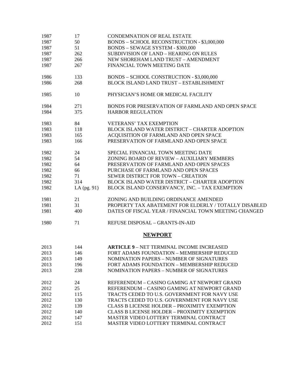| 1987 | 17            | <b>CONDEMNATION OF REAL ESTATE</b>                    |
|------|---------------|-------------------------------------------------------|
| 1987 | 50            | BONDS - SCHOOL RECONSTRUCTION - \$3,000,000           |
| 1987 | 51            | <b>BONDS - SEWAGE SYSTEM - \$300,000</b>              |
| 1987 | 262           | <b>SUBDIVISION OF LAND - HEARING ON RULES</b>         |
| 1987 | 266           | NEW SHOREHAM LAND TRUST - AMENDMENT                   |
| 1987 | 267           | FINANCIAL TOWN MEETING DATE                           |
| 1986 | 133           | BONDS - SCHOOL CONSTRUCTION - \$3,000,000             |
| 1986 | 268           | <b>BLOCK ISLAND LAND TRUST - ESTABLISHMENT</b>        |
| 1985 | 10            | PHYSICIAN'S HOME OR MEDICAL FACILITY                  |
| 1984 | 271           | BONDS FOR PRESERVATION OF FARMLAND AND OPEN SPACE     |
| 1984 | 375           | <b>HARBOR REGULATION</b>                              |
| 1983 | 84            | <b>VETERANS' TAX EXEMPTION</b>                        |
| 1983 | 118           | BLOCK ISLAND WATER DISTRICT - CHARTER ADOPTION        |
| 1983 | 165           | ACQUISITION OF FARMLAND AND OPEN SPACE                |
| 1983 | 166           | PRESERVATION OF FARMLAND AND OPEN SPACE               |
| 1982 | 24            | SPECIAL FINANCIAL TOWN MEETING DATE                   |
| 1982 | 54            | ZONING BOARD OF REVIEW - AUXILIARY MEMBERS            |
| 1982 | 64            | PRESERVATION OF FARMLAND AND OPEN SPACES              |
| 1982 | 66            | PURCHASE OF FARMLAND AND OPEN SPACES                  |
| 1982 | 71            | SEWER DISTRICT FOR TOWN - CREATION                    |
| 1982 | 314           | BLOCK ISLAND WATER DISTRICT - CHARTER ADOPTION        |
| 1982 | LA $(pg. 91)$ | BLOCK ISLAND CONSERVANCY, INC. - TAX EXEMPTION        |
| 1981 | 21            | ZONING AND BUILDING ORDINANCE AMENDED                 |
| 1981 | 31            | PROPERTY TAX ABATEMENT FOR ELDERLY / TOTALLY DISABLED |
| 1981 | 400           | DATES OF FISCAL YEAR / FINANCIAL TOWN MEETING CHANGED |
| 1980 | 71            | REFUSE DISPOSAL - GRANTS-IN-AID                       |
|      |               | <b>NEWPORT</b>                                        |
| 2013 | 144           | <b>ARTICLE 9 - NET TERMINAL INCOME INCREASED</b>      |
| 2013 | 146           | FORT ADAMS FOUNDATION - MEMBERSHIP REDUCED            |
| 2013 | 149           | <b>NOMINATION PAPERS - NUMBER OF SIGNATURES</b>       |
| 2013 | 196           | FORT ADAMS FOUNDATION - MEMBERSHIP REDUCED            |
| 2013 | 238           | NOMINATION PAPERS - NUMBER OF SIGNATURES              |
| 2012 | 24            | REFERENDUM - CASINO GAMING AT NEWPORT GRAND           |
| 2012 | 25            | REFERENDUM - CASINO GAMING AT NEWPORT GRAND           |
| 2012 | 115           | TRACTS CEDED TO U.S. GOVERNMENT FOR NAVY USE          |
| 2012 | 130           | TRACTS CEDED TO U.S. GOVERNMENT FOR NAVY USE          |
| 2012 | 139           | <b>CLASS B LICENSE HOLDER - PROXIMITY EXEMPTION</b>   |
| 2012 | 140           | <b>CLASS B LICENSE HOLDER - PROXIMITY EXEMPTION</b>   |
| 2012 | 147           | MASTER VIDEO LOTTERY TERMINAL CONTRACT                |
| 2012 | 151           | MASTER VIDEO LOTTERY TERMINAL CONTRACT                |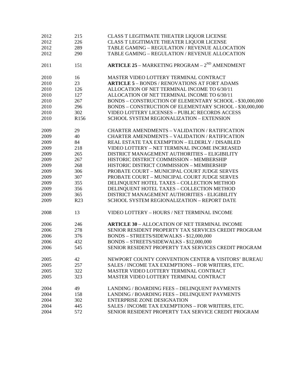| 2012         | 215  | CLASS T LEGITIMATE THEATER LIQUOR LICENSE                                                        |
|--------------|------|--------------------------------------------------------------------------------------------------|
| 2012         | 226  | CLASS T LEGITIMATE THEATER LIQUOR LICENSE                                                        |
| 2012         | 289  | TABLE GAMING - REGULATION / REVENUE ALLOCATION                                                   |
| 2012         | 290  | TABLE GAMING - REGULATION / REVENUE ALLOCATION                                                   |
|              |      |                                                                                                  |
| 2011         | 151  | <b>ARTICLE 25 - MARKETING PROGRAM - <math>2^{ND}</math> AMENDMENT</b>                            |
|              |      |                                                                                                  |
| 2010         | 16   | MASTER VIDEO LOTTERY TERMINAL CONTRACT                                                           |
| 2010         | 23   | <b>ARTICLE 5 - BONDS / RENOVATIONS AT FORT ADAMS</b>                                             |
| 2010         | 126  | ALLOCATION OF NET TERMINAL INCOME TO 6/30/11                                                     |
| 2010         | 127  | ALLOCATION OF NET TERMINAL INCOME TO 6/30/11                                                     |
| 2010         | 267  | BONDS - CONSTRUCTION OF ELEMENTARY SCHOOL - \$30,000,000                                         |
| 2010         | 296  | BONDS - CONSTRUCTION OF ELEMENTARY SCHOOL - \$30,000,000                                         |
| 2010         | 302  | VIDEO LOTTERY LICENSES - PUBLIC RECORDS ACCESS                                                   |
| 2010         | R156 | SCHOOL SYSTEM REGIONALIZATION - EXTENSION                                                        |
|              |      |                                                                                                  |
| 2009         | 29   | <b>CHARTER AMENDMENTS - VALIDATION / RATIFICATION</b>                                            |
| 2009         | 40   | CHARTER AMENDMENTS - VALIDATION / RATIFICATION                                                   |
| 2009         | 84   | REAL ESTATE TAX EXEMPTION - ELDERLY / DISABLED                                                   |
| 2009         | 218  | VIDEO LOTTERY - NET TERMINAL INCOME INCREASED                                                    |
| 2009         | 265  | DISTRICT MANAGEMENT AUTHORITIES - ELIGIBILITY                                                    |
| 2009         | 267  | HISTORIC DISTRICT COMMISSION - MEMBERSHIP                                                        |
| 2009         | 268  | HISTORIC DISTRICT COMMISSION - MEMBERSHIP                                                        |
| 2009         | 306  | PROBATE COURT - MUNICIPAL COURT JUDGE SERVES                                                     |
| 2009         | 307  | PROBATE COURT - MUNICIPAL COURT JUDGE SERVES                                                     |
| 2009         | 355  | DELINQUENT HOTEL TAXES - COLLECTION METHOD                                                       |
| 2009         | 356  | DELINQUENT HOTEL TAXES - COLLECTION METHOD                                                       |
| 2009         | 365  | DISTRICT MANAGEMENT AUTHORITIES - ELIGIBILITY                                                    |
| 2009         | R23  | SCHOOL SYSTEM REGIONALIZATION - REPORT DATE                                                      |
|              |      |                                                                                                  |
| 2008         | 13   | VIDEO LOTTERY - HOURS / NET TERMINAL INCOME                                                      |
|              |      |                                                                                                  |
| 2006         | 246  | <b>ARTICLE 30 - ALLOCATION OF NET TERMINAL INCOME</b>                                            |
| 2006         | 278  | SENIOR RESIDENT PROPERTY TAX SERVICES CREDIT PROGRAM                                             |
| 2006         | 376  | BONDS - STREETS/SIDEWALKS - \$12,000,000                                                         |
| 2006         | 432  |                                                                                                  |
| 2006         | 545  | BONDS – STREETS/SIDEWALKS - \$12,000,000<br>SENIOR RESIDENT PROPERTY TAX SERVICES CREDIT PROGRAM |
|              |      |                                                                                                  |
| 2005         | 42   | NEWPORT COUNTY CONVENTION CENTER & VISITORS' BUREAU                                              |
| 2005         | 257  | SALES / INCOME TAX EXEMPTIONS - FOR WRITERS, ETC.                                                |
| 2005         | 322  | MASTER VIDEO LOTTERY TERMINAL CONTRACT                                                           |
| 2005         | 323  | MASTER VIDEO LOTTERY TERMINAL CONTRACT                                                           |
|              |      |                                                                                                  |
|              | 49   |                                                                                                  |
| 2004<br>2004 | 158  | LANDING / BOARDING FEES - DELINQUENT PAYMENTS<br>LANDING / BOARDING FEES - DELINQUENT PAYMENTS   |
| 2004         | 302  | <b>ENTERPRISE ZONE DESIGNATION</b>                                                               |
|              |      |                                                                                                  |
| 2004         | 445  | SALES / INCOME TAX EXEMPTIONS - FOR WRITERS, ETC.                                                |
| 2004         | 572  | SENIOR RESIDENT PROPERTY TAX SERVICE CREDIT PROGRAM                                              |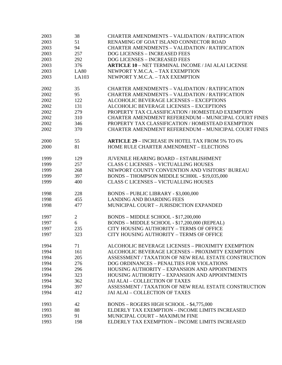| 2003 | 38             | <b>CHARTER AMENDMENTS - VALIDATION / RATIFICATION</b>      |
|------|----------------|------------------------------------------------------------|
| 2003 | 51             | RENAMING OF GOAT ISLAND CONNECTOR ROAD                     |
| 2003 | 94             | <b>CHARTER AMENDMENTS - VALIDATION / RATIFICATION</b>      |
| 2003 | 257            | <b>DOG LICENSES - INCREASED FEES</b>                       |
| 2003 | 292            | DOG LICENSES - INCREASED FEES                              |
| 2003 | 376            | <b>ARTICLE 10 - NET TERMINAL INCOME / JAI ALAI LICENSE</b> |
| 2003 | <b>LA80</b>    | NEWPORT Y.M.C.A. - TAX EXEMPTION                           |
| 2003 | LA103          | NEWPORT Y.M.C.A. - TAX EXEMPTION                           |
|      |                |                                                            |
| 2002 | 35             | <b>CHARTER AMENDMENTS - VALIDATION / RATIFICATION</b>      |
| 2002 | 95             | <b>CHARTER AMENDMENTS - VALIDATION / RATIFICATION</b>      |
| 2002 | 122            | <b>ALCOHOLIC BEVERAGE LICENSES - EXCEPTIONS</b>            |
| 2002 | 131            | <b>ALCOHOLIC BEVERAGE LICENSES - EXCEPTIONS</b>            |
| 2002 | 279            | PROPERTY TAX CLASSIFICATION / HOMESTEAD EXEMPTION          |
| 2002 | 310            | CHARTER AMENDMENT REFERENDUM - MUNICIPAL COURT FINES       |
| 2002 | 346            | PROPERTY TAX CLASSIFICATION / HOMESTEAD EXEMPTION          |
| 2002 | 370            | CHARTER AMENDMENT REFERENDUM - MUNICIPAL COURT FINES       |
|      |                |                                                            |
| 2000 | 55             | <b>ARTICLE 29 - INCREASE IN HOTEL TAX FROM 5% TO 6%</b>    |
| 2000 | 81             | HOME RULE CHARTER AMENDMENT - ELECTIONS                    |
|      |                |                                                            |
| 1999 | 129            | <b>JUVENILE HEARING BOARD - ESTABLISHMENT</b>              |
| 1999 | 257            | <b>CLASS C LICENSES - VICTUALLING HOUSES</b>               |
| 1999 | 268            | NEWPORT COUNTY CONVENTION AND VISITORS' BUREAU             |
| 1999 | 397            | BONDS - THOMPSON MIDDLE SCH00L - \$19,035,000              |
| 1999 | 400            | <b>CLASS C LICENSES - VICTUALLING HOUSES</b>               |
|      |                |                                                            |
| 1998 | 228            | BONDS - PUBLIC LIBRARY - \$3,000,000                       |
| 1998 | 455            | <b>LANDING AND BOARDING FEES</b>                           |
| 1998 | 477            | MUNICIPAL COURT - JURISDICTION EXPANDED                    |
|      |                |                                                            |
| 1997 | $\overline{2}$ | BONDS - MIDDLE SCHOOL - \$17,200,000                       |
| 1997 | 6              | BONDS - MIDDLE SCHOOL - \$17,200,000 (REPEAL)              |
| 1997 | 235            | CITY HOUSING AUTHORITY - TERMS OF OFFICE                   |
| 1997 | 323            | CITY HOUSING AUTHORITY - TERMS OF OFFICE                   |
|      |                |                                                            |
| 1994 | 71             | ALCOHOLIC BEVERAGE LICENSES - PROXIMITY EXEMPTION          |
| 1994 | 161            | ALCOHOLIC BEVERAGE LICENSES - PROXIMITY EXEMPTION          |
| 1994 | 205            | ASSESSMENT / TAXATION OF NEW REAL ESTATE CONSTRUCTION      |
| 1994 | 276            | DOG ORDINANCES - PENALTIES FOR VIOLATIONS                  |
| 1994 | 296            | HOUSING AUTHORITY - EXPANSION AND APPOINTMENTS             |
| 1994 | 323            | HOUSING AUTHORITY - EXPANSION AND APPOINTMENTS             |
| 1994 | 362            | <b>JAI ALAI - COLLECTION OF TAXES</b>                      |
| 1994 | 397            | ASSESSMENT / TAXATION OF NEW REAL ESTATE CONSTRUCTION      |
| 1994 | 412            | <b>JAI ALAI - COLLECTION OF TAXES</b>                      |
|      |                |                                                            |
| 1993 | 42             | BONDS - ROGERS HIGH SCHOOL - \$4,775,000                   |
| 1993 | 88             | ELDERLY TAX EXEMPTION - INCOME LIMITS INCREASED            |
| 1993 | 91             | MUNICIPAL COURT - MAXIMUM FINE                             |
| 1993 | 198            | ELDERLY TAX EXEMPTION - INCOME LIMITS INCREASED            |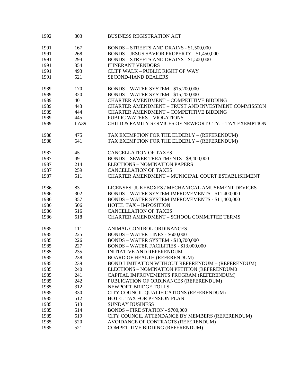| 1991 | 167  | <b>BONDS - STREETS AND DRAINS - \$1,500,000</b>          |
|------|------|----------------------------------------------------------|
|      |      |                                                          |
| 1991 | 268  | <b>BONDS - JESUS SAVIOR PROPERTY - \$1,450,000</b>       |
| 1991 | 294  | <b>BONDS - STREETS AND DRAINS - \$1,500,000</b>          |
| 1991 | 354  | <b>ITINERANT VENDORS</b>                                 |
| 1991 | 493  | <b>CLIFF WALK - PUBLIC RIGHT OF WAY</b>                  |
| 1991 | 521  | <b>SECOND-HAND DEALERS</b>                               |
| 1989 | 170  | <b>BONDS - WATER SYSTEM - \$15,200,000</b>               |
| 1989 | 320  | <b>BONDS - WATER SYSTEM - \$15,200,000</b>               |
| 1989 | 401  | <b>CHARTER AMENDMENT - COMPETITIVE BIDDING</b>           |
| 1989 | 443  | CHARTER AMENDMENT - TRUST AND INVESTMENT COMMISSION      |
| 1989 | 444  | <b>CHARTER AMENDMENT - COMPETITIVE BIDDING</b>           |
| 1989 | 445  | <b>PUBLIC WATERS - VIOLATIONS</b>                        |
| 1989 | LA39 | CHILD & FAMILY SERVICES OF NEWPORT CTY. - TAX EXEMPTION  |
| 1988 | 475  | TAX EXEMPTION FOR THE ELDERLY - (REFERENDUM)             |
| 1988 | 641  | TAX EXEMPTION FOR THE ELDERLY - (REFERENDUM)             |
| 1987 | 45   | <b>CANCELLATION OF TAXES</b>                             |
| 1987 | 49   | <b>BONDS - SEWER TREATMENTS - \$8,400,000</b>            |
| 1987 | 214  | <b>ELECTIONS - NOMINATION PAPERS</b>                     |
| 1987 | 259  | <b>CANCELLATION OF TAXES</b>                             |
| 1987 | 511  | CHARTER AMENDMENT - MUNICIPAL COURT ESTABLISHMENT        |
| 1986 | 83   | LICENSES: JUKEBOXES / MECHANICAL AMUSEMENT DEVICES       |
| 1986 | 302  | BONDS - WATER SYSTEM IMPROVEMENTS - \$11,400,000         |
| 1986 | 357  | <b>BONDS - WATER SYSTEM IMPROVEMENTS - \$11,400,000</b>  |
| 1986 | 506  | <b>HOTEL TAX - IMPOSITION</b>                            |
| 1986 | 516  | <b>CANCELLATION OF TAXES</b>                             |
| 1986 | 518  | <b>CHARTER AMENDMENT - SCHOOL COMMITTEE TERMS</b>        |
| 1985 | 111  | ANIMAL CONTROL ORDINANCES                                |
| 1985 | 225  | <b>BONDS - WATER LINES - \$600,000</b>                   |
| 1985 | 226  | <b>BONDS - WATER SYSTEM - \$10,700,000</b>               |
| 1985 | 227  | <b>BONDS - WATER FACILITIES - \$13,000,000</b>           |
| 1985 | 235  | <b>INITIATIVE AND REFERENDUM</b>                         |
| 1985 | 238  | <b>BOARD OF HEALTH (REFERENDUM)</b>                      |
| 1985 | 239  | <b>BOND LIMITATION WITHOUT REFERENDUM - (REFERENDUM)</b> |
| 1985 | 240  | ELECTIONS - NOMINATION PETITION (REFERENDUMO             |
| 1985 | 241  | CAPITAL IMPROVEMENTS PROGRAM (REFERENDUM)                |
| 1985 | 242  | PUBLICATION OF ORDINANCES (REFERENDUM)                   |
| 1985 | 312  | NEWPORT BRIDGE TOLLS                                     |
| 1985 | 330  | CITY COUNCIL QUALIFICATIONS (REFERENDUM)                 |
| 1985 | 512  | HOTEL TAX FOR PENSION PLAN                               |
| 1985 | 513  | <b>SUNDAY BUSINESS</b>                                   |
| 1985 | 514  | <b>BONDS - FIRE STATION - \$700,000</b>                  |
| 1985 | 519  | CITY COUNCIL ATTENDANCE BY MEMBERS (REFERENDUM)          |
| 1985 | 520  | AVOIDANCE OF CONTRACTS (REFERENDUM)                      |
| 1985 | 521  | COMPETITIVE BIDDING (REFERENDUM)                         |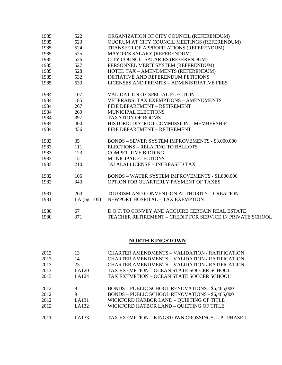| 1985 | 522            | ORGANIZATION OF CITY COUNCIL (REFERENDUM)                 |
|------|----------------|-----------------------------------------------------------|
| 1985 | 523            | QUORUM AT CITY COUNCIL MEETINGS (REFERENDUM)              |
| 1985 | 524            | TRANSFER OF APPROPRIATIONS (REFERENDUM)                   |
| 1985 | 525            | MAYOR'S SALARY (REFERENDUM)                               |
| 1985 | 526            | CITY COUNCIL SALARIES (REFERENDUM)                        |
| 1985 | 527            | PERSONNEL MERIT SYSTEM (REFERENDUM)                       |
| 1985 | 528            | HOTEL TAX - AMENDMENTS (REFERENDUM)                       |
| 1985 | 532            | <b>INITIATIVE AND REFERENDUM PETITIONS</b>                |
| 1985 | 533            | LICENSES AND PERMITS - ADMINISTRATIVE FEES                |
| 1984 | 107            | <b>VALIDATION OF SPECIAL ELECTION</b>                     |
| 1984 | 185            | <b>VETERANS' TAX EXEMPTIONS - AMENDMENTS</b>              |
| 1984 | 267            | FIRE DEPARTMENT - RETIREMENT                              |
| 1984 | 269            | <b>MUNICIPAL ELECTIONS</b>                                |
| 1984 | 397            | <b>TAXATION OF ROOMS</b>                                  |
| 1984 | 400            | HISTORIC DISTRICT COMMISSION - MEMBERSHIP                 |
| 1984 | 436            | FIRE DEPARTMENT - RETIREMENT                              |
| 1983 | 35             | <b>BONDS - SEWER SYSTEM IMPROVEMENTS - \$3,000.000</b>    |
| 1983 | 111            | <b>ELECTIONS - RELATING TO BALLOTS</b>                    |
| 1983 | 123            | <b>COMPETITIVE BIDDING</b>                                |
| 1983 | 151            | <b>MUNICIPAL ELECTIONS</b>                                |
| 1983 | 210            | JAI ALAI LICENSE - INCREASED TAX                          |
| 1982 | 106            | <b>BONDS - WATER SYSTEM IMPROVEMENTS - \$1,800,000</b>    |
| 1982 | 343            | OPTION FOR QUARTERLY PAYMENT OF TAXES                     |
| 1981 | 263            | TOURISM AND CONVENTION AUTHORITY - CREATION               |
| 1981 | LA $(pg. 105)$ | NEWPORT HOSPITAL - TAX EXEMPTION                          |
| 1980 | 67             | D.O.T. TO CONVEY AND ACQUIRE CERTAIN REAL ESTATE          |
| 1980 | 371            | TEACHER RETIREMENT - CREDIT FOR SERVICE IN PRIVATE SCHOOL |

## **NORTH KINGSTOWN**

| 2013 | 13    | <b>CHARTER AMENDMENTS - VALIDATION / RATIFICATION</b>  |
|------|-------|--------------------------------------------------------|
| 2013 | 14    | <b>CHARTER AMENDMENTS - VALIDATION / RATIFICATION</b>  |
| 2013 | 23    | <b>CHARTER AMENDMENTS - VALIDATION / RATIFICATION</b>  |
| 2013 | LA120 | TAX EXEMPTION - OCEAN STATE SOCCER SCHOOL              |
| 2013 | LA124 | TAX EXEMPTION - OCEAN STATE SOCCER SCHOOL              |
|      |       |                                                        |
| 2012 | 8     | <b>BONDS - PUBLIC SCHOOL RENOVATIONS - \$6,465,000</b> |
| 2012 | 9     | <b>BONDS - PUBLIC SCHOOL RENOVATIONS - \$6,465,000</b> |
| 2012 | LA131 | WICKFORD HARBOR LAND - QUIETING OF TITLE               |
| 2012 | LA132 | WICKFORD HATBOR LAND - QUIETING OF TITLE               |
| 2011 | LA133 | TAX EXEMPTION - KINGSTOWN CROSSINGS, L.P. PHASE I      |
|      |       |                                                        |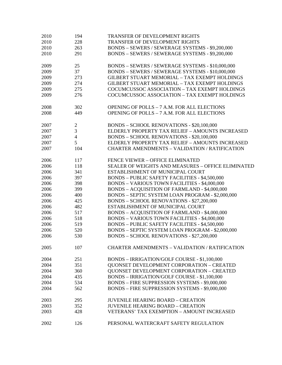| 2010 | 194            | <b>TRANSFER OF DEVELOPMENT RIGHTS</b>                     |
|------|----------------|-----------------------------------------------------------|
| 2010 | 228            | TRANSFER OF DEVELOPMENT RIGHTS                            |
| 2010 | 263            | BONDS - SEWERS / SEWERAGE SYSTEMS - \$9,200,000           |
| 2010 | 291            | BONDS - SEWERS / SEWERAGE SYSTEMS - \$9,200,000           |
|      |                |                                                           |
| 2009 | 25             | BONDS - SEWERS / SEWERAGE SYSTEMS - \$10,000,000          |
| 2009 | 37             | BONDS - SEWERS / SEWERAGE SYSTEMS - \$10,000,000          |
| 2009 | 273            | <b>GILBERT STUART MEMORIAL - TAX EXEMPT HOLDINGS</b>      |
| 2009 | 274            | GILBERT STUART MEMORIAL - TAX EXEMPT HOLDINGS             |
| 2009 | 275            | COCUMCUSSOC ASSOCIATION - TAX EXEMPT HOLDINGS             |
| 2009 | 276            | COCUMCUSSOC ASSOCIATION - TAX EXEMPT HOLDINGS             |
|      |                |                                                           |
| 2008 | 302            | OPENING OF POLLS - 7 A.M. FOR ALL ELECTIONS               |
| 2008 | 449            | OPENING OF POLLS - 7 A.M. FOR ALL ELECTIONS               |
| 2007 | $\sqrt{2}$     | <b>BONDS - SCHOOL RENOVATIONS - \$20,100,000</b>          |
| 2007 | 3              | ELDERLY PROPERTY TAX RELIEF - AMOUNTS INCREASED           |
| 2007 | $\overline{4}$ | <b>BONDS - SCHOOL RENOVATIONS - \$20,100,000</b>          |
| 2007 | 5              | ELDERLY PROPERTY TAX RELIEF - AMOUNTS INCREASED           |
| 2007 | 104            | <b>CHARTER AMENDMENTS - VALIDATION / RATIFICATION</b>     |
|      |                |                                                           |
| 2006 | 117            | FENCE VIEWER - OFFICE ELIMINATED                          |
| 2006 | 118            | <b>SEALER OF WEIGHTS AND MEASURES - OFFICE ELIMINATED</b> |
| 2006 | 341            | ESTABLISHMENT OF MUNICIPAL COURT                          |
| 2006 | 397            | <b>BONDS - PUBLIC SAFETY FACILITIES - \$4,500,000</b>     |
| 2006 | 398            | <b>BONDS - VARIOUS TOWN FACILITIES - \$4,000,000</b>      |
| 2006 | 399            | <b>BONDS - ACQUISITION OF FARMLAND - \$4,000,000</b>      |
| 2006 | 400            | BONDS - SEPTIC SYSTEM LOAN PROGRAM - \$2,000,000          |
| 2006 | 425            | <b>BONDS - SCHOOL RENOVATIONS - \$27,200,000</b>          |
| 2006 | 482            | ESTABLISHMENT OF MUNICIPAL COURT                          |
| 2006 | 517            | <b>BONDS - ACQUISITION OF FARMLAND - \$4,000,000</b>      |
| 2006 | 518            | <b>BONDS - VARIOUS TOWN FACILITIES - \$4,000,000</b>      |
| 2006 | 519            | <b>BONDS - PUBLIC SAFETY FACILITIES - \$4,500,000</b>     |
| 2006 | 520            | BONDS - SEPTIC SYSTEM LOAN PROGRAM - \$2,000,000          |
| 2006 | 530            | BONDS - SCHOOL RENOVATIONS - \$27,200,000                 |
| 2005 | 107            | <b>CHARTER AMENDMENTS - VALIDATION / RATIFICATION</b>     |
| 2004 | 251            | BONDS - IRRIGATION/GOLF COURSE - \$1,100,000              |
| 2004 | 351            | <b>QUONSET DEVELOPMENT CORPORATION - CREATED</b>          |
| 2004 | 360            | <b>QUONSET DEVELOPMENT CORPORATION - CREATED</b>          |
| 2004 | 435            | BONDS - IRRIGATION/GOLF COURSE - \$1,100,000              |
|      |                |                                                           |
| 2004 | 534            | BONDS - FIRE SUPPRESSION SYSTEMS - \$9,000,000            |
| 2004 | 562            | BONDS - FIRE SUPPRESSION SYSTEMS - \$9,000,000            |
| 2003 | 295            | <b>JUVENILE HEARING BOARD - CREATION</b>                  |
| 2003 | 352            | <b>JUVENILE HEARING BOARD - CREATION</b>                  |
| 2003 | 428            | VETERANS' TAX EXEMPTION - AMOUNT INCREASED                |
| 2002 | 126            | PERSONAL WATERCRAFT SAFETY REGULATION                     |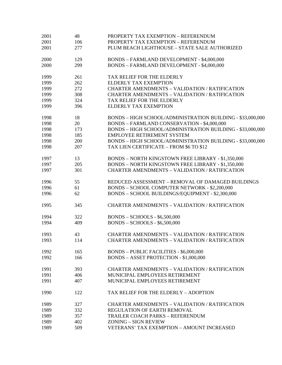| 2001 | 48  | PROPERTY TAX EXEMPTION - REFERENDUM                        |
|------|-----|------------------------------------------------------------|
| 2001 | 106 | PROPERTY TAX EXEMPTION - REFERENDUM                        |
| 2001 | 277 | PLUM BEACH LIGHTHOUSE - STATE SALE AUTHORIZED              |
| 2000 | 129 | BONDS - FARMLAND DEVELOPMENT - \$4,000,000                 |
| 2000 | 299 | <b>BONDS - FARMLAND DEVELOPMENT - \$4,000,000</b>          |
| 1999 | 261 | TAX RELIEF FOR THE ELDERLY                                 |
| 1999 | 262 | <b>ELDERLY TAX EXEMPTION</b>                               |
| 1999 | 272 | <b>CHARTER AMENDMENTS - VALIDATION / RATIFICATION</b>      |
| 1999 | 308 | CHARTER AMENDMENTS - VALIDATION / RATIFICATION             |
| 1999 | 324 | TAX RELIEF FOR THE ELDERLY                                 |
| 1999 | 396 | <b>ELDERLY TAX EXEMPTION</b>                               |
| 1998 | 18  | BONDS - HIGH SCHOOL/ADMINISTRATION BUILDING - \$33,000,000 |
| 1998 | 20  | BONDS - FARMLAND CONSERVATION - \$4,000,000                |
| 1998 | 173 | BONDS - HIGH SCHOOL/ADMINISTRATION BUILDING - \$33,000,000 |
| 1998 | 185 | EMPLOYEE RETIREMENT SYSTEM                                 |
| 1998 | 200 | BONDS - HIGH SCHOOL/ADMINISTRATION BUILDING - \$33,000,000 |
| 1998 | 207 | TAX LIEN CERTIFICATE - FROM \$6 TO \$12                    |
| 1997 | 13  | <b>BONDS - NORTH KINGSTOWN FREE LIBRARY - \$1,350,000</b>  |
| 1997 | 205 | <b>BONDS - NORTH KINGSTOWN FREE LIBRARY - \$1,350,000</b>  |
| 1997 | 301 | <b>CHARTER AMENDMENTS - VALIDATION / RATIFICATION</b>      |
| 1996 | 55  | REDUCED ASSESSMENT - REMOVAL OF DAMAGED BUILDINGS          |
| 1996 | 61  | BONDS - SCHOOL COMPUTER NETWORK - \$2,200,000              |
| 1996 | 62  | BONDS - SCHOOL BUILDINGS/EQUIPMENT - \$2,300,000           |
| 1995 | 345 | <b>CHARTER AMENDMENTS - VALIDATION / RATIFICATION</b>      |
| 1994 | 322 | <b>BONDS - SCHOOLS - \$6,500,000</b>                       |
| 1994 | 409 | <b>BONDS - SCHOOLS - \$6,500,000</b>                       |
| 1993 | 43  | <b>CHARTER AMENDMENTS - VALIDATION / RATIFICATION</b>      |
| 1993 | 114 | CHARTER AMENDMENTS - VALIDATION / RATIFICATION             |
| 1992 | 165 | <b>BONDS - PUBLIC FACILITIES - \$6,000,000</b>             |
| 1992 | 166 | BONDS - ASSET PROTECTION - \$1,000,000                     |
| 1991 | 393 | <b>CHARTER AMENDMENTS - VALIDATION / RATIFICATION</b>      |
| 1991 | 406 | MUNICIPAL EMPLOYEES RETIREMENT                             |
| 1991 | 407 | MUNICIPAL EMPLOYEES RETIREMENT                             |
| 1990 | 122 | TAX RELIEF FOR THE ELDERLY - ADOPTION                      |
| 1989 | 327 | <b>CHARTER AMENDMENTS - VALIDATION / RATIFICATION</b>      |
| 1989 | 332 | REGULATION OF EARTH REMOVAL                                |
| 1989 | 357 | TRAILER COACH PARKS - REFERENDUM                           |
| 1989 | 402 | ZONING - SIGN REVIEW                                       |
| 1989 | 509 | VETERANS' TAX EXEMPTION - AMOUNT INCREASED                 |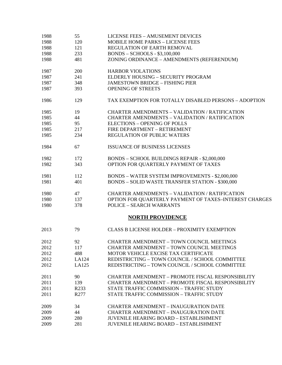| 1988 | 55    | <b>LICENSE FEES - AMUSEMENT DEVICES</b>                  |
|------|-------|----------------------------------------------------------|
| 1988 | 120   | <b>MOBILE HOME PARKS - LICENSE FEES</b>                  |
| 1988 | 121   | REGULATION OF EARTH REMOVAL                              |
| 1988 | 233   | <b>BONDS - SCHOOLS - \$3,100,000</b>                     |
| 1988 | 481   | ZONING ORDINANCE - AMENDMENTS (REFERENDUM)               |
| 1987 | 200   | <b>HARBOR VIOLATIONS</b>                                 |
| 1987 | 241   | ELDERLY HOUSING - SECURITY PROGRAM                       |
| 1987 | 348   | <b>JAMESTOWN BRIDGE - FISHING PIER</b>                   |
| 1987 | 393   | <b>OPENING OF STREETS</b>                                |
| 1986 | 129   | TAX EXEMPTION FOR TOTALLY DISABLED PERSONS - ADOPTION    |
| 1985 | 19    | <b>CHARTER AMENDMENTS - VALIDATION / RATIFICATION</b>    |
| 1985 | 44    | <b>CHARTER AMENDMENTS - VALIDATION / RATIFICATION</b>    |
| 1985 | 95    | <b>ELECTIONS - OPENING OF POLLS</b>                      |
| 1985 | 217   | FIRE DEPARTMENT - RETIREMENT                             |
| 1985 | 234   | <b>REGULATION OF PUBLIC WATERS</b>                       |
| 1984 | 67    | <b>ISSUANCE OF BUSINESS LICENSES</b>                     |
| 1982 | 172   | <b>BONDS - SCHOOL BUILDINGS REPAIR - \$2,000,000</b>     |
| 1982 | 343   | OPTION FOR QUARTERLY PAYMENT OF TAXES                    |
| 1981 | 112   | <b>BONDS - WATER SYSTEM IMPROVEMENTS - \$2,000,000</b>   |
| 1981 | 401   | <b>BONDS - SOLID WASTE TRANSFER STATION - \$300,000</b>  |
| 1980 | 47    | <b>CHARTER AMENDMENTS - VALIDATION / RATIFICATION</b>    |
| 1980 | 137   | OPTION FOR QUARTERLY PAYMENT OF TAXES-INTEREST CHARGES   |
| 1980 | 378   | <b>POLICE - SEARCH WARRANTS</b>                          |
|      |       | <b>NORTH PROVIDENCE</b>                                  |
| 2013 | 79    | <b>CLASS B LICENSE HOLDER - PROXIMITY EXEMPTION</b>      |
| 2012 | 92    | <b>CHARTER AMENDMENT - TOWN COUNCIL MEETINGS</b>         |
| 2012 | 117   | <b>CHARTER AMENDMENT - TOWN COUNCIL MEETINGS</b>         |
| 2012 | 488   | MOTOR VEHICLE EXCISE TAX CERTIFICATE                     |
| 2012 | LA124 | REDISTRICTING - TOWN COUNCIL / SCHOOL COMMITTEE          |
| 2012 | LA125 | REDISTRICTING - TOWN COUNCIL / SCHOOL COMMITTEE          |
| 2011 | 90    | <b>CHARTER AMENDMENT - PROMOTE FISCAL RESPONSIBILITY</b> |
| 2011 | 139   | <b>CHARTER AMENDMENT - PROMOTE FISCAL RESPONSIBILITY</b> |
| 2011 | R233  | STATE TRAFFIC COMMISSION - TRAFFIC STUDY                 |
| 2011 | R277  | STATE TRAFFIC COMMISSION - TRAFFIC STUDY                 |
| 2009 | 34    | <b>CHARTER AMENDMENT - INAUGURATION DATE</b>             |
| 2009 | 44    | <b>CHARTER AMENDMENT - INAUGURATION DATE</b>             |
| 2009 | 280   | <b>JUVENILE HEARING BOARD - ESTABLISHMENT</b>            |
| 2009 | 281   | <b>JUVENILE HEARING BOARD - ESTABLISHMENT</b>            |
|      |       |                                                          |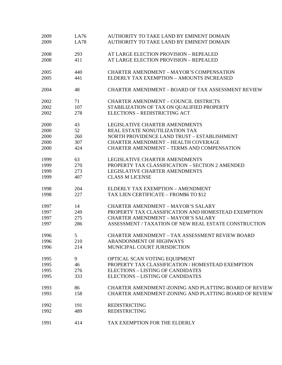| 2009 | LA76        | AUTHORITY TO TAKE LAND BY EMINENT DOMAIN                  |
|------|-------------|-----------------------------------------------------------|
| 2009 | <b>LA78</b> | AUTHORITY TO TAKE LAND BY EMINENT DOMAIN                  |
| 2008 | 293         | AT LARGE ELECTION PROVISION - REPEALED                    |
| 2008 | 411         | AT LARGE ELECTION PROVISION - REPEALED                    |
| 2005 | 440         | <b>CHARTER AMENDMENT - MAYOR'S COMPENSATION</b>           |
| 2005 | 441         | ELDERLY TAX EXEMPTION - AMOUNTS INCREASED                 |
| 2004 | 48          | <b>CHARTER AMENDMENT - BOARD OF TAX ASSESSMENT REVIEW</b> |
| 2002 | 71          | <b>CHARTER AMENDMENT - COUNCIL DISTRICTS</b>              |
| 2002 | 107         | STABILIZATION OF TAX ON QUALIFIED PROPERTY                |
| 2002 | 278         | <b>ELECTIONS - REDISTRICTING ACT</b>                      |
| 2000 | 43          | LEGISLATIVE CHARTER AMENDMENTS                            |
| 2000 | 52          | REAL ESTATE NONUTILIZATION TAX                            |
| 2000 | 260         | NORTH PROVIDENCE LAND TRUST - ESTABLISHMENT               |
| 2000 | 307         | <b>CHARTER AMENDMENT - HEALTH COVERAGE</b>                |
| 2000 | 424         | <b>CHARTER AMENDMENT - TERMS AND COMPENSATION</b>         |
| 1999 | 63          | <b>LEGISLATIVE CHARTER AMENDMENTS</b>                     |
| 1999 | 270         | PROPERTY TAX CLASSIFICATION - SECTION 2 AMENDED           |
| 1999 | 273         | LEGISLATIVE CHARTER AMENDMENTS                            |
| 1999 | 407         | <b>CLASS M LICENSE</b>                                    |
| 1998 | 204         | ELDERLY TAX EXEMPTION - AMENDMENT                         |
| 1998 | 227         | TAX LIEN CERTIFICATE - FROM\$6 TO \$12                    |
| 1997 | 14          | <b>CHARTER AMENDMENT - MAYOR'S SALARY</b>                 |
| 1997 | 249         | PROPERTY TAX CLASSIFICATION AND HOMESTEAD EXEMPTION       |
| 1997 | 275         | <b>CHARTER AMENDMENT - MAYOR'S SALARY</b>                 |
| 1997 | 286         | ASSESSMENT / TAXATION OF NEW REAL ESTATE CONSTRUCTION     |
| 1996 | 5           | <b>CHARTER AMENDMENT - TAX ASSESSMENT REVIEW BOARD</b>    |
| 1996 | 210         | <b>ABANDONMENT OF HIGHWAYS</b>                            |
| 1996 | 214         | MUNICIPAL COURT JURISDICTION                              |
| 1995 | 9           | OPTICAL SCAN VOTING EQUIPMENT                             |
| 1995 | 46          | PROPERTY TAX CLASSIFICATION / HOMESTEAD EXEMPTION         |
| 1995 | 276         | <b>ELECTIONS - LISTING OF CANDIDATES</b>                  |
| 1995 | 333         | <b>ELECTIONS - LISTING OF CANDIDATES</b>                  |
| 1993 | 86          | CHARTER AMENDMENT-ZONING AND PLATTING BOARD OF REVIEW     |
| 1993 | 158         | CHARTER AMENDMENT-ZONING AND PLATTING BOARD OF REVIEW     |
| 1992 | 191         | <b>REDISTRICTING</b>                                      |
| 1992 | 489         | <b>REDISTRICTING</b>                                      |
| 1991 | 414         | TAX EXEMPTION FOR THE ELDERLY                             |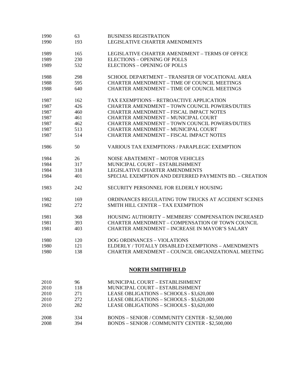| 1990 | 63              | <b>BUSINESS REGISTRATION</b>                               |
|------|-----------------|------------------------------------------------------------|
| 1990 | 193             | LEGISLATIVE CHARTER AMENDMENTS                             |
| 1989 | 165             | LEGISLATIVE CHARTER AMENDMENT - TERMS OF OFFICE            |
| 1989 | 230             | <b>ELECTIONS - OPENING OF POLLS</b>                        |
| 1989 | 532             | <b>ELECTIONS - OPENING OF POLLS</b>                        |
|      |                 |                                                            |
| 1988 | 298             | SCHOOL DEPARTMENT - TRANSFER OF VOCATIONAL AREA            |
| 1988 | 595             | <b>CHARTER AMENDMENT - TIME OF COUNCIL MEETINGS</b>        |
| 1988 | 640             | <b>CHARTER AMENDMENT - TIME OF COUNCIL MEETINGS</b>        |
| 1987 | 162             | TAX EXEMPTIONS - RETROACTIVE APPLICATION                   |
| 1987 | 426             | <b>CHARTER AMENDMENT - TOWN COUNCIL POWERS/DUTIES</b>      |
| 1987 | 460             | <b>CHARTER AMENDMENT - FISCAL IMPACT NOTES</b>             |
| 1987 | 461             | <b>CHARTER AMENDMENT - MUNICIPAL COURT</b>                 |
| 1987 | 462             | <b>CHARTER AMENDMENT - TOWN COUNCIL POWERS/DUTIES</b>      |
| 1987 | 513             | <b>CHARTER AMENDMENT - MUNICIPAL COURT</b>                 |
| 1987 | 514             | <b>CHARTER AMENDMENT - FISCAL IMPACT NOTES</b>             |
| 1986 | 50              | <b>VARIOUS TAX EXEMPTIONS / PARAPLEGIC EXEMPTION</b>       |
| 1984 | 26              | <b>NOISE ABATEMENT - MOTOR VEHICLES</b>                    |
| 1984 | 317             | MUNICIPAL COURT - ESTABLISHMENT                            |
| 1984 | 318             | LEGISLATIVE CHARTER AMENDMENTS                             |
| 1984 | 401             | SPECIAL EXEMPTION AND DEFERRED PAYMENTS BD. - CREATION     |
| 1983 | 242             | SECURITY PERSONNEL FOR ELDERLY HOUSING                     |
| 1982 | 169             | ORDINANCES REGULATING TOW TRUCKS AT ACCIDENT SCENES        |
| 1982 | 272             | SMITH HILL CENTER - TAX EXEMPTION                          |
| 1981 | 368             | <b>HOUSING AUTHORITY - MEMBERS' COMPENSATION INCREASED</b> |
| 1981 | 393             | <b>CHARTER AMENDMENT - COMPENSATION OF TOWN COUNCIL</b>    |
| 1981 | 403             | <b>CHARTER AMENDMENT - INCREASE IN MAYOR'S SALARY</b>      |
| 1980 | 120             | <b>DOG ORDINANCES - VIOLATIONS</b>                         |
| 1980 | 121             | ELDERLY / TOTALLY DISABLED EXEMPTIONS - AMENDMENTS         |
| 1980 | 138             | <b>CHARTER AMENDMENT - COUNCIL ORGANIZATIONAL MEETING</b>  |
|      |                 | <b>NORTH SMITHFIELD</b>                                    |
| 2010 | 96              | MUNICIPAL COURT - ESTABLISHMENT                            |
| 2010 | 118             | MUNICIPAL COURT - ESTABLISHMENT                            |
| 2010 | 271             | LEASE OBLIGATIONS - SCHOOLS - \$3,620,000                  |
| 2010 | 272             | LEASE OBLIGATIONS - SCHOOLS - \$3,620,000                  |
| 2010 | 282             | LEASE OBLIGATIONS - SCHOOLS - \$3,620,000                  |
|      |                 |                                                            |
| 2008 | 33 <sub>A</sub> | $RONDS =$ SENIOR / COMMUNITY CENTER $=$ \$2.500,000        |

2008 334 BONDS – SENIOR / COMMUNITY CENTER - \$2,500,000<br>2008 394 BONDS – SENIOR / COMMUNITY CENTER - \$2,500,000 BONDS – SENIOR / COMMUNITY CENTER - \$2,500,000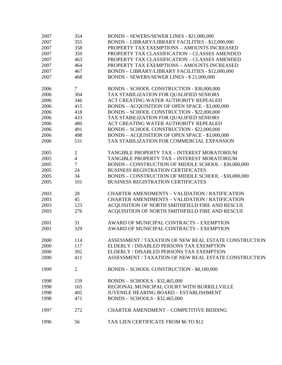| 2007         | 354                            | BONDS - SEWERS/SEWER LINES - \$21,000,000             |
|--------------|--------------------------------|-------------------------------------------------------|
| 2007         | 355                            | BONDS - LIBRARY/LIBRARY FACILITIES - \$12,000,000     |
| 2007         | 358                            | PROPERTY TAX EXEMPTIONS - AMOUNTS INCREASED           |
| 2007         | 359                            | PROPERTY TAX CLASSIFICATION - CLASSES AMENDED         |
| 2007         | 463                            | PROPERTY TAX CLASSIFICATION - CLASSES AMENDED         |
| 2007         | 464                            | PROPERTY TAX EXEMPTIONS - AMOUNTS INCREASED           |
| 2007         | 467                            | BONDS - LIBRARY/LIBRARY FACILITIES - \$12,000,000     |
| 2007         | 468                            | BONDS - SEWERS/SEWER LINES - \$21,000,000             |
|              |                                |                                                       |
| 2006         | $\tau$                         | BONDS - SCHOOL CONSTRUCTION - \$30,000,000            |
| 2006         | 304                            | TAX STABILIZATION FOR QUALIFIED SENIORS               |
| 2006         | 346                            | ACT CREATING WATER AUTHORITY REPEALED                 |
| 2006         | 415                            | BONDS - ACQUISITION OF OPEN SPACE - \$3,000,000       |
| 2006         | 418                            | BONDS - SCHOOL CONSTRUCTION - \$22,000,000            |
| 2006         | 433                            | TAX STABILIZATION FOR QUALIFIED SENIORS               |
| 2006         | 480                            | ACT CREATING WATER AUTHORITY REPEALED                 |
| 2006         | 491                            | BONDS - SCHOOL CONSTRUCTION - \$22,000,000            |
|              | 498                            |                                                       |
| 2006         |                                | BONDS - ACQUISITION OF OPEN SPACE - \$3,000,000       |
| 2006         | 531                            | TAX STABILIZATION FOR COMMERCIAL EXPANSION            |
|              |                                | TANGIBLE PROPERTY TAX - INTEREST MORATORIUM           |
| 2005<br>2005 | $\mathbf{2}$<br>$\overline{4}$ | TANGIBLE PROPERTY TAX - INTEREST MORATORIUM           |
|              | $\overline{7}$                 |                                                       |
| 2005         |                                | BONDS - CONSTRUCTION OF MIDDLE SCHOOL - \$30,000,000  |
| 2005         | 24                             | <b>BUSINESS REGISTRATION CERTIFICATES</b>             |
| 2005         | 34                             | BONDS - CONSTRUCTION OF MIDDLE SCHOOL - \$30,000,000  |
| 2005         | 101                            | <b>BUSINESS REGISTRATION CERTIFICATES</b>             |
| 2003         | 28                             | <b>CHARTER AMENDMENTS - VALIDATION / RATIFICATION</b> |
| 2003         | 45                             | <b>CHARTER AMENDMENTS - VALIDATION / RATIFICATION</b> |
| 2003         | 123                            | ACQUISITION OF NORTH SMITHFIELD FIRE AND RESCUE       |
| 2003         | 276                            | ACQUISITION OF NORTH SMITHFIELD FIRE AND RESCUE       |
|              |                                |                                                       |
| 2001         | 31                             | AWARD OF MUNICIPAL CONTRACTS - EXEMPTION              |
| 2001         | 329                            | AWARD OF MUNICIPAL CONTRACTS - EXEMPTION              |
|              |                                |                                                       |
| 2000         | 114                            | ASSESSMENT / TAXATION OF NEW REAL ESTATE CONSTRUCTION |
| 2000         | 117                            | ELDERLY / DISABLED PERSONS TAX EXEMPTION              |
| 2000         | 392                            | ELDERLY / DISABLED PERSONS TAX EXEMPTION              |
| 2000         | 411                            | ASSESSMENT / TAXATION OF NEW REAL ESTATE CONSTRUCTION |
|              |                                |                                                       |
| 1999         | 2                              | BONDS - SCHOOL CONSTRUCTION - \$8,100,000             |
|              |                                |                                                       |
| 1998         | 159                            | BONDS - SCHOOLS - \$32,465,000                        |
| 1998         | 165                            | REGIONAL MUNICIPAL COURT WITH BURRILLVILLE            |
| 1998         | 405                            | <b>JUVENILE HEARING BOARD - ESTABLISHMENT</b>         |
| 1998         | 471                            | BONDS - SCHOOLS - \$32,465,000                        |
|              |                                |                                                       |
| 1997         | 272                            | <b>CHARTER AMENDMENT - COMPETITIVE BIDDING</b>        |
|              |                                |                                                       |
| 1996         | 56                             | TAX LIEN CERTIFICATE FROM \$6 TO \$12                 |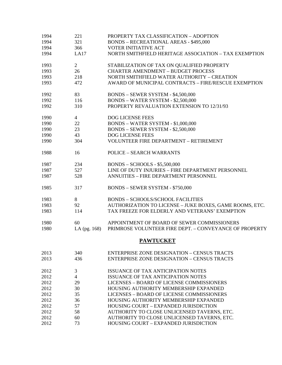| 1994 | 221            | PROPERTY TAX CLASSIFICATION - ADOPTION                  |
|------|----------------|---------------------------------------------------------|
| 1994 | 321            | <b>BONDS - RECREATIONAL AREAS - \$495,000</b>           |
| 1994 | 366            | <b>VOTER INITIATIVE ACT</b>                             |
| 1994 | LA17           | NORTH SMITHFIELD HERITAGE ASSOCIATION - TAX EXEMPTION   |
| 1993 | $\overline{2}$ | STABILIZATION OF TAX ON QUALIFIED PROPERTY              |
| 1993 | 26             | <b>CHARTER AMENDMENT - BUDGET PROCESS</b>               |
| 1993 | 218            | NORTH SMITHFIELD WATER AUTHORITY - CREATION             |
| 1993 | 472            | AWARD OF MUNICIPAL CONTRACTS - FIRE/RESCUE EXEMPTION    |
| 1992 | 83             | BONDS - SEWER SYSTEM - \$4,500,000                      |
| 1992 | 116            | <b>BONDS - WATER SYSTEM - \$2,500,000</b>               |
| 1992 | 310            | PROPERTY REVALUATION EXTENSION TO 12/31/93              |
| 1990 | $\overline{4}$ | <b>DOG LICENSE FEES</b>                                 |
| 1990 | 22             | BONDS - WATER SYSTEM - \$1,000,000                      |
| 1990 | 23             | BONDS - SEWER SYSTEM - \$2,500,000                      |
| 1990 | 43             | DOG LICENSE FEES                                        |
| 1990 | 304            | VOLUNTEER FIRE DEPARTMENT - RETIREMENT                  |
| 1988 | 16             | <b>POLICE - SEARCH WARRANTS</b>                         |
| 1987 | 234            | $BONDS - SCHOOLS - $5,500,000$                          |
| 1987 | 527            | LINE OF DUTY INJURIES - FIRE DEPARTMENT PERSONNEL       |
| 1987 | 528            | ANNUITIES - FIRE DEPARTMENT PERSONNEL                   |
| 1985 | 317            | <b>BONDS - SEWER SYSTEM - \$750,000</b>                 |
| 1983 | 8              | <b>BONDS - SCHOOLS/SCHOOL FACILITIES</b>                |
| 1983 | 92             | AUTHORIZATION TO LICENSE - JUKE BOXES, GAME ROOMS, ETC. |
| 1983 | 114            | TAX FREEZE FOR ELDERLY AND VETERANS' EXEMPTION          |
| 1980 | 60             | APPOINTMENT OF BOARD OF SEWER COMMISSIONERS             |
| 1980 | LA $(pg. 168)$ | PRIMROSE VOLUNTEER FIRE DEPT. - CONVEYANCE OF PROPERTY  |
|      |                | <b>PAWTUCKET</b>                                        |
| 2013 | 340            | <b>ENTERPRISE ZONE DESIGNATION - CENSUS TRACTS</b>      |
| 2013 | 436            | <b>ENTERPRISE ZONE DESIGNATION - CENSUS TRACTS</b>      |
| 2012 | 3              | <b>ISSUANCE OF TAX ANTICIPATION NOTES</b>               |
| 2012 | $\overline{4}$ | ISSUANCE OF TAX ANTICIPATION NOTES                      |
| 2012 | 29             | LICENSES - BOARD OF LICENSE COMMISSIONERS               |
| 2012 | 30             | HOUSING AUTHORITY MEMBERSHIP EXPANDED                   |
| 2012 | 35             | LICENSES - BOARD OF LICENSE COMMISSIONERS               |
| 2012 | 36             | HOUSING AUTHORITY MEMBERSHIP EXPANDED                   |
| 2012 | 57             | <b>HOUSING COURT - EXPANDED JURISDICTION</b>            |
| 2012 | 58             | AUTHORITY TO CLOSE UNLICENSED TAVERNS, ETC.             |
| 2012 | 60             | AUTHORITY TO CLOSE UNLICENSED TAVERNS, ETC.             |
| 2012 | 73             | HOUSING COURT - EXPANDED JURISDICTION                   |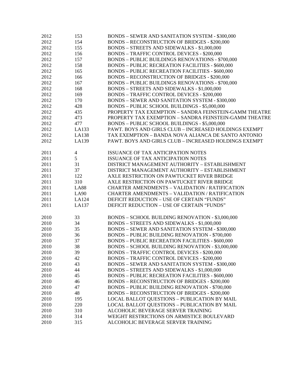| 2012 | 153                      | <b>BONDS - SEWER AND SANITATION SYSTEM - \$300,000</b>  |
|------|--------------------------|---------------------------------------------------------|
| 2012 | 154                      | <b>BONDS - RECONSTRUCTION OF BRIDGES - \$200,000</b>    |
| 2012 | 155                      | <b>BONDS - STREETS AND SIDEWALKS - \$1,000,000</b>      |
| 2012 | 156                      | <b>BONDS - TRAFFIC CONTROL DEVICES - \$200,000</b>      |
| 2012 | 157                      | <b>BONDS - PUBLIC BUILDINGS RENOVATIONS - \$700,000</b> |
| 2012 | 158                      | <b>BONDS - PUBLIC RECREATION FACILITIES - \$600,000</b> |
| 2012 | 165                      | <b>BONDS - PUBLIC RECREATION FACILITIES - \$600,000</b> |
| 2012 | 166                      | <b>BONDS - RECONSTRUCTION OF BRIDGES - \$200,000</b>    |
| 2012 | 167                      | <b>BONDS - PUBLIC BUILDINGS RENOVATIONS - \$700,000</b> |
| 2012 | 168                      | BONDS - STREETS AND SIDEWALKS - \$1,000,000             |
| 2012 | 169                      | <b>BONDS - TRAFFIC CONTROL DEVICES - \$200,000</b>      |
| 2012 | 170                      | <b>BONDS - SEWER AND SANITATION SYSTEM - \$300,000</b>  |
| 2012 | 428                      | BONDS - PUBLIC SCHOOL BUILDINGS - \$5,000,000           |
| 2012 | 435                      | PROPERTY TAX EXEMPTION - SANDRA FEINSTEIN-GAMM THEATRE  |
| 2012 | 473                      | PROPERTY TAX EXEMPTION - SANDRA FEINSTEIN-GAMM THEATRE  |
| 2012 | 477                      | BONDS - PUBLIC SCHOOL BUILDINGS - \$5,000,000           |
| 2012 | LA133                    | PAWT. BOYS AND GIRLS CLUB - INCREASED HOLDINGS EXEMPT   |
| 2012 | LA138                    | TAX EXEMPTION - BANDA NOVA ALIANCA DE SANTO ANTONIO     |
| 2012 | LA139                    | PAWT. BOYS AND GIRLS CLUB - INCREASED HOLDINGS EXEMPT   |
|      |                          |                                                         |
| 2011 | $\overline{\mathcal{A}}$ | ISSUANCE OF TAX ANTICIPATION NOTES                      |
| 2011 | 5                        | ISSUANCE OF TAX ANTICIPATION NOTES                      |
| 2011 | 31                       | DISTRICT MANAGEMENT AUTHORITY - ESTABLISHMENT           |
| 2011 | 37                       | DISTRICT MANAGEMENT AUTHORITY - ESTABLISHMENT           |
| 2011 | 122                      | AXLE RESTRICTION ON PAWTUCKET RIVER BRIDGE              |
| 2011 | 310                      | AXLE RESTRICTION ON PAWTUCKET RIVER BRIDGE              |
| 2011 | <b>LA88</b>              | <b>CHARTER AMENDMENTS - VALIDATION / RATIFICATION</b>   |
| 2011 | <b>LA90</b>              | <b>CHARTER AMENDMENTS - VALIDATION / RATIFICATION</b>   |
| 2011 | LA124                    | DEFICIT REDUCTION - USE OF CERTAIN "FUNDS"              |
| 2011 | LA137                    | DEFICIT REDUCTION - USE OF CERTAIN "FUNDS"              |
|      |                          |                                                         |
| 2010 | 33                       | BONDS - SCHOOL BUILDING RENOVATION - \$3,000,000        |
| 2010 | 34                       | BONDS - STREETS AND SIDEWALKS - \$1,000,000             |
| 2010 | 35                       | <b>BONDS - SEWER AND SANITATION SYSTEM - \$300,000</b>  |
| 2010 | 36                       | <b>BONDS - PUBLIC BUILDING RENOVATION - \$700,000</b>   |
| 2010 | 37                       | <b>BONDS - PUBLIC RECREATION FACILITIES - \$600,000</b> |
| 2010 | 38                       | BONDS - SCHOOL BUILDING RENOVATION - \$3,000,000        |
| 2010 | 39                       | <b>BONDS - TRAFFIC CONTROL DEVICES - \$200,000</b>      |
| 2010 | 42                       | <b>BONDS - TRAFFIC CONTROL DEVICES - \$200,000</b>      |
| 2010 | 43                       | <b>BONDS - SEWER AND SANITATION SYSTEM - \$300,000</b>  |
| 2010 | 44                       | BONDS - STREETS AND SIDEWALKS - \$1,000,000             |
| 2010 | 45                       | <b>BONDS - PUBLIC RECREATION FACILITIES - \$600,000</b> |
| 2010 | 46                       | <b>BONDS - RECONSTRUCTION OF BRIDGES - \$200,000</b>    |
| 2010 | 47                       | <b>BONDS - PUBLIC BUILDING RENOVATION - \$700,000</b>   |
| 2010 | 48                       | <b>BONDS - RECONSTRUCTION OF BRIDGES - \$200,000</b>    |
| 2010 | 195                      | <b>LOCAL BALLOT QUESTIONS - PUBLICATION BY MAIL</b>     |
| 2010 | 220                      | <b>LOCAL BALLOT QUESTIONS - PUBLICATION BY MAIL</b>     |
| 2010 | 310                      | ALCOHOLIC BEVERAGE SERVER TRAINING                      |
| 2010 | 314                      | WEIGHT RESTRICTIONS ON ARMISTICE BOULEVARD              |
| 2010 | 315                      | ALCOHOLIC BEVERAGE SERVER TRAINING                      |
|      |                          |                                                         |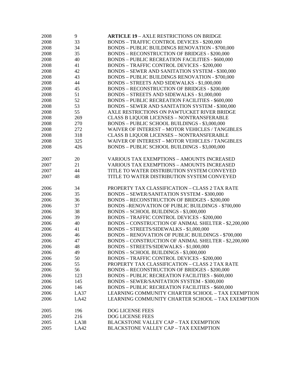| 2008 | 9    | <b>ARTICLE 19 - AXLE RESTRICTIONS ON BRIDGE</b>             |
|------|------|-------------------------------------------------------------|
| 2008 | 33   | <b>BONDS - TRAFFIC CONTROL DEVICES - \$200,000</b>          |
| 2008 | 34   | <b>BONDS - PUBLIC BUILDINGS RENOVATION - \$700,000</b>      |
| 2008 | 35   | <b>BONDS - RECONSTRUCTION OF BRIDGES - \$200,000</b>        |
| 2008 | 40   | <b>BONDS - PUBLIC RECREATION FACILITIES - \$600,000</b>     |
| 2008 | 41   | <b>BONDS - TRAFFIC CONTROL DEVICES - \$200,000</b>          |
| 2008 | 42   | <b>BONDS - SEWER AND SANITATION SYSTEM - \$300,000</b>      |
| 2008 | 43   | <b>BONDS - PUBLIC BUILDINGS RENOVATION - \$700,000</b>      |
| 2008 | 44   | BONDS - STREETS AND SIDEWALKS - \$1,000,000                 |
| 2008 | 45   | <b>BONDS - RECONSTRUCTION OF BRIDGES - \$200,000</b>        |
| 2008 | 51   | BONDS - STREETS AND SIDEWALKS - \$1,000,000                 |
| 2008 | 52   | <b>BONDS - PUBLIC RECREATION FACILITIES - \$600,000</b>     |
| 2008 | 53   | <b>BONDS - SEWER AND SANITATION SYSTEM - \$300,000</b>      |
| 2008 | 55   | AXLE RESTRICTIONS ON PAWTUCKET RIVER BRIDGE                 |
| 2008 | 269  | <b>CLASS B LIQUOR LICENSES - NONTRANSFERABLE</b>            |
| 2008 | 270  | BONDS - PUBLIC SCHOOL BUILDINGS - \$3,000,000               |
| 2008 | 272  | <b>WAIVER OF INTEREST - MOTOR VEHICLES / TANGIBLES</b>      |
| 2008 | 318  | <b>CLASS B LIQUOR LICENSES - NONTRANSFERABLE</b>            |
| 2008 | 325  | WAIVER OF INTEREST - MOTOR VEHICLES / TANGIBLES             |
|      |      |                                                             |
| 2008 | 426  | BONDS - PUBLIC SCHOOL BUILDINGS - \$3,000,000               |
|      |      |                                                             |
| 2007 | 20   | <b>VARIOUS TAX EXEMPTIONS - AMOUNTS INCREASED</b>           |
| 2007 | 21   | <b>VARIOUS TAX EXEMPTIONS - AMOUNTS INCREASED</b>           |
| 2007 | 44   | TITLE TO WATER DISTRIBUTION SYSTEM CONVEYED                 |
| 2007 | 48   | TITLE TO WATER DISTRIBUTION SYSTEM CONVEYED                 |
|      |      |                                                             |
| 2006 | 34   | PROPERTY TAX CLASSIFICATION - CLASS 2 TAX RATE              |
| 2006 | 35   | <b>BONDS - SEWER/SANITATION SYSTEM - \$300,000</b>          |
| 2006 | 36   | <b>BONDS - RECONSTRUCTION OF BRIDGES - \$200,000</b>        |
| 2006 | 37   | BONDS-RENOVATION OF PUBLIC BUILDINGS - \$700,000            |
| 2006 | 38   | BONDS - SCHOOL BUILDINGS - \$3,000,000                      |
| 2006 | 39   | <b>BONDS - TRAFFIC CONTROL DEVICES - \$200,000</b>          |
| 2006 | 40   | <b>BONDS - CONSTRUCTION OF ANIMAL SHELTER - \$2,200,000</b> |
| 2006 | 41   | BONDS - STREETS/SIDEWALKS - \$1,000,000                     |
| 2006 | 46   | <b>BONDS - RENOVATION OF PUBLIC BUILDINGS - \$700,000</b>   |
| 2006 | 47   | BONDS - CONSTRUCTION OF ANIMAL SHELTER - \$2,200,000        |
| 2006 | 48   | BONDS - STREETS/SIDEWALKS - \$1,000,000                     |
| 2006 | 49   | BONDS - SCHOOL BUILDINGS - \$3,000,000                      |
| 2006 | 50   | <b>BONDS - TRAFFIC CONTROL DEVICES - \$200,000</b>          |
| 2006 | 55   | PROPERTY TAX CLASSIFICATION - CLASS 2 TAX RATE              |
| 2006 | 56   | <b>BONDS - RECONSTRUCTION OF BRIDGES - \$200,000</b>        |
| 2006 | 123  | <b>BONDS - PUBLIC RECREATION FACILITIES - \$600,000</b>     |
| 2006 | 145  | <b>BONDS - SEWER/SANITATION SYSTEM - \$300,000</b>          |
| 2006 | 146  | <b>BONDS - PUBLIC RECREATION FACILITIES - \$600,000</b>     |
| 2006 | LA37 | LEARNING COMMUNITY CHARTER SCHOOL - TAX EXEMPTION           |
| 2006 | LA42 | LEARNING COMMUNITY CHARTER SCHOOL - TAX EXEMPTION           |
|      |      |                                                             |
| 2005 | 196  | DOG LICENSE FEES                                            |
| 2005 | 216  | <b>DOG LICENSE FEES</b>                                     |
| 2005 | LA38 | <b>BLACKSTONE VALLEY CAP - TAX EXEMPTION</b>                |
| 2005 | LA42 | <b>BLACKSTONE VALLEY CAP - TAX EXEMPTION</b>                |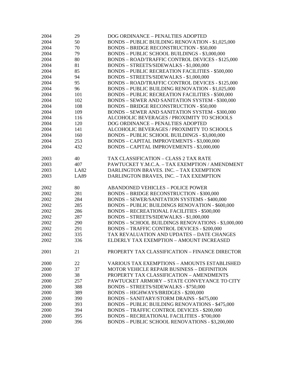| 2004 | 29          | DOG ORDINANCE - PENALTIES ADOPTED                       |
|------|-------------|---------------------------------------------------------|
| 2004 | 50          | <b>BONDS - PUBLIC BUILDING RENOVATION - \$1,025,000</b> |
| 2004 | 70          | <b>BONDS - BRIDGE RECONSTRUCTION - \$50,000</b>         |
| 2004 | 79          | BONDS - PUBLIC SCHOOL BUILDINGS - \$3,000,000           |
| 2004 | 80          | BONDS - ROAD/TRAFFIC CONTROL DEVICES - \$125,000        |
| 2004 | 81          | BONDS - STREETS/SIDEWALKS - \$1,000,000                 |
| 2004 | 85          | <b>BONDS - PUBLIC RECREATION FACILITIES - \$500,000</b> |
| 2004 | 94          | BONDS - STREETS/SIDEWALKS - \$1,000,000                 |
| 2004 | 95          | BONDS - ROAD/TRAFFIC CONTROL DEVICES - \$125,000        |
| 2004 | 96          | <b>BONDS - PUBLIC BUILDING RENOVATION - \$1,025,000</b> |
| 2004 | 101         | <b>BONDS - PUBLIC RECREATION FACILITIES - \$500,000</b> |
| 2004 | 102         | <b>BONDS - SEWER AND SANITATION SYSTEM - \$300,000</b>  |
| 2004 | 108         | <b>BONDS - BRIDGE RECONSTRUCTION - \$50,000</b>         |
| 2004 | 109         | <b>BONDS - SEWER AND SANITATION SYSTEM - \$300,000</b>  |
| 2004 | 116         | ALCOHOLIC BEVERAGES / PROXIMITY TO SCHOOLS              |
| 2004 | 120         | DOG ORDINANCE - PENALTIES ADOPTED                       |
| 2004 | 141         | ALCOHOLIC BEVERAGES / PROXIMITY TO SCHOOLS              |
| 2004 | 160         | BONDS - PUBLIC SCHOOL BUILDINGS - \$3,000,000           |
| 2004 | 253         | BONDS - CAPITAL IMPROVEMENTS - \$3,000,000              |
| 2004 | 432         | BONDS - CAPITAL IMPROVEMENTS - \$3,000,000              |
|      |             |                                                         |
| 2003 | 40          | TAX CLASSIFICATION - CLASS 2 TAX RATE                   |
| 2003 | 407         | PAWTUCKET Y.M.C.A. - TAX EXEMPTION / AMENDMENT          |
| 2003 | <b>LA82</b> | DARLINGTON BRAVES. INC. - TAX EXEMPTION                 |
| 2003 | <b>LA89</b> | DARLINGTON BRAVES, INC. - TAX EXEMPTION                 |
|      |             |                                                         |
| 2002 | 80          | <b>ABANDONED VEHICLES - POLICE POWER</b>                |
| 2002 | 281         | <b>BONDS - BRIDGE RECONSTRUCTION - \$300,000</b>        |
| 2002 | 284         | BONDS - SEWER/SANITATION SYSTEMS - \$400,000            |
| 2002 | 285         | <b>BONDS - PUBLIC BUILDINGS RENOVATION - \$600,000</b>  |
| 2002 | 286         | <b>BONDS - RECREATIONAL FACILITIES - \$500,000</b>      |
| 2002 | 287         | BONDS - STREETS/SIDEWALKS - \$1,000,000                 |
| 2002 | 290         | BONDS - SCHOOL BUILDINGS RENOVATIONS - \$3,000,000      |
| 2002 | 291         | <b>BONDS - TRAFFIC CONTROL DEVICES - \$200,000</b>      |
| 2002 | 335         | TAX REVALUATION AND UPDATES - DATE CHANGES              |
| 2002 | 336         | ELDERLY TAX EXEMPTION - AMOUNT INCREASED                |
|      |             |                                                         |
| 2001 | 21          | PROPERTY TAX CLASSIFICATION - FINANCE DIRECTOR          |
| 2000 | 22          | <b>VARIOUS TAX EXEMPTIONS - AMOUNTS ESTABLISHED</b>     |
| 2000 | 37          | <b>MOTOR VEHICLE REPAIR BUSINESS - DEFINITION</b>       |
| 2000 | 38          | PROPERTY TAX CLASSIFICATION - AMENDMENTS                |
| 2000 | 257         | PAWTUCKET ARMORY - STATE CONVEYANCE TO CITY             |
| 2000 | 388         | <b>BONDS - STREETS/SIDEWALKS - \$750,000</b>            |
| 2000 | 389         | BONDS - HIGHWAYS/BRIDGES - \$200,000                    |
| 2000 | 390         | <b>BONDS - SANITARY/STORM DRAINS - \$475,000</b>        |
| 2000 | 393         | <b>BONDS - PUBLIC BUILDING RENOVATIONS - \$475,000</b>  |
| 2000 | 394         | <b>BONDS - TRAFFIC CONTROL DEVICES - \$200,000</b>      |
| 2000 | 395         | <b>BONDS - RECREATIONAL FACILITIES - \$700,000</b>      |
| 2000 | 396         | <b>BONDS - PUBLIC SCHOOL RENOVATIONS - \$3,200,000</b>  |
|      |             |                                                         |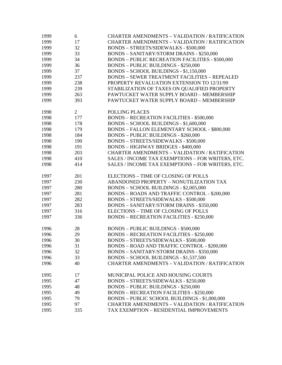| 1999 | 6              | <b>CHARTER AMENDMENTS - VALIDATION / RATIFICATION</b>   |
|------|----------------|---------------------------------------------------------|
| 1999 | 17             | <b>CHARTER AMENDMENTS - VALIDATION / RATIFICATION</b>   |
| 1999 | 32             | <b>BONDS - STREETS/SIDEWALKS - \$500,000</b>            |
| 1999 | 33             | <b>BONDS - SANITARY/STORM DRAINS - \$250,000</b>        |
| 1999 | 34             | <b>BONDS - PUBLIC RECREATION FACILITIES - \$500,000</b> |
| 1999 | 36             | <b>BONDS - PUBLIC BUILDINGS - \$250,000</b>             |
| 1999 | 37             | BONDS - SCHOOL BUILDINGS - \$1,150,000                  |
| 1999 | 237            | <b>BONDS - SEWER TREATMENT FACILITIES - REPEALED</b>    |
| 1999 | 238            | PROPERTY REVALUATION EXTENSION TO 12/31/99              |
| 1999 | 239            | STABILIZATION OF TAXES ON QUALIFIED PROPERTY            |
| 1999 | 263            | PAWTUCKET WATER SUPPLY BOARD - MEMBERSHIP               |
| 1999 | 393            | PAWTUCKET WATER SUPPLY BOARD - MEMBERSHIP               |
|      |                |                                                         |
| 1998 | $\overline{2}$ | POLLING PLACES                                          |
| 1998 | 177            | <b>BONDS - RECREATION FACILITIES - \$500,000</b>        |
| 1998 | 178            | BONDS - SCHOOL BUILDINGS - \$1,600,000                  |
| 1998 | 179            | <b>BONDS - FALLON ELEMENTARY SCHOOL - \$800,000</b>     |
| 1998 | 184            | <b>BONDS - PUBLIC BUILDINGS - \$260,000</b>             |
| 1998 | 190            |                                                         |
|      |                | BONDS - STREETS/SIDEWALKS - \$500,000                   |
| 1998 | 191            | <b>BONDS - HIGHWAY BRIDGES - \$400,000</b>              |
| 1998 | 203            | CHARTER AMENDMENTS - VALIDATION / RATIFICATION          |
| 1998 | 410            | SALES / INCOME TAX EXEMPTIONS - FOR WRITERS, ETC.       |
| 1998 | 414            | SALES / INCOME TAX EXEMPTIONS - FOR WRITERS, ETC.       |
| 1997 | 201            | ELECTIONS - TIME OF CLOSING OF POLLS                    |
| 1997 | 230            | ABANDONED PROPERTY - NONUTILIZATION TAX                 |
|      |                |                                                         |
| 1997 | 280            | BONDS - SCHOOL BUILDINGS - \$2,005,000                  |
| 1997 | 281            | BONDS - ROADS AND TRAFFIC CONTROL - \$200,000           |
| 1997 | 282            | BONDS - STREETS/SIDEWALKS - \$500,000                   |
| 1997 | 283            | <b>BONDS - SANITARY/STORM DRAINS - \$350,000</b>        |
| 1997 | 316            | ELECTIONS - TIME OF CLOSING OF POLLS                    |
| 1997 | 336            | <b>BONDS - RECREATION FACILITIES - \$250,000</b>        |
| 1996 | 28             | <b>BONDS - PUBLIC BUILDINGS - \$500,000</b>             |
| 1996 | 29             | <b>BONDS - RECREATION FACILITIES - \$250,000</b>        |
|      | 30             | BONDS - STREETS/SIDEWALKS - \$500,000                   |
| 1996 |                | <b>BONDS - ROAD AND TRAFFIC CONTROL - \$200,000</b>     |
| 1996 | 31             |                                                         |
| 1996 | 32             | <b>BONDS - SANITARY/STORM DRAINS - \$350,000</b>        |
| 1996 | 33             | BONDS - SCHOOL BUILDINGS - \$1,537,500                  |
| 1996 | 40             | <b>CHARTER AMENDMENTS - VALIDATION / RATIFICATION</b>   |
| 1995 | 17             | MUNICIPAL POLICE AND HOUSING COURTS                     |
| 1995 | 47             | <b>BONDS - STREETS/SIDEWALKS - \$250,000</b>            |
| 1995 | 48             | <b>BONDS - PUBLIC BUILDINGS - \$250,000</b>             |
| 1995 | 49             | <b>BONDS - RECREATION FACILITIES - \$250,000</b>        |
| 1995 | 79             | BONDS - PUBLIC SCHOOL BUILDINGS - \$1,000,000           |
|      |                |                                                         |
| 1995 | 97             | CHARTER AMENDMENTS - VALIDATION / RATIFICATION          |
| 1995 | 335            | TAX EXEMPTION - RESIDENTIAL IMPROVEMENTS                |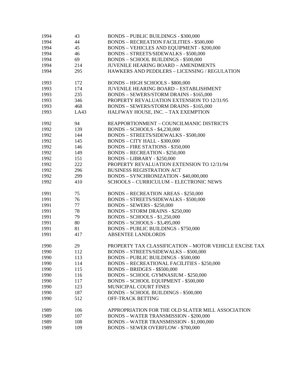| 1994 | 43   | <b>BONDS - PUBLIC BUILDINGS - \$300,000</b>                                          |
|------|------|--------------------------------------------------------------------------------------|
| 1994 | 44   | <b>BONDS - RECREATION FACILITIES - \$500,000</b>                                     |
| 1994 | 45   | <b>BONDS - VEHICLES AND EQUIPMENT - \$200,000</b>                                    |
| 1994 | 46   | <b>BONDS - STREETS/SIDEWALKS - \$500,000</b>                                         |
| 1994 | 69   | <b>BONDS - SCHOOL BUILDINGS - \$500,000</b>                                          |
| 1994 | 214  | <b>JUVENILE HEARING BOARD - AMENDMENTS</b>                                           |
| 1994 | 295  | HAWKERS AND PEDDLERS - LICENSING / REGULATION                                        |
| 1993 | 172  | BONDS - HIGH SCHOOLS - \$800,000                                                     |
| 1993 | 174  | <b>JUVENILE HEARING BOARD - ESTABLISHMENT</b>                                        |
| 1993 | 235  | BONDS - SEWERS/STORM DRAINS - \$165,000                                              |
| 1993 | 346  | PROPERTY REVALUATION EXTENSION TO 12/31/95                                           |
| 1993 | 468  | <b>BONDS - SEWERS/STORM DRAINS - \$165,000</b>                                       |
| 1993 | LA43 | HALFWAY HOUSE, INC. - TAX EXEMPTION                                                  |
| 1992 | 94   | REAPPORTIONMENT - COUNCILMANIC DISTRICTS                                             |
| 1992 |      |                                                                                      |
|      | 139  | <b>BONDS - SCHOOLS - \$4,230,000</b><br><b>BONDS - STREETS/SIDEWALKS - \$500,000</b> |
| 1992 | 144  |                                                                                      |
| 1992 | 145  | BONDS - CITY HALL - \$300,000                                                        |
| 1992 | 146  | <b>BONDS - FIRE STATIONS - \$350,000</b>                                             |
| 1992 | 149  | <b>BONDS - RECREATION - \$250,000</b>                                                |
| 1992 | 151  | <b>BONDS - LIBRARY - \$250,000</b>                                                   |
| 1992 | 222  | PROPERTY REVALUATION EXTENSION TO 12/31/94                                           |
| 1992 | 296  | <b>BUSINESS REGISTRATION ACT</b>                                                     |
| 1992 | 299  | BONDS - SYNCHRONIZATION - \$40,000,000                                               |
| 1992 | 410  | SCHOOLS - CURRICULUM - ELECTRONIC NEWS                                               |
| 1991 | 75   | <b>BONDS – RECREATION AREAS - \$250,000</b>                                          |
| 1991 | 76   | <b>BONDS - STREETS/SIDEWALKS - \$500,000</b>                                         |
| 1991 | 77   | <b>BONDS - SEWERS - \$250,000</b>                                                    |
| 1991 | 78   | <b>BONDS - STORM DRAINS - \$250,000</b>                                              |
| 1991 | 79   | $BONDS - SCHOOLS - $1,250,000$                                                       |
| 1991 | 80   | <b>BONDS - SCHOOLS - \$3,495,000</b>                                                 |
| 1991 | 81   | <b>BONDS - PUBLIC BUILDINGS - \$750,000</b>                                          |
| 1991 | 417  | <b>ABSENTEE LANDLORDS</b>                                                            |
| 1990 | 29   | PROPERTY TAX CLASSIFICATION - MOTOR VEHICLE EXCISE TAX                               |
| 1990 | 112  | <b>BONDS - STREETS/SIDEWALKS - \$500,000</b>                                         |
| 1990 | 113  | <b>BONDS - PUBLIC BUILDINGS - \$500,000</b>                                          |
| 1990 | 114  | <b>BONDS - RECREATIONAL FACILITIES - \$250,000</b>                                   |
| 1990 | 115  | <b>BONDS - BRIDGES - \$\$500,000</b>                                                 |
| 1990 | 116  | BONDS - SCHOOL GYMNASIUM - \$250,000                                                 |
| 1990 | 117  | <b>BONDS - SCHOOL EQUIPMENT - \$500,000</b>                                          |
| 1990 | 123  | MUNICIPAL COURT FINES                                                                |
| 1990 | 187  | <b>BONDS - SCHOOL BUILDINGS - \$500,000</b>                                          |
| 1990 | 512  | OFF-TRACK BETTING                                                                    |
| 1989 | 106  | APPROPRIATION FOR THE OLD SLATER MILL ASSOCIATION                                    |
| 1989 | 107  | <b>BONDS - WATER TRANSMISSION - \$200,000</b>                                        |
| 1989 | 108  | <b>BONDS - WATER TRANSMISSION - \$1,000,000</b>                                      |
| 1989 | 109  | <b>BONDS - SEWER OVERFLOW - \$700,000</b>                                            |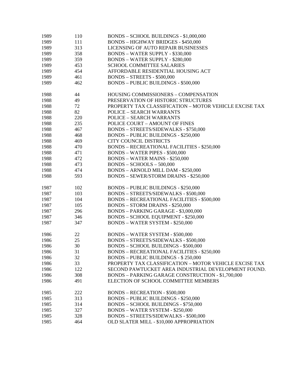| 1989 | 110 | BONDS - SCHOOL BUILDINGS - \$1,000,000                 |
|------|-----|--------------------------------------------------------|
| 1989 | 111 | <b>BONDS - HIGHWAY BRIDGES - \$450,000</b>             |
| 1989 | 313 | LICENSING OF AUTO REPAIR BUSINESSES                    |
| 1989 | 358 | <b>BONDS - WATER SUPPLY - \$330,000</b>                |
| 1989 | 359 | <b>BONDS - WATER SUPPLY - \$280,000</b>                |
| 1989 | 453 | <b>SCHOOL COMMITTEE SALARIES</b>                       |
| 1989 | 454 | AFFORDABLE RESIDENTIAL HOUSING ACT                     |
| 1989 | 461 | <b>BONDS - STREETS - \$500,000</b>                     |
| 1989 | 462 | <b>BONDS - PUBLIC BUILDINGS - \$500,000</b>            |
| 1988 | 44  | HOUSING COMMISSIONERS - COMPENSATION                   |
| 1988 | 49  | PRESERVATION OF HISTORIC STRUCTURES                    |
| 1988 | 72  | PROPERTY TAX CLASSIFICATION - MOTOR VEHICLE EXCISE TAX |
| 1988 | 82  | <b>POLICE - SEARCH WARRANTS</b>                        |
| 1988 | 220 | <b>POLICE - SEARCH WARRANTS</b>                        |
| 1988 | 235 | POLICE COURT - AMOUNT OF FINES                         |
| 1988 | 467 | <b>BONDS - STREETS/SIDEWALKS - \$750,000</b>           |
| 1988 | 468 | <b>BONDS - PUBLIC BUILDINGS - \$250,000</b>            |
| 1988 | 469 | CITY COUNCIL DISTRICTS                                 |
| 1988 | 470 | <b>BONDS - RECREATIONAL FACILITIES - \$250,000</b>     |
| 1988 | 471 | <b>BONDS - WATER PIPES - \$500,000</b>                 |
| 1988 | 472 | <b>BONDS - WATER MAINS - \$250,000</b>                 |
| 1988 | 473 | $BONDS - SCHOOLS - 500,000$                            |
| 1988 | 474 | <b>BONDS - ARNOLD MILL DAM - \$250,000</b>             |
| 1988 | 593 | <b>BONDS - SEWER/STORM DRAINS - \$250,000</b>          |
| 1987 | 102 | <b>BONDS - PUBLIC BUILDINGS - \$250,000</b>            |
| 1987 | 103 | <b>BONDS - STREETS/SIDEWALKS - \$500,000</b>           |
| 1987 | 104 | <b>BONDS - RECREATIONAL FACILITIES - \$500,000</b>     |
| 1987 | 105 | <b>BONDS - STORM DRAINS - \$250,000</b>                |
| 1987 | 296 | BONDS - PARKING GARAGE - \$3,000,000                   |
| 1987 | 346 | <b>BONDS - SCHOOL EQUIPMENT - \$250,000</b>            |
| 1987 | 347 | <b>BONDS - WATER SYSTEM - \$250,000</b>                |
| 1986 | 22  | <b>BONDS - WATER SYSTEM - \$500,000</b>                |
| 1986 | 25  | BONDS - STREETS/SIDEWALKS - \$500,000                  |
| 1986 | 30  | <b>BONDS - SCHOOL BUILDINGS - \$500,000</b>            |
| 1986 | 31  | <b>BONDS - RECREATIONAL FACILITIES - \$250,000</b>     |
| 1986 | 32  | <b>BONDS - PUBLIC BUILDINGS - \$250,000</b>            |
| 1986 | 33  | PROPERTY TAX CLASSIFICATION - MOTOR VEHICLE EXCISE TAX |
| 1986 | 122 | SECOND PAWTUCKET AREA INDUSTRIAL DEVELOPMENT FOUND.    |
| 1986 | 308 | BONDS - PARKING GARAGE CONSTRUCTION - \$1,700,000      |
| 1986 | 491 | ELECTION OF SCHOOL COMMITTEE MEMBERS                   |
| 1985 | 222 | <b>BONDS - RECREATION - \$500,000</b>                  |
| 1985 | 313 | <b>BONDS - PUBLIC BUILDINGS - \$250,000</b>            |
| 1985 | 314 | <b>BONDS - SCHOOL BUILDINGS - \$750,000</b>            |
| 1985 | 327 | <b>BONDS - WATER SYSTEM - \$250,000</b>                |
| 1985 | 328 | <b>BONDS - STREETS/SIDEWALKS - \$500,000</b>           |
| 1985 | 464 | OLD SLATER MILL - \$10,000 APPROPRIATION               |
|      |     |                                                        |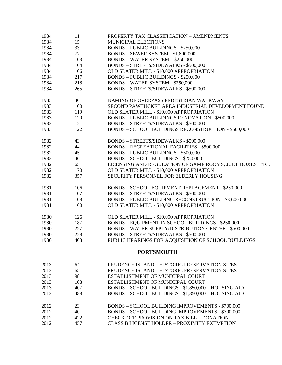| 1984 | 11  | PROPERTY TAX CLASSIFICATION - AMENDMENTS                    |
|------|-----|-------------------------------------------------------------|
| 1984 | 15  | MUNICIPAL ELECTIONS                                         |
| 1984 | 33  | <b>BONDS - PUBLIC BUILDINGS - \$250,000</b>                 |
| 1984 | 77  | BONDS - SEWER SYSTEM - \$1,800,000                          |
| 1984 | 103 | <b>BONDS - WATER SYSTEM - \$250,000</b>                     |
| 1984 | 104 | BONDS - STREETS/SIDEWALKS - \$500,000                       |
| 1984 | 106 | OLD SLATER MILL - \$10,000 APPROPRIATION                    |
| 1984 | 217 | <b>BONDS - PUBLIC BUILDINGS - \$250,000</b>                 |
| 1984 | 218 | <b>BONDS - WATER SYSTEM - \$250,000</b>                     |
| 1984 | 265 | <b>BONDS - STREETS/SIDEWALKS - \$500,000</b>                |
| 1983 | 40  | NAMING OF OVERPASS PEDESTRIAN WALKWAY                       |
| 1983 | 100 | SECOND PAWTUCKET AREA INDUSTRIAL DEVELOPMENT FOUND.         |
| 1983 | 119 | OLD SLATER MILL - \$10,000 APPROPRIATION                    |
| 1983 | 120 | <b>BONDS - PUBLIC BUILDINGS RENOVATION - \$500,000</b>      |
| 1983 | 121 | BONDS - STREETS/SIDEWALKS - \$500,000                       |
| 1983 | 122 | BONDS - SCHOOL BUILDINGS RECONSTRUCTION - \$500,000         |
| 1982 | 43  | <b>BONDS - STREETS/SIDEWALKS - \$500,000</b>                |
| 1982 | 44  | <b>BONDS - RECREATIONAL FACILITIES - \$500,000</b>          |
| 1982 | 45  | <b>BONDS - PUBLIC BUILDINGS - \$600,000</b>                 |
| 1982 | 46  | <b>BONDS - SCHOOL BUILDINGS - \$250,000</b>                 |
| 1982 | 65  | LICENSING AND REGULATION OF GAME ROOMS, JUKE BOXES, ETC.    |
| 1982 | 170 | OLD SLATER MILL - \$10,000 APPROPRIATION                    |
| 1982 | 357 | SECURITY PERSONNEL FOR ELDERLY HOUSING                      |
| 1981 | 106 | BONDS - SCHOOL EQUIPMENT REPLACEMENT - \$250,000            |
| 1981 | 107 | BONDS - STREETS/SIDEWALKS - \$500,000                       |
| 1981 | 108 | BONDS - PUBLIC BUILDING RECONSTRUCTION - \$3,600,000        |
| 1981 | 160 | OLD SLATER MILL - \$10,000 APPROPRIATION                    |
| 1980 | 126 | OLD SLATER MILL - \$10,000 APPROPRIATION                    |
| 1980 | 187 | <b>BONDS - EQUIPMENT IN SCHOOL BUILDINGS - \$250,000</b>    |
| 1980 | 227 | <b>BONDS - WATER SUPPLY/DISTRIBUTION CENTER - \$500,000</b> |
| 1980 | 228 | BONDS - STREETS/SIDEWALKS - \$500,000                       |
| 1980 | 408 | PUBLIC HEARINGS FOR ACQUISITION OF SCHOOL BUILDINGS         |
|      |     | <b>PORTSMOUTH</b>                                           |
| 2013 | 64  | PRUDENCE ISLAND - HISTORIC PRESERVATION SITES               |
| 2013 | 65  | PRUDENCE ISLAND - HISTORIC PRESERVATION SITES               |
| 2013 | 98  | ESTABLISHMENT OF MUNICIPAL COURT                            |
| 2013 | 108 | ESTABLISHMENT OF MUNICIPAL COURT                            |
| 2013 | 407 | BONDS - SCHOOL BUILDINGS - \$1,850,000 - HOUSING AID        |
| 2013 | 488 | BONDS - SCHOOL BUILDINGS - \$1,850,000 - HOUSING AID        |
| 2012 | 23  | BONDS - SCHOOL BUILDING IMPROVEMENTS - \$700,000            |
| 2012 | 40  | BONDS - SCHOOL BUILDING IMPROVEMENTS - \$700,000            |
| 2012 | 422 | CHECK-OFF PROVISION ON TAX BILL - DONATION                  |
| 2012 | 457 | <b>CLASS B LICENSE HOLDER - PROXIMITY EXEMPTION</b>         |
|      |     |                                                             |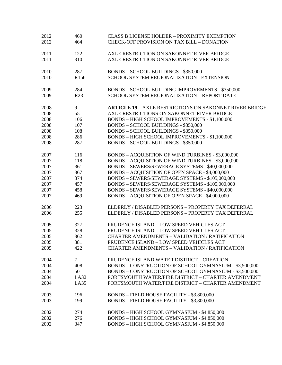| 2012<br>2012 | 460<br>464       | <b>CLASS B LICENSE HOLDER - PROXIMITY EXEMPTION</b><br><b>CHECK-OFF PROVISION ON TAX BILL - DONATION</b> |
|--------------|------------------|----------------------------------------------------------------------------------------------------------|
| 2011         | 122              | AXLE RESTRICTION ON SAKONNET RIVER BRIDGE                                                                |
| 2011         | 310              | AXLE RESTRICTION ON SAKONNET RIVER BRIDGE                                                                |
| 2010         | 287              | <b>BONDS - SCHOOL BUILDINGS - \$350,000</b>                                                              |
| 2010         | R <sub>156</sub> | SCHOOL SYSTEM REGIONALIZATION - EXTENSION                                                                |
| 2009         | 284              | BONDS - SCHOOL BUILDING IMPROVEMENTS - \$350,000                                                         |
| 2009         | R <sub>23</sub>  | SCHOOL SYSTEM REGIONALIZATION - REPORT DATE                                                              |
| 2008         | 9                | <b>ARTICLE 19 - AXLE RESTRICTIONS ON SAKONNET RIVER BRIDGE</b>                                           |
| 2008         | 55               | AXLE RESTRICTIONS ON SAKONNET RIVER BRIDGE                                                               |
| 2008         | 106              | BONDS - HIGH SCHOOL IMPROVEMENTS - \$1,100,000                                                           |
| 2008         | 107              | <b>BONDS - SCHOOL BUILDINGS - \$350,000</b>                                                              |
| 2008         | 108              | <b>BONDS - SCHOOL BUILDINGS - \$350,000</b>                                                              |
| 2008         | 286              | BONDS - HIGH SCHOOL IMPROVEMENTS - \$1,100,000                                                           |
| 2008         | 287              | <b>BONDS - SCHOOL BUILDINGS - \$350,000</b>                                                              |
| 2007         | 116              | <b>BONDS - ACQUISITION OF WIND TURBINES - \$3,000,000</b>                                                |
| 2007         | 118              | BONDS - ACQUISITION OF WIND TURBINES - \$3,000,000                                                       |
| 2007         | 361              | BONDS - SEWERS/SEWERAGE SYSTEMS - \$40,000,000                                                           |
| 2007         | 367              | BONDS - ACQUISITION OF OPEN SPACE - \$4,000,000                                                          |
| 2007         | 374              | BONDS - SEWERS/SEWERAGE SYSTEMS - \$105,000,000                                                          |
| 2007         | 457              | BONDS - SEWERS/SEWERAGE SYSTEMS - \$105,000,000                                                          |
| 2007         | 458              | BONDS - SEWERS/SEWERAGE SYSTEMS - \$40,000,000                                                           |
| 2007         | 469              | BONDS - ACQUISITION OF OPEN SPACE - \$4,000,000                                                          |
| 2006         | 223              | ELDERLY / DISABLED PERSONS - PROPERTY TAX DEFERRAL                                                       |
| 2006         | 255              | ELDERLY / DISABLED PERSONS - PROPERTY TAX DEFERRAL                                                       |
| 2005         | 327              | PRUDENCE ISLAND - LOW SPEED VEHICLES ACT                                                                 |
| 2005         | 328              | PRUDENCE ISLAND - LOW SPEED VEHICLES ACT                                                                 |
| 2005         | 362              | <b>CHARTER AMENDMENTS - VALIDATION / RATIFICATION</b>                                                    |
| 2005         | 381              | PRUDENCE ISLAND - LOW SPEED VEHICLES ACT                                                                 |
| 2005         | 422              | <b>CHARTER AMENDMENTS - VALIDATION / RATIFICATION</b>                                                    |
| 2004         | $\tau$           | PRUDENCE ISLAND WATER DISTRICT - CREATION                                                                |
| 2004         | 408              | BONDS - CONSTRUCTION OF SCHOOL GYMNASIUM - \$3,500,000                                                   |
| 2004         | 501              | BONDS - CONSTRUCTION OF SCHOOL GYMNASIUM - \$3,500,000                                                   |
| 2004         | LA32             | PORTSMOUTH WATER/FIRE DISTRICT - CHARTER AMENDMENT                                                       |
| 2004         | LA35             | PORTSMOUTH WATER/FIRE DISTRICT - CHARTER AMENDMENT                                                       |
| 2003         | 196              | BONDS - FIELD HOUSE FACILITY - \$3,800,000                                                               |
| 2003         | 199              | BONDS - FIELD HOUSE FACILITY - \$3,800,000                                                               |
| 2002         | 274              | BONDS - HIGH SCHOOL GYMNASIUM - \$4,850,000                                                              |
| 2002         | 276              | BONDS - HIGH SCHOOL GYMNASIUM - \$4,850,000                                                              |
| 2002         | 347              | BONDS - HIGH SCHOOL GYMNASIUM - \$4,850,000                                                              |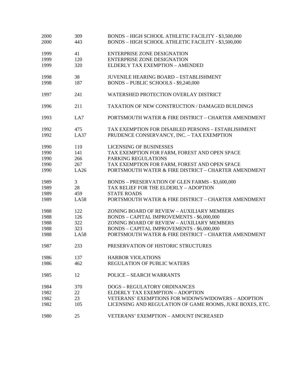| 2000 | 309         | BONDS - HIGH SCHOOL ATHLETIC FACILITY - \$3,500,000      |
|------|-------------|----------------------------------------------------------|
| 2000 | 443         | BONDS - HIGH SCHOOL ATHLETIC FACILITY - \$3,500,000      |
|      |             |                                                          |
| 1999 | 41          | <b>ENTERPRISE ZONE DESIGNATION</b>                       |
| 1999 | 120         | <b>ENTERPRISE ZONE DESIGNATION</b>                       |
| 1999 | 320         | ELDERLY TAX EXEMPTION - AMENDED                          |
| 1998 | 38          | <b>JUVENILE HEARING BOARD - ESTABLISHMENT</b>            |
| 1998 | 187         | BONDS - PUBLIC SCHOOLS - \$9,240,000                     |
| 1997 | 241         | WATERSHED PROTECTION OVERLAY DISTRICT                    |
| 1996 | 211         | TAXATION OF NEW CONSTRUCTION / DAMAGED BUILDINGS         |
| 1993 | LA7         | PORTSMOUTH WATER & FIRE DISTRICT - CHARTER AMENDMENT     |
| 1992 | 475         | TAX EXEMPTION FOR DISABLED PERSONS - ESTABLISHMENT       |
| 1992 | LA37        | PRUDENCE CONSERVANCY, INC. - TAX EXEMPTION               |
| 1990 | 110         | <b>LICENSING OF BUSINESSES</b>                           |
| 1990 | 141         | TAX EXEMPTION FOR FARM, FOREST AND OPEN SPACE            |
| 1990 | 266         | PARKING REGULATIONS                                      |
| 1990 | 267         | TAX EXEMPTION FOR FARM, FOREST AND OPEN SPACE            |
| 1990 | LA26        | PORTSMOUTH WATER & FIRE DISTRICT - CHARTER AMENDMENT     |
| 1989 | 3           | BONDS - PRESERVATION OF GLEN FARMS - \$3,600,000         |
| 1989 | 28          | TAX RELIEF FOR THE ELDERLY - ADOPTION                    |
| 1989 | 459         | <b>STATE ROADS</b>                                       |
| 1989 | <b>LA58</b> | PORTSMOUTH WATER & FIRE DISTRICT - CHARTER AMENDMENT     |
| 1988 | 122         | ZONING BOARD OF REVIEW - AUXILIARY MEMBERS               |
| 1988 | 126         | <b>BONDS - CAPITAL IMPROVEMENTS - \$6,000,000</b>        |
| 1988 | 322         | ZONING BOARD OF REVIEW - AUXILIARY MEMBERS               |
| 1988 | 323         | BONDS - CAPITAL IMPROVEMENTS - \$6,000,000               |
| 1988 | <b>LA58</b> | PORTSMOUTH WATER & FIRE DISTRICT - CHARTER AMENDMENT     |
| 1987 | 233         | PRESERVATION OF HISTORIC STRUCTURES                      |
| 1986 | 137         | <b>HARBOR VIOLATIONS</b>                                 |
| 1986 | 462         | <b>REGULATION OF PUBLIC WATERS</b>                       |
| 1985 | 12          | <b>POLICE – SEARCH WARRANTS</b>                          |
| 1984 | 370         | <b>DOGS - REGULATORY ORDINANCES</b>                      |
| 1982 | 22          | ELDERLY TAX EXEMPTION - ADOPTION                         |
| 1982 | 23          | VETERANS' EXEMPTIONS FOR WIDOWS/WIDOWERS - ADOPTION      |
| 1982 | 105         | LICENSING AND REGULATION OF GAME ROOMS, JUKE BOXES, ETC. |
| 1980 | 25          | <b>VETERANS' EXEMPTION - AMOUNT INCREASED</b>            |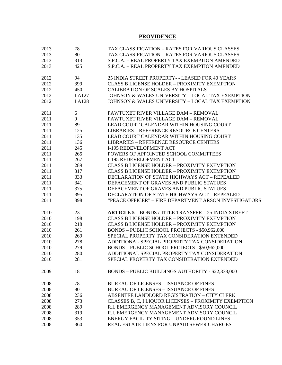## **PROVIDENCE**

| 2013 | 78           | TAX CLASSIFICATION – RATES FOR VARIOUS CLASSES              |
|------|--------------|-------------------------------------------------------------|
| 2013 | 80           | TAX CLASSIFICATION – RATES FOR VARIOUS CLASSES              |
| 2013 | 313          | S.P.C.A. - REAL PROPERTY TAX EXEMPTION AMENDED              |
| 2013 | 425          | S.P.C.A. - REAL PROPERTY TAX EXEMPTION AMENDED              |
| 2012 | 94           | 25 INDIA STREET PROPERTY - - LEASED FOR 40 YEARS            |
| 2012 | 399          | <b>CLASS B LICENSE HOLDER - PROXIMITY EXEMPTION</b>         |
| 2012 | 450          | CALIBRATION OF SCALES BY HOSPITALS                          |
| 2012 | LA127        | JOHNSON & WALES UNIVERSITY - LOCAL TAX EXEMPTION            |
| 2012 | <b>LA128</b> | <b>JOHNSON &amp; WALES UNIVERSITY - LOCAL TAX EXEMPTION</b> |
| 2011 | 6            | PAWTUXET RIVER VILLAGE DAM - REMOVAL                        |
| 2011 | 9            | PAWTUXET RIVER VILLAGE DAM - REMOVAL                        |
| 2011 | 89           | LEAD COURT CALENDAR WITHIN HOUSING COURT                    |
| 2011 | 125          | <b>LIBRARIES - REFERENCE RESOURCE CENTERS</b>               |
| 2011 | 135          | LEAD COURT CALENDAR WITHIN HOUSING COURT                    |
| 2011 | 136          | <b>LIBRARIES - REFERENCE RESOURCE CENTERS</b>               |
| 2011 | 245          | <b>I-195 REDEVELOPMENT ACT</b>                              |
| 2011 | 265          | POWERS OF APPOINTED SCHOOL COMMITTEES                       |
| 2011 | 267          | <b>I-195 REDEVELOPMENT ACT</b>                              |
| 2011 | 289          | <b>CLASS B LICENSE HOLDER - PROXIMITY EXEMPTION</b>         |
| 2011 | 317          | <b>CLASS B LICENSE HOLDER - PROXIMITY EXEMPTION</b>         |
| 2011 | 333          | DECLARATION OF STATE HIGHWAYS ACT - REPEALED                |
| 2011 | 341          | DEFACEMENT OF GRAVES AND PUBLIC STATUES                     |
| 2011 | 375          | DEFACEMENT OF GRAVES AND PUBLIC STATUES                     |
| 2011 | 395          | DECLARATION OF STATE HIGHWAYS ACT - REPEALED                |
| 2011 | 398          | "PEACE OFFICER" - FIRE DEPARTMENT ARSON INVESTIGATORS       |
| 2010 | 23           | <b>ARTICLE 5 - BONDS / TITLE TRANSFER - 25 INDIA STREET</b> |
| 2010 | 198          | <b>CLASS B LICENSE HOLDER - PROXIMITY EXEMPTION</b>         |
| 2010 | 218          | <b>CLASS B LICENSE HOLDER - PROXIMITY EXEMPTION</b>         |
| 2010 | 261          | BONDS - PUBLIC SCHOOL PROJECTS - \$50,962,000               |
| 2010 | 269          | SPECIAL PROPERTY TAX CONSIDERATION EXTENDED                 |
| 2010 | 278          | ADDITIONAL SPECIAL PROPERTY TAX CONSIDERATION               |
| 2010 | 279          | BONDS - PUBLIC SCHOOL PROJECTS - \$50,962,000               |
| 2010 | 280          | ADDITIONAL SPECIAL PROPERTY TAX CONSIDERATION               |
| 2010 | 281          | SPECIAL PROPERTY TAX CONSIDERATION EXTENDED                 |
| 2009 | 181          | BONDS - PUBLIC BUILDINGS AUTHORITY - \$22,338,000           |
| 2008 | 78           | <b>BUREAU OF LICENSES - ISSUANCE OF FINES</b>               |
| 2008 | 80           | <b>BUREAU OF LICENSES - ISSUANCE OF FINES</b>               |
| 2008 | 236          | ABSENTEE LANDLORD REGISTRATION - CITY CLERK                 |
| 2008 | 273          | CLASSES B, C, I LIQUOR LICENSES - PROXIMITY EXEMPTION       |
| 2008 | 289          | R.I. EMERGENCY MANAGEMENT ADVISORY COUNCIL                  |
| 2008 | 319          | R.I. EMERGENCY MANAGEMENT ADVISORY COUNCIL                  |
| 2008 | 353          | ENERGY FACILITY SITING - UNDERGROUND LINES                  |
| 2008 | 360          | REAL ESTATE LIENS FOR UNPAID SEWER CHARGES                  |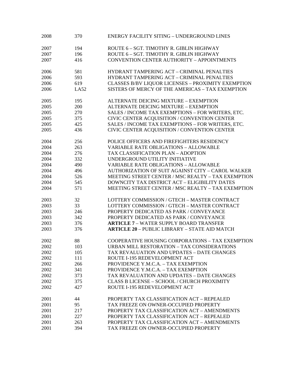| 2008 | 370         | <b>ENERGY FACILITY SITING - UNDERGROUND LINES</b>    |
|------|-------------|------------------------------------------------------|
| 2007 | 194         | ROUTE 6 - SGT. TIMOTHY R. GIBLIN HIGHWAY             |
| 2007 | 196         | ROUTE 6 - SGT. TIMOTHY R. GIBLIN HIGHWAY             |
| 2007 | 416         | <b>CONVENTION CENTER AUTHORITY - APPOINTMENTS</b>    |
| 2006 | 581         | HYDRANT TAMPERING ACT - CRIMINAL PENALTIES           |
| 2006 | 593         | HYDRANT TAMPERING ACT - CRIMINAL PENALTIES           |
| 2006 | 619         | CLASSES B/BV LIQUOR LICENSES - PROXIMITY EXEMPTION   |
| 2006 | <b>LA52</b> | SISTERS OF MERCY OF THE AMERICAS - TAX EXEMPTION     |
| 2005 | 195         | ALTERNATE DEICING MIXTURE - EXEMPTION                |
| 2005 | 200         | ALTERNATE DEICING MIXTURE - EXEMPTION                |
| 2005 | 270         | SALES / INCOME TAX EXEMPTIONS - FOR WRITERS, ETC.    |
| 2005 | 375         | CIVIC CENTER ACQUISITION / CONVENTION CENTER         |
| 2005 | 425         | SALES / INCOME TAX EXEMPTIONS - FOR WRITERS, ETC.    |
| 2005 | 436         | CIVIC CENTER ACQUISITION / CONVENTION CENTER         |
| 2004 | 256         | POLICE OFFICERS AND FIREFIGHTERS RESIDENCY           |
| 2004 | 263         | <b>VARIABLE RATE OBLIGATIONS - ALLOWABLE</b>         |
| 2004 | 276         | TAX CLASSIFICATION PLAN - ADOPTION                   |
| 2004 | 332         | UNDERGROUND UTILITY INITIATIVE                       |
| 2004 | 490         | <b>VARIABLE RATE OBLIGATIONS - ALLOWABLE</b>         |
| 2004 | 496         | AUTHORIZATION OF SUIT AGAINST CITY - CAROL WALKER    |
| 2004 | 526         | MEETING STREET CENTER / MSC REALTY - TAX EXEMPTION   |
| 2004 | 545         | DOWNCITY TAX DISTRICT ACT - ELIGIBILITY DATES        |
| 2004 | 571         | MEETING STREET CENTER / MSC REALTY - TAX EXEMPTION   |
| 2003 | 32          | LOTTERY COMMISSION / GTECH - MASTER CONTRACT         |
| 2003 | 33          | LOTTERY COMMISSION / GTECH - MASTER CONTRACT         |
| 2003 | 246         | PROPERTY DEDICATED AS PARK / CONVEYANCE              |
| 2003 | 342         | PROPERTY DEDICATED AS PARK / CONVEYANCE              |
| 2003 | 376         | <b>ARTICLE 7 - WATER SUPPLY BOARD TRANSFER</b>       |
| 2003 | 376         | <b>ARTICLE 20 - PUBLIC LIBRARY - STATE AID MATCH</b> |
| 2002 | 88          | COOPERATIVE HOUSING CORPORATIONS - TAX EXEMPTION     |
| 2002 | 103         | URBAN MILL RESTORATION – TAX CONSIDERATIONS          |
| 2002 | 105         | TAX REVALUATION AND UPDATES – DATE CHANGES           |
| 2002 | 111         | ROUTE I-195 REDEVELOPMENT ACT                        |
| 2002 | 266         | PROVIDENCE Y.M.C.A. - TAX EXEMPTION                  |
| 2002 | 341         | PROVIDENCE Y.M.C.A. - TAX EXEMPTION                  |
| 2002 | 373         | TAX REVALUATION AND UPDATES - DATE CHANGES           |
| 2002 | 375         | CLASS B LICENSE - SCHOOL / CHURCH PROXIMITY          |
| 2002 | 427         | ROUTE I-195 REDEVELOPMENT ACT                        |
| 2001 | 44          | PROPERTY TAX CLASSIFICATION ACT - REPEALED           |
| 2001 | 95          | TAX FREEZE ON OWNER-OCCUPIED PROPERTY                |
| 2001 | 217         | PROPERTY TAX CLASSIFICATION ACT - AMENDMENTS         |
| 2001 | 227         | PROPERTY TAX CLASSIFICATION ACT - REPEALED           |
| 2001 | 263         | PROPERTY TAX CLASSIFICATION ACT - AMENDMENTS         |
| 2001 | 394         | TAX FREEZE ON OWNER-OCCUPIED PROPERTY                |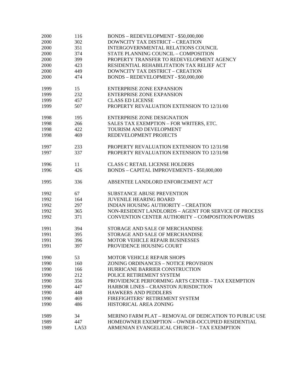| 2000 | 116  | BONDS - REDEVELOPMENT - \$50,000,000                     |
|------|------|----------------------------------------------------------|
| 2000 | 302  | DOWNCITY TAX DISTRICT - CREATION                         |
| 2000 | 351  | INTERGOVERNMENTAL RELATIONS COUNCIL                      |
| 2000 | 374  | STATE PLANNING COUNCIL - COMPOSITION                     |
| 2000 | 399  | PROPERTY TRANSFER TO REDEVELOPMENT AGENCY                |
| 2000 | 423  | RESIDENTIAL REHABILITATION TAX RELIEF ACT                |
| 2000 | 449  | <b>DOWNCITY TAX DISTRICT - CREATION</b>                  |
| 2000 | 474  | BONDS - REDEVELOPMENT - \$50,000,000                     |
|      |      |                                                          |
| 1999 | 15   | <b>ENTERPRISE ZONE EXPANSION</b>                         |
| 1999 | 232  | <b>ENTERPRISE ZONE EXPANSION</b>                         |
| 1999 | 457  | <b>CLASS ED LICENSE</b>                                  |
| 1999 | 507  | PROPERTY REVALUATION EXTENSION TO 12/31/00               |
|      |      |                                                          |
| 1998 | 195  | <b>ENTERPRISE ZONE DESIGNATION</b>                       |
| 1998 | 266  | SALES TAX EXEMPTION - FOR WRITERS, ETC.                  |
| 1998 | 422  | TOURISM AND DEVELOPMENT                                  |
| 1998 | 469  | REDEVELOPMENT PROJECTS                                   |
|      |      |                                                          |
| 1997 | 233  | PROPERTY REVALUATION EXTENSION TO 12/31/98               |
| 1997 | 337  | PROPERTY REVALUATION EXTENSION TO 12/31/98               |
|      |      |                                                          |
| 1996 | 11   | <b>CLASS C RETAIL LICENSE HOLDERS</b>                    |
| 1996 | 426  | BONDS - CAPITAL IMPROVEMENTS - \$50,000,000              |
|      |      |                                                          |
| 1995 | 336  | ABSENTEE LANDLORD ENFORCEMENT ACT                        |
|      |      |                                                          |
| 1992 | 67   | <b>SUBSTANCE ABUSE PREVENTION</b>                        |
| 1992 | 164  | <b>JUVENILE HEARING BOARD</b>                            |
| 1992 | 297  | INDIAN HOUSING AUTHORITY - CREATION                      |
| 1992 | 365  | NON-RESIDENT LANDLORDS - AGENT FOR SERVICE OF PROCESS    |
| 1992 | 371  | CONVENTION CENTER AUTHORITY - COMPOSITION/POWERS         |
|      |      |                                                          |
| 1991 | 394  | STORAGE AND SALE OF MERCHANDISE                          |
| 1991 | 395  | STORAGE AND SALE OF MERCHANDISE                          |
| 1991 | 396  | MOTOR VEHICLE REPAIR BUSINESSES                          |
| 1991 | 397  | PROVIDENCE HOUSING COURT                                 |
|      |      |                                                          |
| 1990 | 53   | <b>MOTOR VEHICLE REPAIR SHOPS</b>                        |
| 1990 | 160  | ZONING ORDINANCES - NOTICE PROVISION                     |
| 1990 | 166  | HURRICANE BARRIER CONSTRUCTION                           |
| 1990 | 212  | POLICE RETIREMENT SYSTEM                                 |
| 1990 | 356  | <b>PROVIDENCE PERFORMING ARTS CENTER - TAX EXEMPTION</b> |
| 1990 | 447  | HARBOR LINES - CRANSTON JURISDICTION                     |
| 1990 | 448  | <b>HAWKERS AND PEDDLERS</b>                              |
| 1990 | 469  | FIREFIGHTERS' RETIREMENT SYSTEM                          |
| 1990 | 486  | HISTORICAL AREA ZONING                                   |
|      |      |                                                          |
| 1989 | 34   | MERINO FARM PLAT – REMOVAL OF DEDICATION TO PUBLIC USE   |
| 1989 | 447  | HOMEOWNER EXEMPTION - OWNER-OCCUPIED RESIDENTIAL         |
| 1989 | LA53 | ARMENIAN EVANGELICAL CHURCH - TAX EXEMPTION              |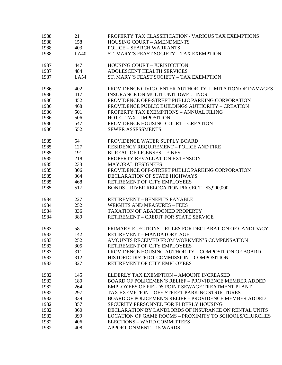| 1988 | 21   | PROPERTY TAX CLASSIFICATION / VARIOUS TAX EXEMPTIONS          |
|------|------|---------------------------------------------------------------|
| 1988 | 158  | <b>HOUSING COURT - AMENDMENTS</b>                             |
| 1988 | 403  | <b>POLICE - SEARCH WARRANTS</b>                               |
| 1988 | LA40 | ST. MARY'S FEAST SOCIETY - TAX EXEMPTION                      |
| 1987 | 447  | <b>HOUSING COURT - JURISDICTION</b>                           |
| 1987 | 484  | ADOLESCENT HEALTH SERVICES                                    |
| 1987 | LA54 | ST. MARY'S FEAST SOCIETY - TAX EXEMPTION                      |
| 1986 | 402  | PROVIDENCE CIVIC CENTER AUTHORITY-LIMITATION OF DAMAGES       |
| 1986 | 417  | <b>INSURANCE ON MULTI-UNIT DWELLINGS</b>                      |
| 1986 | 452  | PROVIDENCE OFF-STREET PUBLIC PARKING CORPORATION              |
| 1986 | 468  | PROVIDENCE PUBLIC BUILDINGS AUTHORITY - CREATION              |
| 1986 | 501  | PROPERTY TAX EXEMPTIONS - ANNUAL FILING                       |
| 1986 | 506  | <b>HOTEL TAX - IMPOSITION</b>                                 |
| 1986 | 547  | <b>PROVIDENCE HOUSING COURT - CREATION</b>                    |
| 1986 | 552  | <b>SEWER ASSESSMENTS</b>                                      |
| 1985 | 54   | PROVIDENCE WATER SUPPLY BOARD                                 |
| 1985 | 127  | <b>RESIDENCY REQUIREMENT - POLICE AND FIRE</b>                |
| 1985 | 191  | <b>BUREAU OF LICENSES - FINES</b>                             |
| 1985 | 218  | PROPERTY REVALUATION EXTENSION                                |
| 1985 | 233  | <b>MAYORAL DESIGNEES</b>                                      |
| 1985 | 306  | PROVIDENCE OFF-STREET PUBLIC PARKING CORPORATION              |
| 1985 | 364  | DECLARATION OF STATE HIGHWAYS                                 |
| 1985 | 468  | RETIREMENT OF CITY EMPLOYEES                                  |
| 1985 | 517  | <b>BONDS - RIVER RELOCATION PROJECT - \$3,900,000</b>         |
| 1984 | 227  | <b>RETIREMENT - BENEFITS PAYABLE</b>                          |
| 1984 | 252  | <b>WEIGHTS AND MEASURES - FEES</b>                            |
| 1984 | 336  | TAXATION OF ABANDONED PROPERTY                                |
| 1984 | 389  | RETIREMENT - CREDIT FOR STATE SERVICE                         |
| 1983 | 58   | PRIMARY ELECTIONS - RULES FOR DECLARATION OF CANDIDACY        |
| 1983 | 142  | RETIREMENT - MANDATORY AGE                                    |
| 1983 | 252  | AMOUNTS RECEIVED FROM WORKMEN'S COMPENSATION                  |
| 1983 | 305  | RETIREMENT OF CITY EMPLOYEES                                  |
| 1983 | 311  | PROVIDENCE HOUSING AUTHORITY – COMPOSITION OF BOARD           |
| 1983 | 312  | HISTORIC DISTRICT COMMISSION - COMPOSITION                    |
| 1983 | 327  | RETIREMENT OF CITY EMPLOYEES                                  |
| 1982 | 145  | ELDERLY TAX EXEMPTION - AMOUNT INCREASED                      |
| 1982 | 180  | <b>BOARD OF POLICEMEN'S RELIEF - PROVIDENCE MEMBER ADDED</b>  |
| 1982 | 264  | EMPLOYEES OF FIELDS POINT SEWAGE TREATMENT PLANT              |
| 1982 | 297  | TAX EXEMPTION - OFF-STREET PARKING STRUCTURES                 |
| 1982 | 339  | <b>BOARD OF POLICEMEN'S RELIEF - PROVIDENCE MEMBER ADDED</b>  |
| 1982 | 357  | SECURITY PERSONNEL FOR ELDERLY HOUSING                        |
| 1982 | 360  | DECLARATION BY LANDLORDS OF INSURANCE ON RENTAL UNITS         |
| 1982 | 399  | <b>LOCATION OF GAME ROOMS - PROXIMITY TO SCHOOLS/CHURCHES</b> |
| 1982 | 406  | <b>ELECTIONS - WARD COMMITTEES</b>                            |
| 1982 | 408  | <b>APPORTIONMENT - 15 WARDS</b>                               |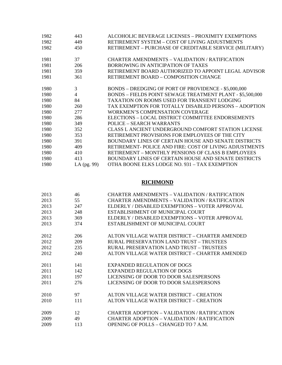| 1982 | 443            | ALCOHOLIC BEVERAGE LICENSES – PROXIMITY EXEMPTIONS        |
|------|----------------|-----------------------------------------------------------|
| 1982 | 449            | RETIREMENT SYSTEM - COST OF LIVING ADJUSTMENTS            |
| 1982 | 450            | RETIREMENT - PURCHASE OF CREDITABLE SERVICE (MILITARY)    |
| 1981 | 37             | CHARTER AMENDMENTS – VALIDATION / RATIFICATION            |
| 1981 | 206            | BORROWING IN ANTICIPATION OF TAXES                        |
| 1981 | 359            | RETIREMENT BOARD AUTHORIZED TO APPOINT LEGAL ADVISOR      |
| 1981 | 361            | <b>RETIREMENT BOARD – COMPOSITION CHANGE</b>              |
| 1980 | 3              | BONDS - DREDGING OF PORT OF PROVIDENCE - \$5,000,000      |
| 1980 | $\overline{4}$ | BONDS - FIELDS POINT SEWAGE TREATMENT PLANT - \$5,500,000 |
| 1980 | 84             | TAXATION ON ROOMS USED FOR TRANSIENT LODGING              |
| 1980 | 260            | TAX EXEMPTION FOR TOTALLY DISABLED PERSONS – ADOPTION     |
| 1980 | 277            | <b>WORKMEN'S COMPENSATION COVERAGE</b>                    |
| 1980 | 286            | ELECTIONS - LOCAL DISTRICT COMMITTEE ENDORSEMENTS         |
| 1980 | 349            | POLICE – SEARCH WARRANTS                                  |
| 1980 | 352            | CLASS L ANCIENT UNDERGROUND COMFORT STATION LICENSE       |
| 1980 | 353            | RETIREMENT PROVISIONS FOR EMPLOYEES OF THE CITY           |
| 1980 | 391            | BOUNDARY LINES OF CERTAIN HOUSE AND SENATE DISTRICTS      |
| 1980 | 409            | RETIREMENT- POLICE AND FIRE: COST OF LIVING ADJUSTMENTS   |
| 1980 | 410            | <b>RETIREMENT – MONTHLY PENSIONS OF CLASS B EMPLOYEES</b> |
| 1980 | 413            | BOUNDARY LINES OF CERTAIN HOUSE AND SENATE DISTRICTS      |
| 1980 | LA (pg. 99)    | OTHA BOONE ELKS LODGE NO. 931 - TAX EXEMPTION             |

## **RICHMOND**

| 2013 | 46  | CHARTER AMENDMENTS – VALIDATION / RATIFICATION |
|------|-----|------------------------------------------------|
| 2013 | 55  | CHARTER AMENDMENTS – VALIDATION / RATIFICATION |
| 2013 | 247 | ELDERLY / DISABLED EXEMPTIONS – VOTER APPROVAL |
| 2013 | 248 | ESTABLISHMENT OF MUNICIPAL COURT               |
| 2013 | 369 | ELDERLY / DISABLED EXEMPTIONS – VOTER APPROVAL |
| 2013 | 374 | ESTABLISHMENT OF MUNICIPAL COURT               |
| 2012 | 206 | ALTON VILLAGE WATER DISTRICT – CHARTER AMENDED |
| 2012 | 209 | RURAL PRESERVATION LAND TRUST – TRUSTEES       |
| 2012 | 235 | RURAL PRESERVATION LAND TRUST – TRUSTEES       |
| 2012 | 240 | ALTON VILLAGE WATER DISTRICT – CHARTER AMENDED |
| 2011 | 141 | <b>EXPANDED REGULATION OF DOGS</b>             |
| 2011 | 142 | <b>EXPANDED REGULATION OF DOGS</b>             |
| 2011 | 197 | LICENSING OF DOOR TO DOOR SALESPERSONS         |
| 2011 | 276 | LICENSING OF DOOR TO DOOR SALESPERSONS         |
| 2010 | 97  | ALTON VILLAGE WATER DISTRICT – CREATION        |
| 2010 | 111 | ALTON VILLAGE WATER DISTRICT – CREATION        |
| 2009 | 12  | CHARTER ADOPTION – VALIDATION / RATIFICATION   |
| 2009 | 49  | CHARTER ADOPTION – VALIDATION / RATIFICATION   |
| 2009 | 113 | OPENING OF POLLS – CHANGED TO 7 A.M.           |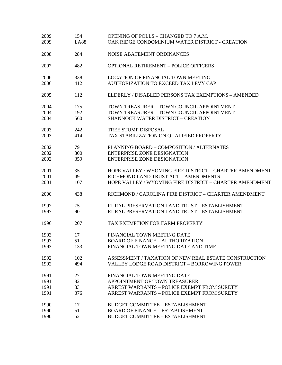| 2009<br>2009 | 154<br><b>LA88</b> | OPENING OF POLLS - CHANGED TO 7 A.M.<br>OAK RIDGE CONDOMINIUM WATER DISTRICT - CREATION |
|--------------|--------------------|-----------------------------------------------------------------------------------------|
| 2008         | 284                | NOISE ABATEMENT ORDINANCES                                                              |
| 2007         | 482                | <b>OPTIONAL RETIREMENT - POLICE OFFICERS</b>                                            |
| 2006         | 338                | <b>LOCATION OF FINANCIAL TOWN MEETING</b>                                               |
| 2006         | 412                | AUTHORIZATION TO EXCEED TAX LEVY CAP                                                    |
| 2005         | 112                | ELDERLY / DISABLED PERSONS TAX EXEMPTIONS - AMENDED                                     |
| 2004         | 175                | TOWN TREASURER - TOWN COUNCIL APPOINTMENT                                               |
| 2004         | 192                | TOWN TREASURER - TOWN COUNCIL APPOINTMENT                                               |
| 2004         | 560                | <b>SHANNOCK WATER DISTRICT - CREATION</b>                                               |
| 2003         | 242                | TREE STUMP DISPOSAL                                                                     |
| 2003         | 414                | TAX STABILIZATION ON QUALIFIED PROPERTY                                                 |
| 2002         | 79                 | PLANNING BOARD - COMPOSITION / ALTERNATES                                               |
| 2002         | 300                | <b>ENTERPRISE ZONE DESIGNATION</b>                                                      |
| 2002         | 359                | <b>ENTERPRISE ZONE DESIGNATION</b>                                                      |
| 2001         | 35                 | HOPE VALLEY / WYOMING FIRE DISTRICT - CHARTER AMENDMENT                                 |
| 2001         | 49                 | RICHMOND LAND TRUST ACT - AMENDMENTS                                                    |
| 2001         | 107                | HOPE VALLEY / WYOMING FIRE DISTRICT - CHARTER AMENDMENT                                 |
| 2000         | 438                | RICHMOND / CAROLINA FIRE DISTRICT - CHARTER AMENDMENT                                   |
| 1997         | 75                 | RURAL PRESERVATION LAND TRUST - ESTABLISHMENT                                           |
| 1997         | 90                 | RURAL PRESERVATION LAND TRUST - ESTABLISHMENT                                           |
| 1996         | 207                | TAX EXEMPTION FOR FARM PROPERTY                                                         |
| 1993         | 17                 | FINANCIAL TOWN MEETING DATE                                                             |
| 1993         | 51                 | <b>BOARD OF FINANCE - AUTHORIZATION</b>                                                 |
| 1993         | 133                | FINANCIAL TOWN MEETING DATE AND TIME                                                    |
| 1992         | 102                | ASSESSMENT / TAXATION OF NEW REAL ESTATE CONSTRUCTION                                   |
| 1992         | 494                | VALLEY LODGE ROAD DISTRICT - BORROWING POWER                                            |
| 1991         | 27                 | FINANCIAL TOWN MEETING DATE                                                             |
| 1991         | 82                 | APPOINTMENT OF TOWN TREASURER                                                           |
| 1991         | 83                 | ARREST WARRANTS - POLICE EXEMPT FROM SURETY                                             |
| 1991         | 376                | ARREST WARRANTS - POLICE EXEMPT FROM SURETY                                             |
| 1990         | 17                 | <b>BUDGET COMMITTEE - ESTABLISHMENT</b>                                                 |
| 1990         | 51                 | <b>BOARD OF FINANCE - ESTABLISHMENT</b>                                                 |
| 1990         | 52                 | <b>BUDGET COMMITTEE - ESTABLISHMENT</b>                                                 |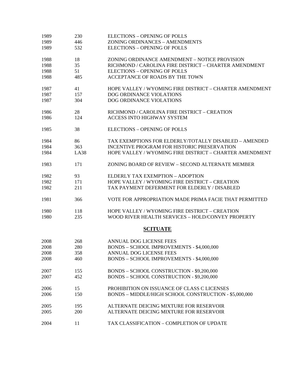| 1989 | 230         | <b>ELECTIONS - OPENING OF POLLS</b>                     |
|------|-------------|---------------------------------------------------------|
| 1989 | 446         | ZONING ORDINANCES - AMENDMENTS                          |
| 1989 | 532         | <b>ELECTIONS - OPENING OF POLLS</b>                     |
| 1988 | 18          | ZONING ORDINANCE AMENDMENT - NOTICE PROVISION           |
| 1988 | 35          | RICHMOND / CAROLINA FIRE DISTRICT - CHARTER AMENDMENT   |
| 1988 | 51          | <b>ELECTIONS - OPENING OF POLLS</b>                     |
| 1988 | 485         | ACCEPTANCE OF ROADS BY THE TOWN                         |
| 1987 | 41          | HOPE VALLEY / WYOMING FIRE DISTRICT - CHARTER AMENDMENT |
| 1987 | 157         | DOG ORDINANCE VIOLATIONS                                |
| 1987 | 304         | DOG ORDINANCE VIOLATIONS                                |
| 1986 | 28          | RICHMOND / CAROLINA FIRE DISTRICT - CREATION            |
| 1986 | 124         | <b>ACCESS INTO HIGHWAY SYSTEM</b>                       |
| 1985 | 38          | <b>ELECTIONS - OPENING OF POLLS</b>                     |
| 1984 | 86          | TAX EXEMPTIONS FOR ELDERLY/TOTALLY DISABLED - AMENDED   |
| 1984 | 363         | INCENTIVE PROGRAM FOR HISTORIC PRESERVATION             |
| 1984 | <b>LA38</b> | HOPE VALLEY / WYOMING FIRE DISTRICT - CHARTER AMENDMENT |
| 1983 | 171         | ZONING BOARD OF REVIEW - SECOND ALTERNATE MEMBER        |
| 1982 | 93          | ELDERLY TAX EXEMPTION - ADOPTION                        |
| 1982 | 171         | HOPE VALLEY / WYOMING FIRE DISTRICT - CREATION          |
| 1982 | 211         | TAX PAYMENT DEFERMENT FOR ELDERLY / DISABLED            |
| 1981 | 366         | VOTE FOR APPROPRIATION MADE PRIMA FACIE THAT PERMITTED  |
| 1980 | 118         | HOPE VALLEY / WYOMING FIRE DISTRICT - CREATION          |
| 1980 | 235         | WOOD RIVER HEALTH SERVICES - HOLD/CONVEY PROPERTY       |
|      |             | <b>SCITUATE</b>                                         |
| 2008 | 268         | ANNUAL DOG LICENSE FEES                                 |
| 2008 | 280         | BONDS - SCHOOL IMPROVEMENTS - \$4,000,000               |
| 2008 | 358         | ANNUAL DOG LICENSE FEES                                 |
| 2008 | 460         | BONDS - SCHOOL IMPROVEMENTS - \$4,000,000               |
| 2007 | 155         | BONDS - SCHOOL CONSTRUCTION - \$9,200,000               |
| 2007 | 452         | BONDS - SCHOOL CONSTRUCTION - \$9,200,000               |
| 2006 | 15          | PROHIBITION ON ISSUANCE OF CLASS C LICENSES             |
| 2006 | 150         | BONDS - MIDDLE/HIGH SCHOOL CONSTRUCTION - \$5,000,000   |
| 2005 | 195         | ALTERNATE DEICING MIXTURE FOR RESERVOIR                 |
| 2005 | 200         | ALTERNATE DEICING MIXTURE FOR RESERVOIR                 |
| 2004 | 11          | TAX CLASSIFICATION - COMPLETION OF UPDATE               |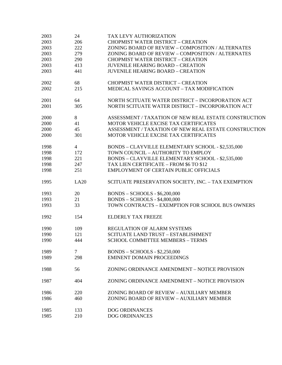| 2003 | 24             | TAX LEVY AUTHORIZATION                                |
|------|----------------|-------------------------------------------------------|
| 2003 | 206            | <b>CHOPMIST WATER DISTRICT - CREATION</b>             |
| 2003 | 222            | ZONING BOARD OF REVIEW - COMPOSITION / ALTERNATES     |
| 2003 | 279            | ZONING BOARD OF REVIEW - COMPOSITION / ALTERNATES     |
| 2003 | 290            | <b>CHOPMIST WATER DISTRICT - CREATION</b>             |
| 2003 | 413            | <b>JUVENILE HEARING BOARD - CREATION</b>              |
| 2003 | 441            | <b>JUVENILE HEARING BOARD - CREATION</b>              |
|      |                |                                                       |
| 2002 | 68             | <b>CHOPMIST WATER DISTRICT - CREATION</b>             |
| 2002 | 215            | MEDICAL SAVINGS ACCOUNT - TAX MODIFICATION            |
|      |                |                                                       |
| 2001 | 64             | NORTH SCITUATE WATER DISTRICT - INCORPORATION ACT     |
| 2001 | 305            | NORTH SCITUATE WATER DISTRICT - INCORPORATION ACT     |
|      |                |                                                       |
| 2000 | 8              | ASSESSMENT / TAXATION OF NEW REAL ESTATE CONSTRUCTION |
| 2000 | 41             | MOTOR VEHICLE EXCISE TAX CERTIFICATES                 |
| 2000 | 45             | ASSESSMENT / TAXATION OF NEW REAL ESTATE CONSTRUCTION |
| 2000 | 301            | MOTOR VEHICLE EXCISE TAX CERTIFICATES                 |
|      |                |                                                       |
| 1998 | $\overline{4}$ | BONDS - CLAYVILLE ELEMENTARY SCHOOL - \$2,535,000     |
| 1998 | 172            | TOWN COUNCIL - AUTHORITY TO EMPLOY                    |
| 1998 | 221            | BONDS - CLAYVILLE ELEMENTARY SCHOOL - \$2,535,000     |
| 1998 | 247            | TAX LIEN CERTIFICATE - FROM \$6 TO \$12               |
| 1998 | 251            | EMPLOYMENT OF CERTAIN PUBLIC OFFICIALS                |
|      |                |                                                       |
| 1995 | LA20           | SCITUATE PRESERVATION SOCIETY, INC. - TAX EXEMPTION   |
| 1993 | 20             | <b>BONDS - SCHOOLS - \$6,200,000</b>                  |
| 1993 | 21             | <b>BONDS - SCHOOLS - \$4,800,000</b>                  |
| 1993 | 33             | TOWN CONTRACTS - EXEMPTION FOR SCHOOL BUS OWNERS      |
|      |                |                                                       |
| 1992 | 154            | <b>ELDERLY TAX FREEZE</b>                             |
|      |                |                                                       |
| 1990 | 109            | REGULATION OF ALARM SYSTEMS                           |
| 1990 | 121            | SCITUATE LAND TRUST - ESTABLISHMENT                   |
| 1990 | 444            | <b>SCHOOL COMMITTEE MEMBERS - TERMS</b>               |
| 1989 | $\overline{7}$ | $BONDS - SCHOOLS - $2,250,000$                        |
| 1989 | 298            | <b>EMINENT DOMAIN PROCEEDINGS</b>                     |
|      |                |                                                       |
| 1988 | 56             | ZONING ORDINANCE AMENDMENT – NOTICE PROVISION         |
|      |                |                                                       |
| 1987 | 404            | ZONING ORDINANCE AMENDMENT - NOTICE PROVISION         |
| 1986 | 220            | ZONING BOARD OF REVIEW - AUXILIARY MEMBER             |
| 1986 | 460            | ZONING BOARD OF REVIEW - AUXILIARY MEMBER             |
|      |                |                                                       |
| 1985 | 133            | <b>DOG ORDINANCES</b>                                 |
| 1985 | 210            | <b>DOG ORDINANCES</b>                                 |
|      |                |                                                       |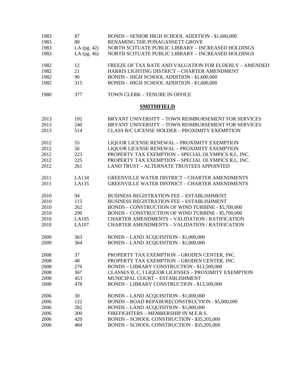| 1983 | 87            | BONDS - SENIOR HIGH SCHOOL ADDITION - \$1,600,000      |
|------|---------------|--------------------------------------------------------|
| 1983 | 89            | RENAMING THE PONAGANSETT GROVE                         |
| 1983 | LA $(pg. 42)$ | NORTH SCITUATE PUBLIC LIBRARY - INCREASED HOLDINGS     |
| 1983 | LA (pg. 46)   | NORTH SCITUATE PUBLIC LIBRARY - INCREASED HOLDINGS     |
| 1982 | 12            | FREEZE OF TAX RATE AND VALUATION FOR ELDERLY - AMENDED |
| 1982 | 21            | HARRIS LIGHTING DISTRICT - CHARTER AMENDMENT           |
| 1982 | 90            | BONDS - HIGH SCHOOL ADDITION - \$1,600,000             |
| 1982 | 315           | BONDS - HIGH SCHOOL ADDITION - \$1,600,000             |
| 1980 | 377           | TOWN CLERK - TENURE IN OFFICE                          |
|      |               | <b>SMITHFIELD</b>                                      |
| 2013 | 192           | BRYANT UNIVERSITY - TOWN REIMBURSEMENT FOR SERVICES    |
| 2013 | 240           | BRYANT UNIVERSITY - TOWN REIMBURSEMENT FOR SERVICES    |
| 2013 | 514           | <b>CLASS B/C LICENSE HOLDER - PROXIMITY EXEMPTION</b>  |
| 2012 | 55            | LIQUOR LICENSE RENEWAL - PROXIMITY EXEMPTION           |
| 2012 | 56            | LIQUOR LICENSE RENEWAL - PROXIMITY EXEMPTION           |
| 2012 | 223           | PROPERTY TAX EXEMPTION - SPECIAL OLYMPICS R.I., INC.   |
| 2012 | 225           | PROPERTY TAX EXEMPTION - SPECIAL OLYMPICS R.I., INC.   |
| 2012 | 261           | <b>LAND TRUST - ALTERNATE TRUSTEES APPOINTED</b>       |
| 2011 | LA134         | <b>GREENVILLE WATER DISTRICT - CHARTER AMENDMENTS</b>  |
| 2011 | LA135         | <b>GREENVILLE WATER DISTRICT - CHARTER AMENDMENTS</b>  |
| 2010 | 94            | <b>BUSINESS REGISTRATION FEE - ESTABLISHMENT</b>       |
| 2010 | 115           | <b>BUSINESS REGISTRATION FEE - ESTABLISHMENT</b>       |
| 2010 | 262           | BONDS - CONSTRUCTION OF WIND TURBINE - \$5,700,000     |
| 2010 | 290           | BONDS - CONSTRUCTION OF WIND TURBINE - \$5,700,000     |
| 2010 | LA105         | <b>CHARTER AMENDMENTS - VALIDATION / RATIFICATION</b>  |
| 2010 | LA107         | <b>CHARTER AMENDMENTS - VALIDATION / RATIFICATION</b>  |
| 2009 | 363           | BONDS - LAND ACQUISITION - \$1,000,000                 |
| 2009 | 364           | <b>BONDS - LAND ACQUISITION - \$1,000,000</b>          |
| 2008 | 37            | PROPERTY TAX EXEMPTION - GRODEN CENTER, INC.           |
| 2008 | 48            | PROPERTY TAX EXEMPTION - GRODEN CENTER, INC.           |
| 2008 | 276           | BONDS - LIBRARY CONSTRUCTION - \$13,500,000            |
| 2008 | 367           | CLASSES B, C, I LIQUOR LICENSES - PROXIMITY EXEMPTION  |
| 2008 | 453           | MUNICIPAL COURT - ESTABLISHMENT                        |
| 2008 | 478           | BONDS - LIBRARY CONSTRUCTION - \$13,500,000            |
| 2006 | 30            | BONDS - LAND ACQUISITION - \$1,000,000                 |
| 2006 | 122           | BONDS - ROAD REPAIR/RECONSTRUCTION - \$5,000,000       |
| 2006 | 282           | <b>BONDS - LAND ACQUISITION - \$1,000,000</b>          |
| 2006 | 300           | FIREFIGHTERS - MEMBERSHIP IN M.E.R.S.                  |
| 2006 | 420           | BONDS - SCHOOL CONSTRUCTION - \$35,205,000             |
| 2006 | 484           | BONDS - SCHOOL CONSTRUCTION - \$35,205,000             |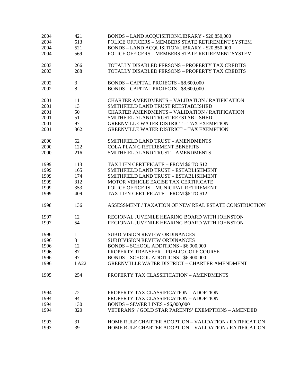| 2004 | 421            | BONDS - LAND ACQUISITION/LIBRARY - \$20,850,000        |
|------|----------------|--------------------------------------------------------|
| 2004 | 513            | POLICE OFFICERS - MEMBERS STATE RETIREMENT SYSTEM      |
| 2004 | 521            | BONDS - LAND ACQUISITION/LIBRARY - \$20,850,000        |
| 2004 | 569            | POLICE OFFICERS - MEMBERS STATE RETIREMENT SYSTEM      |
| 2003 | 266            | TOTALLY DISABLED PERSONS - PROPERTY TAX CREDITS        |
| 2003 | 288            | TOTALLY DISABLED PERSONS - PROPERTY TAX CREDITS        |
| 2002 | 3              | <b>BONDS - CAPITAL PROJECTS - \$8,600,000</b>          |
| 2002 | 8              | <b>BONDS - CAPITAL PROJECTS - \$8,600,000</b>          |
| 2001 | 11             | <b>CHARTER AMENDMENTS - VALIDATION / RATIFICATION</b>  |
| 2001 | 13             | SMITHFIELD LAND TRUST REESTABLISHED                    |
| 2001 | 50             | <b>CHARTER AMENDMENTS - VALIDATION / RATIFICATION</b>  |
| 2001 | 51             | SMITHFIELD LAND TRUST REESTABLISHED                    |
| 2001 | 97             | <b>GREENVILLE WATER DISTRICT - TAX EXEMPTION</b>       |
| 2001 | 362            | <b>GREENVILLE WATER DISTRICT - TAX EXEMPTION</b>       |
| 2000 | 62             | SMITHFIELD LAND TRUST - AMENDMENTS                     |
| 2000 | 122            | <b>COLA PLAN C RETIREMENT BENEFITS</b>                 |
| 2000 | 216            | SMITHFIELD LAND TRUST - AMENDMENTS                     |
| 1999 | 113            | TAX LIEN CERTIFICATE - FROM \$6 TO \$12                |
| 1999 | 165            | SMITHFIELD LAND TRUST - ESTABLISHMENT                  |
| 1999 | 174            | SMITHFIELD LAND TRUST - ESTABLISHMENT                  |
| 1999 | 312            | MOTOR VEHICLE EXCISE TAX CERTIFICATE                   |
| 1999 | 353            | POLICE OFFICERS - MUNICIPAL RETIREMENT                 |
| 1999 | 409            | TAX LIEN CERTIFICATE - FROM \$6 TO \$12                |
| 1998 | 136            | ASSESSMENT / TAXATION OF NEW REAL ESTATE CONSTRUCTION  |
| 1997 | 12             | REGIONAL JUVENILE HEARING BOARD WITH JOHNSTON          |
| 1997 | 54             | REGIONAL JUVENILE HEARING BOARD WITH JOHNSTON          |
| 1996 | 1              | <b>SUBDIVISION REVIEW ORDINANCES</b>                   |
| 1996 | $\overline{3}$ | SUBDIVISION REVIEW ORDINANCES                          |
| 1996 | 12             | BONDS - SCHOOL ADDITIONS - \$6,900,000                 |
| 1996 | 87             | PROPERTY TRANSFER - PUBLIC GOLF COURSE                 |
| 1996 | 97             | BONDS - SCHOOL ADDITIONS - \$6,900,000                 |
| 1996 | LA22           | <b>GREENVIILLE WATER DISTRICT - CHARTER AMENDMENT</b>  |
| 1995 | 254            | PROPERTY TAX CLASSIFICATION - AMENDMENTS               |
| 1994 | 72             | PROPERTY TAX CLASSIFICATION - ADOPTION                 |
| 1994 | 94             | PROPERTY TAX CLASSIFICATION - ADOPTION                 |
| 1994 | 130            | <b>BONDS - SEWER LINES - \$6,000,000</b>               |
| 1994 | 320            | VETERANS' / GOLD STAR PARENTS' EXEMPTIONS - AMENDED    |
| 1993 | 31             | HOME RULE CHARTER ADOPTION - VALIDATION / RATIFICATION |
| 1993 | 39             | HOME RULE CHARTER ADOPTION - VALIDATION / RATIFICATION |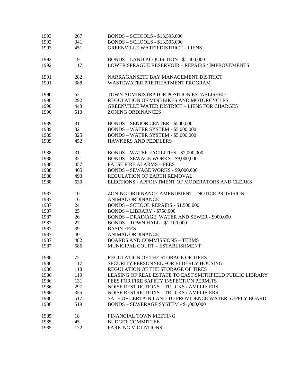| 1993 | 267 | BONDS - SCHOOLS - \$13,595,000                           |
|------|-----|----------------------------------------------------------|
| 1993 | 341 | <b>BONDS - SCHOOLS - \$13,595,000</b>                    |
| 1993 | 451 | <b>GREENVILLE WATER DISTRICT - LIENS</b>                 |
| 1992 | 19  | BONDS - LAND ACQUISITION - \$1,400,000                   |
| 1992 | 117 | LOWER SPRAGUE RESERVOIR - REPAIRS / IMPROVEMENTS         |
| 1991 | 282 | NARRAGANSETT BAY MANAGEMENT DISTRICT                     |
| 1991 | 388 | WASTEWATER PRETREATMENT PROGRAM                          |
| 1990 | 62  | TOWN ADMINISTRATOR POSITION ESTABLISHED                  |
| 1990 | 292 | REGULATION OF MINI-BIKES AND MOTORCYCLES                 |
| 1990 | 443 | <b>GREENVILLE WATER DISTRICT - LIENS FOR CHARGES</b>     |
| 1990 | 510 | <b>ZONING ORDINANCES</b>                                 |
| 1989 | 31  | <b>BONDS - SENIOR CENTER - \$500,000</b>                 |
| 1989 | 32  | BONDS - WATER SYSTEM - \$5,000,000                       |
| 1989 | 325 | BONDS - WATER SYSTEM - \$5,000,000                       |
| 1989 | 452 | <b>HAWKERS AND PEDDLERS</b>                              |
| 1988 | 31  | <b>BONDS - WATER FACILITIES - \$2,000,000</b>            |
| 1988 | 321 | BONDS - SEWAGE WORKS - \$9,000,000                       |
| 1988 | 457 | <b>FALSE FIRE ALARMS - FEES</b>                          |
| 1988 | 465 | BONDS - SEWAGE WORKS - \$9,000,000                       |
| 1988 | 493 | REGULATION OF EARTH REMOVAL                              |
| 1988 | 630 | ELECTIONS - APPOINTMENT OF MODERATORS AND CLERKS         |
| 1987 | 10  | ZONING ORDINANCE AMENDMENT - NOTICE PROVISION            |
| 1987 | 16  | <b>ANIMAL ORDINANCE</b>                                  |
| 1987 | 24  | BONDS - SCHOOL REPAIRS - \$1,500,000                     |
| 1987 | 25  | <b>BONDS - LIBRARY - \$750,000</b>                       |
| 1987 | 26  | BONDS - DRAINAGE, WATER AND SEWER - \$900,000            |
| 1987 | 27  | <b>BONDS - TOWN HALL - \$1,100,000</b>                   |
| 1987 | 39  | <b>BASIN FEES</b>                                        |
| 1987 | 40  | <b>ANIMAL ORDINANCE</b>                                  |
| 1987 | 482 | <b>BOARDS AND COMMISSIONS - TERMS</b>                    |
| 1987 | 586 | MUNICIPAL COURT - ESTABLISHMENT                          |
| 1986 | 72  | REGULATION OF THE STORAGE OF TIRES                       |
| 1986 | 117 | SECURITY PERSONNEL FOR ELDERLY HOUSING                   |
| 1986 | 118 | REGULATION OF THE STORAGE OF TIRES                       |
| 1986 | 119 | LEASING OF REAL ESTATE TO EAST SMITHFIELD PUBLIC LIBRARY |
| 1986 | 131 | FEES FOR FIRE SAFETY INSPECTION PERMITS                  |
| 1986 | 297 | <b>NOISE RESTRICTIONS - TRUCKS / AMPLIFIERS</b>          |
| 1986 | 355 | NOISE RESTRICTIONS - TRUCKS / AMPLIFIERS                 |
| 1986 | 517 | SALE OF CERTAIN LAND TO PROVIDENCE WATER SUPPLY BOARD    |
| 1986 | 519 | BONDS - SEWERAGE SYSTEM - \$1,000,000                    |
| 1985 | 18  | FINANCIAL TOWN MEETING                                   |
| 1985 | 45  | <b>BUDGET COMMITTEE</b>                                  |
| 1985 | 172 | PARKING VIOLATIONS                                       |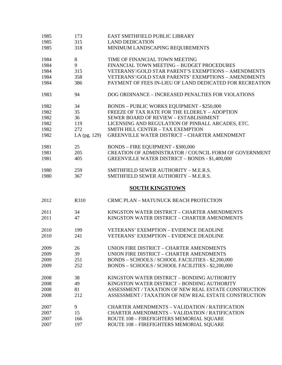| 1985         | 173            | EAST SMITHFIELD PUBLIC LIBRARY                                                                         |
|--------------|----------------|--------------------------------------------------------------------------------------------------------|
| 1985         | 315            | <b>LAND DEDICATION</b>                                                                                 |
| 1985         | 318            | MINIMUM LANDSCAPING REQUIREMENTS                                                                       |
| 1984         | $8\,$          | TIME OF FINANCIAL TOWN MEETING                                                                         |
| 1984         | 9              | FINANCIAL TOWN MEETING - BUDGET PROCEDURES                                                             |
| 1984         | 315            | VETERANS'/GOLD STAR PARENT'S EXEMPTIONS - AMENDMENTS                                                   |
| 1984         | 358            | VETERANS'/GOLD STAR PARENTS' EXEMPTIONS - AMENDMENTS                                                   |
| 1984         | 386            | PAYMENT OF FEES IN-LIEU OF LAND DEDICATED FOR RECREATION                                               |
| 1983         | 94             | DOG ORDINANCE - INCREASED PENALTIES FOR VIOLATIONS                                                     |
| 1982         | 34             | <b>BONDS - PUBLIC WORKS EQUIPMENT - \$250,000</b>                                                      |
| 1982         | 35             | FREEZE OF TAX RATE FOR THE ELDERLY - ADOPTION                                                          |
| 1982         | 36             | SEWER BOARD OF REVIEW - ESTABLISHMENT                                                                  |
| 1982         | 119            | LICENSING AND REGULATION OF PINBALL ARCADES, ETC.                                                      |
| 1982         | 272            | SMITH HILL CENTER - TAX EXEMPTION                                                                      |
| 1982         | LA $(pg. 129)$ | <b>GREENVILLE WATER DISTRICT - CHARTER AMENDMENT</b>                                                   |
| 1981         | 25             | <b>BONDS - FIRE EQUIPMENT - \$300,000</b>                                                              |
| 1981         | 205            | CREATION OF ADMINISTRATOR / COUNCIL FORM OF GOVERNMENT                                                 |
| 1981         | 405            | <b>GREENVILLE WATER DISTRICT - BONDS - \$1,400,000</b>                                                 |
|              |                |                                                                                                        |
| 1980         | 259            | SMITHFIELD SEWER AUTHORITY - M.E.R.S.                                                                  |
| 1980         | 367            | SMITHFIELD SEWER AUTHORITY - M.E.R.S.                                                                  |
|              |                | <b>SOUTH KINGSTOWN</b>                                                                                 |
|              |                |                                                                                                        |
| 2012         | R310           | <b>CRMC PLAN - MATUNUCK BEACH PROTECTION</b>                                                           |
| 2011         | 34             | KINGSTON WATER DISTRICT - CHARTER AMENDMENTS                                                           |
| 2011         | 47             | KINGSTON WATER DISTRICT - CHARTER AMENDMENTS                                                           |
| 2010         | 199            | <b>VETERANS' EXEMPTION - EVIDENCE DEADLINE</b>                                                         |
| 2010         | 241            | <b>VETERANS' EXEMPTION - EVIDENCE DEADLINE</b>                                                         |
|              | 26             | UNION FIRE DISTRICT - CHARTER AMENDMENTS                                                               |
| 2009         | 39             | UNION FIRE DISTRICT - CHARTER AMENDMENTS                                                               |
| 2009         | 251            |                                                                                                        |
| 2009<br>2009 | 252            | BONDS - SCHOOLS / SCHOOL FACILITIES - \$2,200,000<br>BONDS - SCHOOLS / SCHOOL FACILITIES - \$2,200,000 |
|              | 38             | KINGSTON WATER DISTRICT - BONDING AUTHORITY                                                            |
| 2008         | 49             | KINGSTON WATER DISTRICT - BONDING AUTHORITY                                                            |
| 2008         | 81             | ASSESSMENT / TAXATION OF NEW REAL ESTATE CONSTRUCTION                                                  |
| 2008<br>2008 | 212            | ASSESSMENT / TAXATION OF NEW REAL ESTATE CONSTRUCTION                                                  |
| 2007         | 9              | <b>CHARTER AMENDMENTS - VALIDATION / RATIFICATION</b>                                                  |
| 2007         | 15             | <b>CHARTER AMENDMENTS - VALIDATION / RATIFICATION</b>                                                  |
| 2007         | 166            | ROUTE 108 - FIREFIGHTERS MEMORIAL SQUARE                                                               |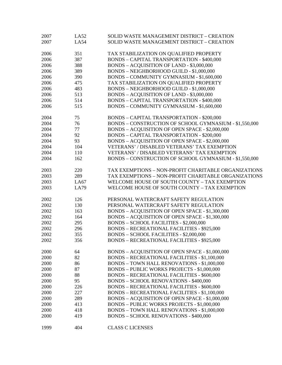| 2007 | LA52        | SOLID WASTE MANAGEMENT DISTRICT - CREATION             |
|------|-------------|--------------------------------------------------------|
| 2007 | LA54        | SOLID WASTE MANAGEMENT DISTRICT - CREATION             |
| 2006 | 351         | TAX STABILIZATION ON QUALIFIED PROPERTY                |
|      |             | <b>BONDS - CAPITAL TRANSPORTATION - \$400,000</b>      |
| 2006 | 387         |                                                        |
| 2006 | 388         | BONDS - ACQUISITION OF LAND - \$3,000,000              |
| 2006 | 389         | BONDS - NEIGHBORHOOD GUILD - \$1,000,000               |
| 2006 | 390         | BONDS - COMMUNITY GYMNASIUM - \$1,600,000              |
| 2006 | 475         | TAX STABILIZATION ON QUALIFIED PROPERTY                |
| 2006 | 483         | BONDS - NEIGHBORHOOD GUILD - \$1,000,000               |
| 2006 | 513         | BONDS - ACQUISITION OF LAND - \$3,000,000              |
| 2006 | 514         | <b>BONDS - CAPITAL TRANSPORTATION - \$400,000</b>      |
| 2006 | 515         | BONDS - COMMUNITY GYMNASIUM - \$1,600,000              |
| 2004 | 75          | <b>BONDS - CAPITAL TRANSPORTATION - \$200,000</b>      |
| 2004 | 76          | BONDS - CONSTRUCTION OF SCHOOL GYMNASIUM - \$1,550,000 |
| 2004 | 77          | BONDS - ACQUISITION OF OPEN SPACE - \$2,000,000        |
| 2004 | 92          | <b>BONDS - CAPITAL TRANSPORTATION - \$200,000</b>      |
| 2004 | 93          | BONDS - ACQUISITION OF OPEN SPACE - \$2,000,000        |
| 2004 | 104         | VETERANS' / DISABLED VETERANS' TAX EXEMPTION           |
| 2004 | 110         | <b>VETERANS' / DISABLED VETERANS' TAX EXEMPTION</b>    |
| 2004 | 162         | BONDS - CONSTRUCTION OF SCHOOL GYMNASIUM - \$1,550,000 |
|      |             |                                                        |
| 2003 | 220         | TAX EXEMPTIONS - NON-PROFIT CHARITABLE ORGANIZATIONS   |
| 2003 | 289         | TAX EXEMPTIONS - NON-PROFIT CHARITABLE ORGANIZATIONS   |
| 2003 | LA67        | WELCOME HOUSE OF SOUTH COUNTY - TAX EXEMPTION          |
| 2003 | <b>LA79</b> | WELCOME HOUSE OF SOUTH COUNTY - TAX EXEMPTION          |
|      |             |                                                        |
| 2002 | 126         | PERSONAL WATERCRAFT SAFETY REGULATION                  |
| 2002 | 130         | PERSONAL WATERCRAFT SAFETY REGULATION                  |
| 2002 | 163         | BONDS - ACQUISITION OF OPEN SPACE - \$1,300,000        |
| 2002 | 164         | BONDS - ACQUISITION OF OPEN SPACE - \$1,300,000        |
| 2002 | 295         | <b>BONDS - SCHOOL FACILITIES - \$2,000,000</b>         |
| 2002 | 296         | <b>BONDS - RECREATIONAL FACILITIES - \$925,000</b>     |
| 2002 | 355         | <b>BONDS - SCHOOL FACILITIES - \$2,000,000</b>         |
| 2002 | 356         | <b>BONDS - RECREATIONAL FACILITIES - \$925,000</b>     |
| 2000 | 64          | BONDS - ACQUISITION OF OPEN SPACE - \$1,000,000        |
| 2000 | 82          | <b>BONDS - RECREATIONAL FACILITIES - \$1,100,000</b>   |
| 2000 | 86          | <b>BONDS - TOWN HALL RENOVATIONS - \$1,000,000</b>     |
| 2000 | 87          | <b>BONDS - PUBLIC WORKS PROJECTS - \$1,000,000</b>     |
| 2000 | 88          | <b>BONDS - RECREATIONAL FACILITIES - \$600,000</b>     |
| 2000 | 95          | <b>BONDS - SCHOOL RENOVATIONS - \$400,000</b>          |
| 2000 | 226         | <b>BONDS - RECREATIONAL FACILITIES - \$600,000</b>     |
| 2000 | 227         | <b>BONDS - RECREATIONAL FACILITIES - \$1,100,000</b>   |
| 2000 | 289         | BONDS - ACQUISITION OF OPEN SPACE - \$1,000,000        |
| 2000 | 413         | <b>BONDS - PUBLIC WORKS PROJECTS - \$1,000,000</b>     |
| 2000 | 418         | <b>BONDS - TOWN HALL RENOVATIONS - \$1,000,000</b>     |
| 2000 | 419         | <b>BONDS - SCHOOL RENOVATIONS - \$400,000</b>          |
|      |             |                                                        |
| 1999 | 404         | <b>CLASS C LICENSES</b>                                |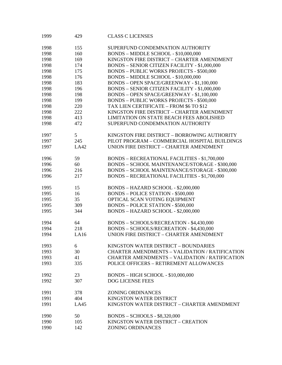| 1999 | 429  | <b>CLASS C LICENSES</b>                               |
|------|------|-------------------------------------------------------|
| 1998 | 155  | SUPERFUND CONDEMNATION AUTHORITY                      |
| 1998 | 160  | BONDS - MIDDLE SCHOOL - \$10,000,000                  |
| 1998 | 169  | KINGSTON FIRE DISTRICT - CHARTER AMENDMENT            |
| 1998 | 174  | <b>BONDS - SENIOR CITIZEN FACILITY - \$1,000,000</b>  |
| 1998 | 175  | <b>BONDS - PUBLIC WORKS PROJECTS - \$500,000</b>      |
| 1998 | 176  | BONDS - MIDDLE SCHOOL - \$10,000,000                  |
| 1998 | 183  | BONDS - OPEN SPACE/GREENWAY - \$1,100,000             |
|      |      |                                                       |
| 1998 | 196  | <b>BONDS - SENIOR CITIZEN FACILITY - \$1,000,000</b>  |
| 1998 | 198  | BONDS - OPEN SPACE/GREENWAY - \$1,100,000             |
| 1998 | 199  | <b>BONDS - PUBLIC WORKS PROJECTS - \$500,000</b>      |
| 1998 | 220  | TAX LIEN CERTIFICATE - FROM \$6 TO \$12               |
| 1998 | 222  | KINGSTON FIRE DISTRICT - CHARTER AMENDMENT            |
| 1998 | 413  | LIMITATION ON STATE BEACH FEES ABOLISHED              |
| 1998 | 472  | SUPERFUND CONDEMNATION AUTHORITY                      |
| 1997 | 5    | KINGSTON FIRE DISTRICT - BORROWING AUTHORITY          |
| 1997 | 245  | PILOT PROGRAM - COMMERCIAL HOSPITAL BUILDINGS         |
| 1997 | LA42 | UNION FIRE DISTRICT - CHARTER AMENDMENT               |
|      |      |                                                       |
| 1996 | 59   | <b>BONDS - RECREATIONAL FACILITIES - \$1,700,000</b>  |
| 1996 | 60   | BONDS - SCHOOL MAINTENANCE/STORAGE - \$300,000        |
| 1996 | 216  | BONDS - SCHOOL MAINTENANCE/STORAGE - \$300,000        |
| 1996 | 217  | <b>BONDS - RECREATIONAL FACILITIES - \$1,700,000</b>  |
|      |      |                                                       |
| 1995 | 15   | BONDS - HAZARD SCHOOL - \$2,000,000                   |
| 1995 | 16   | <b>BONDS - POLICE STATION - \$500,000</b>             |
| 1995 | 35   | OPTICAL SCAN VOTING EQUIPMENT                         |
| 1995 | 309  | <b>BONDS - POLICE STATION - \$500,000</b>             |
| 1995 | 344  | BONDS - HAZARD SCHOOL - \$2,000,000                   |
|      |      |                                                       |
| 1994 | 64   | BONDS - SCHOOLS/RECREATION - \$4,430,000              |
| 1994 | 218  | BONDS - SCHOOLS/RECREATION - \$4,430,000              |
| 1994 | LA16 | UNION FIRE DISTRICT - CHARTER AMENDMENT               |
| 1993 | 6    | KINGSTON WATER DISTRICT - BOUNDARIES                  |
| 1993 | 30   | <b>CHARTER AMENDMENTS - VALIDATION / RATIFICATION</b> |
| 1993 | 41   | <b>CHARTER AMENDMENTS - VALIDATION / RATIFICATION</b> |
| 1993 | 335  | POLICE OFFICERS - RETIREMENT ALLOWANCES               |
|      |      |                                                       |
| 1992 | 23   | <b>BONDS - HIGH SCHOOL - \$10,000,000</b>             |
| 1992 | 307  | <b>DOG LICENSE FEES</b>                               |
|      |      |                                                       |
| 1991 | 378  | <b>ZONING ORDINANCES</b>                              |
| 1991 | 404  | KINGSTON WATER DISTRICT                               |
| 1991 | LA45 | KINGSTON WATER DISTRICT - CHARTER AMENDMENT           |
|      |      |                                                       |
| 1990 | 50   | <b>BONDS - SCHOOLS - \$8,320,000</b>                  |
| 1990 | 105  | KINGSTON WATER DISTRICT - CREATION                    |
| 1990 | 142  | <b>ZONING ORDINANCES</b>                              |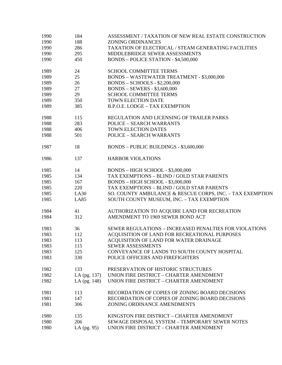| 1990 | 184           | ASSESSMENT / TAXATION OF NEW REAL ESTATE CONSTRUCTION     |
|------|---------------|-----------------------------------------------------------|
| 1990 | 188           | <b>ZONING ORDINANCES</b>                                  |
| 1990 | 286           | TAXATION OF ELECTRICAL / STEAM GENERATING FACILITIES      |
| 1990 | 295           | MIDDLEBRIDGE SEWER ASSESSMENTS                            |
| 1990 | 450           | <b>BONDS - POLICE STATION - \$4,500,000</b>               |
| 1989 | 24            | <b>SCHOOL COMMITTEE TERMS</b>                             |
| 1989 | 25            | BONDS - WASTEWATER TREATMENT - \$3,000,000                |
| 1989 | 26            | $BONDS - SCHOOLS - $2,200,000$                            |
| 1989 | 27            | <b>BONDS - SEWERS - \$3,600,000</b>                       |
| 1989 | 29            | <b>SCHOOL COMMITTEE TERMS</b>                             |
| 1989 | 350           | TOWN ELECTION DATE                                        |
| 1989 | 385           | <b>B.P.O.E. LODGE - TAX EXEMPTION</b>                     |
| 1988 | 115           | REGULATION AND LICENSING OF TRAILER PARKS                 |
| 1988 | 283           | <b>POLICE - SEARCH WARRANTS</b>                           |
| 1988 | 406           | TOWN ELECTION DATES                                       |
| 1988 | 501           | <b>POLICE - SEARCH WARRANTS</b>                           |
| 1987 | 18            | BONDS - PUBLIC BUILDINGS - \$3,600,000                    |
| 1986 | 137           | <b>HARBOR VIOLATIONS</b>                                  |
| 1985 | 14            | BONDS - HIGH SCHOOL - \$3,000,000                         |
| 1985 | 134           | TAX EXEMPTIONS - BLIND / GOLD STAR PARENTS                |
| 1985 | 167           | BONDS - HIGH SCHOOL - \$3,000,000                         |
| 1985 | 220           | TAX EXEMPTIONS - BLIND / GOLD STAR PARENTS                |
| 1985 | LA30          | SO. COUNTY AMBULANCE & RESCUE CORPS, INC. - TAX EXEMPTION |
| 1985 | <b>LA85</b>   | SOUTH COUNTY MUSEUM, INC. - TAX EXEMPTION                 |
| 1984 | 41            | AUTHORIZATION TO ACQUIRE LAND FOR RECREATION              |
| 1984 | 312           | AMENDMENT TO 1969 SEWER BOND ACT                          |
| 1983 | 36            | SEWER REGULATIONS - INCREASED PENALTIES FOR VIOLATIONS    |
| 1983 | 112           | ACQUISITION OF LAND FOR RECREATIONAL PURPOSES             |
| 1983 | 113           | ACQUISITION OF LAND FOR WATER DRAINAGE                    |
| 1983 | 115           | <b>SEWER ASSESSMENTS</b>                                  |
| 1983 | 125           | CONVEYANCE OF LANDS TO SOUTH COUNTY HOSPITAL              |
| 1983 | 330           | POLICE OFFICERS AND FIREFIGHTERS                          |
| 1982 | 133           | PRESERVATION OF HISTORIC STRUCTURES                       |
| 1982 | LA (pg. 137)  | UNION FIRE DISTRICT - CHARTER AMENDMENT                   |
| 1982 | LA (pg. 148)  | UNION FIRE DISTRICT - CHARTER AMENDMENT                   |
| 1981 | 113           | RECORDATION OF COPIES OF ZONING BOARD DECISIONS           |
| 1981 | 147           | RECORDATION OF COPIES OF ZONING BOARD DECISIONS           |
| 1981 | 306           | ZONING ORDINANCE AMENDMENTS                               |
| 1980 | 135           | KINGSTON FIRE DISTRICT - CHARTER AMENDMENT                |
| 1980 | 206           | SEWAGE DISPOSAL SYSTEM - TEMPORARY SEWER NOTES            |
| 1980 | LA $(pg. 95)$ | UNION FIRE DISTRICT - CHARTER AMENDMENT                   |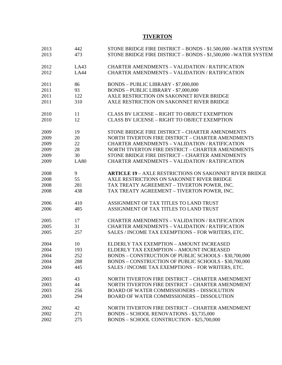## **TIVERTON**

| 2013 | 442         | STONE BRIDGE FIRE DISTRICT - BONDS - \$1.500,000 -WATER SYSTEM |
|------|-------------|----------------------------------------------------------------|
| 2013 | 473         | STONE BRIDGE FIRE DISTRICT - BONDS - \$1,500,000 -WATER SYSTEM |
| 2012 | LA43        | <b>CHARTER AMENDMENTS - VALIDATION / RATIFICATION</b>          |
| 2012 | <b>LA44</b> | <b>CHARTER AMENDMENTS - VALIDATION / RATIFICATION</b>          |
| 2011 | 86          | BONDS - PUBLIC LIBRARY - \$7,000,000                           |
| 2011 | 93          | BONDS - PUBLIC LIBRARY - \$7,000,000                           |
| 2011 | 122         | AXLE RESTRICTION ON SAKONNET RIVER BRIDGE                      |
| 2011 | 310         | AXLE RESTRICTION ON SAKONNET RIVER BRIDGE                      |
| 2010 | 11          | <b>CLASS BV LICENSE - RIGHT TO OBJECT EXEMPTION</b>            |
| 2010 | 12          | <b>CLASS BV LICENSE - RIGHT TO OBJECT EXEMPTION</b>            |
| 2009 | 19          | STONE BRIDGE FIRE DISTRICT - CHARTER AMENDMENTS                |
| 2009 | 20          | NORTH TIVERTON FIRE DISTRICT - CHARTER AMENDMENTS              |
| 2009 | 22          | <b>CHARTER AMENDMENTS - VALIDATION / RATIFICATION</b>          |
| 2009 | 28          | NORTH TIVERTON FIRE DISTRICT - CHARTER AMENDMENTS              |
| 2009 | 30          | STONE BRIDGE FIRE DISTRICT - CHARTER AMENDMENTS                |
| 2009 | <b>LA80</b> | <b>CHARTER AMENDMENTS - VALIDATION / RATIFICATION</b>          |
| 2008 | 9           | <b>ARTICLE 19 - AXLE RESTRICTIONS ON SAKONNET RIVER BRIDGE</b> |
| 2008 | 55          | AXLE RESTRICTIONS ON SAKONNET RIVER BRIDGE                     |
| 2008 | 281         | TAX TREATY AGREEMENT - TIVERTON POWER, INC.                    |
| 2008 | 438         | TAX TREATY AGREEMENT - TIVERTON POWER, INC.                    |
| 2006 | 410         | ASSIGNMENT OF TAX TITLES TO LAND TRUST                         |
| 2006 | 485         | ASSIGNMENT OF TAX TITLES TO LAND TRUST                         |
| 2005 | 17          | <b>CHARTER AMENDMENTS - VALIDATION / RATIFICATION</b>          |
| 2005 | 31          | <b>CHARTER AMENDMENTS - VALIDATION / RATIFICATION</b>          |
| 2005 | 257         | SALES / INCOME TAX EXEMPTIONS - FOR WRITERS, ETC.              |
| 2004 | 10          | ELDERLY TAX EXEMPTION - AMOUNT INCREASED                       |
| 2004 | 193         | ELDERLY TAX EXEMPTION - AMOUNT INCREASED                       |
| 2004 | 252         | BONDS - CONSTRUCTION OF PUBLIC SCHOOLS - \$30,700,000          |
| 2004 | 288         | BONDS - CONSTRUCTION OF PUBLIC SCHOOLS - \$30,700,000          |
| 2004 | 445         | SALES / INCOME TAX EXEMPTIONS - FOR WRITERS, ETC.              |
| 2003 | 43          | NORTH TIVERTON FIRE DISTRICT - CHARTER AMENDMENT               |
| 2003 | 44          | NORTH TIVERTON FIRE DISTRICT - CHARTER AMENDMENT               |
| 2003 | 256         | <b>BOARD OF WATER COMMISSIONERS - DISSOLUTION</b>              |
| 2003 | 294         | <b>BOARD OF WATER COMMISSIONERS - DISSOLUTION</b>              |
| 2002 | 42          | NORTH TIVERTON FIRE DISTRICT - CHARTER AMENDMENT               |
| 2002 | 271         | BONDS - SCHOOL RENOVATIONS - \$3,735,000                       |
| 2002 | 275         | BONDS - SCHOOL CONSTRUCTION - \$25,700,000                     |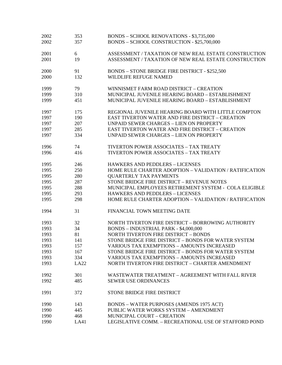| 2002 | 353  | BONDS - SCHOOL RENOVATIONS - \$3,735,000                |
|------|------|---------------------------------------------------------|
| 2002 | 357  | BONDS - SCHOOL CONSTRUCTION - \$25,700,000              |
| 2001 | 6    | ASSESSMENT / TAXATION OF NEW REAL ESTATE CONSTRUCTION   |
| 2001 | 19   | ASSESSMENT / TAXATION OF NEW REAL ESTATE CONSTRUCTION   |
| 2000 | 91   | <b>BONDS - STONE BRIDGE FIRE DISTRICT - \$252,500</b>   |
| 2000 | 132  | WILDLIFE REFUGE NAMED                                   |
| 1999 | 79   | WINNISMET FARM ROAD DISTRICT - CREATION                 |
| 1999 | 310  | MUNICIPAL JUVENILE HEARING BOARD - ESTABLISHMENT        |
| 1999 | 451  | MUNICIPAL JUVENILE HEARING BOARD - ESTABLISHMENT        |
| 1997 | 175  | REGIONAL JUVENILE HEARING BOARD WITH LITTLE COMPTON     |
| 1997 | 190  | <b>EAST TIVERTON WATER AND FIRE DISTRICT - CREATION</b> |
| 1997 | 207  | <b>UNPAID SEWER CHARGES - LIEN ON PROPERTY</b>          |
| 1997 | 285  | <b>EAST TIVERTON WATER AND FIRE DISTRICT - CREATION</b> |
| 1997 | 334  | <b>UNPAID SEWER CHARGES - LIEN ON PROPERTY</b>          |
| 1996 | 74   | <b>TIVERTON POWER ASSOCIATES - TAX TREATY</b>           |
| 1996 | 416  | TIVERTON POWER ASSOCIATES - TAX TREATY                  |
| 1995 | 246  | <b>HAWKERS AND PEDDLERS - LICENSES</b>                  |
| 1995 | 250  | HOME RULE CHARTER ADOPTION - VALIDATION / RATIFICATION  |
| 1995 | 280  | <b>QUARTERLY TAX PAYMENTS</b>                           |
| 1995 | 287  | STONE BRIDGE FIRE DISTRICT - REVENUE NOTES              |
| 1995 | 288  | MUNICIPAL EMPLOYEES RETIREMENT SYSTEM - COLA ELIGIBLE   |
| 1995 | 293  | <b>HAWKERS AND PEDDLERS - LICENSES</b>                  |
| 1995 | 298  | HOME RULE CHARTER ADOPTION - VALIDATION / RATIFICATION  |
| 1994 | 31   | FINANCIAL TOWN MEETING DATE                             |
| 1993 | 32   | NORTH TIVERTON FIRE DISTRICT - BORROWING AUTHORITY      |
| 1993 | 34   | <b>BONDS - INDUSTRIAL PARK - \$4,000,000</b>            |
| 1993 | 81   | <b>NORTH TIVERTON FIRE DISTRICT - BONDS</b>             |
| 1993 | 141  | STONE BRIDGE FIRE DISTRICT - BONDS FOR WATER SYSTEM     |
| 1993 | 157  | <b>VARIOUS TAX EXEMPTIONS - AMOUNTS INCREASED</b>       |
| 1993 | 167  | STONE BRIDGE FIRE DISTRICT - BONDS FOR WATER SYSTEM     |
| 1993 | 334  | <b>VARIOUS TAX EXEMPTIONS - AMOUNTS INCREASED</b>       |
| 1993 | LA22 | NORTH TIVERTON FIRE DISTRICT - CHARTER AMENDMENT        |
| 1992 | 301  | WASTEWATER TREATMENT - AGREEMENT WITH FALL RIVER        |
| 1992 | 485  | <b>SEWER USE ORDINANCES</b>                             |
| 1991 | 372  | STONE BRIDGE FIRE DISTRICT                              |
| 1990 | 143  | <b>BONDS - WATER PURPOSES (AMENDS 1975 ACT)</b>         |
| 1990 | 445  | PUBLIC WATER WORKS SYSTEM - AMENDMENT                   |
| 1990 | 468  | MUNICIPAL COURT - CREATION                              |
| 1990 | LA41 | LEGISLATIVE COMM. - RECREATIONAL USE OF STAFFORD POND   |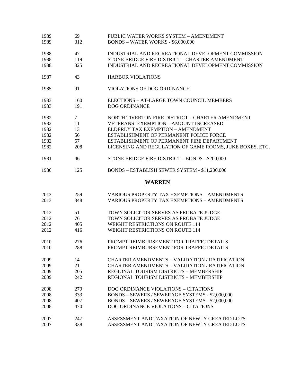| 1989<br>1989 | 69<br>312 | PUBLIC WATER WORKS SYSTEM - AMENDMENT<br><b>BONDS - WATER WORKS - \$6,000,000</b> |
|--------------|-----------|-----------------------------------------------------------------------------------|
| 1988         | 47        | INDUSTRIAL AND RECREATIONAL DEVELOPMENT COMMISSION                                |
| 1988         | 119       | STONE BRIDGE FIRE DISTRICT - CHARTER AMENDMENT                                    |
| 1988         | 325       | INDUSTRIAL AND RECREATIONAL DEVELOPMENT COMMISSION                                |
| 1987         | 43        | <b>HARBOR VIOLATIONS</b>                                                          |
| 1985         | 91        | VIOLATIONS OF DOG ORDINANCE                                                       |
| 1983         | 160       | ELECTIONS - AT-LARGE TOWN COUNCIL MEMBERS                                         |
| 1983         | 191       | <b>DOG ORDINANCE</b>                                                              |
| 1982         | $\tau$    | NORTH TIVERTON FIRE DISTRICT - CHARTER AMENDMENT                                  |
| 1982         | 11        | <b>VETERANS' EXEMPTION - AMOUNT INCREASED</b>                                     |
| 1982         | 13        | ELDERLY TAX EXEMPTION - AMENDMENT                                                 |
| 1982         | 56        | ESTABLISHMENT OF PERMANENT POLICE FORCE                                           |
| 1982         | 57        | ESTABLISHMENT OF PERMANENT FIRE DEPARTMENT                                        |
| 1982         | 208       | LICENSING AND REGULATION OF GAME ROOMS, JUKE BOXES, ETC.                          |
| 1981         | 46        | STONE BRIDGE FIRE DISTRICT - BONDS - \$200,000                                    |
| 1980         | 125       | BONDS - ESTABLISH SEWER SYSTEM - \$11,200,000                                     |
|              |           | <b>WARREN</b>                                                                     |
| 2013         | 259       | VARIOUS PROPERTY TAX EXEMPTIONS - AMENDMENTS                                      |
| 2013         | 348       | <b>VARIOUS PROPERTY TAX EXEMPTIONS - AMENDMENTS</b>                               |
| 2012         | 51        | TOWN SOLICITOR SERVES AS PROBATE JUDGE                                            |
| 2012         | 76        | TOWN SOLICITOR SERVES AS PROBATE JUDGE                                            |
| 2012         | 405       | <b>WEIGHT RESTRICTIONS ON ROUTE 114</b>                                           |
| 2012         | 416       | <b>WEIGHT RESTRICTIONS ON ROUTE 114</b>                                           |
| 2010         | 276       | PROMPT REIMBURSEMENT FOR TRAFFIC DETAILS                                          |
| 2010         | 288       | PROMPT REIMBURSEMENT FOR TRAFFIC DETAILS                                          |
| 2009         | 14        | <b>CHARTER AMENDMENTS - VALIDATION / RATIFICATION</b>                             |
| 2009         | 21        | <b>CHARTER AMENDMENTS - VALIDATION / RATIFICATION</b>                             |
| 2009         | 205       | REGIONAL TOURISM DISTRICTS - MEMBERSHIP                                           |
| 2009         | 242       | REGIONAL TOURISM DISTRICTS - MEMBERSHIP                                           |
| 2008         | 279       | DOG ORDINANCE VIOLATIONS - CITATIONS                                              |
| 2008         | 333       | BONDS - SEWERS / SEWERAGE SYSTEMS - \$2,000,000                                   |
| 2008         | 407       | BONDS - SEWERS / SEWERAGE SYSTEMS - \$2,000,000                                   |
| 2008         | 470       | DOG ORDINANCE VIOLATIONS - CITATIONS                                              |
| 2007         | 247       | ASSESSMENT AND TAXATION OF NEWLY CREATED LOTS                                     |
| 2007         | 338       | ASSESSMENT AND TAXATION OF NEWLY CREATED LOTS                                     |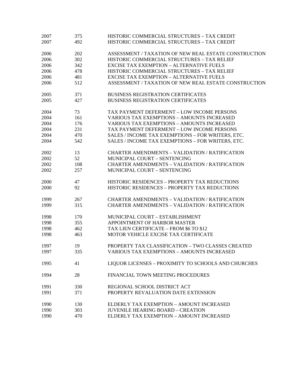| 2007 | 375 | HISTORIC COMMERCIAL STRUCTURES - TAX CREDIT           |
|------|-----|-------------------------------------------------------|
| 2007 | 492 | HISTORIC COMMERCIAL STRUCTURES - TAX CREDIT           |
|      |     |                                                       |
| 2006 | 202 | ASSESSMENT / TAXATION OF NEW REAL ESTATE CONSTRUCTION |
| 2006 | 302 | HISTORIC COMMERCIAL STRUCTURES - TAX RELIEF           |
| 2006 | 342 | <b>EXCISE TAX EXEMPTION - ALTERNATIVE FUELS</b>       |
| 2006 | 478 | HISTORIC COMMERCIAL STRUCTURES - TAX RELIEF           |
| 2006 | 481 | <b>EXCISE TAX EXEMPTION - ALTERNATIVE FUELS</b>       |
| 2006 | 512 | ASSESSMENT / TAXATION OF NEW REAL ESTATE CONSTRUCTION |
| 2005 | 371 | <b>BUSINESS REGISTRATION CERTIFICATES</b>             |
| 2005 | 427 | <b>BUSINESS REGISTRATION CERTIFICATES</b>             |
| 2004 | 73  | TAX PAYMENT DEFERMENT - LOW INCOME PERSONS            |
| 2004 | 161 | <b>VARIOUS TAX EXEMPTIONS - AMOUNTS INCREASED</b>     |
| 2004 | 176 | <b>VARIOUS TAX EXEMPTIONS - AMOUNTS INCREASED</b>     |
| 2004 | 231 | TAX PAYMENT DEFERMENT - LOW INCOME PERSONS            |
| 2004 | 470 | SALES / INCOME TAX EXEMPTIONS - FOR WRITERS, ETC.     |
| 2004 | 542 | SALES / INCOME TAX EXEMPTIONS - FOR WRITERS, ETC.     |
| 2002 | 13  | <b>CHARTER AMENDMENTS - VALIDATION / RATIFICATION</b> |
| 2002 | 52  | MUNICIPAL COURT - SENTENCING                          |
| 2002 | 108 | <b>CHARTER AMENDMENTS - VALIDATION / RATIFICATION</b> |
|      |     |                                                       |
| 2002 | 257 | MUNICIPAL COURT - SENTENCING                          |
| 2000 | 47  | HISTORIC RESIDENCES - PROPERTY TAX REDUCTIONS         |
| 2000 | 92  | HISTORIC RESIDENCES - PROPERTY TAX REDUCTIONS         |
|      |     |                                                       |
| 1999 | 267 | <b>CHARTER AMENDMENTS - VALIDATION / RATIFICATION</b> |
| 1999 | 315 | <b>CHARTER AMENDMENTS - VALIDATION / RATIFICATION</b> |
| 1998 | 170 | MUNICIPAL COURT - ESTABLISHMENT                       |
| 1998 | 355 | APPOINTMENT OF HARBOR MASTER                          |
| 1998 | 462 | TAX LIEN CERTIFICATE - FROM \$6 TO \$12               |
| 1998 | 463 | MOTOR VEHICLE EXCISE TAX CERTIFICATE                  |
|      |     |                                                       |
| 1997 | 19  | PROPERTY TAX CLASSIFICATION - TWO CLASSES CREATED     |
| 1997 | 335 | <b>VARIOUS TAX EXEMPTIONS - AMOUNTS INCREASED</b>     |
| 1995 | 41  | LIQUOR LICENSES - PROXIMITY TO SCHOOLS AND CHURCHES   |
| 1994 | 28  | FINANCIAL TOWN MEETING PROCEDURES                     |
| 1991 | 330 | REGIONAL SCHOOL DISTRICT ACT                          |
| 1991 | 371 | PROPERTY REVALUATION DATE EXTENSION                   |
|      |     |                                                       |
| 1990 | 130 | ELDERLY TAX EXEMPTION - AMOUNT INCREASED              |
| 1990 | 303 | <b>JUVENILE HEARING BOARD - CREATION</b>              |
| 1990 | 470 | ELDERLY TAX EXEMPTION - AMOUNT INCREASED              |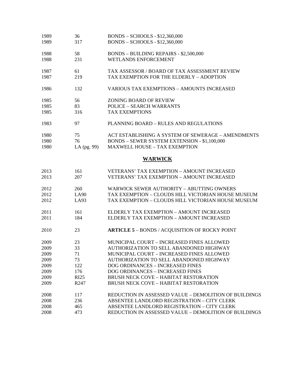| 1989<br>1989 | 36<br>317   | <b>BONDS - SCHOOLS - \$12,360,000</b><br>BONDS - SCHOOLS - \$12,360,000 |
|--------------|-------------|-------------------------------------------------------------------------|
| 1988         | 58          | <b>BONDS - BUILDING REPAIRS - \$2,500,000</b>                           |
| 1988         | 231         | <b>WETLANDS ENFORCEMENT</b>                                             |
| 1987         | 61          | TAX ASSESSOR / BOARD OF TAX ASSESSMENT REVIEW                           |
| 1987         | 219         | TAX EXEMPTION FOR THE ELDERLY - ADOPTION                                |
| 1986         | 132         | <b>VARIOUS TAX EXEMPTIONS - AMOUNTS INCREASED</b>                       |
| 1985         | 56          | <b>ZONING BOARD OF REVIEW</b>                                           |
| 1985         | 83          | <b>POLICE - SEARCH WARRANTS</b>                                         |
| 1985         | 316         | <b>TAX EXEMPTIONS</b>                                                   |
| 1983         | 97          | PLANNING BOARD - RULES AND REGULATIONS                                  |
| 1980         | 75          | ACT ESTABLISHING A SYSTEM OF SEWERAGE - AMENDMENTS                      |
| 1980         | 76          | BONDS - SEWER SYSTEM EXTENSION - \$1,100,000                            |
| 1980         | LA (pg. 99) | <b>MAXWELL HOUSE - TAX EXEMPTION</b>                                    |
|              |             | <b>WARWICK</b>                                                          |
| 2013         | 161         | <b>VETERANS' TAX EXEMPTION - AMOUNT INCREASED</b>                       |
| 2013         | 207         | <b>VETERANS' TAX EXEMPTION - AMOUNT INCREASED</b>                       |
| 2012         | 260         | <b>WARWICK SEWER AUTHORITY - ABUTTING OWNERS</b>                        |
| 2012         | LA90        | TAX EXEMPTION - CLOUDS HILL VICTORIAN HOUSE MUSEUM                      |
| 2012         | LA93        | TAX EXEMPTION - CLOUDS HILL VICTORIAN HOUSE MUSEUM                      |
| 2011         | 161         | ELDERLY TAX EXEMPTION - AMOUNT INCREASED                                |
| 2011         | 184         | ELDERLY TAX EXEMPTION - AMOUNT INCREASED                                |
| 2010         | 23          | <b>ARTICLE 5 - BONDS / ACQUISITION OF ROCKY POINT</b>                   |
| 2009         | 23          | MUNICIPAL COURT - INCREASED FINES ALLOWED                               |
| 2009         | 33          | <b>AUTHORIZATION TO SELL ABANDONED HIGHWAY</b>                          |
| 2009         | 71          | MUNICIPAL COURT - INCREASED FINES ALLOWED                               |
| 2009         | 73          | AUTHORIZATION TO SELL ABANDONED HIGHWAY                                 |
| 2009         | 122         | DOG ORDINANCES - INCREASED FINES                                        |
| 2009         | 176         | DOG ORDINANCES - INCREASED FINES                                        |
| 2009         | <b>RI25</b> | <b>BRUSH NECK COVE - HABITAT RESTORATION</b>                            |
| 2009         | R247        | <b>BRUSH NECK COVE - HABITAT RESTORATION</b>                            |
| 2008         | 117         | REDUCTION IN ASSESSED VALUE - DEMOLITION OF BUILDINGS                   |
| 2008         | 236         | ABSENTEE LANDLORD REGISTRATION - CITY CLERK                             |
| 2008         | 465         | ABSENTEE LANDLORD REGISTRATION - CITY CLERK                             |
| 2008         | 473         | REDUCTION IN ASSESSED VALUE - DEMOLITION OF BUILDINGS                   |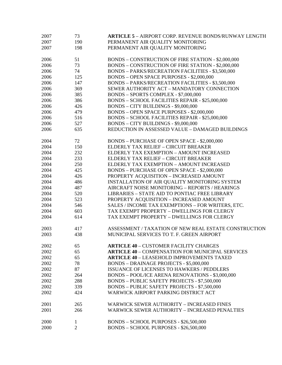| 2007 | 73  | <b>ARTICLE 5 - AIRPORT CORP. REVENUE BONDS/RUNWAY LENGTH</b> |
|------|-----|--------------------------------------------------------------|
| 2007 | 190 | PERMANENT AIR QUALITY MONITORING                             |
| 2007 | 198 | PERMANENT AIR QUALITY MONITORING                             |
|      |     |                                                              |
| 2006 | 51  | BONDS - CONSTRUCTION OF FIRE STATION - \$2,000,000           |
| 2006 | 73  | BONDS - CONSTRUCTION OF FIRE STATION - \$2,000,000           |
| 2006 | 74  | BONDS - PARKS/RECREATION FACILITIES - \$3,500,000            |
| 2006 | 125 | BONDS - OPEN SPACE PURPOSES - \$2,000,000                    |
| 2006 | 147 | BONDS - PARKS/RECREATION FACILITIES - \$3,500,000            |
| 2006 | 369 | SEWER AUTHORITY ACT - MANDATORY CONNECTION                   |
| 2006 | 385 | BONDS - SPORTS COMPLEX - \$7,000,000                         |
| 2006 | 386 | BONDS - SCHOOL FACILITIES REPAIR - \$25,000,000              |
| 2006 | 426 | BONDS - CITY BUILDINGS - \$9,000,000                         |
| 2006 | 479 | BONDS - OPEN SPACE PURPOSES - \$2,000,000                    |
| 2006 | 516 | BONDS - SCHOOL FACILITIES REPAIR - \$25,000,000              |
| 2006 | 527 | BONDS - CITY BUILDINGS - \$9,000,000                         |
| 2006 | 635 | REDUCTION IN ASSESSED VALUE - DAMAGED BUILDINGS              |
|      |     |                                                              |
| 2004 | 72  | BONDS - PURCHASE OF OPEN SPACE - \$2,000,000                 |
| 2004 | 150 | ELDERLY TAX RELIEF - CIRCUIT BREAKER                         |
| 2004 | 232 | ELDERLY TAX EXEMPTION - AMOUNT INCREASED                     |
| 2004 | 233 | ELDERLY TAX RELIEF - CIRCUIT BREAKER                         |
| 2004 | 250 | ELDERLY TAX EXEMPTION - AMOUNT INCREASED                     |
| 2004 | 425 | BONDS - PURCHASE OF OPEN SPACE - \$2,000,000                 |
| 2004 | 426 | PROPERTY ACQUISITION - INCREASED AMOUNT                      |
| 2004 | 486 | INSTALLATION OF AIR QUALITY MONITORING SYSTEM                |
| 2004 | 487 | AIRCRAFT NOISE MONITORING - REPORTS / HEARINGS               |
| 2004 | 520 | <b>LIBRARIES - STATE AID TO PONTIAC FREE LIBRARY</b>         |
| 2004 | 523 | PROPERTY ACQUISITION - INCREASED AMOUNT                      |
| 2004 | 546 | SALES / INCOME TAX EXEMPTIONS - FOR WRITERS, ETC.            |
| 2004 | 603 | TAX EXEMPT PROPERTY - DWELLINGS FOR CLERGY                   |
|      |     |                                                              |
| 2004 | 614 | TAX EXEMPT PROPERTY - DWELLINGS FOR CLERGY                   |
| 2003 | 417 | ASSESSMENT / TAXATION OF NEW REAL ESTATE CONSTRUCTION        |
| 2003 | 438 | MUNICIPAL SERVICES TO T. F. GREEN AIRPORT                    |
|      |     |                                                              |
| 2002 | 65  | <b>ARTICLE 40 - CUSTOMER FACILITY CHARGES</b>                |
| 2002 | 65  | <b>ARTICLE 40 - COMPENSATION FOR MUNICIPAL SERVICES</b>      |
| 2002 | 65  | <b>ARTICLE 40 - LEASEHOLD IMPROVEMENTS TAXED</b>             |
| 2002 | 78  | <b>BONDS - DRAINAGE PROJECTS - \$5,000,000</b>               |
| 2002 | 87  | <b>ISSUANCE OF LICENSES TO HAWKERS / PEDDLERS</b>            |
| 2002 | 264 | BONDS - POOL/ICE ARENA RENOVATIONS - \$3,000,000             |
| 2002 | 288 | <b>BONDS - PUBLIC SAFETY PROJECTS - \$7,500,000</b>          |
| 2002 | 339 | <b>BONDS - PUBLIC SAFETY PROJECTS - \$7,500,000</b>          |
| 2002 | 424 | WARWICK AIRPORT PARKING DISTRICT ACT                         |
|      |     |                                                              |
| 2001 | 265 | <b>WARWICK SEWER AUTHORITY – INCREASED FINES</b>             |
| 2001 | 266 | <b>WARWICK SEWER AUTHORITY - INCREASED PENALTIES</b>         |
| 2000 | 1   | BONDS - SCHOOL PURPOSES - \$26,500,000                       |
| 2000 | 2   | BONDS - SCHOOL PURPOSES - \$26,500,000                       |
|      |     |                                                              |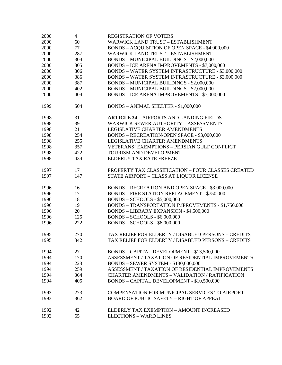| 2000 | $\overline{4}$ | REGISTRATION OF VOTERS                                   |
|------|----------------|----------------------------------------------------------|
| 2000 | 60             | <b>WARWICK LAND TRUST - ESTABLISHMENT</b>                |
| 2000 | 77             | BONDS - ACQUISITION OF OPEN SPACE - \$4,000,000          |
| 2000 | 287            | <b>WARWICK LAND TRUST - ESTABLISHMENT</b>                |
| 2000 | 304            | BONDS - MUNICIPAL BUILDINGS - \$2,000,000                |
| 2000 | 305            | <b>BONDS - ICE ARENA IMPROVEMENTS - \$7,000,000</b>      |
| 2000 | 306            | BONDS - WATER SYSTEM INFRASTRUCTURE - \$3,000,000        |
| 2000 | 386            | <b>BONDS - WATER SYSTEM INFRASTRUCTURE - \$3,000,000</b> |
| 2000 | 387            | BONDS - MUNICIPAL BUILDINGS - \$2,000,000                |
| 2000 | 402            | <b>BONDS - MUNICIPAL BUILDINGS - \$2,000,000</b>         |
| 2000 | 404            | <b>BONDS - ICE ARENA IMPROVEMENTS - \$7,000,000</b>      |
|      |                |                                                          |
| 1999 | 504            | BONDS - ANIMAL SHELTER - \$1,000,000                     |
| 1998 | 31             | <b>ARTICLE 34 - AIRPORTS AND LANDING FIELDS</b>          |
| 1998 | 39             | <b>WARWICK SEWER AUTHORITY - ASSESSMENTS</b>             |
| 1998 | 211            | LEGISLATIVE CHARTER AMENDMENTS                           |
| 1998 | 254            | BONDS - RECREATION/OPEN SPACE - \$3,000,000              |
| 1998 | 255            | LEGISLATIVE CHARTER AMENDMENTS                           |
| 1998 | 357            | VETERANS' EXEMPTIONS - PERSIAN GULF CONFLICT             |
| 1998 | 422            | TOURISM AND DEVELOPMENT                                  |
| 1998 | 434            | ELDERLY TAX RATE FREEZE                                  |
| 1997 | 17             | PROPERTY TAX CLASSIFICATION - FOUR CLASSES CREATED       |
| 1997 | 147            | STATE AIRPORT - CLASS AT LIQUOR LICENSE                  |
| 1996 | 16             | BONDS - RECREATION AND OPEN SPACE - \$3,000,000          |
| 1996 | 17             | <b>BONDS - FIRE STATION REPLACEMENT - \$750,000</b>      |
| 1996 | 18             | <b>BONDS - SCHOOLS - \$5,000,000</b>                     |
| 1996 | 19             | <b>BONDS - TRANSPORTATION IMPROVEMENTS - \$1,750,000</b> |
| 1996 | 20             | <b>BONDS - LIBRARY EXPANSION - \$4,500,000</b>           |
| 1996 | 125            | <b>BONDS - SCHOOLS - \$6,000,000</b>                     |
| 1996 | 222            | <b>BONDS - SCHOOLS - \$6,000,000</b>                     |
| 1995 | 270            | TAX RELIEF FOR ELDERLY / DISABLED PERSONS - CREDITS      |
| 1995 | 342            | TAX RELIEF FOR ELDERLY / DISABLED PERSONS - CREDITS      |
|      |                |                                                          |
| 1994 | 27             | BONDS - CAPITAL DEVELOPMENT - \$13,500,000               |
| 1994 | 170            | ASSESSMENT / TAXATION OF RESIDENTIAL IMPROVEMENTS        |
| 1994 | 223            | <b>BONDS - SEWER SYSTEM - \$130,000,000</b>              |
| 1994 | 259            | ASSESSMENT / TAXATION OF RESIDENTIAL IMPROVEMENTS        |
| 1994 | 364            | <b>CHARTER AMENDMENTS - VALIDATION / RATIFICATION</b>    |
| 1994 | 405            | BONDS - CAPITAL DEVELOPMENT - \$10,500,000               |
| 1993 | 273            | COMPENSATION FOR MUNICIPAL SERVICES TO AIRPORT           |
| 1993 | 362            | <b>BOARD OF PUBLIC SAFETY - RIGHT OF APPEAL</b>          |
| 1992 | 42             | ELDERLY TAX EXEMPTION - AMOUNT INCREASED                 |
| 1992 | 65             | <b>ELECTIONS - WARD LINES</b>                            |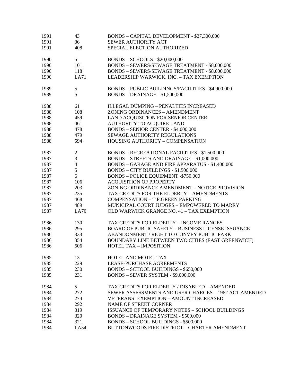| 1991 | 43                       | BONDS - CAPITAL DEVELOPMENT - \$27,300,000                |
|------|--------------------------|-----------------------------------------------------------|
| 1991 | 86                       | <b>SEWER AUTHORITY ACT</b>                                |
| 1991 | 408                      | SPECIAL ELECTION AUTHORIZED                               |
| 1990 | 5 <sup>5</sup>           | BONDS - SCHOOLS - \$20,000,000                            |
| 1990 | 101                      | BONDS - SEWERS/SEWAGE TREATMENT - \$8,000,000             |
| 1990 | 118                      | BONDS - SEWERS/SEWAGE TREATMENT - \$8,000,000             |
| 1990 | LA71                     | LEADERSHIP WARWICK, INC. - TAX EXEMPTION                  |
| 1989 | 5                        | BONDS - PUBLIC BUILDINGS/FACILITIES - \$4,900,000         |
| 1989 | 6                        | <b>BONDS - DRAINAGE - \$1,500,000</b>                     |
| 1988 | 61                       | <b>ILLEGAL DUMPING - PENALTIES INCREASED</b>              |
| 1988 | 108                      | ZONING ORDINANCES - AMENDMENT                             |
| 1988 | 459                      | LAND ACQUISITION FOR SENIOR CENTER                        |
| 1988 | 461                      | AUTHORITY TO ACQUIRE LAND                                 |
| 1988 | 478                      | <b>BONDS - SENIOR CENTER - \$4,000,000</b>                |
| 1988 | 479                      | SEWAGE AUTHORITY REGULATIONS                              |
| 1988 | 594                      | HOUSING AUTHORITY - COMPENSATION                          |
| 1987 | $\mathbf{2}$             | <b>BONDS – RECREATIONAL FACILITIES - \$1,500,000</b>      |
| 1987 | 3                        | BONDS - STREETS AND DRAINAGE - \$1,000,000                |
| 1987 | $\overline{\mathcal{L}}$ | BONDS - GARAGE AND FIRE APPARATUS - \$1,400,000           |
| 1987 | 5                        | BONDS - CITY BUILDINGS - \$1,500,000                      |
| 1987 | 6                        | <b>BONDS - POLICE EQUIPMENT -\$750,000</b>                |
| 1987 | 106                      | <b>ACQUISITION OF PROPERTY</b>                            |
| 1987 | 203                      | ZONING ORDINANCE AMENDMENT - NOTICE PROVISION             |
| 1987 | 235                      | TAX CREDITS FOR THE ELDERLY - AMENDMENTS                  |
| 1987 | 468                      | COMPENSATION - T.F.GREEN PARKING                          |
| 1987 | 489                      | MUNICIPAL COURT JUDGES - EMPOWERED TO MARRY               |
| 1987 | LA70                     | OLD WARWICK GRANGE NO. 41 - TAX EXEMPTION                 |
| 1986 | 130                      | TAX CREDITS FOR ELDERLY - INCOME RANGES                   |
| 1986 | 295                      | <b>BOARD OF PUBLIC SAFETY - BUSINESS LICENSE ISSUANCE</b> |
| 1986 | 333                      | ABANDONMENT / RIGHT TO CONVEY PUBLIC PARK                 |
| 1986 | 354                      | BOUNDARY LINE BETWEEN TWO CITIES (EAST GREENWICH)         |
| 1986 | 506                      | <b>HOTEL TAX - IMPOSITION</b>                             |
| 1985 | 13                       | HOTEL AND MOTEL TAX                                       |
| 1985 | 229                      | LEASE-PURCHASE AGREEMENTS                                 |
| 1985 | 230                      | <b>BONDS - SCHOOL BUILDINGS - \$650,000</b>               |
| 1985 | 231                      | BONDS - SEWER SYSTEM - \$9,000,000                        |
| 1984 | 5 <sup>5</sup>           | TAX CREDITS FOR ELDERLY / DISABLED - AMENDED              |
| 1984 | 272                      | SEWER ASSESSMENTS AND USER CHARGES - 1962 ACT AMENDED     |
| 1984 | 274                      | VETERANS' EXEMPTION - AMOUNT INCREASED                    |
| 1984 | 292                      | <b>NAME OF STREET CORNER</b>                              |
| 1984 | 319                      | <b>ISSUANCE OF TEMPORARY NOTES - SCHOOL BUILDINGS</b>     |
| 1984 | 320                      | <b>BONDS - DRAINAGE SYSTEM - \$500,000</b>                |
| 1984 | 321                      | <b>BONDS - SCHOOL BUILDINGS - \$500,000</b>               |
| 1984 | LA54                     | BUTTONWOODS FIRE DISTRICT - CHARTER AMENDMENT             |
|      |                          |                                                           |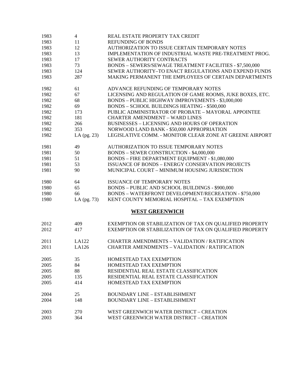| 1983 | $\overline{4}$ | REAL ESTATE PROPERTY TAX CREDIT                          |
|------|----------------|----------------------------------------------------------|
| 1983 | 11             | <b>REFUNDING OF BONDS</b>                                |
| 1983 | 12             | AUTHORIZATION TO ISSUE CERTAIN TEMPORARY NOTES           |
| 1983 | 13             | IMPLEMENTATION OF INDUSTRIAL WASTE PRE-TREATMENT PROG.   |
| 1983 | 17             | SEWER AUTHORITY CONTRACTS                                |
| 1983 | 73             | BONDS - SEWERS/SEWAGE TREATMENT FACILITIES - \$7,500,000 |
| 1983 | 124            | SEWER AUTHORITY-TO ENACT REGULATIONS AND EXPEND FUNDS    |
| 1983 | 287            | MAKING PERMANENT THE EMPLOYEES OF CERTAIN DEPARTMENTS    |
|      |                |                                                          |
| 1982 | 61             | ADVANCE REFUNDING OF TEMPORARY NOTES                     |
| 1982 | 67             | LICENSING AND REGULATION OF GAME ROOMS, JUKE BOXES, ETC. |
| 1982 | 68             | <b>BONDS - PUBLIC HIGHWAY IMPROVEMENTS - \$3,000,000</b> |
| 1982 | 69             | <b>BONDS - SCHOOL BUILDINGS HEATING - \$500,000</b>      |
| 1982 | 173            | PUBLIC ADMINISTRATOR OF PROBATE - MAYORAL APPOINTEE      |
| 1982 | 181            | <b>CHARTER AMENDMENT - WARD LINES</b>                    |
| 1982 | 266            | <b>BUSINESSES - LICENSING AND HOURS OF OPERATION</b>     |
| 1982 | 353            | NORWOOD LAND BANK - \$50,000 APPROPRIATION               |
| 1982 | LA $(pg. 23)$  | LEGISLATIVE COMM. - MONITOR CLEAR ZONE AT GREENE AIRPORT |
| 1981 | 49             | AUTHORIZATION TO ISSUE TEMPORARY NOTES                   |
| 1981 | 50             | BONDS - SEWER CONSTRUCTION - \$4,000,000                 |
| 1981 | 51             | BONDS - FIRE DEPARTMENT EQUIPMENT - \$1,080,000          |
| 1981 | 53             | <b>ISSUANCE OF BONDS - ENERGY CONSERVATION PROJECTS</b>  |
| 1981 | 90             | MUNICIPAL COURT - MINIMUM HOUSING JURISDICTION           |
|      |                |                                                          |
| 1980 | 64             | <b>ISSUANCE OF TEMPORARY NOTES</b>                       |
| 1980 | 65             | BONDS - PUBLIC AND SCHOOL BUILDINGS - \$900,000          |
| 1980 | 66             | BONDS - WATERFRONT DEVELOPMENT/RECREATION - \$750,000    |
| 1980 | LA $(pg. 73)$  | KENT COUNTY MEMORIAL HOSPITAL - TAX EXEMPTION            |
|      |                | <b>WEST GREENWICH</b>                                    |
|      |                |                                                          |
| 2012 | 409            | EXEMPTION OR STABILIZATION OF TAX ON QUALIFIED PROPERTY  |
| 2012 | 417            | EXEMPTION OR STABILIZATION OF TAX ON QUALIFIED PROPERTY  |
| 2011 | LA122          | CHARTER AMENDMENTS - VALIDATION / RATIFICATION           |
| 2011 | LA126          | <b>CHARTER AMENDMENTS - VALIDATION / RATIFICATION</b>    |
| 2005 | 35             | HOMESTEAD TAX EXEMPTION                                  |
| 2005 | 84             | HOMESTEAD TAX EXEMPTION                                  |
| 2005 | 88             | RESIDENTIAL REAL ESTATE CLASSIFICATION                   |
| 2005 | 135            | RESIDENTIAL REAL ESTATE CLASSIFICATION                   |
| 2005 | 414            | HOMESTEAD TAX EXEMPTION                                  |
|      |                |                                                          |
| 2004 | 25             | <b>BOUNDARY LINE - ESTABLISHMENT</b>                     |
| 2004 | 148            | <b>BOUNDARY LINE - ESTABLISHMENT</b>                     |
| 2003 | 270            | WEST GREENWICH WATER DISTRICT - CREATION                 |
| 2003 | 364            | WEST GREENWICH WATER DISTRICT - CREATION                 |
|      |                |                                                          |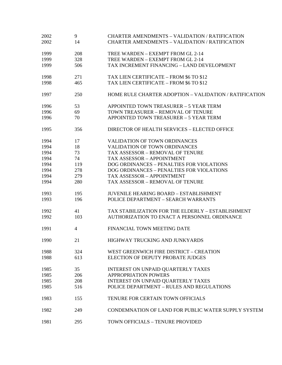| 2002<br>2002 | 9<br>14        | <b>CHARTER AMENDMENTS - VALIDATION / RATIFICATION</b><br><b>CHARTER AMENDMENTS - VALIDATION / RATIFICATION</b> |
|--------------|----------------|----------------------------------------------------------------------------------------------------------------|
| 1999         | 208            | TREE WARDEN - EXEMPT FROM GL 2-14                                                                              |
| 1999         | 328            | TREE WARDEN - EXEMPT FROM GL 2-14                                                                              |
| 1999         | 506            | TAX INCREMENT FINANCING - LAND DEVELOPMENT                                                                     |
| 1998         | 271            | TAX LIEN CERTIFICATE - FROM \$6 TO \$12                                                                        |
| 1998         | 465            | TAX LIEN CERTIFICATE - FROM \$6 TO \$12                                                                        |
| 1997         | 250            | HOME RULE CHARTER ADOPTION – VALIDATION / RATIFICATION                                                         |
| 1996         | 53             | APPOINTED TOWN TREASURER - 5 YEAR TERM                                                                         |
| 1996         | 69             | TOWN TREASURER - REMOVAL OF TENURE                                                                             |
| 1996         | 70             | APPOINTED TOWN TREASURER - 5 YEAR TERM                                                                         |
| 1995         | 356            | DIRECTOR OF HEALTH SERVICES - ELECTED OFFICE                                                                   |
| 1994         | 17             | <b>VALIDATION OF TOWN ORDINANCES</b>                                                                           |
| 1994         | 18             | <b>VALIDATION OF TOWN ORDINANCES</b>                                                                           |
| 1994         | 73             | TAX ASSESSOR - REMOVAL OF TENURE                                                                               |
| 1994         | 74             | TAX ASSESSOR - APPOINTMENT                                                                                     |
| 1994         | 119            | DOG ORDINANCES - PENALTIES FOR VIOLATIONS                                                                      |
| 1994         | 278            | DOG ORDINANCES - PENALTIES FOR VIOLATIONS                                                                      |
| 1994         | 279            | TAX ASSESSOR - APPOINTMENT                                                                                     |
| 1994         | 280            | TAX ASSESSOR - REMOVAL OF TENURE                                                                               |
| 1993         | 195            | <b>JUVENILE HEARING BOARD - ESTABLISHMENT</b>                                                                  |
| 1993         | 196            | POLICE DEPARTMENT - SEARCH WARRANTS                                                                            |
| 1992         | 41             | TAX STABILIZATION FOR THE ELDERLY - ESTABLISHMENT                                                              |
| 1992         | 103            | AUTHORIZATION TO ENACT A PERSONNEL ORDINANCE                                                                   |
| 1991         | $\overline{4}$ | FINANCIAL TOWN MEETING DATE                                                                                    |
| 1990         | 21             | HIGHWAY TRUCKING AND JUNKYARDS                                                                                 |
| 1988         | 324            | WEST GREENWICH FIRE DISTRICT - CREATION                                                                        |
| 1988         | 613            | ELECTION OF DEPUTY PROBATE JUDGES                                                                              |
| 1985         | 35             | INTEREST ON UNPAID QUARTERLY TAXES                                                                             |
| 1985         | 206            | <b>APPROPRIATION POWERS</b>                                                                                    |
| 1985         | 208            | INTEREST ON UNPAID QUARTERLY TAXES                                                                             |
| 1985         | 516            | POLICE DEPARTMENT - RULES AND REGULATIONS                                                                      |
| 1983         | 155            | TENURE FOR CERTAIN TOWN OFFICIALS                                                                              |
| 1982         | 249            | CONDEMNATION OF LAND FOR PUBLIC WATER SUPPLY SYSTEM                                                            |
| 1981         | 295            | TOWN OFFICIALS - TENURE PROVIDED                                                                               |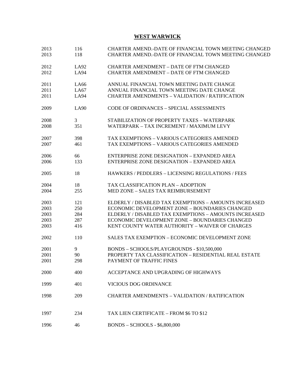## **WEST WARWICK**

| 2013<br>2013 | 116<br>118 | CHARTER AMEND.-DATE OF FINANCIAL TOWN MEETING CHANGED<br>CHARTER AMEND.-DATE OF FINANCIAL TOWN MEETING CHANGED |
|--------------|------------|----------------------------------------------------------------------------------------------------------------|
| 2012         | LA92       | <b>CHARTER AMENDMENT - DATE OF FTM CHANGED</b>                                                                 |
| 2012         | LA94       | <b>CHARTER AMENDMENT - DATE OF FTM CHANGED</b>                                                                 |
| 2011         | LA66       | ANNUAL FINANCIAL TOWN MEETING DATE CHANGE                                                                      |
| 2011         | LA67       | ANNUAL FINANCIAL TOWN MEETING DATE CHANGE                                                                      |
| 2011         | LA94       | <b>CHARTER AMENDMENTS - VALIDATION / RATIFICATION</b>                                                          |
| 2009         | LA90       | CODE OF ORDINANCES - SPECIAL ASSESSMENTS                                                                       |
| 2008         | 3          | STABILIZATION OF PROPERTY TAXES - WATERPARK                                                                    |
| 2008         | 351        | WATERPARK - TAX INCREMENT / MAXIMUM LEVY                                                                       |
| 2007         | 398        | TAX EXEMPTIONS - VARIOUS CATEGORIES AMENDED                                                                    |
| 2007         | 461        | TAX EXEMPTIONS - VARIOUS CATEGORIES AMENDED                                                                    |
| 2006         | 66         | ENTERPRISE ZONE DESIGNATION - EXPANDED AREA                                                                    |
| 2006         | 133        | <b>ENTERPRISE ZONE DESIGNATION - EXPANDED AREA</b>                                                             |
| 2005         | 18         | HAWKERS / PEDDLERS - LICENSING REGULATIONS / FEES                                                              |
| 2004         | 18         | TAX CLASSIFICATION PLAN - ADOPTION                                                                             |
| 2004         | 255        | MED ZONE - SALES TAX REIMBURSEMENT                                                                             |
| 2003         | 121        | ELDERLY / DISABLED TAX EXEMPTIONS - AMOUNTS INCREASED                                                          |
| 2003         | 250        | ECONOMIC DEVELOPMENT ZONE - BOUNDARIES CHANGED                                                                 |
| 2003         | 284        | ELDERLY / DISABLED TAX EXEMPTIONS - AMOUNTS INCREASED                                                          |
| 2003         | 287        | ECONOMIC DEVELOPMENT ZONE - BOUNDARIES CHANGED                                                                 |
| 2003         | 416        | KENT COUNTY WATER AUTHORITY - WAIVER OF CHARGES                                                                |
| 2002         | 110        | SALES TAX EXEMPTION - ECONOMIC DEVELOPMENT ZONE                                                                |
| 2001         | 9          | BONDS - SCHOOLS/PLAYGROUNDS - \$10,500,000                                                                     |
| 2001         | 90         | PROPERTY TAX CLASSIFICATION - RESIDENTIAL REAL ESTATE                                                          |
| 2001         | 298        | PAYMENT OF TRAFFIC FINES                                                                                       |
| 2000         | 400        | ACCEPTANCE AND UPGRADING OF HIGHWAYS                                                                           |
| 1999         | 401        | VICIOUS DOG ORDINANCE                                                                                          |
| 1998         | 209        | <b>CHARTER AMENDMENTS - VALIDATION / RATIFICATION</b>                                                          |
| 1997         | 234        | TAX LIEN CERTIFICATE – FROM \$6 TO \$12                                                                        |
| 1996         | 46         | <b>BONDS - SCHOOLS - \$6,800,000</b>                                                                           |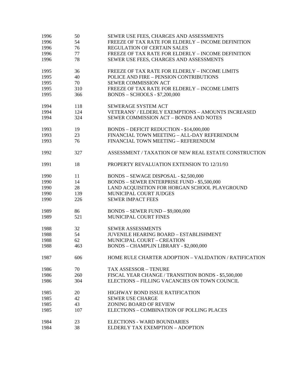| 1996 | 50  | SEWER USE FEES, CHARGES AND ASSESSMENTS                |
|------|-----|--------------------------------------------------------|
| 1996 | 54  | FREEZE OF TAX RATE FOR ELDERLY - INCOME DEFINITION     |
| 1996 | 76  | <b>REGULATION OF CERTAIN SALES</b>                     |
| 1996 | 77  | FREEZE OF TAX RATE FOR ELDERLY - INCOME DEFINITION     |
| 1996 | 78  | SEWER USE FEES, CHARGES AND ASSESSMENTS                |
| 1995 | 36  | FREEZE OF TAX RATE FOR ELDERLY - INCOME LIMITS         |
| 1995 | 40  | POLICE AND FIRE - PENSION CONTRIBUTIONS                |
| 1995 | 70  | SEWER COMMISSION ACT                                   |
| 1995 | 310 | FREEZE OF TAX RATE FOR ELDERLY - INCOME LIMITS         |
| 1995 | 366 | <b>BONDS - SCHOOLS - \$7,200,000</b>                   |
| 1994 | 118 | SEWERAGE SYSTEM ACT                                    |
| 1994 | 124 | VETERANS' / ELDERLY EXEMPTIONS - AMOUNTS INCREASED     |
| 1994 | 324 | SEWER COMMISSION ACT - BONDS AND NOTES                 |
| 1993 | 19  | <b>BONDS - DEFICIT REDUCTION - \$14,000,000</b>        |
| 1993 | 23  | FINANCIAL TOWN MEETING - ALL-DAY REFERENDUM            |
| 1993 | 76  | FINANCIAL TOWN MEETING - REFERENDUM                    |
| 1992 | 327 | ASSESSMENT / TAXATION OF NEW REAL ESTATE CONSTRUCTION  |
| 1991 | 18  | PROPERTY REVALUATION EXTENSION TO 12/31/93             |
| 1990 | 11  | BONDS - SEWAGE DISPOSAL - \$2,500,000                  |
| 1990 | 14  | BONDS - SEWER ENTERPRISE FUND - \$5,500,000            |
| 1990 | 28  | LAND ACQUISITION FOR HORGAN SCHOOL PLAYGROUND          |
| 1990 | 139 | MUNICIPAL COURT JUDGES                                 |
| 1990 | 226 | <b>SEWER IMPACT FEES</b>                               |
| 1989 | 86  | <b>BONDS - SEWER FUND - \$9,000,000</b>                |
| 1989 | 521 | MUNICIPAL COURT FINES                                  |
| 1988 | 32  | <b>SEWER ASSESSMENTS</b>                               |
| 1988 | 54  | <b>JUVENILE HEARING BOARD - ESTABLISHMENT</b>          |
| 1988 | 62  | MUNICIPAL COURT - CREATION                             |
| 1988 | 463 | <b>BONDS - CHAMPLIN LIBRARY - \$2,000,000</b>          |
| 1987 | 606 | HOME RULE CHARTER ADOPTION - VALIDATION / RATIFICATION |
| 1986 | 70  | TAX ASSESSOR - TENURE                                  |
| 1986 | 260 | FISCAL YEAR CHANGE / TRANSITION BONDS - \$5,500,000    |
| 1986 | 304 | ELECTIONS - FILLING VACANCIES ON TOWN COUNCIL          |
| 1985 | 20  | HIGHWAY BOND ISSUE RATIFICATION                        |
| 1985 | 42  | <b>SEWER USE CHARGE</b>                                |
| 1985 | 43  | <b>ZONING BOARD OF REVIEW</b>                          |
| 1985 | 107 | ELECTIONS - COMBINATION OF POLLING PLACES              |
| 1984 | 23  | <b>ELECTIONS - WARD BOUNDARIES</b>                     |
| 1984 | 38  | ELDERLY TAX EXEMPTION - ADOPTION                       |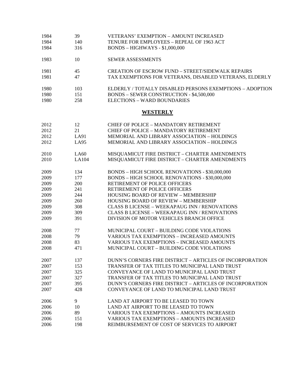| 1984 | 39          | <b>VETERANS' EXEMPTION - AMOUNT INCREASED</b>            |
|------|-------------|----------------------------------------------------------|
| 1984 | 140         | TENURE FOR EMPLOYEES - REPEAL OF 1963 ACT                |
| 1984 | 316         | $BONDS - HIGHWAYS - $1,000,000$                          |
| 1983 | 10          | <b>SEWER ASSESSMENTS</b>                                 |
| 1981 | 45          | <b>CREATION OF ESCROW FUND - STREET/SIDEWALK REPAIRS</b> |
| 1981 | 47          | TAX EXEMPTIONS FOR VETERANS, DISABLED VETERANS, ELDERLY  |
| 1980 | 103         | ELDERLY / TOTALLY DISABLED PERSONS EXEMPTIONS - ADOPTION |
| 1980 | 151         | <b>BONDS - SEWER CONSTRUCTION - \$4,500,000</b>          |
| 1980 | 258         | <b>ELECTIONS - WARD BOUNDARIES</b>                       |
|      |             | <b>WESTERLY</b>                                          |
| 2012 | 12          | <b>CHIEF OF POLICE - MANDATORY RETIREMENT</b>            |
| 2012 | 21          | <b>CHIEF OF POLICE - MANDATORY RETIREMENT</b>            |
| 2012 | LA91        | MEMORIAL AND LIBRARY ASSOCIATION - HOLDINGS              |
| 2012 | <b>LA95</b> | MEMORIAL AND LIBRARY ASSOCIATION - HOLDINGS              |
| 2010 | LA60        | MISQUAMICUT FIRE DISTRICT - CHARTER AMENDMENTS           |
| 2010 | LA104       | MISQUAMICUT FIRE DISTRICT - CHARTER AMENDMENTS           |
| 2009 | 134         | BONDS - HIGH SCHOOL RENOVATIONS - \$30,000,000           |
| 2009 | 177         | BONDS - HIGH SCHOOL RENOVATIONS - \$30,000,000           |
| 2009 | 200         | RETIREMENT OF POLICE OFFICERS                            |
| 2009 | 241         | RETIREMENT OF POLICE OFFICERS                            |
| 2009 | 244         | <b>HOUSING BOARD OF REVIEW - MEMBERSHIP</b>              |
| 2009 | 260         | <b>HOUSING BOARD OF REVIEW - MEMBERSHIP</b>              |
| 2009 | 308         | <b>CLASS B LICENSE - WEEKAPAUG INN / RENOVATIONS</b>     |
| 2009 | 309         | <b>CLASS B LICENSE - WEEKAPAUG INN / RENOVATIONS</b>     |
| 2009 | 391         | DIVISION OF MOTOR VEHICLES BRANCH OFFICE                 |
| 2008 | 77          | MUNICIPAL COURT - BUILDING CODE VIOLATIONS               |
| 2008 | 79          | <b>VARIOUS TAX EXEMPTIONS - INCREASED AMOUNTS</b>        |
| 2008 | 83          | <b>VARIOUS TAX EXEMPTIONS - INCREASED AMOUNTS</b>        |
| 2008 | 471         | MUNICIPAL COURT - BUILDING CODE VIOLATIONS               |
| 2007 | 137         | DUNN'S CORNERS FIRE DISTRICT - ARTICLES OF INCORPORATION |
| 2007 | 153         | TRANSFER OF TAX TITLES TO MUNICIPAL LAND TRUST           |
| 2007 | 325         | CONVEYANCE OF LAND TO MUNICIPAL LAND TRUST               |
| 2007 | 327         | TRANSFER OF TAX TITLES TO MUNICIPAL LAND TRUST           |
| 2007 | 395         | DUNN'S CORNERS FIRE DISTRICT - ARTICLES OF INCORPORATION |
| 2007 | 428         | CONVEYANCE OF LAND TO MUNICIPAL LAND TRUST               |
| 2006 | 9           | LAND AT AIRPORT TO BE LEASED TO TOWN                     |
| 2006 | 10          | LAND AT AIRPORT TO BE LEASED TO TOWN                     |
| 2006 | 89          | <b>VARIOUS TAX EXEMPTIONS - AMOUNTS INCREASED</b>        |
| 2006 | 151         | <b>VARIOUS TAX EXEMPTIONS - AMOUNTS INCREASED</b>        |
| 2006 | 198         | REIMBURSEMENT OF COST OF SERVICES TO AIRPORT             |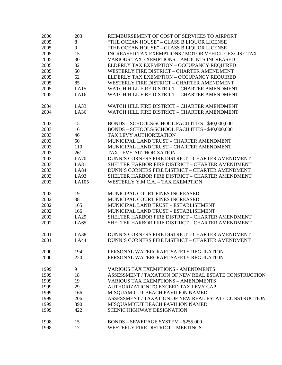| 2006 | 203         | REIMBURSEMENT OF COST OF SERVICES TO AIRPORT          |
|------|-------------|-------------------------------------------------------|
| 2005 | 8           | "THE OCEAN HOUSE" - CLASS B LIQUOR LICENSE            |
| 2005 | 9           | "THE OCEAN HOUSE" - CLASS B LIQUOR LICENSE            |
| 2005 | 15          | INCREASED TAX EXEMPTIONS / MOTOR VEHICLE EXCISE TAX   |
| 2005 | 30          | <b>VARIOUS TAX EXEMPTIONS - AMOUNTS INCREASED</b>     |
| 2005 | 32          | ELDERLY TAX EXEMPTION - OCCUPANCY REQUIRED            |
| 2005 | 50          | WESTERLY FIRE DISTRICT - CHARTER AMENDMENT            |
| 2005 | 62          | ELDERLY TAX EXEMPTION - OCCUPANCY REQUIRED            |
| 2005 | 85          | WESTERLY FIRE DISTRICT - CHARTER AMENDMENT            |
|      |             |                                                       |
| 2005 | LA15        | WATCH HILL FIRE DISTRICT - CHARTER AMENDMENT          |
| 2005 | LA16        | WATCH HILL FIRE DISTRICT - CHARTER AMENDMENT          |
| 2004 | LA33        | WATCH HILL FIRE DISTRICT - CHARTER AMENDMENT          |
| 2004 | LA36        | WATCH HILL FIRE DISTRICT - CHARTER AMENDMENT          |
|      |             |                                                       |
| 2003 | 15          | BONDS - SCHOOLS/SCHOOL FACILITIES - \$40,000,000      |
| 2003 | 16          | BONDS - SCHOOLS/SCHOOL FACILITIES - \$40,000,000      |
| 2003 | 46          | TAX LEVY AUTHORIZATION                                |
| 2003 | 50          | MUNICIPAL LAND TRUST - CHARTER AMENDMENT              |
| 2003 | 110         | MUNICIPAL LAND TRUST - CHARTER AMENDMENT              |
| 2003 | 261         | TAX LEVY AUTHORIZATION                                |
| 2003 | <b>LA70</b> | DUNN'S CORNERS FIRE DISTRICT - CHARTER AMENDMENT      |
| 2003 | LA81        | SHELTER HARBOR FIRE DISTRICT - CHARTER AMENDMENT      |
| 2003 | <b>LA84</b> | DUNN'S CORNERS FIRE DISTRICT - CHARTER AMENDMENT      |
| 2003 | LA93        | SHELTER HARBOR FIRE DISTRICT - CHARTER AMENDMENT      |
| 2003 | LA105       | WESTERLY Y.M.C.A. - TAX EXEMPTION                     |
|      | 19          | MUNICIPAL COURT FINES INCREASED                       |
| 2002 | 38          | MUNICIPAL COURT FINES INCREASED                       |
| 2002 |             |                                                       |
| 2002 | 165         | MUNICIPAL LAND TRUST - ESTABLISHMENT                  |
| 2002 | 166         | MUNICIPAL LAND TRUST - ESTABLISHMENT                  |
| 2002 | LA29        | SHELTER HARBOR FIRE DISTRICT - CHARTER AMENDMENT      |
| 2002 | LA65        | SHELTER HARBOR FIRE DISTRICT - CHARTER AMENDMENT      |
| 2001 | LA38        | DUNN'S CORNERS FIRE DISTRICT - CHARTER AMENDMENT      |
| 2001 | <b>LA44</b> | DUNN'S CORNERS FIRE DISTRICT - CHARTER AMENDMENT      |
|      |             |                                                       |
| 2000 | 194         | PERSONAL WATERCRAFT SAFETY REGULATION                 |
| 2000 | 220         | PERSONAL WATERCRAFT SAFETY REGULATION                 |
| 1999 | 9           | <b>VARIOUS TAX EXEMPTIONS - AMENDMENTS</b>            |
| 1999 | 18          | ASSESSMENT / TAXATION OF NEW REAL ESTATE CONSTRUCTION |
| 1999 | 19          | <b>VARIOUS TAX EXEMPTIONS - AMENDMENTS</b>            |
| 1999 | 29          | AUTHORIZATION TO EXCEED TAX LEVY CAP                  |
| 1999 | 166         | MISQUAMICUT BEACH PAVILION NAMED                      |
| 1999 | 206         | ASSESSMENT / TAXATION OF NEW REAL ESTATE CONSTRUCTION |
| 1999 | 390         | MISQUAMICUT BEACH PAVILION NAMED                      |
| 1999 | 422         | <b>SCENIC HIGHWAY DESIGNATION</b>                     |
|      |             |                                                       |
| 1998 | 15          | <b>BONDS – SEWERAGE SYSTEM - \$255,000</b>            |
| 1998 | 17          | <b>WESTERLY FIRE DISTRICT - MEETINGS</b>              |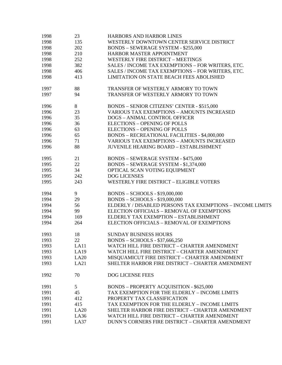| 1998 | 23   | <b>HARBORS AND HARBOR LINES</b>                           |
|------|------|-----------------------------------------------------------|
| 1998 | 135  | WESTERLY DOWNTOWN CENTER SERVICE DISTRICT                 |
| 1998 | 202  | <b>BONDS - SEWERAGE SYSTEM - \$255,000</b>                |
| 1998 | 210  | HARBOR MASTER APPOINTMENT                                 |
| 1998 | 252  | <b>WESTERLY FIRE DISTRICT - MEETINGS</b>                  |
| 1998 | 382  | SALES / INCOME TAX EXEMPTIONS - FOR WRITERS, ETC.         |
| 1998 | 406  | SALES / INCOME TAX EXEMPTIONS - FOR WRITERS, ETC.         |
| 1998 | 413  | <b>LIMITATION ON STATE BEACH FEES ABOLISHED</b>           |
| 1997 | 88   | TRANSFER OF WESTERLY ARMORY TO TOWN                       |
| 1997 | 94   | TRANSFER OF WESTERLY ARMORY TO TOWN                       |
|      |      |                                                           |
| 1996 | 8    | <b>BONDS - SENIOR CITIZENS' CENTER - \$515,000</b>        |
| 1996 | 23   | <b>VARIOUS TAX EXEMPTIONS - AMOUNTS INCREASED</b>         |
| 1996 | 35   | <b>DOGS - ANIMAL CONTROL OFFICER</b>                      |
| 1996 | 36   | <b>ELECTIONS - OPENING OF POLLS</b>                       |
| 1996 | 63   | <b>ELECTIONS - OPENING OF POLLS</b>                       |
| 1996 | 65   | <b>BONDS - RECREATIONAL FACILITIES - \$4,000,000</b>      |
| 1996 | 71   | <b>VARIOUS TAX EXEMPTIONS - AMOUNTS INCREASED</b>         |
| 1996 | 88   | <b>JUVENILE HEARING BOARD - ESTABLISHMENT</b>             |
| 1995 | 21   | <b>BONDS - SEWERAGE SYSTEM - \$475,000</b>                |
| 1995 | 22   | BONDS - SEWERAGE SYSTEM - \$1,374,000                     |
| 1995 | 34   | OPTICAL SCAN VOTING EQUIPMENT                             |
| 1995 | 242  | DOG LICENSES                                              |
| 1995 | 243  | <b>WESTERLY FIRE DISTRICT - ELIGIBLE VOTERS</b>           |
|      |      |                                                           |
| 1994 | 9    | BONDS - SCHOOLS - \$19,000,000                            |
| 1994 | 29   | BONDS - SCHOOLS - \$19,000,000                            |
| 1994 | 56   | ELDERLY / DISABLED PERSONS TAX EXEMPTIONS - INCOME LIMITS |
| 1994 | 99   | ELECTION OFFICIALS - REMOVAL OF EXEMPTIONS                |
| 1994 | 169  | ELDERLY TAX EXEMPTION - ESTABLISHMENT                     |
| 1994 | 264  | ELECTION OFFICIALS - REMOVAL OF EXEMPTIONS                |
| 1993 | 18   | <b>SUNDAY BUSINESS HOURS</b>                              |
| 1993 | 22   | BONDS - SCHOOLS - \$37,666,250                            |
| 1993 | LA11 | WATCH HILL FIRE DISTRICT - CHARTER AMENDMENT              |
| 1993 | LA19 | WATCH HILL FIRE DISTRICT - CHARTER AMENDMENT              |
| 1993 | LA20 | MISQUAMICUT FIRE DISTRICT - CHARTER AMENDMENT             |
| 1993 | LA21 | SHELTER HARBOR FIRE DISTRICT - CHARTER AMENDMENT          |
| 1992 | 70   | <b>DOG LICENSE FEES</b>                                   |
| 1991 | 5    | <b>BONDS - PROPERTY ACQUISITION - \$625,000</b>           |
| 1991 | 45   | TAX EXEMPTION FOR THE ELDERLY - INCOME LIMITS             |
| 1991 | 412  | PROPERTY TAX CLASSIFICATION                               |
| 1991 | 415  | TAX EXEMPTION FOR THE ELDERLY - INCOME LIMITS             |
| 1991 | LA20 | SHELTER HARBOR FIRE DISTRICT - CHARTER AMENDMENT          |
| 1991 | LA36 | WATCH HILL FIRE DISTRICT - CHARTER AMENDMENT              |
| 1991 | LA37 | DUNN'S CORNERS FIRE DISTRICT - CHARTER AMENDMENT          |
|      |      |                                                           |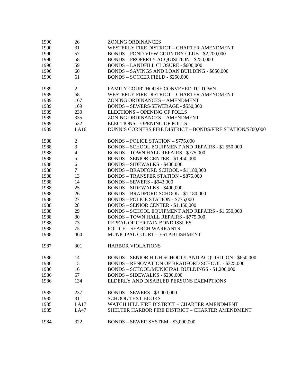| 1990 | 26             | <b>ZONING ORDINANCES</b>                                    |
|------|----------------|-------------------------------------------------------------|
| 1990 | 31             | WESTERLY FIRE DISTRICT - CHARTER AMENDMENT                  |
| 1990 | 57             | BONDS - POND VIEW COUNTRY CLUB - \$2,200,000                |
| 1990 | 58             | <b>BONDS - PROPERTY ACQUISITION - \$250,000</b>             |
| 1990 | 59             | <b>BONDS - LANDFILL CLOSURE - \$600,000</b>                 |
| 1990 | 60             | <b>BONDS - SAVINGS AND LOAN BUILDING - \$650,000</b>        |
| 1990 | 61             | <b>BONDS - SOCCER FIELD - \$250,000</b>                     |
|      |                |                                                             |
| 1989 | $\overline{2}$ | FAMILY COURTHOUSE CONVEYED TO TOWN                          |
| 1989 | 68             | WESTERLY FIRE DISTRICT - CHARTER AMENDMENT                  |
| 1989 | 167            | ZONING ORDINANCES - AMENDMENT                               |
| 1989 | 169            | BONDS - SEWERS/SEWERAGE - \$550,000                         |
| 1989 | 230            | <b>ELECTIONS - OPENING OF POLLS</b>                         |
| 1989 | 335            | ZONING ORDINANCES - AMENDMENT                               |
| 1989 | 532            | <b>ELECTIONS - OPENING OF POLLS</b>                         |
| 1989 | LA16           | DUNN'S CORNERS FIRE DISTRICT - BONDS/FIRE STATION/\$700,000 |
|      |                |                                                             |
| 1988 | $\overline{c}$ | <b>BONDS – POLICE STATION – \$775,000</b>                   |
| 1988 | 3              | BONDS - SCHOOL EQUIPMENT AND REPAIRS - \$1,550,000          |
| 1988 | $\overline{4}$ | <b>BONDS - TOWN HALL REPAIRS - \$775,000</b>                |
| 1988 | 5              | BONDS - SENIOR CENTER - \$1,450,000                         |
| 1988 | 6              | <b>BONDS - SIDEWALKS - \$400,000</b>                        |
| 1988 | $\tau$         | BONDS - BRADFORD SCHOOL - \$1,180,000                       |
| 1988 | 13             | <b>BONDS - TRANSFER STATION - \$875,000</b>                 |
| 1988 | 14             | <b>BONDS - SEWERS - \$943,000</b>                           |
| 1988 | 25             | <b>BONDS - SIDEWALKS - \$400,000</b>                        |
| 1988 | 26             | BONDS - BRADFORD SCHOOL - \$1,180,000                       |
| 1988 | 27             | <b>BONDS - POLICE STATION - \$775,000</b>                   |
| 1988 | 28             | <b>BONDS - SENIOR CENTER - \$1,450,000</b>                  |
| 1988 | 29             | BONDS - SCHOOL EQUIPMENT AND REPAIRS - \$1,550,000          |
| 1988 | 30             | <b>BONDS - TOWN HALL REPAIRS - \$775,000</b>                |
| 1988 | 73             | REPEAL OF CERTAIN BOND ISSUES                               |
| 1988 | 75             | <b>POLICE - SEARCH WARRANTS</b>                             |
| 1988 | 460            | MUNICIPAL COURT - ESTABLISHMENT                             |
|      |                |                                                             |
| 1987 | 301            | <b>HARBOR VIOLATIONS</b>                                    |
|      |                |                                                             |
| 1986 | 14             | BONDS - SENIOR HIGH SCHOOL/LAND ACQUISITION - \$650,000     |
| 1986 | 15             | <b>BONDS - RENOVATION OF BRADFORD SCHOOL - \$325,000</b>    |
| 1986 | 16             | BONDS - SCHOOL/MUNICIPAL BUILDINGS - \$1,200,000            |
| 1986 | 67             | <b>BONDS - SIDEWALKS - \$200,000</b>                        |
| 1986 | 134            | ELDERLY AND DISABLED PERSONS EXEMPTIONS                     |
|      |                |                                                             |
| 1985 | 237            | <b>BONDS - SEWERS - \$3,000,000</b>                         |
| 1985 | 311            | <b>SCHOOL TEXT BOOKS</b>                                    |
| 1985 | LA17           | WATCH HILL FIRE DISTRICT - CHARTER AMENDMENT                |
| 1985 | <b>LA47</b>    | SHELTER HARBOR FIRE DISTRICT - CHARTER AMENDMENT            |
|      |                |                                                             |
| 1984 | 322            | BONDS - SEWER SYSTEM - \$3,000,000                          |
|      |                |                                                             |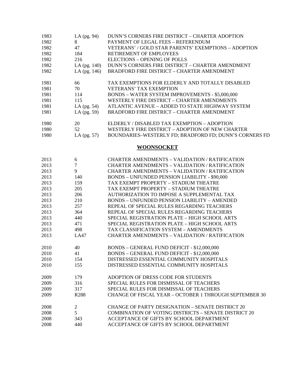| 1983 | LA (pg. 94)      | DUNN'S CORNERS FIRE DISTRICT - CHARTER ADOPTION             |
|------|------------------|-------------------------------------------------------------|
| 1982 | 8                | PAYMENT OF LEGAL FEES - REFERENDUM                          |
| 1982 | 47               | VETERANS' / GOLD STAR PARENTS' EXEMPTIONS - ADOPTION        |
| 1982 | 184              | RETIREMENT OF EMPLOYEES                                     |
| 1982 | 216              | <b>ELECTIONS - OPENING OF POLLS</b>                         |
| 1982 | LA $(pg. 140)$   | DUNN'S CORNERS FIRE DISTRICT - CHARTER AMENDMENT            |
| 1982 | LA $(pg. 146)$   | <b>BRADFORD FIRE DISTRICT - CHARTER AMENDMENT</b>           |
| 1981 | 66               | TAX EXEMPTIONS FOR ELDERLY AND TOTALLY DISABLED             |
| 1981 | 70               | <b>VETERANS' TAX EXEMPTION</b>                              |
| 1981 | 114              | <b>BONDS - WATER SYSTEM IMPROVEMENTS - \$5,000,000</b>      |
| 1981 | 115              | WESTERLY FIRE DISTRICT - CHARTER AMENDMENTS                 |
| 1981 | LA $(pg. 54)$    | ATLANTIC AVENUE - ADDED TO STATE HIGHWAY SYSTEM             |
| 1981 | LA $(pg. 59)$    | <b>BRADFORD FIRE DISTRICT - CHARTER AMENDMENT</b>           |
| 1980 | 20               | ELDERLY / DISABLED TAX EXEMPTION - ADOPTION                 |
| 1980 | 52               | WESTERLY FIRE DISTRICT - ADOPTION OF NEW CHARTER            |
| 1980 | LA (pg. 57)      | BOUNDARIES-WESTERLY FD; BRADFORD FD; DUNN'S CORNERS FD      |
|      |                  | <b>WOONSOCKET</b>                                           |
| 2013 | 6                | <b>CHARTER AMENDMENTS - VALIDATION / RATIFICATION</b>       |
| 2013 | $\tau$           | <b>CHARTER AMENDMENTS - VALIDATION / RATIFICATION</b>       |
| 2013 | 9                | CHARTER AMENDMENTS - VALIDATION / RATIFICATION              |
| 2013 | 140              | <b>BONDS - UNFUNDED PENSION LIABILITY - \$90,000</b>        |
| 2013 | 159              | TAX EXEMPT PROPERTY - STADIUM THEATRE                       |
| 2013 | 205              | TAX EXEMPT PROPERTY - STADIUM THEATRE                       |
| 2013 | 206              | AUTHORIZATION TO IMPOSE A SUPPLEMENTAL TAX                  |
| 2013 | 210              | <b>BONDS - UNFUNDED PENSION LIABILITY - AMENDED</b>         |
| 2013 | 257              | REPEAL OF SPECIAL RULES REGARDING TEACHERS                  |
| 2013 | 364              | REPEAL OF SPECIAL RULES REGARDING TEACHERS                  |
| 2013 | 440              | SPECIAL REGISTRATION PLATE - HIGH SCHOOL ARTS               |
| 2013 | 471              | SPECIAL REGISTRATION PLATE - HIGH SCHOOL ARTS               |
| 2013 | 498              | TAX CLASSIFICATION SYSTEM - AMENDMENTS                      |
| 2013 | <b>LA47</b>      | CHARTER AMENDMENTS - VALIDATION / RATIFICATION              |
| 2010 | 40               | BONDS - GENERAL FUND DEFICIT - \$12,000,000                 |
| 2010 | 41               | BONDS - GENERAL FUND DEFICIT - \$12,000,000                 |
| 2010 | 154              | DISTRESSED ESSENTIAL COMMUNITY HOSPITALS                    |
| 2010 | 155              | DISTRESSED ESSENTIAL COMMUNITY HOSPITALS                    |
| 2009 | 179              | ADOPTION OF DRESS CODE FOR STUDENTS                         |
| 2009 | 316              | SPECIAL RULES FOR DISMISSAL OF TEACHERS                     |
| 2009 | 317              | SPECIAL RULES FOR DISMISSAL OF TEACHERS                     |
| 2009 | R <sub>288</sub> | CHANGE OF FISCAL YEAR - OCTOBER 1 THROUGH SEPTEMBER 30      |
| 2008 | $\overline{2}$   | <b>CHANGE OF PARTY DESIGNATION - SENATE DISTRICT 20</b>     |
| 2008 | 5                | <b>COMBINATION OF VOTING DISTRICTS - SENATE DISTRICT 20</b> |
| 2008 | 343              | ACCEPTANCE OF GIFTS BY SCHOOL DEPARTMENT                    |
| 2008 | 440              | ACCEPTANCE OF GIFTS BY SCHOOL DEPARTMENT                    |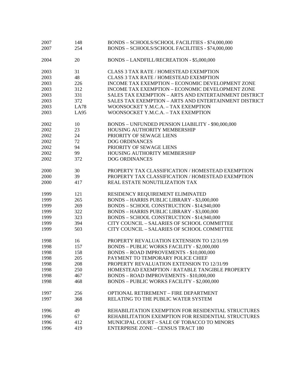| 2007 | 148         | BONDS - SCHOOLS/SCHOOL FACILITIES - \$74,000,000      |
|------|-------------|-------------------------------------------------------|
| 2007 | 254         | BONDS - SCHOOLS/SCHOOL FACILITIES - \$74,000,000      |
|      |             |                                                       |
| 2004 | 20          | BONDS - LANDFILL/RECREATION - \$5,000,000             |
|      |             |                                                       |
| 2003 | 31          | CLASS 3 TAX RATE / HOMESTEAD EXEMPTION                |
| 2003 | 48          | <b>CLASS 3 TAX RATE / HOMESTEAD EXEMPTION</b>         |
| 2003 | 226         | INCOME TAX EXEMPTION - ECONOMIC DEVELOPMENT ZONE      |
| 2003 | 312         | INCOME TAX EXEMPTION - ECONOMIC DEVELOPMENT ZONE      |
| 2003 | 331         | SALES TAX EXEMPTION - ARTS AND ENTERTAINMENT DISTRICT |
| 2003 | 372         | SALES TAX EXEMPTION - ARTS AND ENTERTAINMENT DISTRICT |
| 2003 | <b>LA78</b> | WOONSOCKET Y.M.C.A. - TAX EXEMPTION                   |
|      |             |                                                       |
| 2003 | LA95        | WOONSOCKET Y.M.C.A. - TAX EXEMPTION                   |
| 2002 | 10          | BONDS - UNFUNDED PENSION LIABILITY - \$90,000,000     |
| 2002 | 23          | HOUSING AUTHORITY MEMBERSHIP                          |
| 2002 |             |                                                       |
|      | 24          | PRIORITY OF SEWAGE LIENS                              |
| 2002 | 72          | <b>DOG ORDINANCES</b>                                 |
| 2002 | 94          | PRIORITY OF SEWAGE LIENS                              |
| 2002 | 99          | HOUSING AUTHORITY MEMBERSHIP                          |
| 2002 | 372         | <b>DOG ORDINANCES</b>                                 |
|      |             |                                                       |
| 2000 | 30          | PROPERTY TAX CLASSIFICATION / HOMESTEAD EXEMPTION     |
| 2000 | 39          | PROPERTY TAX CLASSIFICATION / HOMESTEAD EXEMPTION     |
| 2000 | 417         | REAL ESTATE NONUTILIZATION TAX                        |
|      |             |                                                       |
| 1999 | 121         | RESIDENCY REQUIREMENT ELIMINATED                      |
| 1999 | 265         | <b>BONDS - HARRIS PUBLIC LIBRARY - \$3,000,000</b>    |
| 1999 | 269         | BONDS - SCHOOL CONSTRUCTION - \$14,940,000            |
| 1999 | 322         | <b>BONDS - HARRIS PUBLIC LIBRARY - \$3,000,000</b>    |
| 1999 | 323         | BONDS - SCHOOL CONSTRUCTION - \$14,940,000            |
| 1999 | 394         | CITY COUNCIL - SALARIES OF SCHOOL COMMITTEE           |
| 1999 | 503         | CITY COUNCIL - SALARIES OF SCHOOL COMMITTEE           |
|      |             | PROPERTY REVALUATION EXTENSION TO 12/31/99            |
| 1998 | 16          |                                                       |
| 1998 | 157         | <b>BONDS - PUBLIC WORKS FACILITY - \$2,000,000</b>    |
| 1998 | 158         | BONDS - ROAD IMPROVEMENTS - \$10,000,000              |
| 1998 | 205         | PAYMENT TO TEMPORARY POLICE CHIEF                     |
| 1998 | 208         | PROPERTY REVALUATION EXTENSION TO 12/31/99            |
| 1998 | 250         | HOMESTEAD EXEMPTION / RATABLE TANGIBLE PROPERTY       |
| 1998 | 467         | BONDS - ROAD IMPROVEMENTS - \$10,000,000              |
| 1998 | 468         | <b>BONDS - PUBLIC WORKS FACILITY - \$2,000,000</b>    |
|      |             |                                                       |
| 1997 | 256         | OPTIONAL RETIREMENT - FIRE DEPARTMENT                 |
| 1997 | 368         | RELATING TO THE PUBLIC WATER SYSTEM                   |
| 1996 | 49          | REHABILITATION EXEMPTION FOR RESIDENTIAL STRUCTURES   |
| 1996 | 67          | REHABILITATION EXEMPTION FOR RESIDENTIAL STRUCTURES   |
|      |             |                                                       |
| 1996 | 412         | MUNICIPAL COURT - SALE OF TOBACCO TO MINORS           |
| 1996 | 419         | <b>ENTERPRISE ZONE - CENSUS TRACT 180</b>             |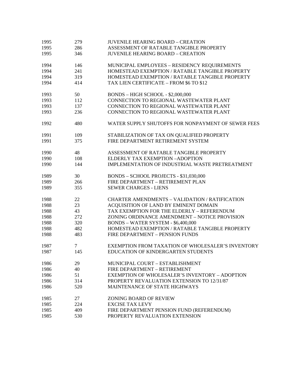| 1995 | 279            | <b>JUVENILE HEARING BOARD - CREATION</b>              |
|------|----------------|-------------------------------------------------------|
| 1995 | 286            | ASSESSMENT OF RATABLE TANGIBLE PROPERTY               |
| 1995 | 346            | <b>JUVENILE HEARING BOARD - CREATION</b>              |
| 1994 | 146            | MUNICIPAL EMPLOYEES - RESIDENCY REQUIREMENTS          |
| 1994 | 241            | HOMESTEAD EXEMPTION / RATABLE TANGIBLE PROPERTY       |
| 1994 | 319            | HOMESTEAD EXEMPTION / RATABLE TANGIBLE PROPERTY       |
| 1994 | 414            | TAX LIEN CERTIFICATE - FROM \$6 TO \$12               |
|      |                |                                                       |
| 1993 | 50             | BONDS - HIGH SCHOOL - \$2,000,000                     |
| 1993 | 112            | CONNECTION TO REGIONAL WASTEWATER PLANT               |
| 1993 | 137            | CONNECTION TO REGIONAL WASTEWATER PLANT               |
| 1993 | 236            | CONNECTION TO REGIONAL WASTEWATER PLANT               |
| 1992 | 480            | WATER SUPPLY SHUTOFFS FOR NONPAYMENT OF SEWER FEES    |
| 1991 | 109            | STABILIZATION OF TAX ON QUALIFIED PROPERTY            |
| 1991 | 375            | FIRE DEPARTMENT RETIREMENT SYSTEM                     |
| 1990 | 48             | ASSESSMENT OF RATABLE TANGIBLE PROPERTY               |
|      |                |                                                       |
| 1990 | 108            | ELDERLY TAX EXEMPTION -ADOPTION                       |
| 1990 | 144            | IMPLEMENTATION OF INDUSTRIAL WASTE PRETREATMENT       |
| 1989 | 30             | BONDS - SCHOOL PROJECTS - \$31,030,000                |
| 1989 | 266            | FIRE DEPARTMENT - RETIREMENT PLAN                     |
| 1989 | 355            | <b>SEWER CHARGES - LIENS</b>                          |
| 1988 | 22             | <b>CHARTER AMENDMENTS - VALIDATION / RATIFICATION</b> |
| 1988 | 23             | ACQUISITION OF LAND BY EMINENT DOMAIN                 |
| 1988 | 43             | TAX EXEMPTION FOR THE ELDERLY - REFERENDUM            |
| 1988 | 272            | ZONING ORDINANCE AMENDMENT - NOTICE PROVISION         |
| 1988 | 320            | BONDS - WATER SYSTEM - \$6,400,000                    |
| 1988 | 482            | HOMESTEAD EXEMPTION / RATABLE TANGIBLE PROPERTY       |
| 1988 | 483            | FIRE DEPARTMENT - PENSION FUNDS                       |
|      |                |                                                       |
| 1987 | $\overline{7}$ | EXEMPTION FROM TAXATION OF WHOLESALER'S INVENTORY     |
| 1987 | 145            | EDUCATION OF KINDERGARTEN STUDENTS                    |
| 1986 | 29             | MUNICIPAL COURT - ESTABLISHMENT                       |
| 1986 | 40             | FIRE DEPARTMENT - RETIREMENT                          |
| 1986 | 51             | <b>EXEMPTION OF WHOLESALER'S INVENTORY - ADOPTION</b> |
| 1986 | 314            | PROPERTY REVALUATION EXTENSION TO 12/31/87            |
| 1986 | 520            | MAINTENANCE OF STATE HIGHWAYS                         |
|      |                |                                                       |
| 1985 | 27             | ZONING BOARD OF REVIEW                                |
| 1985 | 224            | <b>EXCISE TAX LEVY</b>                                |
| 1985 | 409            | FIRE DEPARTMENT PENSION FUND (REFERENDUM)             |
| 1985 | 530            | PROPERTY REVALUATION EXTENSION                        |